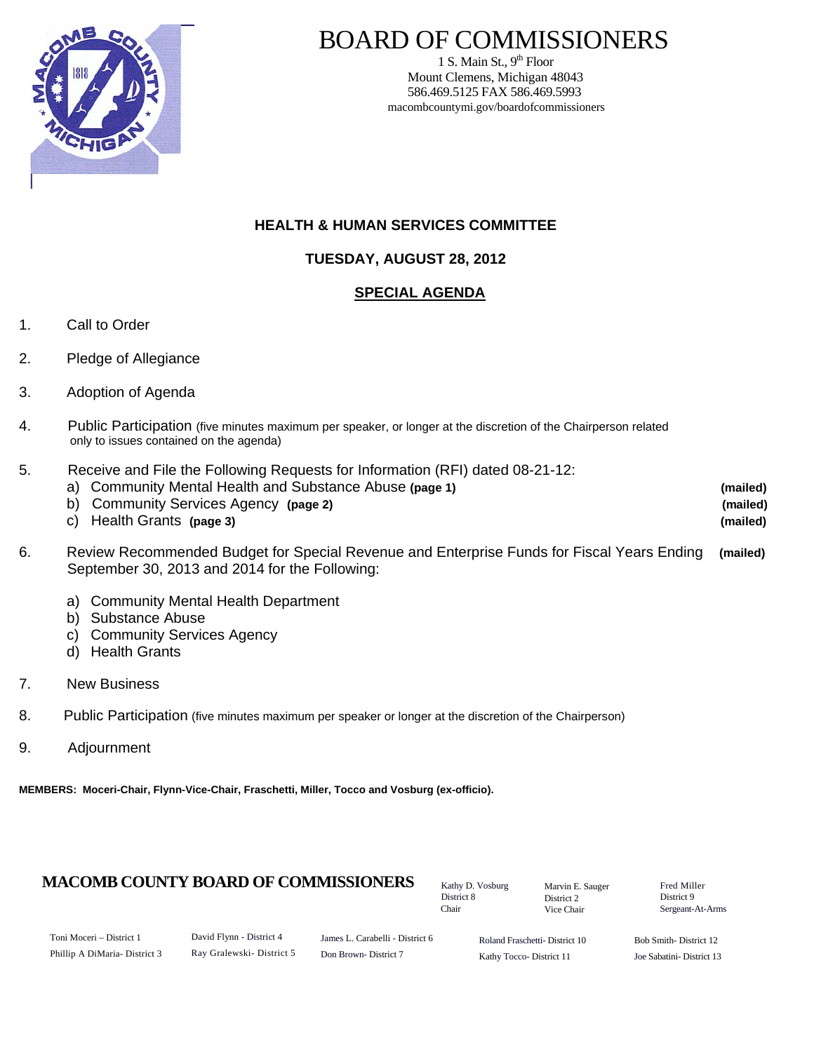

1 S. Main St.,  $9<sup>th</sup>$  Floor Mount Clemens, Michigan 48043 586.469.5125 FAX 586.469.5993 macombcountymi.gov/boardofcommissioners

## **HEALTH & HUMAN SERVICES COMMITTEE**

## **TUESDAY, AUGUST 28, 2012**

## **SPECIAL AGENDA**

- 1. Call to Order
- 2. Pledge of Allegiance
- 3. Adoption of Agenda
- 4. Public Participation (five minutes maximum per speaker, or longer at the discretion of the Chairperson related only to issues contained on the agenda)
- 5. Receive and File the Following Requests for Information (RFI) dated 08-21-12:
	- a) Community Mental Health and Substance Abuse **(page 1) (mailed)** b) Community Services Agency **(page 2) (mailed)**  c) Health Grants **(page 3) (mailed)**
- 6. Review Recommended Budget for Special Revenue and Enterprise Funds for Fiscal Years Ending **(mailed)** September 30, 2013 and 2014 for the Following:
	- a) Community Mental Health Department
	- b) Substance Abuse
	- c) Community Services Agency
	- d) Health Grants
- 7. New Business
- 8. Public Participation (five minutes maximum per speaker or longer at the discretion of the Chairperson)
- 9. Adjournment

**MEMBERS: Moceri-Chair, Flynn-Vice-Chair, Fraschetti, Miller, Tocco and Vosburg (ex-officio).** 

## **MACOMB COUNTY BOARD OF COMMISSIONERS** Factor D. Vosburg Marvin F. Sauger Fred Miller

Kathy D. Vosburg District 8 Chair

Marvin E. Sauger District 2 Vice Chair

District 9 Sergeant-At-Arms

| Toni Moceri – District 1      |  |
|-------------------------------|--|
| Phillip A DiMaria- District 3 |  |

David Flynn - District 4 Ray Gralewski- District 5

James L. Carabelli - District 6 Don Brown- District 7

Roland Fraschetti- District 10 Kathy Tocco- District 11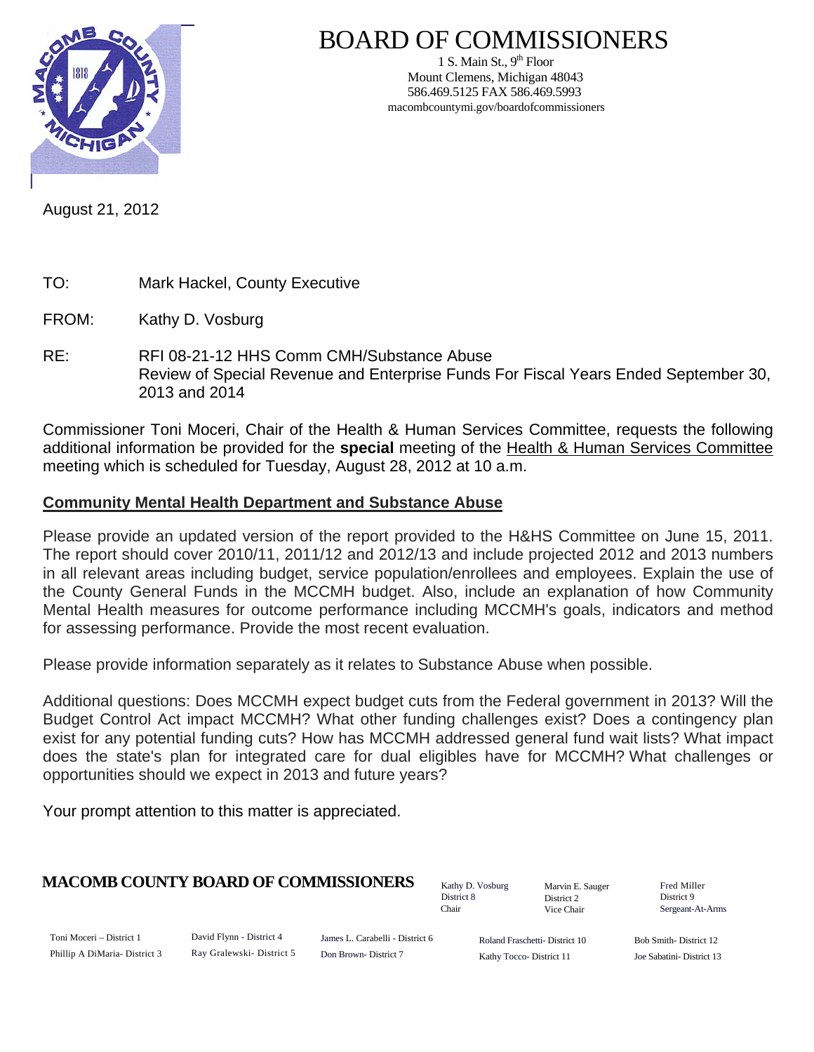

1 S. Main St.,  $9<sup>th</sup>$  Floor Mount Clemens, Michigan 48043 586.469.5125 FAX 586.469.5993 macombcountymi.gov/boardofcommissioners

August 21, 2012

- TO: Mark Hackel, County Executive
- FROM: Kathy D. Vosburg
- RE: RFI 08-21-12 HHS Comm CMH/Substance Abuse Review of Special Revenue and Enterprise Funds For Fiscal Years Ended September 30, 2013 and 2014

Commissioner Toni Moceri, Chair of the Health & Human Services Committee, requests the following additional information be provided for the **special** meeting of the Health & Human Services Committee meeting which is scheduled for Tuesday, August 28, 2012 at 10 a.m.

## **Community Mental Health Department and Substance Abuse**

Please provide an updated version of the report provided to the H&HS Committee on June 15, 2011. The report should cover 2010/11, 2011/12 and 2012/13 and include projected 2012 and 2013 numbers in all relevant areas including budget, service population/enrollees and employees. Explain the use of the County General Funds in the MCCMH budget. Also, include an explanation of how Community Mental Health measures for outcome performance including MCCMH's goals, indicators and method for assessing performance. Provide the most recent evaluation.

Please provide information separately as it relates to Substance Abuse when possible.

Additional questions: Does MCCMH expect budget cuts from the Federal government in 2013? Will the Budget Control Act impact MCCMH? What other funding challenges exist? Does a contingency plan exist for any potential funding cuts? How has MCCMH addressed general fund wait lists? What impact does the state's plan for integrated care for dual eligibles have for MCCMH? What challenges or opportunities should we expect in 2013 and future years?

Your prompt attention to this matter is appreciated.

## **MACOMB COUNTY BOARD OF COMMISSIONERS** Fathy D. Vosburg Martin E. Saugar Fred Miller

Kathy D. Vosburg District 8 Chair

Marvin E. Sauger District 2 Vice Chair

District 9 Sergeant-At-Arms

| Toni Moceri – District 1     |  |
|------------------------------|--|
| Phillip A DiMaria-District 3 |  |

David Flynn - District 4 Ray Gralewski- District 5

James L. Carabelli - District 6 Don Brown- District 7

Roland Fraschetti- District 10 Kathy Tocco- District 11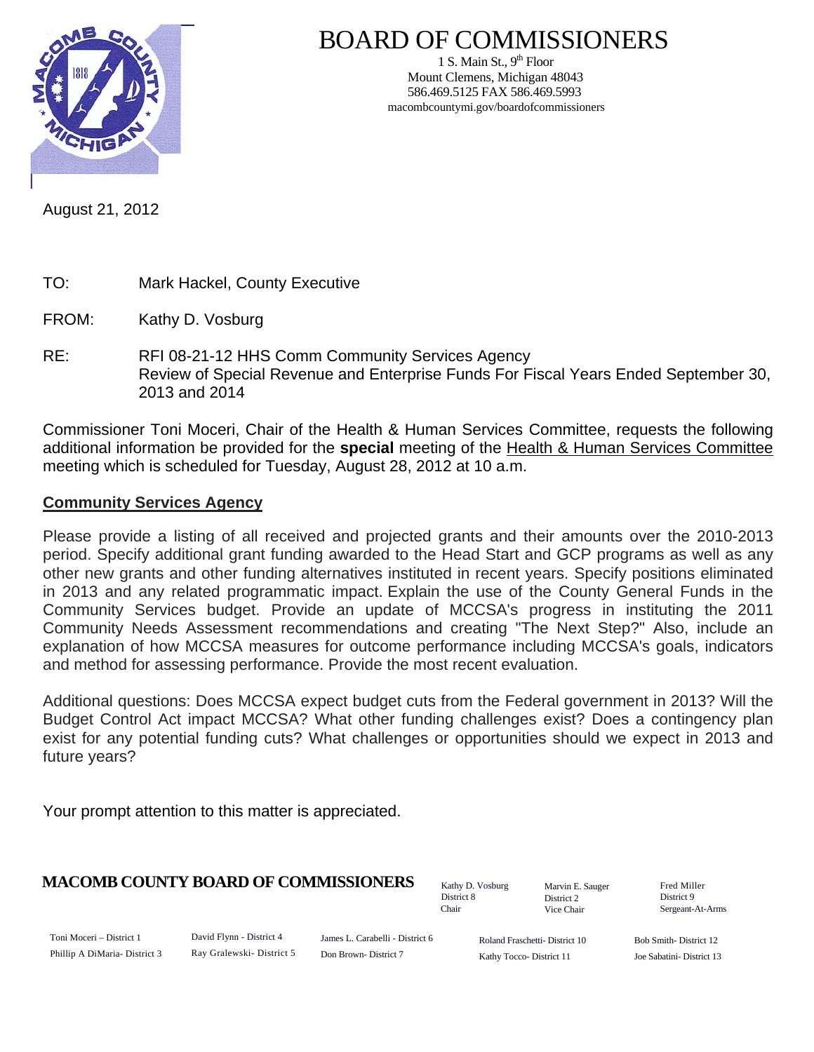

1 S. Main St.,  $9<sup>th</sup>$  Floor Mount Clemens, Michigan 48043 586.469.5125 FAX 586.469.5993 macombcountymi.gov/boardofcommissioners

August 21, 2012

- TO: Mark Hackel, County Executive
- FROM: Kathy D. Vosburg
- RE: RFI 08-21-12 HHS Comm Community Services Agency Review of Special Revenue and Enterprise Funds For Fiscal Years Ended September 30, 2013 and 2014

Commissioner Toni Moceri, Chair of the Health & Human Services Committee, requests the following additional information be provided for the **special** meeting of the Health & Human Services Committee meeting which is scheduled for Tuesday, August 28, 2012 at 10 a.m.

## **Community Services Agency**

Please provide a listing of all received and projected grants and their amounts over the 2010-2013 period. Specify additional grant funding awarded to the Head Start and GCP programs as well as any other new grants and other funding alternatives instituted in recent years. Specify positions eliminated in 2013 and any related programmatic impact. Explain the use of the County General Funds in the Community Services budget. Provide an update of MCCSA's progress in instituting the 2011 Community Needs Assessment recommendations and creating "The Next Step?" Also, include an explanation of how MCCSA measures for outcome performance including MCCSA's goals, indicators and method for assessing performance. Provide the most recent evaluation.

Additional questions: Does MCCSA expect budget cuts from the Federal government in 2013? Will the Budget Control Act impact MCCSA? What other funding challenges exist? Does a contingency plan exist for any potential funding cuts? What challenges or opportunities should we expect in 2013 and future years?

Your prompt attention to this matter is appreciated.

## **MACOMB COUNTY BOARD OF COMMISSIONERS** Fathy D. Vosburg Martin E. Square Fred Miller

Kathy D. Vosburg District 8 Chair

Marvin E. Sauger District 2 Vice Chair

District 9 Sergeant-At-Arms

Toni Moceri – District 1 Phillip A DiMaria- District 3 David Flynn - District 4 Ray Gralewski- District 5

James L. Carabelli - District 6 Don Brown- District 7

Roland Fraschetti- District 10 Kathy Tocco- District 11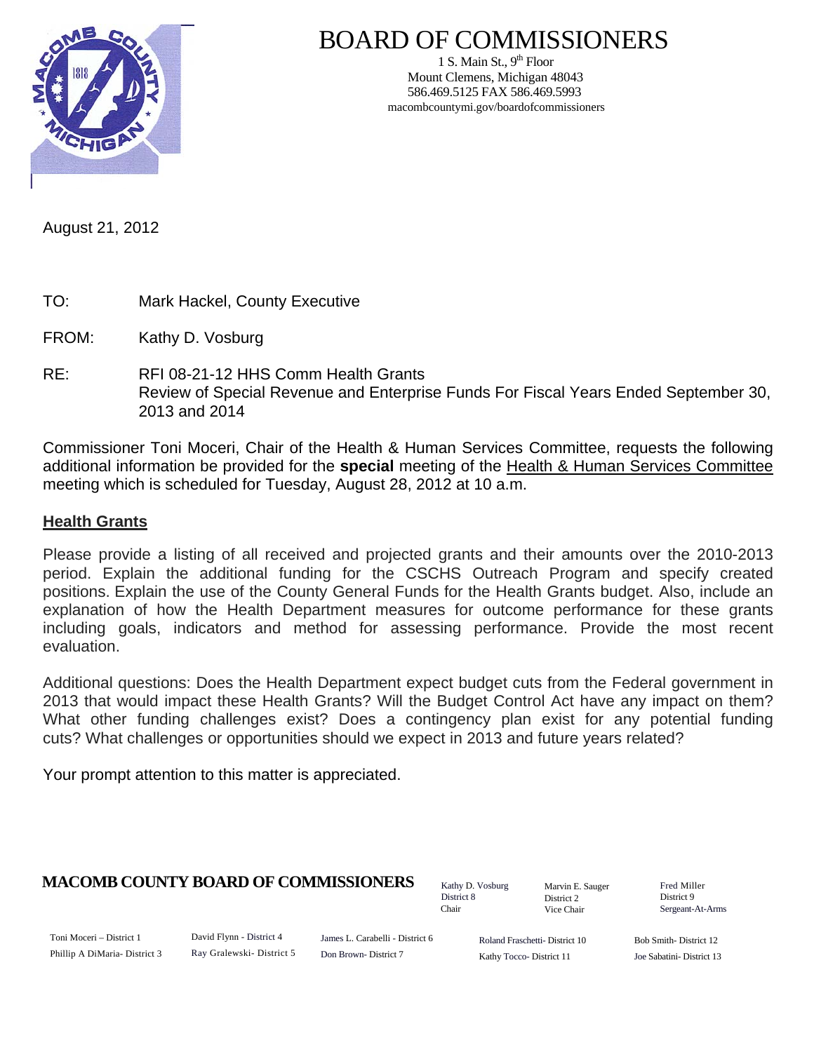

1 S. Main St.,  $9<sup>th</sup>$  Floor Mount Clemens, Michigan 48043 586.469.5125 FAX 586.469.5993 macombcountymi.gov/boardofcommissioners

August 21, 2012

- TO: Mark Hackel, County Executive
- FROM: Kathy D. Vosburg
- RE: RFI 08-21-12 HHS Comm Health Grants Review of Special Revenue and Enterprise Funds For Fiscal Years Ended September 30, 2013 and 2014

Commissioner Toni Moceri, Chair of the Health & Human Services Committee, requests the following additional information be provided for the **special** meeting of the Health & Human Services Committee meeting which is scheduled for Tuesday, August 28, 2012 at 10 a.m.

## **Health Grants**

Please provide a listing of all received and projected grants and their amounts over the 2010-2013 period. Explain the additional funding for the CSCHS Outreach Program and specify created positions. Explain the use of the County General Funds for the Health Grants budget. Also, include an explanation of how the Health Department measures for outcome performance for these grants including goals, indicators and method for assessing performance. Provide the most recent evaluation.

Additional questions: Does the Health Department expect budget cuts from the Federal government in 2013 that would impact these Health Grants? Will the Budget Control Act have any impact on them? What other funding challenges exist? Does a contingency plan exist for any potential funding cuts? What challenges or opportunities should we expect in 2013 and future years related?

Your prompt attention to this matter is appreciated.

## **MACOMB COUNTY BOARD OF COMMISSIONERS** Fathy D. Vosburg Martin E. Square Fred Miller

Kathy D. Vosburg District 8 Chair

Marvin E. Sauger District 2 Vice Chair

District 9 Sergeant-At-Arms

Toni Moceri – District 1 Phillip A DiMaria- District 3 David Flynn - District 4 Ray Gralewski- District 5

James L. Carabelli - District 6 Don Brown- District 7

Roland Fraschetti- District 10 Kathy Tocco- District 11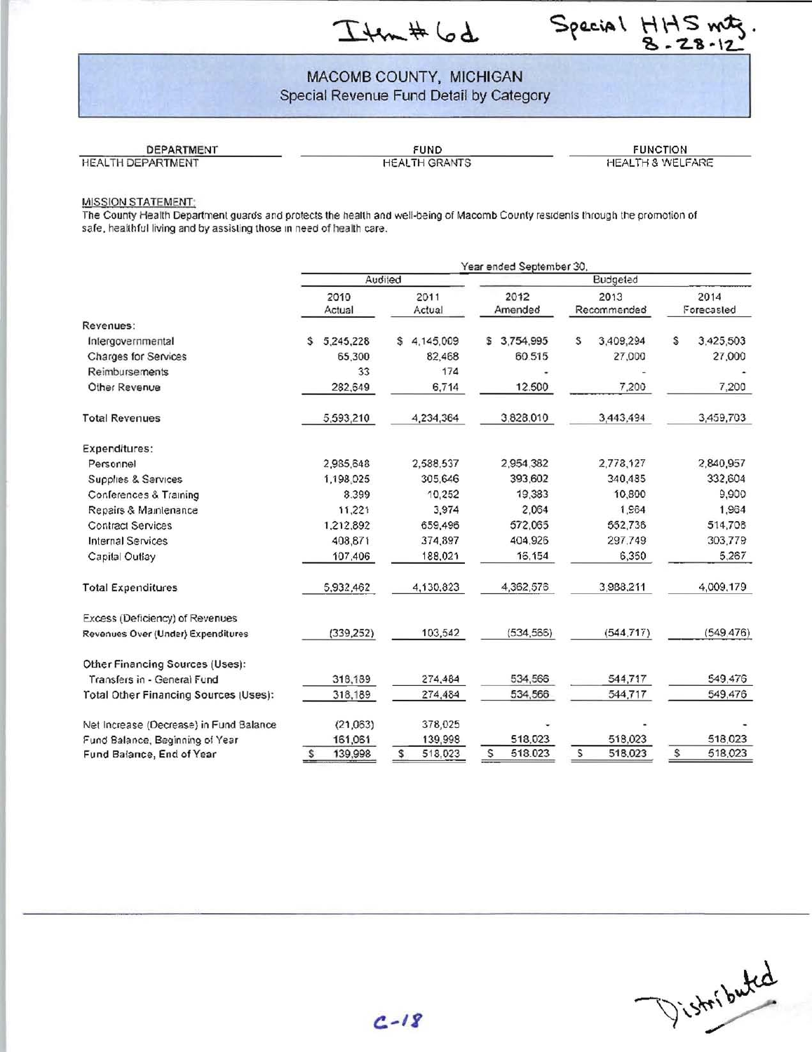Itm#6d



## MACOMB COUNTY, MICHIGAN Special Revenue Fund Detail by Category

HEALTH DEPARTMENT

DEPARTMENT FUND FUNCTION

#### MISSION STATEMENT:

The County Health Department guards and protects the health and well-being of Macomb County residents through the promotion of safe, healthful living and by assisting those in need of health care.

|                                              | Year ended September 30, |                |                 |                     |                    |  |  |  |  |
|----------------------------------------------|--------------------------|----------------|-----------------|---------------------|--------------------|--|--|--|--|
|                                              |                          | Audited        | Budgeted        |                     |                    |  |  |  |  |
|                                              | 2010<br>Actual           | 2011<br>Actual | 2012<br>Amended | 2013<br>Recommended | 2014<br>Forecasted |  |  |  |  |
| Revenues:                                    |                          |                |                 |                     |                    |  |  |  |  |
| Intergovernmental                            | 5,245,228<br>Ŝ.          | 4,145,009<br>S | 3,754,995<br>£  | 3,409,294<br>S      | S<br>3,425,503     |  |  |  |  |
| Charges for Services                         | 65,300                   | 82,468         | 60.515          | 27,000              | 27,000             |  |  |  |  |
| Reimbursements                               | 33                       | 174            |                 |                     |                    |  |  |  |  |
| Other Revenue                                | 282,649                  | 6,714          | 12.500          | 7,200               | 7,200              |  |  |  |  |
| <b>Total Revenues</b>                        | 5,593,210                | 4,234,364      | 3,828,010       | 3,443,494           | 3,459,703          |  |  |  |  |
| <b>Expenditures:</b>                         |                          |                |                 |                     |                    |  |  |  |  |
| Personnel                                    | 2,985,648                | 2,588,537      | 2,954,382       | 2,778,127           | 2,840,957          |  |  |  |  |
| Supplies & Services                          | 1,198.025                | 305,646        | 393,602         | 340,485             | 332,604            |  |  |  |  |
| Conferences & Training                       | 8.399                    | 10.252         | 19,383          | 10,800              | 9,900              |  |  |  |  |
| Repairs & Maintenance                        | 11,221                   | 3,974          | 2.064           | 1.964               | 1,964              |  |  |  |  |
| <b>Contract Services</b>                     | 1,212,892                | 659,496        | 572,065         | 552,736             | 514,708            |  |  |  |  |
| <b>Internal Services</b>                     | 408,871                  | 374,897        | 404,926         | 297.749             | 303,779            |  |  |  |  |
| Capital Outlay                               | 107,406                  | 188,021        | 16,154          | 6,350               | 5,267              |  |  |  |  |
| <b>Total Expenditures</b>                    | 5,932,462                | 4,130,823      | 4,362,576       | 3,988,211           | 4,009,179          |  |  |  |  |
| Excess (Deficiency) of Revenues              |                          |                |                 |                     |                    |  |  |  |  |
| Revenues Over (Under) Expenditures           | (339, 252)               | 103,542        | (534, 566)      | (544, 717)          | (549.476)          |  |  |  |  |
| Other Financing Sources (Uses):              |                          |                |                 |                     |                    |  |  |  |  |
| Transfers in - General Fund                  | 318,189                  | 274,484        | 534,566         | 544,717             | 549,476            |  |  |  |  |
| <b>Total Other Financing Sources (Uses):</b> | 318,189                  | 274,484        | 534,566         | 544,717             | 549,476            |  |  |  |  |
| Net increase (Decrease) in Fund Balance      | (21,063)                 | 378,025        |                 |                     |                    |  |  |  |  |
| Fund Balance, Beginning of Year              | 161,061                  | 139,998        | 518,023         | 518,023             | 518,023            |  |  |  |  |
| Fund Balance, End of Year                    | 139,998<br>s             | 518,023<br>s   | s<br>518.023    | s<br>518,023        | \$<br>518,023      |  |  |  |  |

Vistoributed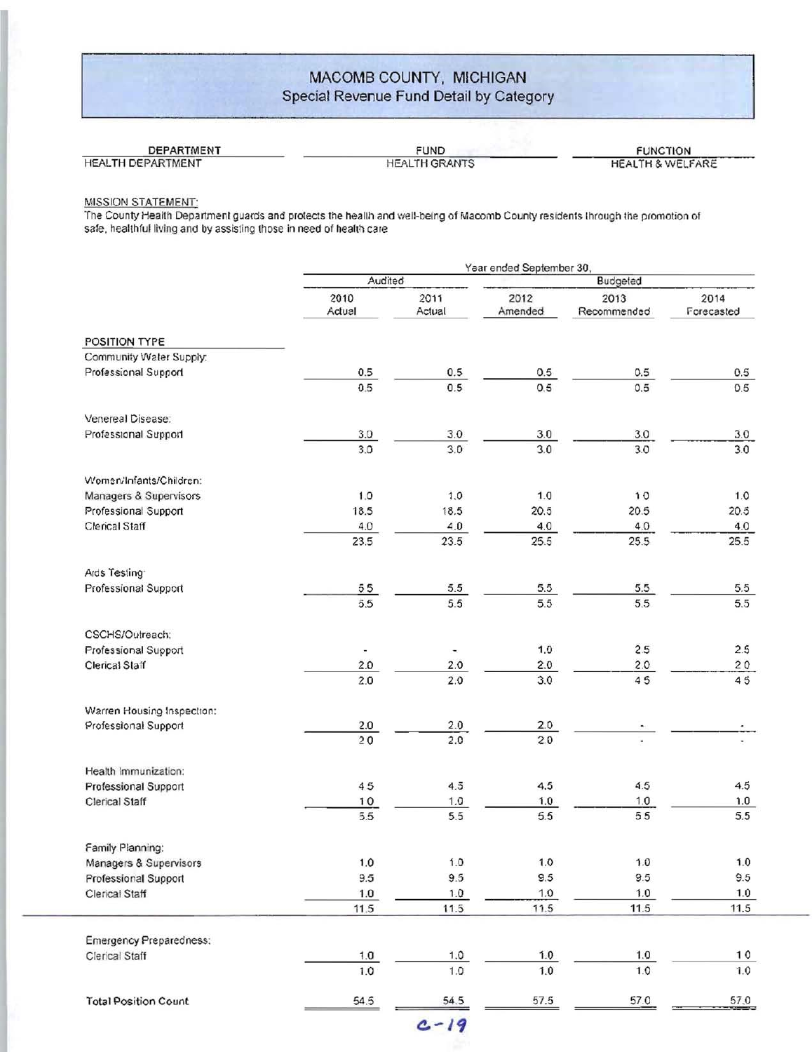## MACOMB COUNTY, MICHIGAN Special Revenue Fund Detail by Category

## DEPARTMENT DEPARTMENT FUND FUND FUNCTION FUNCTION FUNCTION HEALTH & WELFARE

#### MISSION STATEMENT:

The County Health Department guards and protects the heallh and well-being of Macomb County residents lhrough the promotion of safe, healthful living and by assisting those in need of health care

|                                | Year ended September 30, |                |                 |                     |                    |  |  |  |
|--------------------------------|--------------------------|----------------|-----------------|---------------------|--------------------|--|--|--|
|                                | Audited                  |                |                 | Budgeted            |                    |  |  |  |
|                                | 2010<br>Actual           | 2011<br>Actual | 2012<br>Amended | 2013<br>Recommended | 2014<br>Forecasted |  |  |  |
| POSITION TYPE                  |                          |                |                 |                     |                    |  |  |  |
| Community Water Supply:        |                          |                |                 |                     |                    |  |  |  |
| Professional Support           | 0.5                      | 0.5            | 0.5             | 0.5                 | 0.5                |  |  |  |
|                                | 0.5                      | 0.5            | 0,5             | 0.5                 | 0.5                |  |  |  |
| Venereal Disease:              |                          |                |                 |                     |                    |  |  |  |
| Professional Support           | 3.0                      | 3.0            | 3.0             | 3.0                 | 3.0                |  |  |  |
|                                | 3.0                      | 3.0            | 3.0             | 3.0                 | 3.0                |  |  |  |
| Women/Infants/Children:        |                          |                |                 |                     |                    |  |  |  |
| Managers & Supervisors         | 1.0                      | 1.0            | 1.0             | 10                  | 1.0                |  |  |  |
| Professional Support           | 18.5                     | 18.5           | 20.5            | 20.5                | 20.5               |  |  |  |
| Clerical Staff                 | 4.0                      | 4.0            | 4.0             | 4.0                 | 4.0                |  |  |  |
|                                | 23.5                     | 23.5           | 25.5            | 25.5                | 25.5               |  |  |  |
| Ards Testing                   |                          |                |                 |                     |                    |  |  |  |
| Professional Support           | 55                       | $5.5\,$        | 5.5             | 5.5                 | 5.5                |  |  |  |
|                                | 5.5                      | 5.5            | 5.5             | 5.5                 | 5.5                |  |  |  |
| CSCHS/Outreach:                |                          |                |                 |                     |                    |  |  |  |
| Professional Support           |                          |                | 1.0             | 2.5                 | 2.5                |  |  |  |
| Clerical Staff                 | 2.0                      | 2.0            | 2.0             | 2.0                 | 20                 |  |  |  |
|                                | 2.0                      | 2.0            | 3.0             | 45                  | 45                 |  |  |  |
| Warren Housing Inspection:     |                          |                |                 |                     |                    |  |  |  |
| Professional Support           | 2.0                      | 2.0            | 2.0             | ۰.                  |                    |  |  |  |
|                                | 20                       | 2.0            | 2.0             |                     |                    |  |  |  |
| Health Immunization:           |                          |                |                 |                     |                    |  |  |  |
| Professional Support           | 45                       | 4.5            | 4.5             | 4.5                 | 4.5                |  |  |  |
| Clerical Staff                 | 10                       | 1.0            | 1.0             | 1.0                 | 1.0                |  |  |  |
|                                | 5.5                      | 5.5            | 5.5             | 55                  | 5.5                |  |  |  |
| Family Planning:               |                          |                |                 |                     |                    |  |  |  |
| Managers & Supervisors         | 1.0                      | 1.0            | 1.0             | $1.0$               | 1.0                |  |  |  |
| Professional Support           | 9.5                      | 9.5            | 9.5             | 9.5                 | 9.5                |  |  |  |
| Clerical Staff                 | 1.0<br>11.5              | 1.0<br>11.5    | 1.0<br>11.5     | 1.0<br>11.5         | 1.0<br>11.5        |  |  |  |
|                                |                          |                |                 |                     |                    |  |  |  |
| <b>Emergency Preparedness:</b> |                          |                |                 |                     |                    |  |  |  |
| Clerical Staff                 | 1.0                      | 1.0<br>1.0     | 1.0<br>1.0      | 1.0                 | 10                 |  |  |  |
|                                | 1.0                      |                |                 | 1.0                 | 1.0                |  |  |  |
| <b>Total Position Count</b>    | 54.5                     | 54.5           | 57.5            | 57.0                | 57.0               |  |  |  |
|                                |                          | $c - 19$       |                 |                     |                    |  |  |  |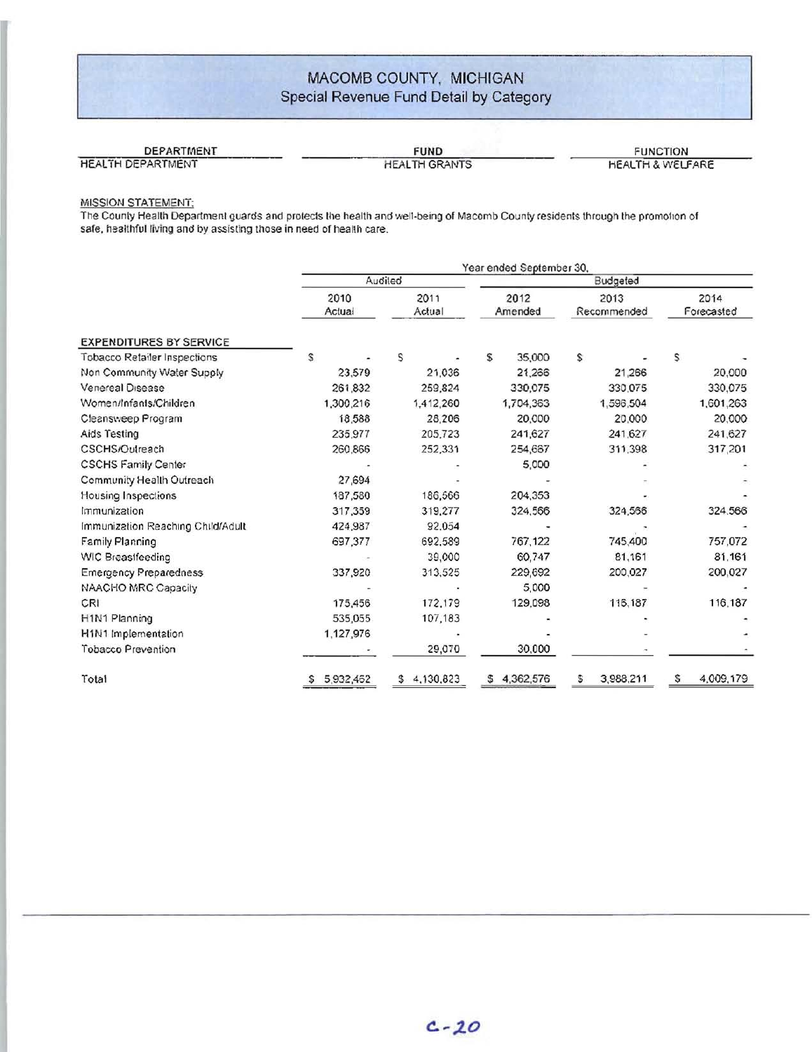## MACOMB COUNTY, MICHIGAN Special Revenue Fund Detail by Category

| DEPARTMENT        | <b>FUND</b>          | <b>FUNCTION</b>             |
|-------------------|----------------------|-----------------------------|
| HEALTH DEPARTMENT | <b>HEALTH GRANTS</b> | <b>HEALTH &amp; WELFARE</b> |

#### MISSION STATEMENT:

The County Health Department guards and protects tile health and well-being of Macomb County residents through Ihe promohon of safe, healthful living and by assisting those in need of health care,

|                                   | Year ended September 30, |                 |                 |                     |                    |  |  |  |  |  |  |
|-----------------------------------|--------------------------|-----------------|-----------------|---------------------|--------------------|--|--|--|--|--|--|
|                                   |                          | Audiled         | Budgeted        |                     |                    |  |  |  |  |  |  |
|                                   | 2010<br>Actual           | 2011<br>Actual  | 2012<br>Amended | 2013<br>Recommended | 2014<br>Forecasted |  |  |  |  |  |  |
| <b>EXPENDITURES BY SERVICE</b>    |                          |                 |                 |                     |                    |  |  |  |  |  |  |
| Tobacco Retailer Inspections      | s                        | S               | \$<br>35,000    | S                   | S                  |  |  |  |  |  |  |
| Non Community Water Supply        | 23,579                   | 21,036          | 21,266          | 21,266              | 20,000             |  |  |  |  |  |  |
| Venereal Disease                  | 261,832                  | 259,824         | 330,075         | 330,075             | 330,075            |  |  |  |  |  |  |
| Women/Infants/Children            | 1,300,216                | 1,412,260       | 1,704,363       | 1,596,504           | 1,601,263          |  |  |  |  |  |  |
| Cleansweep Program                | 18.588                   | 28,206          | 20,000          | 20,000              | 20,000             |  |  |  |  |  |  |
| Aids Testing                      | 235,977                  | 205,723         | 241,627         | 241,627             | 241,627            |  |  |  |  |  |  |
| CSCHS/Outreach                    | 260,866                  | 252,331         | 254,667         | 311,398             | 317,201            |  |  |  |  |  |  |
| <b>CSCHS Family Center</b>        |                          |                 | 5,000           |                     |                    |  |  |  |  |  |  |
| Community Health Outreach         | 27,694                   |                 |                 |                     |                    |  |  |  |  |  |  |
| Housing Inspections               | 187,580                  | 186,566         | 204,353         |                     |                    |  |  |  |  |  |  |
| Immunization                      | 317,359                  | 319,277         | 324,566         | 324,566             | 324,566            |  |  |  |  |  |  |
| Immunization Reaching Child/Adult | 424,987                  | 92,054          |                 |                     |                    |  |  |  |  |  |  |
| Family Planning                   | 697,377                  | 692,589         | 767,122         | 745,400             | 757,072            |  |  |  |  |  |  |
| WIC Breastfeeding                 |                          | 39,000          | 60.747          | 81,161              | 81,161             |  |  |  |  |  |  |
| <b>Emergency Preparedness</b>     | 337,920                  | 313,525         | 229,692         | 200,027             | 200,027            |  |  |  |  |  |  |
| NAACHO MRC Capacity               |                          |                 | 5,000           |                     |                    |  |  |  |  |  |  |
| CRI                               | 175,456                  | 172,179         | 129,098         | 116,187             | 116,187            |  |  |  |  |  |  |
| H1N1 Planning                     | 535,055                  | 107,183         |                 |                     |                    |  |  |  |  |  |  |
| H1N1 Implementation               | 1,127,976                |                 |                 |                     |                    |  |  |  |  |  |  |
| <b>Tobacco Prevention</b>         |                          | 29,070          | 30,000          |                     |                    |  |  |  |  |  |  |
| Total                             | 5,932,462                | 4,130,823<br>\$ | 4,362,576<br>s  | 3,988,211<br>S      | s<br>4,009,179     |  |  |  |  |  |  |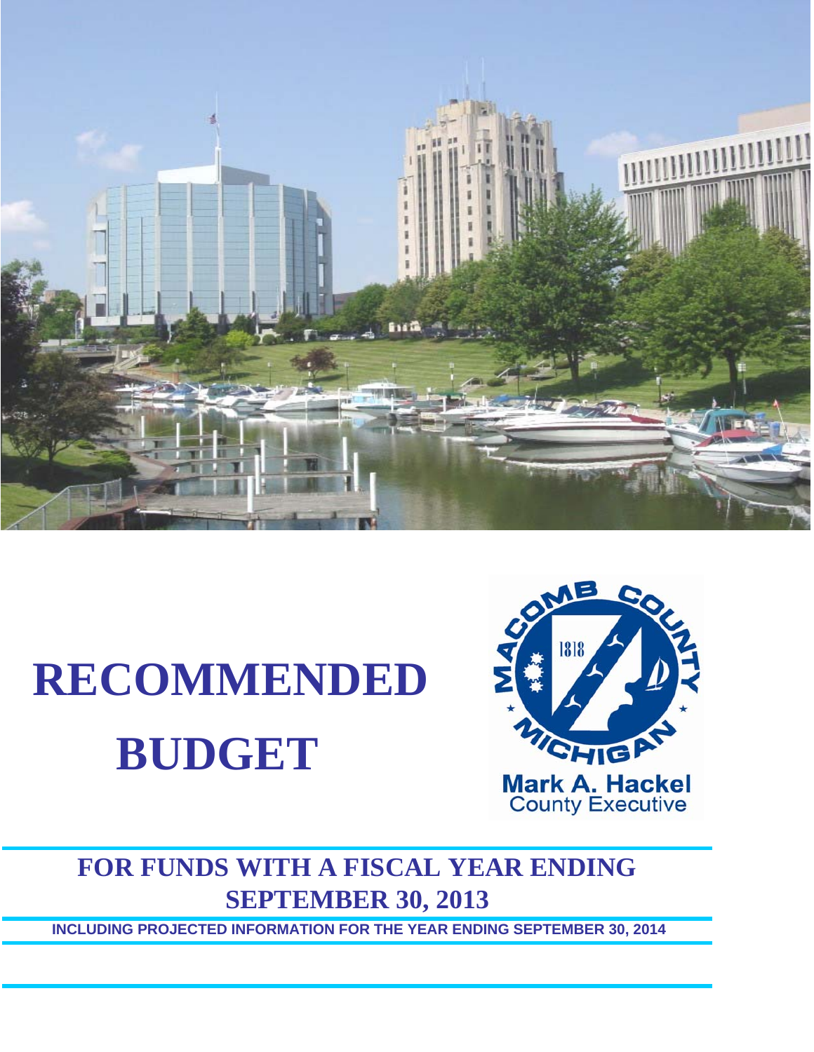

# **RECOMMENDED BUDGET**



# **FOR FUNDS WITH A FISCAL YEAR ENDING SEPTEMBER 30, 2013**

**INCLUDING PROJECTED INFORMATION FOR THE YEAR ENDING SEPTEMBER 30, 2014**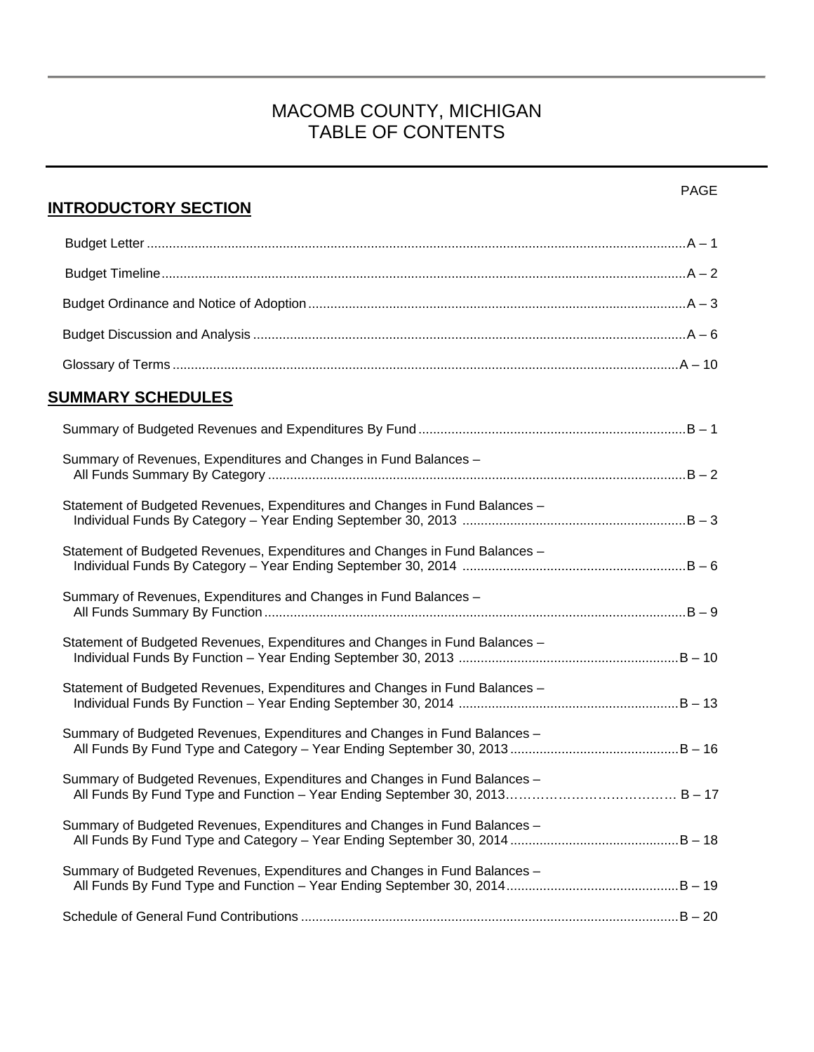## MACOMB COUNTY, MICHIGAN TABLE OF CONTENTS

| <b>INTRODUCTORY SECTION</b>                                                 | <b>PAGE</b> |
|-----------------------------------------------------------------------------|-------------|
|                                                                             |             |
|                                                                             |             |
|                                                                             |             |
|                                                                             |             |
|                                                                             |             |
| <b>SUMMARY SCHEDULES</b>                                                    |             |
|                                                                             |             |
| Summary of Revenues, Expenditures and Changes in Fund Balances -            |             |
| Statement of Budgeted Revenues, Expenditures and Changes in Fund Balances - |             |
| Statement of Budgeted Revenues, Expenditures and Changes in Fund Balances - |             |
| Summary of Revenues, Expenditures and Changes in Fund Balances -            |             |
| Statement of Budgeted Revenues, Expenditures and Changes in Fund Balances - |             |
| Statement of Budgeted Revenues, Expenditures and Changes in Fund Balances - |             |
| Summary of Budgeted Revenues, Expenditures and Changes in Fund Balances -   |             |
| Summary of Budgeted Revenues, Expenditures and Changes in Fund Balances -   |             |
| Summary of Budgeted Revenues, Expenditures and Changes in Fund Balances -   |             |
| Summary of Budgeted Revenues, Expenditures and Changes in Fund Balances -   |             |
|                                                                             |             |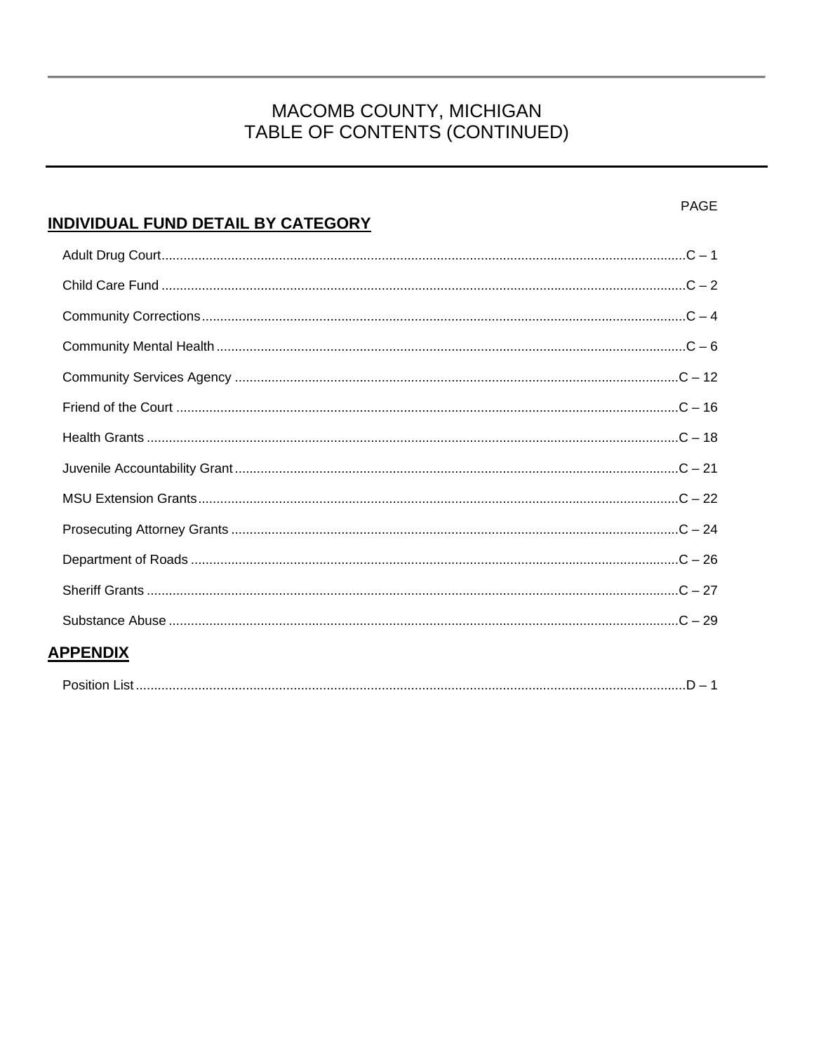# MACOMB COUNTY, MICHIGAN<br>TABLE OF CONTENTS (CONTINUED)

| <b>PAGE</b><br>INDIVIDUAL FUND DETAIL BY CATEGORY |
|---------------------------------------------------|
|                                                   |
|                                                   |
|                                                   |
|                                                   |
|                                                   |
|                                                   |
|                                                   |
|                                                   |
|                                                   |
|                                                   |
|                                                   |
|                                                   |
|                                                   |
| <b>APPENDIX</b>                                   |
| <b>Position List</b><br>$D = 1$                   |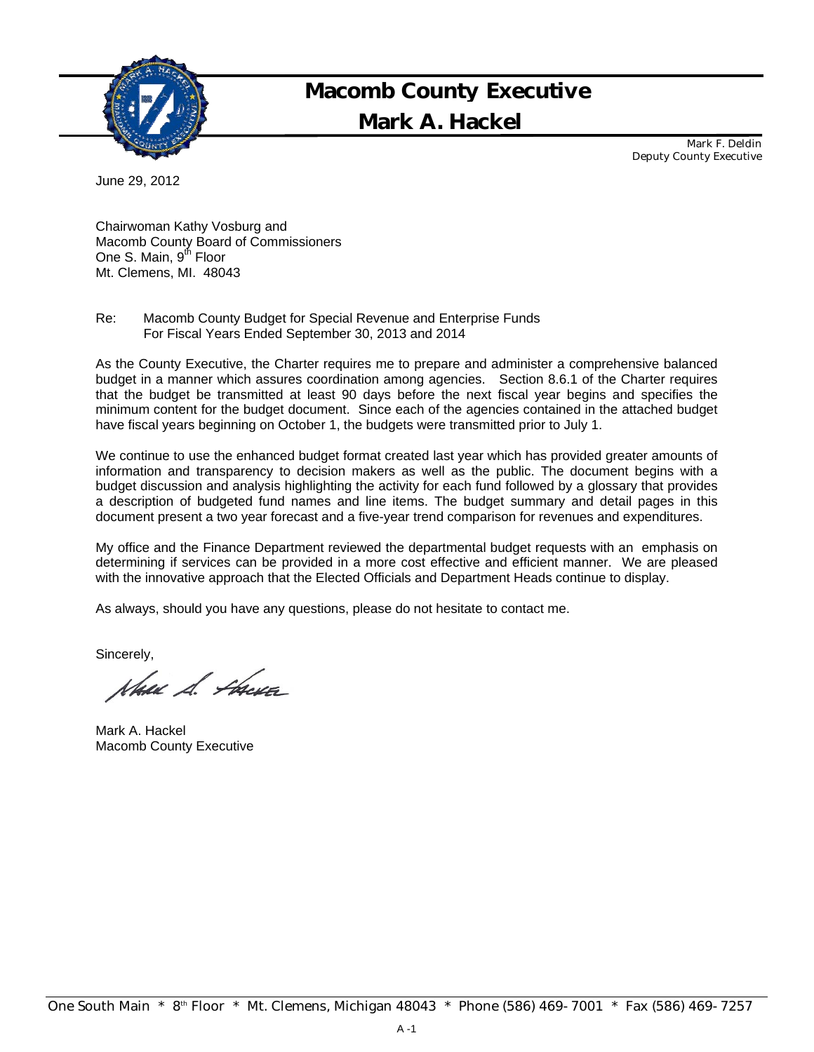

## Mark A. Hackel Macomb County Executive

Mark F. Deldin Deputy County Executive

June 29, 2012

Chairwoman Kathy Vosburg and Macomb County Board of Commissioners One S. Main, 9<sup>th</sup> Floor Mt. Clemens, MI. 48043

Re: Macomb County Budget for Special Revenue and Enterprise Funds For Fiscal Years Ended September 30, 2013 and 2014

As the County Executive, the Charter requires me to prepare and administer a comprehensive balanced budget in a manner which assures coordination among agencies. Section 8.6.1 of the Charter requires that the budget be transmitted at least 90 days before the next fiscal year begins and specifies the minimum content for the budget document. Since each of the agencies contained in the attached budget have fiscal years beginning on October 1, the budgets were transmitted prior to July 1.

We continue to use the enhanced budget format created last year which has provided greater amounts of information and transparency to decision makers as well as the public. The document begins with a budget discussion and analysis highlighting the activity for each fund followed by a glossary that provides a description of budgeted fund names and line items. The budget summary and detail pages in this document present a two year forecast and a five-year trend comparison for revenues and expenditures.

My office and the Finance Department reviewed the departmental budget requests with an emphasis on determining if services can be provided in a more cost effective and efficient manner. We are pleased with the innovative approach that the Elected Officials and Department Heads continue to display.

As always, should you have any questions, please do not hesitate to contact me.

Sincerely,

New S. Forces

Mark A. Hackel Macomb County Executive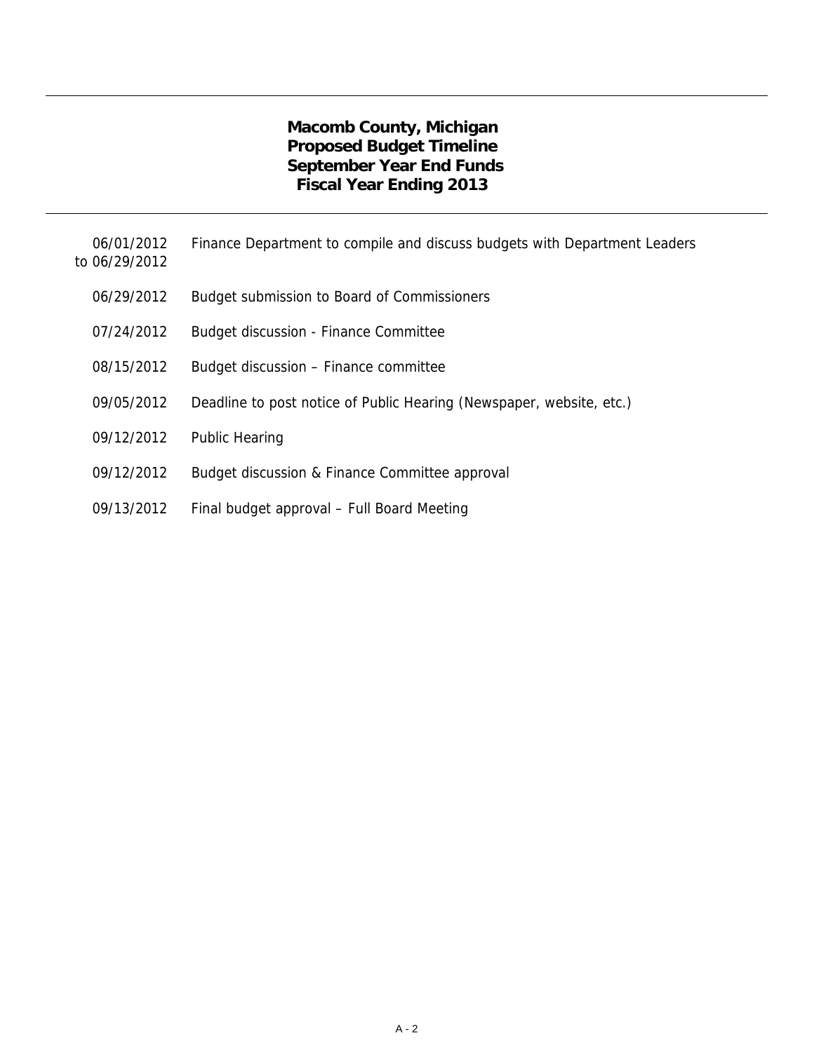## **Macomb County, Michigan Proposed Budget Timeline September Year End Funds Fiscal Year Ending 2013**

- 06/01/2012 Finance Department to compile and discuss budgets with Department Leaders
- to 06/29/2012
	- 06/29/2012 Budget submission to Board of Commissioners
	- 07/24/2012 Budget discussion Finance Committee
	- 08/15/2012 Budget discussion Finance committee
	- 09/05/2012 Deadline to post notice of Public Hearing (Newspaper, website, etc.)
	- 09/12/2012 Public Hearing
	- 09/12/2012 Budget discussion & Finance Committee approval
	- 09/13/2012 Final budget approval Full Board Meeting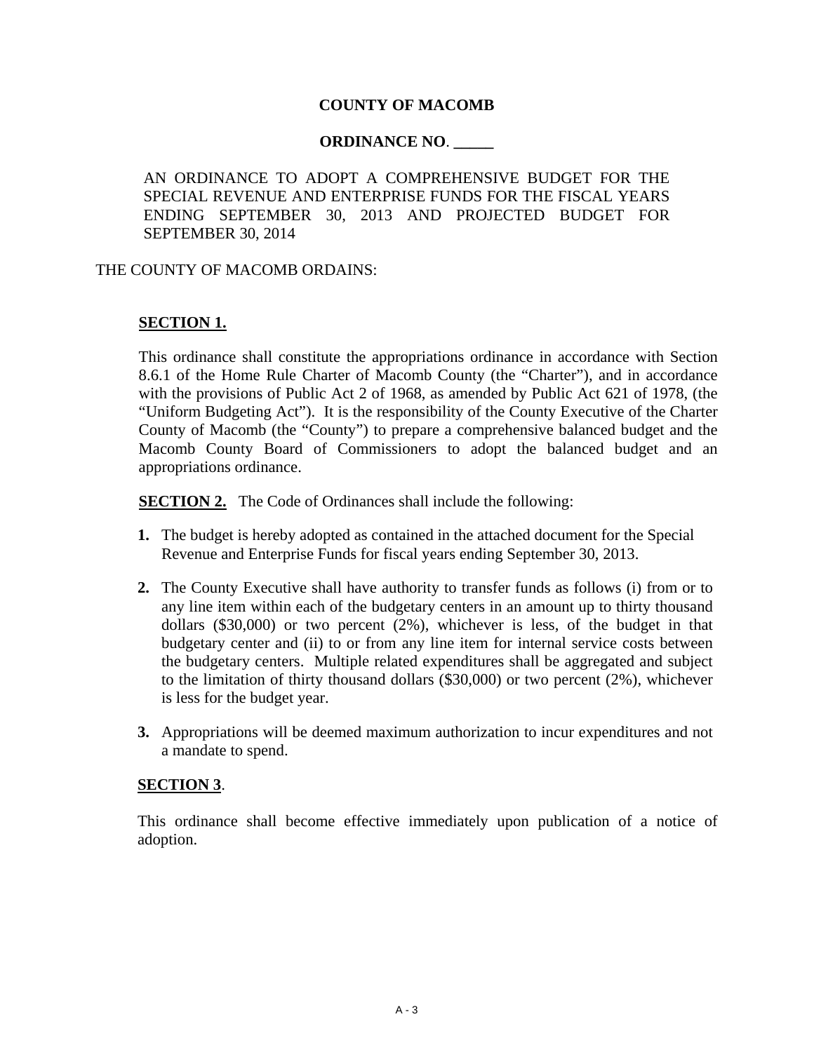## **COUNTY OF MACOMB**

## **ORDINANCE NO**. **\_\_\_\_\_**

AN ORDINANCE TO ADOPT A COMPREHENSIVE BUDGET FOR THE SPECIAL REVENUE AND ENTERPRISE FUNDS FOR THE FISCAL YEARS ENDING SEPTEMBER 30, 2013 AND PROJECTED BUDGET FOR SEPTEMBER 30, 2014

#### THE COUNTY OF MACOMB ORDAINS:

## **SECTION 1.**

This ordinance shall constitute the appropriations ordinance in accordance with Section 8.6.1 of the Home Rule Charter of Macomb County (the "Charter"), and in accordance with the provisions of Public Act 2 of 1968, as amended by Public Act 621 of 1978, (the "Uniform Budgeting Act"). It is the responsibility of the County Executive of the Charter County of Macomb (the "County") to prepare a comprehensive balanced budget and the Macomb County Board of Commissioners to adopt the balanced budget and an appropriations ordinance.

**SECTION 2.** The Code of Ordinances shall include the following:

- **1.** The budget is hereby adopted as contained in the attached document for the Special Revenue and Enterprise Funds for fiscal years ending September 30, 2013.
- **2.** The County Executive shall have authority to transfer funds as follows (i) from or to any line item within each of the budgetary centers in an amount up to thirty thousand dollars (\$30,000) or two percent  $(2%)$ , whichever is less, of the budget in that budgetary center and (ii) to or from any line item for internal service costs between the budgetary centers. Multiple related expenditures shall be aggregated and subject to the limitation of thirty thousand dollars (\$30,000) or two percent (2%), whichever is less for the budget year.
- **3.** Appropriations will be deemed maximum authorization to incur expenditures and not a mandate to spend.

#### **SECTION 3**.

This ordinance shall become effective immediately upon publication of a notice of adoption.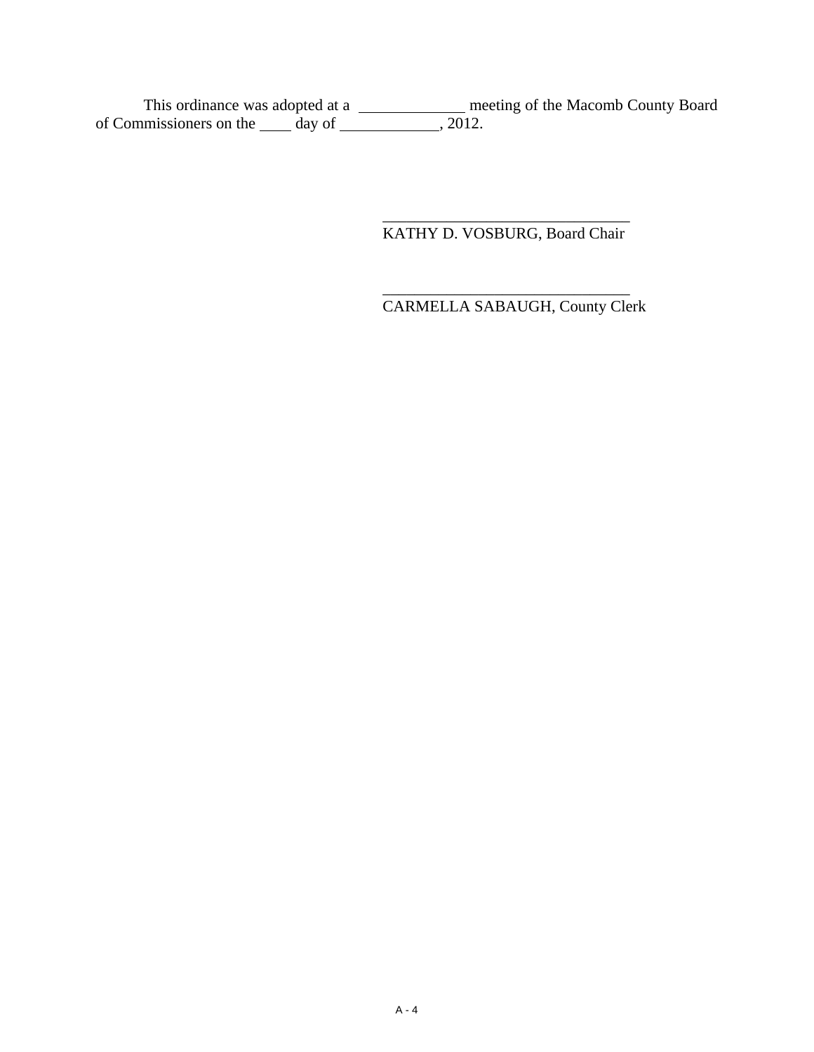This ordinance was adopted at a \_\_\_\_\_\_\_\_\_\_\_\_\_\_\_ meeting of the Macomb County Board of Commissioners on the  $\_\_\_\_$  day of  $\_\_\_\_\_$ , 2012.

 $\frac{1}{\sqrt{2}}$  ,  $\frac{1}{\sqrt{2}}$  ,  $\frac{1}{\sqrt{2}}$  ,  $\frac{1}{\sqrt{2}}$  ,  $\frac{1}{\sqrt{2}}$  ,  $\frac{1}{\sqrt{2}}$  ,  $\frac{1}{\sqrt{2}}$  ,  $\frac{1}{\sqrt{2}}$  ,  $\frac{1}{\sqrt{2}}$  ,  $\frac{1}{\sqrt{2}}$  ,  $\frac{1}{\sqrt{2}}$  ,  $\frac{1}{\sqrt{2}}$  ,  $\frac{1}{\sqrt{2}}$  ,  $\frac{1}{\sqrt{2}}$  ,  $\frac{1}{\sqrt{2}}$ KATHY D. VOSBURG, Board Chair

 $\frac{1}{\sqrt{2}}$  ,  $\frac{1}{\sqrt{2}}$  ,  $\frac{1}{\sqrt{2}}$  ,  $\frac{1}{\sqrt{2}}$  ,  $\frac{1}{\sqrt{2}}$  ,  $\frac{1}{\sqrt{2}}$  ,  $\frac{1}{\sqrt{2}}$  ,  $\frac{1}{\sqrt{2}}$  ,  $\frac{1}{\sqrt{2}}$  ,  $\frac{1}{\sqrt{2}}$  ,  $\frac{1}{\sqrt{2}}$  ,  $\frac{1}{\sqrt{2}}$  ,  $\frac{1}{\sqrt{2}}$  ,  $\frac{1}{\sqrt{2}}$  ,  $\frac{1}{\sqrt{2}}$ CARMELLA SABAUGH, County Clerk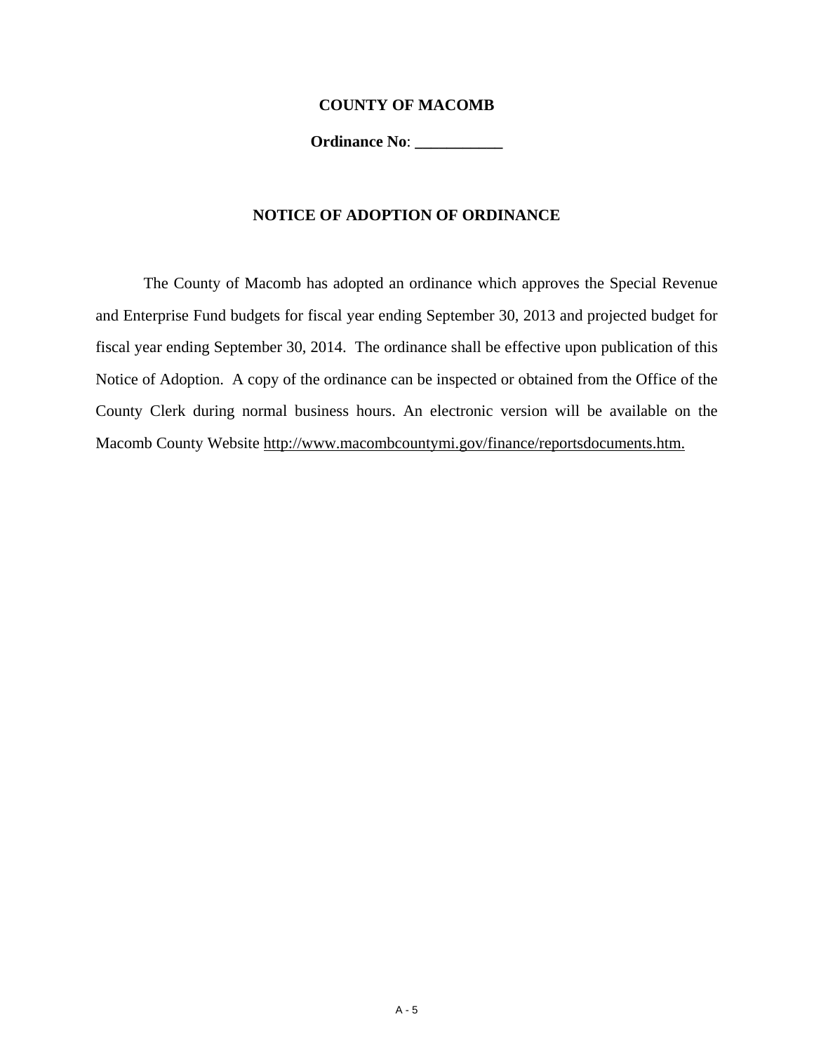#### **COUNTY OF MACOMB**

**Ordinance No**: **\_\_\_\_\_\_\_\_\_\_\_** 

### **NOTICE OF ADOPTION OF ORDINANCE**

 The County of Macomb has adopted an ordinance which approves the Special Revenue and Enterprise Fund budgets for fiscal year ending September 30, 2013 and projected budget for fiscal year ending September 30, 2014. The ordinance shall be effective upon publication of this Notice of Adoption. A copy of the ordinance can be inspected or obtained from the Office of the County Clerk during normal business hours. An electronic version will be available on the Macomb County Website http://www.macombcountymi.gov/finance/reportsdocuments.htm.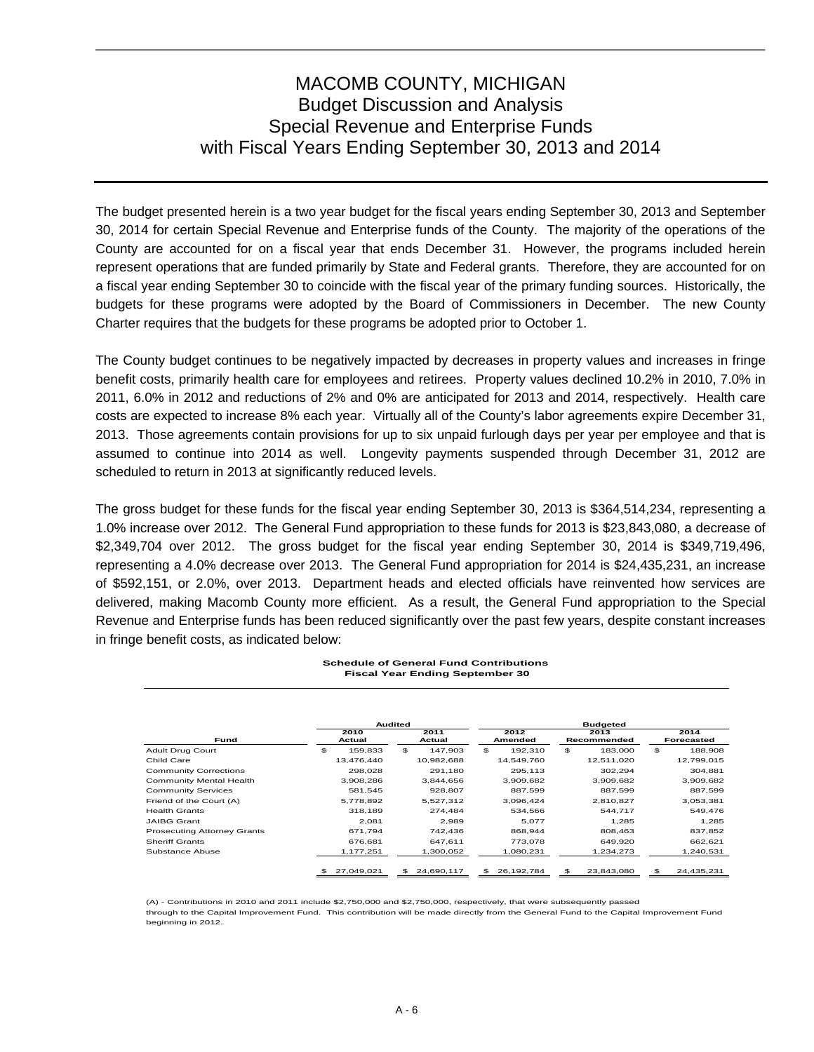The budget presented herein is a two year budget for the fiscal years ending September 30, 2013 and September 30, 2014 for certain Special Revenue and Enterprise funds of the County. The majority of the operations of the County are accounted for on a fiscal year that ends December 31. However, the programs included herein represent operations that are funded primarily by State and Federal grants. Therefore, they are accounted for on a fiscal year ending September 30 to coincide with the fiscal year of the primary funding sources. Historically, the budgets for these programs were adopted by the Board of Commissioners in December. The new County Charter requires that the budgets for these programs be adopted prior to October 1.

The County budget continues to be negatively impacted by decreases in property values and increases in fringe benefit costs, primarily health care for employees and retirees. Property values declined 10.2% in 2010, 7.0% in 2011, 6.0% in 2012 and reductions of 2% and 0% are anticipated for 2013 and 2014, respectively. Health care costs are expected to increase 8% each year. Virtually all of the County's labor agreements expire December 31, 2013. Those agreements contain provisions for up to six unpaid furlough days per year per employee and that is assumed to continue into 2014 as well. Longevity payments suspended through December 31, 2012 are scheduled to return in 2013 at significantly reduced levels.

The gross budget for these funds for the fiscal year ending September 30, 2013 is \$364,514,234, representing a 1.0% increase over 2012. The General Fund appropriation to these funds for 2013 is \$23,843,080, a decrease of \$2,349,704 over 2012. The gross budget for the fiscal year ending September 30, 2014 is \$349,719,496, representing a 4.0% decrease over 2013. The General Fund appropriation for 2014 is \$24,435,231, an increase of \$592,151, or 2.0%, over 2013. Department heads and elected officials have reinvented how services are delivered, making Macomb County more efficient. As a result, the General Fund appropriation to the Special Revenue and Enterprise funds has been reduced significantly over the past few years, despite constant increases in fringe benefit costs, as indicated below:

#### **Schedule of General Fund Contributions Fiscal Year Ending September 30**

|                                    |    | Audited        |     |                |     | <b>Budgeted</b> |    |                     |    |                           |  |
|------------------------------------|----|----------------|-----|----------------|-----|-----------------|----|---------------------|----|---------------------------|--|
| Fund                               |    | 2010<br>Actual |     | 2011<br>Actual |     | 2012<br>Amended |    | 2013<br>Recommended |    | 2014<br><b>Forecasted</b> |  |
| Adult Drug Court                   | \$ | 159.833        | \$  | 147.903        | \$. | 192.310         | \$ | 183.000             | \$ | 188,908                   |  |
| Child Care                         |    | 13,476,440     |     | 10,982,688     |     | 14,549,760      |    | 12,511,020          |    | 12,799,015                |  |
| <b>Community Corrections</b>       |    | 298.028        |     | 291.180        |     | 295.113         |    | 302.294             |    | 304,881                   |  |
| Community Mental Health            |    | 3,908,286      |     | 3,844,656      |     | 3,909,682       |    | 3,909,682           |    | 3,909,682                 |  |
| <b>Community Services</b>          |    | 581.545        |     | 928.807        |     | 887.599         |    | 887.599             |    | 887,599                   |  |
| Friend of the Court (A)            |    | 5.778.892      |     | 5.527.312      |     | 3.096.424       |    | 2.810.827           |    | 3,053,381                 |  |
| <b>Health Grants</b>               |    | 318.189        |     | 274.484        |     | 534.566         |    | 544.717             |    | 549,476                   |  |
| <b>JAIBG Grant</b>                 |    | 2.081          |     | 2,989          |     | 5,077           |    | 1,285               |    | 1,285                     |  |
| <b>Prosecuting Attorney Grants</b> |    | 671.794        |     | 742.436        |     | 868.944         |    | 808.463             |    | 837,852                   |  |
| <b>Sheriff Grants</b>              |    | 676.681        |     | 647.611        |     | 773,078         |    | 649,920             |    | 662,621                   |  |
| Substance Abuse                    |    | 1,177,251      |     | 1,300,052      |     | 1,080,231       |    | 1,234,273           |    | 1,240,531                 |  |
|                                    | \$ | 27,049,021     | \$. | 24.690.117     | \$. | 26.192.784      | \$ | 23,843,080          | \$ | 24.435.231                |  |

(A) - Contributions in 2010 and 2011 include \$2,750,000 and \$2,750,000, respectively, that were subsequently passed through to the Capital Improvement Fund. This contribution will be made directly from the General Fund to the Capital Improvement Fund beginning in 2012.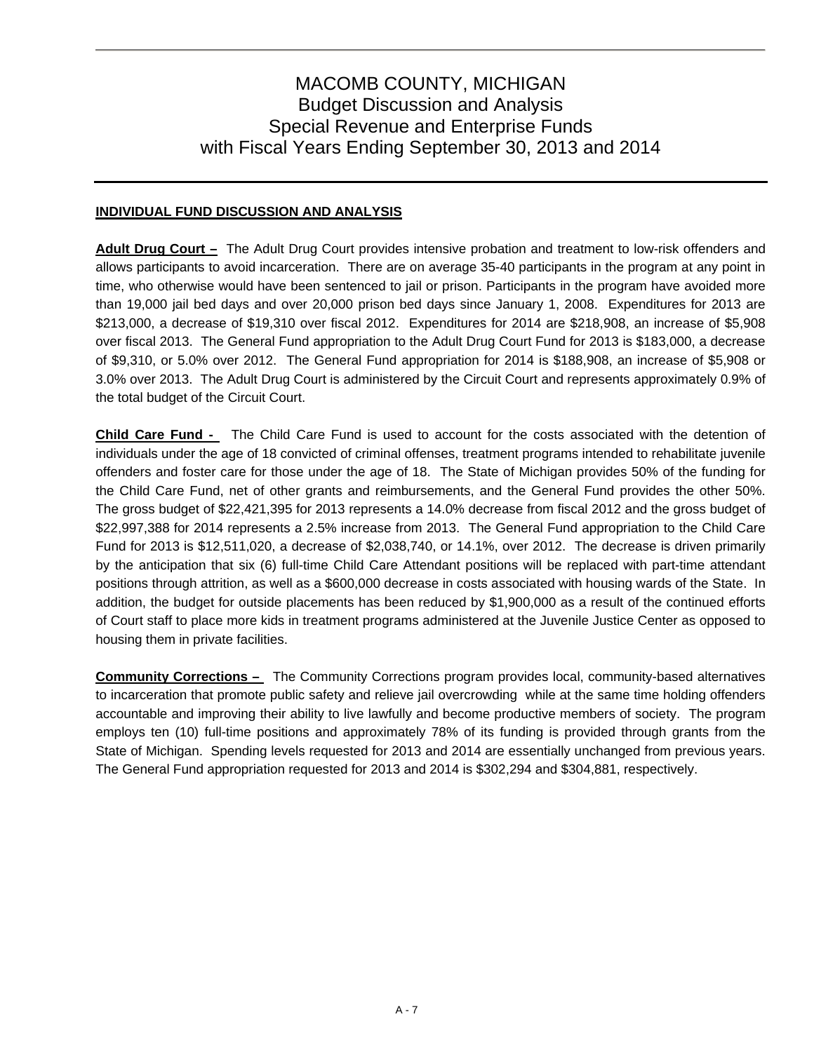## **INDIVIDUAL FUND DISCUSSION AND ANALYSIS**

**Adult Drug Court –** The Adult Drug Court provides intensive probation and treatment to low-risk offenders and allows participants to avoid incarceration. There are on average 35-40 participants in the program at any point in time, who otherwise would have been sentenced to jail or prison. Participants in the program have avoided more than 19,000 jail bed days and over 20,000 prison bed days since January 1, 2008. Expenditures for 2013 are \$213,000, a decrease of \$19,310 over fiscal 2012. Expenditures for 2014 are \$218,908, an increase of \$5,908 over fiscal 2013. The General Fund appropriation to the Adult Drug Court Fund for 2013 is \$183,000, a decrease of \$9,310, or 5.0% over 2012. The General Fund appropriation for 2014 is \$188,908, an increase of \$5,908 or 3.0% over 2013. The Adult Drug Court is administered by the Circuit Court and represents approximately 0.9% of the total budget of the Circuit Court.

**Child Care Fund -** The Child Care Fund is used to account for the costs associated with the detention of individuals under the age of 18 convicted of criminal offenses, treatment programs intended to rehabilitate juvenile offenders and foster care for those under the age of 18. The State of Michigan provides 50% of the funding for the Child Care Fund, net of other grants and reimbursements, and the General Fund provides the other 50%. The gross budget of \$22,421,395 for 2013 represents a 14.0% decrease from fiscal 2012 and the gross budget of \$22,997,388 for 2014 represents a 2.5% increase from 2013. The General Fund appropriation to the Child Care Fund for 2013 is \$12,511,020, a decrease of \$2,038,740, or 14.1%, over 2012. The decrease is driven primarily by the anticipation that six (6) full-time Child Care Attendant positions will be replaced with part-time attendant positions through attrition, as well as a \$600,000 decrease in costs associated with housing wards of the State. In addition, the budget for outside placements has been reduced by \$1,900,000 as a result of the continued efforts of Court staff to place more kids in treatment programs administered at the Juvenile Justice Center as opposed to housing them in private facilities.

**Community Corrections –** The Community Corrections program provides local, community-based alternatives to incarceration that promote public safety and relieve jail overcrowding while at the same time holding offenders accountable and improving their ability to live lawfully and become productive members of society. The program employs ten (10) full-time positions and approximately 78% of its funding is provided through grants from the State of Michigan. Spending levels requested for 2013 and 2014 are essentially unchanged from previous years. The General Fund appropriation requested for 2013 and 2014 is \$302,294 and \$304,881, respectively.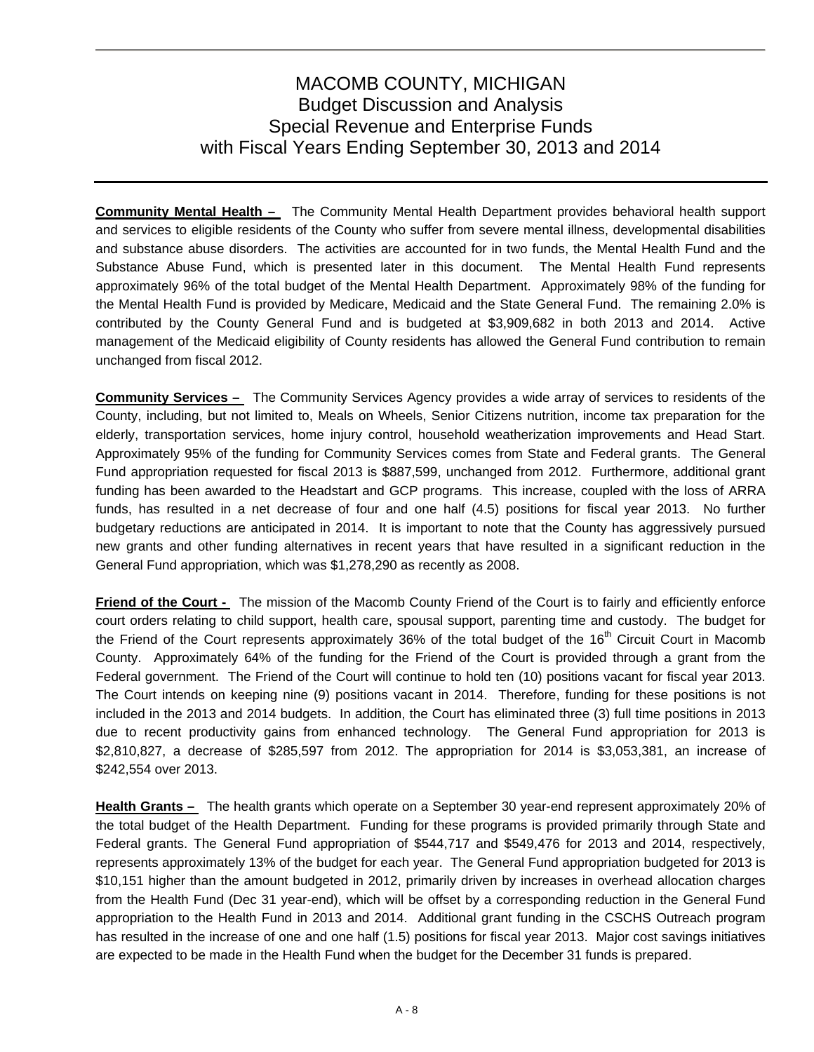**Community Mental Health –** The Community Mental Health Department provides behavioral health support and services to eligible residents of the County who suffer from severe mental illness, developmental disabilities and substance abuse disorders. The activities are accounted for in two funds, the Mental Health Fund and the Substance Abuse Fund, which is presented later in this document. The Mental Health Fund represents approximately 96% of the total budget of the Mental Health Department. Approximately 98% of the funding for the Mental Health Fund is provided by Medicare, Medicaid and the State General Fund. The remaining 2.0% is contributed by the County General Fund and is budgeted at \$3,909,682 in both 2013 and 2014. Active management of the Medicaid eligibility of County residents has allowed the General Fund contribution to remain unchanged from fiscal 2012.

**Community Services –** The Community Services Agency provides a wide array of services to residents of the County, including, but not limited to, Meals on Wheels, Senior Citizens nutrition, income tax preparation for the elderly, transportation services, home injury control, household weatherization improvements and Head Start. Approximately 95% of the funding for Community Services comes from State and Federal grants. The General Fund appropriation requested for fiscal 2013 is \$887,599, unchanged from 2012. Furthermore, additional grant funding has been awarded to the Headstart and GCP programs. This increase, coupled with the loss of ARRA funds, has resulted in a net decrease of four and one half (4.5) positions for fiscal year 2013. No further budgetary reductions are anticipated in 2014. It is important to note that the County has aggressively pursued new grants and other funding alternatives in recent years that have resulted in a significant reduction in the General Fund appropriation, which was \$1,278,290 as recently as 2008.

**Friend of the Court -** The mission of the Macomb County Friend of the Court is to fairly and efficiently enforce court orders relating to child support, health care, spousal support, parenting time and custody. The budget for the Friend of the Court represents approximately 36% of the total budget of the 16<sup>th</sup> Circuit Court in Macomb County. Approximately 64% of the funding for the Friend of the Court is provided through a grant from the Federal government. The Friend of the Court will continue to hold ten (10) positions vacant for fiscal year 2013. The Court intends on keeping nine (9) positions vacant in 2014. Therefore, funding for these positions is not included in the 2013 and 2014 budgets. In addition, the Court has eliminated three (3) full time positions in 2013 due to recent productivity gains from enhanced technology. The General Fund appropriation for 2013 is \$2,810,827, a decrease of \$285,597 from 2012. The appropriation for 2014 is \$3,053,381, an increase of \$242,554 over 2013.

**Health Grants –** The health grants which operate on a September 30 year-end represent approximately 20% of the total budget of the Health Department. Funding for these programs is provided primarily through State and Federal grants. The General Fund appropriation of \$544,717 and \$549,476 for 2013 and 2014, respectively, represents approximately 13% of the budget for each year. The General Fund appropriation budgeted for 2013 is \$10,151 higher than the amount budgeted in 2012, primarily driven by increases in overhead allocation charges from the Health Fund (Dec 31 year-end), which will be offset by a corresponding reduction in the General Fund appropriation to the Health Fund in 2013 and 2014. Additional grant funding in the CSCHS Outreach program has resulted in the increase of one and one half (1.5) positions for fiscal year 2013. Major cost savings initiatives are expected to be made in the Health Fund when the budget for the December 31 funds is prepared.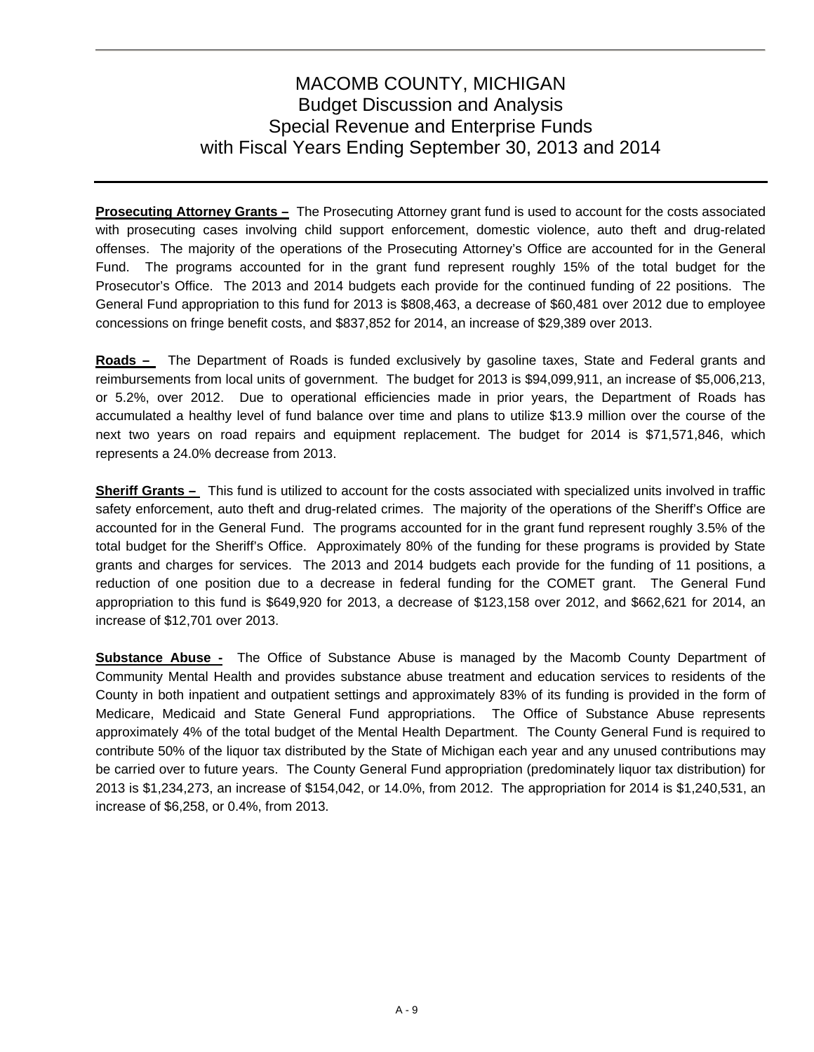**Prosecuting Attorney Grants -** The Prosecuting Attorney grant fund is used to account for the costs associated with prosecuting cases involving child support enforcement, domestic violence, auto theft and drug-related offenses. The majority of the operations of the Prosecuting Attorney's Office are accounted for in the General Fund. The programs accounted for in the grant fund represent roughly 15% of the total budget for the Prosecutor's Office. The 2013 and 2014 budgets each provide for the continued funding of 22 positions. The General Fund appropriation to this fund for 2013 is \$808,463, a decrease of \$60,481 over 2012 due to employee concessions on fringe benefit costs, and \$837,852 for 2014, an increase of \$29,389 over 2013.

**Roads –** The Department of Roads is funded exclusively by gasoline taxes, State and Federal grants and reimbursements from local units of government. The budget for 2013 is \$94,099,911, an increase of \$5,006,213, or 5.2%, over 2012. Due to operational efficiencies made in prior years, the Department of Roads has accumulated a healthy level of fund balance over time and plans to utilize \$13.9 million over the course of the next two years on road repairs and equipment replacement. The budget for 2014 is \$71,571,846, which represents a 24.0% decrease from 2013.

**Sheriff Grants –** This fund is utilized to account for the costs associated with specialized units involved in traffic safety enforcement, auto theft and drug-related crimes. The majority of the operations of the Sheriff's Office are accounted for in the General Fund. The programs accounted for in the grant fund represent roughly 3.5% of the total budget for the Sheriff's Office. Approximately 80% of the funding for these programs is provided by State grants and charges for services. The 2013 and 2014 budgets each provide for the funding of 11 positions, a reduction of one position due to a decrease in federal funding for the COMET grant. The General Fund appropriation to this fund is \$649,920 for 2013, a decrease of \$123,158 over 2012, and \$662,621 for 2014, an increase of \$12,701 over 2013.

**Substance Abuse -** The Office of Substance Abuse is managed by the Macomb County Department of Community Mental Health and provides substance abuse treatment and education services to residents of the County in both inpatient and outpatient settings and approximately 83% of its funding is provided in the form of Medicare, Medicaid and State General Fund appropriations. The Office of Substance Abuse represents approximately 4% of the total budget of the Mental Health Department. The County General Fund is required to contribute 50% of the liquor tax distributed by the State of Michigan each year and any unused contributions may be carried over to future years. The County General Fund appropriation (predominately liquor tax distribution) for 2013 is \$1,234,273, an increase of \$154,042, or 14.0%, from 2012. The appropriation for 2014 is \$1,240,531, an increase of \$6,258, or 0.4%, from 2013.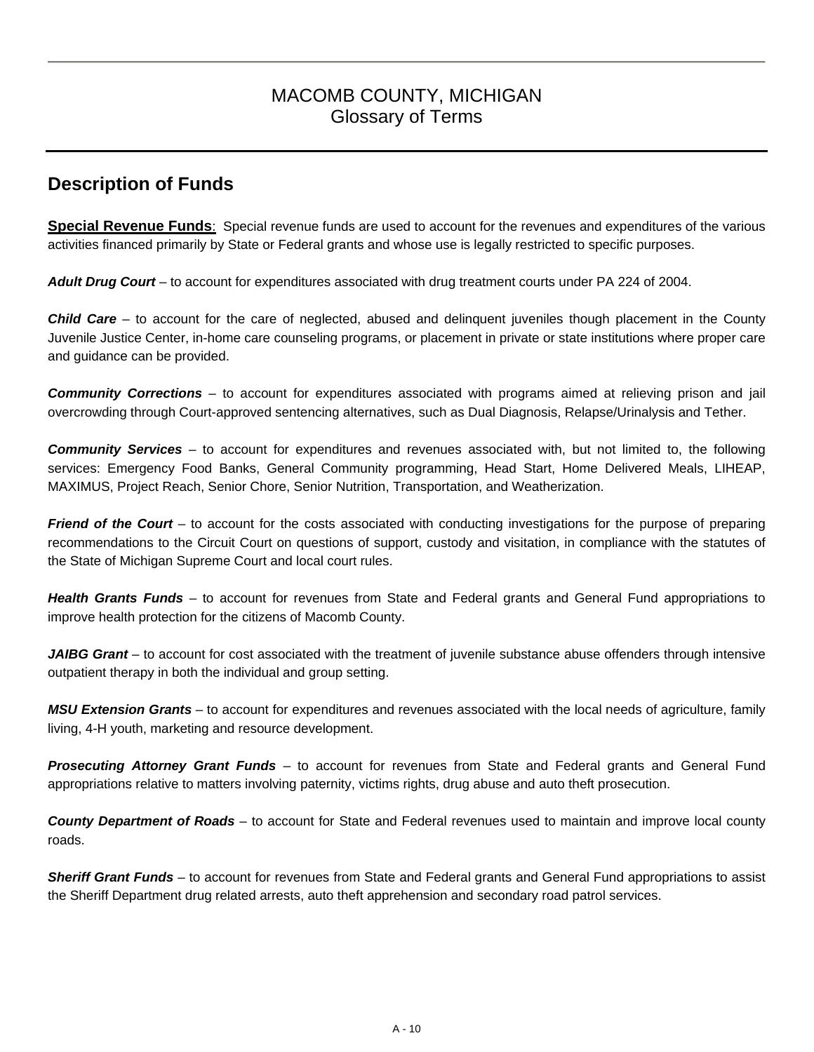## MACOMB COUNTY, MICHIGAN Glossary of Terms

## **Description of Funds**

**Special Revenue Funds**: Special revenue funds are used to account for the revenues and expenditures of the various activities financed primarily by State or Federal grants and whose use is legally restricted to specific purposes.

*Adult Drug Court* – to account for expenditures associated with drug treatment courts under PA 224 of 2004.

*Child Care* – to account for the care of neglected, abused and delinquent juveniles though placement in the County Juvenile Justice Center, in-home care counseling programs, or placement in private or state institutions where proper care and guidance can be provided.

*Community Corrections* – to account for expenditures associated with programs aimed at relieving prison and jail overcrowding through Court-approved sentencing alternatives, such as Dual Diagnosis, Relapse/Urinalysis and Tether.

*Community Services* – to account for expenditures and revenues associated with, but not limited to, the following services: Emergency Food Banks, General Community programming, Head Start, Home Delivered Meals, LIHEAP, MAXIMUS, Project Reach, Senior Chore, Senior Nutrition, Transportation, and Weatherization.

*Friend of the Court* – to account for the costs associated with conducting investigations for the purpose of preparing recommendations to the Circuit Court on questions of support, custody and visitation, in compliance with the statutes of the State of Michigan Supreme Court and local court rules.

*Health Grants Funds* – to account for revenues from State and Federal grants and General Fund appropriations to improve health protection for the citizens of Macomb County.

JAIBG Grant – to account for cost associated with the treatment of juvenile substance abuse offenders through intensive outpatient therapy in both the individual and group setting.

*MSU Extension Grants* – to account for expenditures and revenues associated with the local needs of agriculture, family living, 4-H youth, marketing and resource development.

*Prosecuting Attorney Grant Funds* – to account for revenues from State and Federal grants and General Fund appropriations relative to matters involving paternity, victims rights, drug abuse and auto theft prosecution.

*County Department of Roads* – to account for State and Federal revenues used to maintain and improve local county roads.

*Sheriff Grant Funds* – to account for revenues from State and Federal grants and General Fund appropriations to assist the Sheriff Department drug related arrests, auto theft apprehension and secondary road patrol services.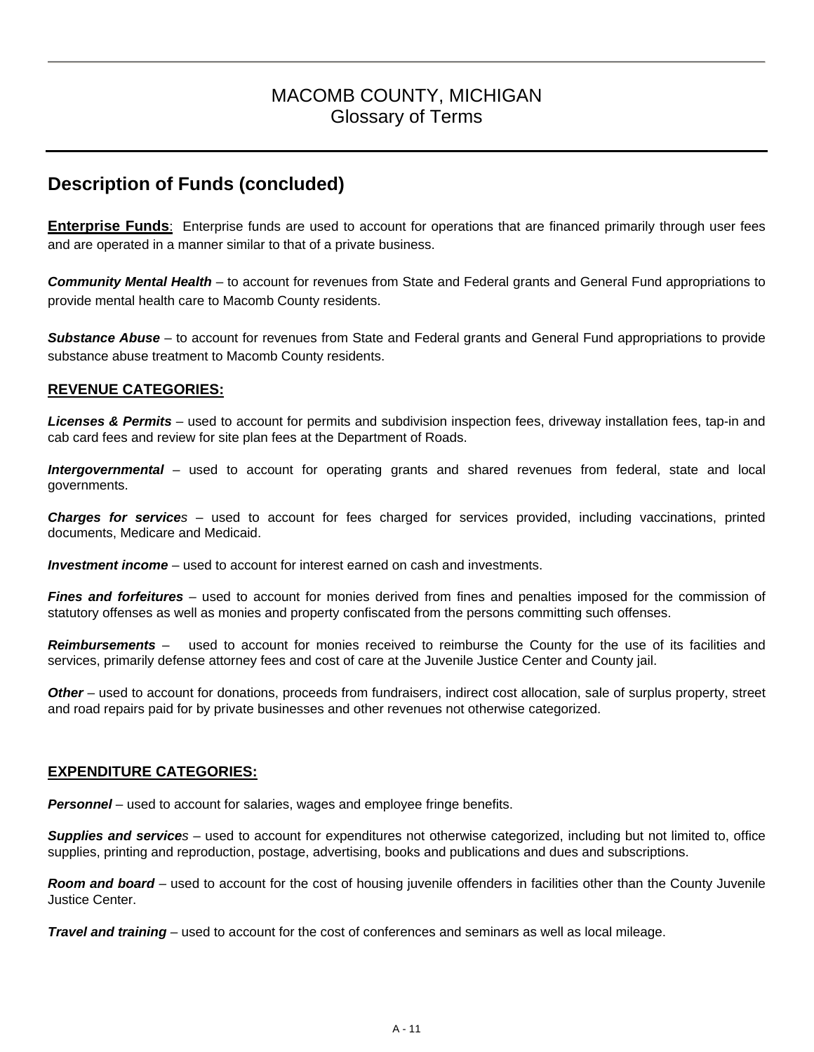## MACOMB COUNTY, MICHIGAN Glossary of Terms

## **Description of Funds (concluded)**

**Enterprise Funds**: Enterprise funds are used to account for operations that are financed primarily through user fees and are operated in a manner similar to that of a private business.

*Community Mental Health* – to account for revenues from State and Federal grants and General Fund appropriations to provide mental health care to Macomb County residents.

*Substance Abuse* – to account for revenues from State and Federal grants and General Fund appropriations to provide substance abuse treatment to Macomb County residents.

#### **REVENUE CATEGORIES:**

*Licenses & Permits* – used to account for permits and subdivision inspection fees, driveway installation fees, tap-in and cab card fees and review for site plan fees at the Department of Roads.

*Intergovernmental* – used to account for operating grants and shared revenues from federal, state and local governments.

*Charges for services* – used to account for fees charged for services provided, including vaccinations, printed documents, Medicare and Medicaid.

*Investment income* – used to account for interest earned on cash and investments.

*Fines and forfeitures –* used to account for monies derived from fines and penalties imposed for the commission of statutory offenses as well as monies and property confiscated from the persons committing such offenses.

*Reimbursements* – used to account for monies received to reimburse the County for the use of its facilities and services, primarily defense attorney fees and cost of care at the Juvenile Justice Center and County jail.

*Other* – used to account for donations, proceeds from fundraisers, indirect cost allocation, sale of surplus property, street and road repairs paid for by private businesses and other revenues not otherwise categorized.

## **EXPENDITURE CATEGORIES:**

*Personnel* – used to account for salaries, wages and employee fringe benefits.

*Supplies and services* – used to account for expenditures not otherwise categorized, including but not limited to, office supplies, printing and reproduction, postage, advertising, books and publications and dues and subscriptions.

*Room and board –* used to account for the cost of housing juvenile offenders in facilities other than the County Juvenile Justice Center.

*Travel and training* – used to account for the cost of conferences and seminars as well as local mileage.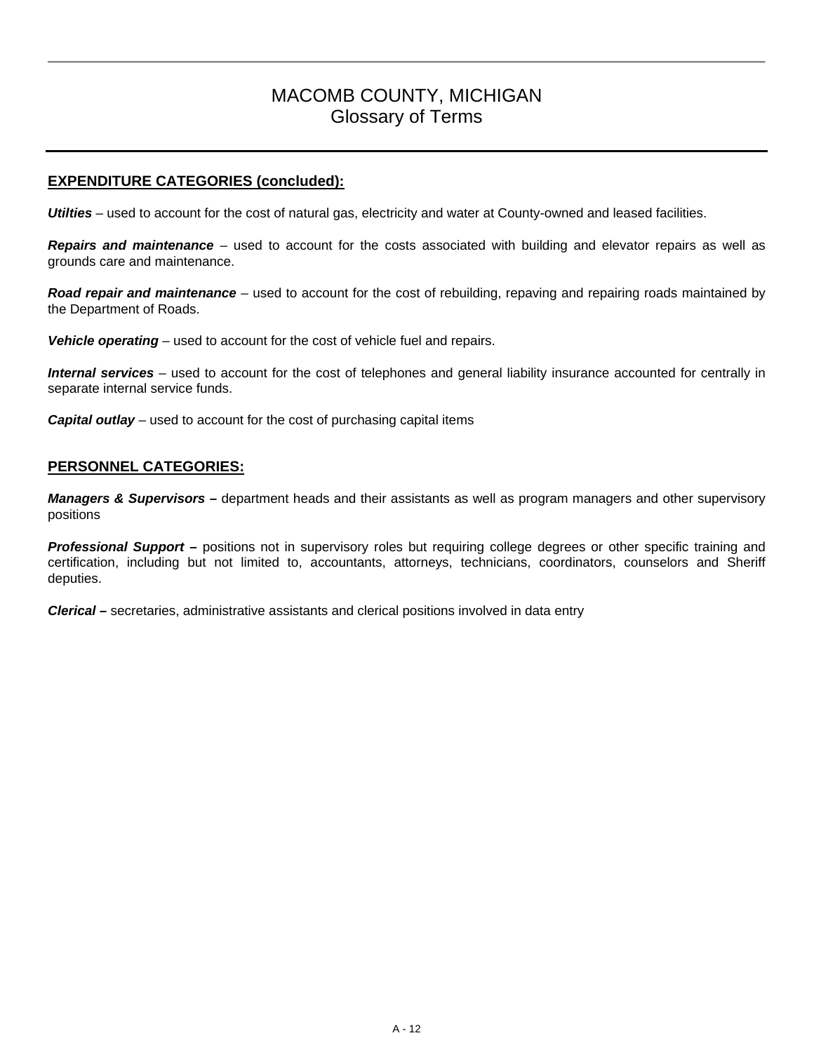## MACOMB COUNTY, MICHIGAN Glossary of Terms

## **EXPENDITURE CATEGORIES (concluded):**

**Utilties** – used to account for the cost of natural gas, electricity and water at County-owned and leased facilities.

**Repairs and maintenance** – used to account for the costs associated with building and elevator repairs as well as grounds care and maintenance.

*Road repair and maintenance –* used to account for the cost of rebuilding, repaving and repairing roads maintained by the Department of Roads.

**Vehicle operating** – used to account for the cost of vehicle fuel and repairs.

Internal services – used to account for the cost of telephones and general liability insurance accounted for centrally in separate internal service funds.

**Capital outlay** – used to account for the cost of purchasing capital items

#### **PERSONNEL CATEGORIES:**

*Managers & Supervisors –* department heads and their assistants as well as program managers and other supervisory positions

*Professional Support –* positions not in supervisory roles but requiring college degrees or other specific training and certification, including but not limited to, accountants, attorneys, technicians, coordinators, counselors and Sheriff deputies.

*Clerical –* secretaries, administrative assistants and clerical positions involved in data entry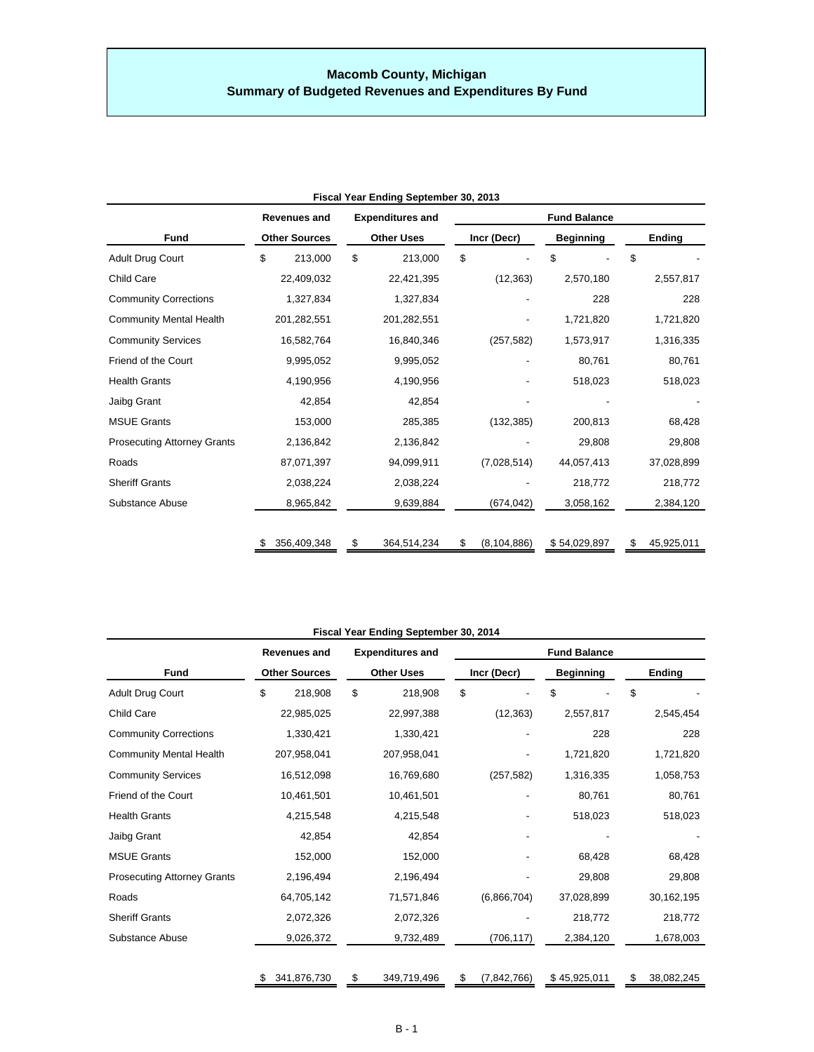## **Macomb County, Michigan Summary of Budgeted Revenues and Expenditures By Fund**

| Fiscal Year Ending September 30, 2013 |    |                                                                                             |    |             |             |                     |              |        |            |  |  |
|---------------------------------------|----|---------------------------------------------------------------------------------------------|----|-------------|-------------|---------------------|--------------|--------|------------|--|--|
|                                       |    | <b>Expenditures and</b><br><b>Revenues and</b><br><b>Other Uses</b><br><b>Other Sources</b> |    |             |             | <b>Fund Balance</b> |              |        |            |  |  |
| <b>Fund</b>                           |    |                                                                                             |    |             | Incr (Decr) | <b>Beginning</b>    |              | Ending |            |  |  |
| Adult Drug Court                      | \$ | 213,000                                                                                     | \$ | 213,000     | \$          |                     | \$           | \$     |            |  |  |
| Child Care                            |    | 22,409,032                                                                                  |    | 22,421,395  |             | (12, 363)           | 2,570,180    |        | 2,557,817  |  |  |
| <b>Community Corrections</b>          |    | 1,327,834                                                                                   |    | 1,327,834   |             |                     | 228          |        | 228        |  |  |
| <b>Community Mental Health</b>        |    | 201,282,551                                                                                 |    | 201,282,551 |             |                     | 1,721,820    |        | 1,721,820  |  |  |
| <b>Community Services</b>             |    | 16,582,764                                                                                  |    | 16,840,346  |             | (257, 582)          | 1,573,917    |        | 1,316,335  |  |  |
| Friend of the Court                   |    | 9,995,052                                                                                   |    | 9,995,052   |             |                     | 80,761       |        | 80,761     |  |  |
| <b>Health Grants</b>                  |    | 4,190,956                                                                                   |    | 4,190,956   |             |                     | 518,023      |        | 518,023    |  |  |
| Jaibg Grant                           |    | 42,854                                                                                      |    | 42,854      |             |                     |              |        |            |  |  |
| <b>MSUE Grants</b>                    |    | 153,000                                                                                     |    | 285,385     |             | (132, 385)          | 200,813      |        | 68,428     |  |  |
| <b>Prosecuting Attorney Grants</b>    |    | 2,136,842                                                                                   |    | 2,136,842   |             |                     | 29,808       |        | 29,808     |  |  |
| Roads                                 |    | 87,071,397                                                                                  |    | 94,099,911  |             | (7,028,514)         | 44,057,413   |        | 37,028,899 |  |  |
| <b>Sheriff Grants</b>                 |    | 2,038,224                                                                                   |    | 2,038,224   |             |                     | 218,772      |        | 218,772    |  |  |
| Substance Abuse                       |    | 8,965,842                                                                                   |    | 9,639,884   |             | (674, 042)          | 3,058,162    |        | 2,384,120  |  |  |
|                                       | \$ | 356,409,348                                                                                 | \$ | 364,514,234 | \$          | (8, 104, 886)       | \$54,029,897 | \$     | 45,925,011 |  |  |

| Fiscal Year Ending September 30, 2014 |    |                                                                                             |    |             |             |                     |    |              |               |            |  |
|---------------------------------------|----|---------------------------------------------------------------------------------------------|----|-------------|-------------|---------------------|----|--------------|---------------|------------|--|
|                                       |    | <b>Expenditures and</b><br><b>Revenues and</b><br><b>Other Sources</b><br><b>Other Uses</b> |    |             |             | <b>Fund Balance</b> |    |              |               |            |  |
| <b>Fund</b>                           |    |                                                                                             |    |             | Incr (Decr) | <b>Beginning</b>    |    |              | <b>Ending</b> |            |  |
| Adult Drug Court                      | \$ | 218,908                                                                                     | \$ | 218,908     | \$          |                     | \$ |              | \$            |            |  |
| Child Care                            |    | 22,985,025                                                                                  |    | 22,997,388  |             | (12, 363)           |    | 2,557,817    |               | 2,545,454  |  |
| <b>Community Corrections</b>          |    | 1,330,421                                                                                   |    | 1,330,421   |             |                     |    | 228          |               | 228        |  |
| <b>Community Mental Health</b>        |    | 207,958,041                                                                                 |    | 207,958,041 |             |                     |    | 1,721,820    |               | 1,721,820  |  |
| <b>Community Services</b>             |    | 16,512,098                                                                                  |    | 16,769,680  |             | (257, 582)          |    | 1,316,335    |               | 1,058,753  |  |
| Friend of the Court                   |    | 10,461,501                                                                                  |    | 10,461,501  |             |                     |    | 80,761       |               | 80,761     |  |
| <b>Health Grants</b>                  |    | 4,215,548                                                                                   |    | 4,215,548   |             |                     |    | 518,023      |               | 518,023    |  |
| Jaibg Grant                           |    | 42,854                                                                                      |    | 42,854      |             |                     |    |              |               |            |  |
| <b>MSUE Grants</b>                    |    | 152,000                                                                                     |    | 152,000     |             |                     |    | 68,428       |               | 68,428     |  |
| <b>Prosecuting Attorney Grants</b>    |    | 2,196,494                                                                                   |    | 2,196,494   |             |                     |    | 29,808       |               | 29,808     |  |
| Roads                                 |    | 64,705,142                                                                                  |    | 71,571,846  |             | (6,866,704)         |    | 37,028,899   |               | 30,162,195 |  |
| <b>Sheriff Grants</b>                 |    | 2,072,326                                                                                   |    | 2,072,326   |             |                     |    | 218,772      |               | 218,772    |  |
| Substance Abuse                       |    | 9,026,372                                                                                   |    | 9,732,489   |             | (706, 117)          |    | 2,384,120    |               | 1,678,003  |  |
|                                       | \$ | 341,876,730                                                                                 | \$ | 349,719,496 | \$          | (7, 842, 766)       |    | \$45,925,011 | \$            | 38,082,245 |  |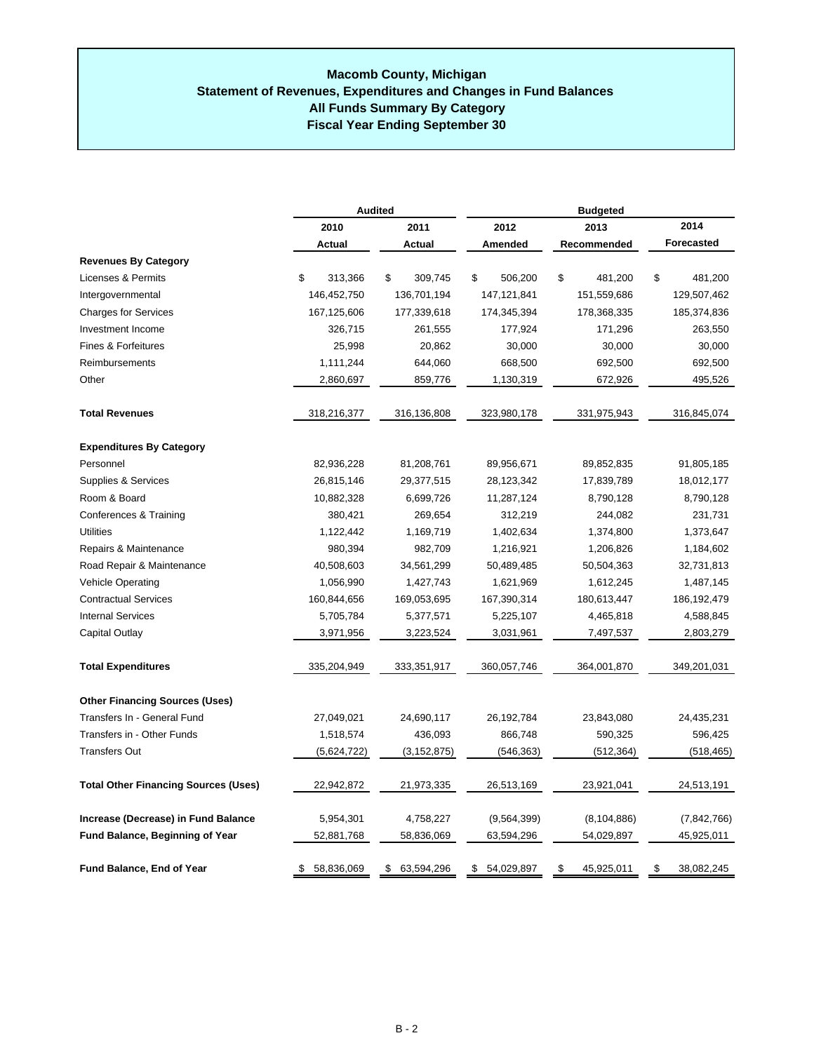#### **All Funds Summary By Category Statement of Revenues, Expenditures and Changes in Fund Balances Macomb County, Michigan Fiscal Year Ending September 30**

|                                             |                  | <b>Audited</b>  | <b>Budgeted</b>  |                  |                  |  |  |  |
|---------------------------------------------|------------------|-----------------|------------------|------------------|------------------|--|--|--|
|                                             | 2010             | 2011            | 2012             | 2013             | 2014             |  |  |  |
|                                             | Actual           | Actual          | Amended          | Recommended      | Forecasted       |  |  |  |
| <b>Revenues By Category</b>                 |                  |                 |                  |                  |                  |  |  |  |
| Licenses & Permits                          | \$<br>313,366    | \$<br>309,745   | \$<br>506,200    | \$<br>481,200    | \$<br>481,200    |  |  |  |
| Intergovernmental                           | 146,452,750      | 136,701,194     | 147, 121, 841    | 151,559,686      | 129,507,462      |  |  |  |
| <b>Charges for Services</b>                 | 167,125,606      | 177,339,618     | 174,345,394      | 178,368,335      | 185,374,836      |  |  |  |
| Investment Income                           | 326,715          | 261,555         | 177,924          | 171,296          | 263,550          |  |  |  |
| <b>Fines &amp; Forfeitures</b>              | 25,998           | 20,862          | 30,000           | 30,000           | 30,000           |  |  |  |
| Reimbursements                              | 1,111,244        | 644,060         | 668,500          | 692,500          | 692,500          |  |  |  |
| Other                                       | 2,860,697        | 859,776         | 1,130,319        | 672,926          | 495,526          |  |  |  |
| <b>Total Revenues</b>                       | 318,216,377      | 316,136,808     | 323,980,178      | 331,975,943      | 316,845,074      |  |  |  |
| <b>Expenditures By Category</b>             |                  |                 |                  |                  |                  |  |  |  |
| Personnel                                   | 82,936,228       | 81,208,761      | 89,956,671       | 89,852,835       | 91,805,185       |  |  |  |
| Supplies & Services                         | 26,815,146       | 29,377,515      | 28,123,342       | 17,839,789       | 18,012,177       |  |  |  |
| Room & Board                                | 10,882,328       | 6,699,726       | 11,287,124       | 8,790,128        | 8,790,128        |  |  |  |
| Conferences & Training                      | 380,421          | 269,654         | 312,219          | 244,082          | 231,731          |  |  |  |
| <b>Utilities</b>                            | 1,122,442        | 1,169,719       | 1,402,634        | 1,374,800        | 1,373,647        |  |  |  |
| Repairs & Maintenance                       | 980,394          | 982,709         | 1,216,921        | 1,206,826        | 1,184,602        |  |  |  |
| Road Repair & Maintenance                   | 40,508,603       | 34,561,299      | 50,489,485       | 50,504,363       | 32,731,813       |  |  |  |
| <b>Vehicle Operating</b>                    | 1,056,990        | 1,427,743       | 1,621,969        | 1,612,245        | 1,487,145        |  |  |  |
| <b>Contractual Services</b>                 | 160,844,656      | 169,053,695     | 167,390,314      | 180,613,447      | 186, 192, 479    |  |  |  |
| <b>Internal Services</b>                    | 5,705,784        | 5,377,571       | 5,225,107        | 4,465,818        | 4,588,845        |  |  |  |
| Capital Outlay                              | 3,971,956        | 3,223,524       | 3,031,961        | 7,497,537        | 2,803,279        |  |  |  |
| <b>Total Expenditures</b>                   | 335,204,949      | 333,351,917     | 360,057,746      | 364,001,870      | 349,201,031      |  |  |  |
| <b>Other Financing Sources (Uses)</b>       |                  |                 |                  |                  |                  |  |  |  |
| Transfers In - General Fund                 | 27,049,021       | 24,690,117      | 26,192,784       | 23,843,080       | 24,435,231       |  |  |  |
| Transfers in - Other Funds                  | 1,518,574        | 436,093         | 866,748          | 590,325          | 596,425          |  |  |  |
| <b>Transfers Out</b>                        | (5,624,722)      | (3, 152, 875)   | (546, 363)       | (512, 364)       | (518, 465)       |  |  |  |
| <b>Total Other Financing Sources (Uses)</b> | 22,942,872       | 21,973,335      | 26,513,169       | 23,921,041       | 24,513,191       |  |  |  |
| Increase (Decrease) in Fund Balance         | 5,954,301        | 4,758,227       | (9,564,399)      | (8, 104, 886)    | (7,842,766)      |  |  |  |
| <b>Fund Balance, Beginning of Year</b>      | 52,881,768       | 58,836,069      | 63,594,296       | 54,029,897       | 45,925,011       |  |  |  |
| <b>Fund Balance, End of Year</b>            | 58,836,069<br>\$ | 63,594,296<br>S | 54,029,897<br>\$ | 45,925,011<br>\$ | 38,082,245<br>\$ |  |  |  |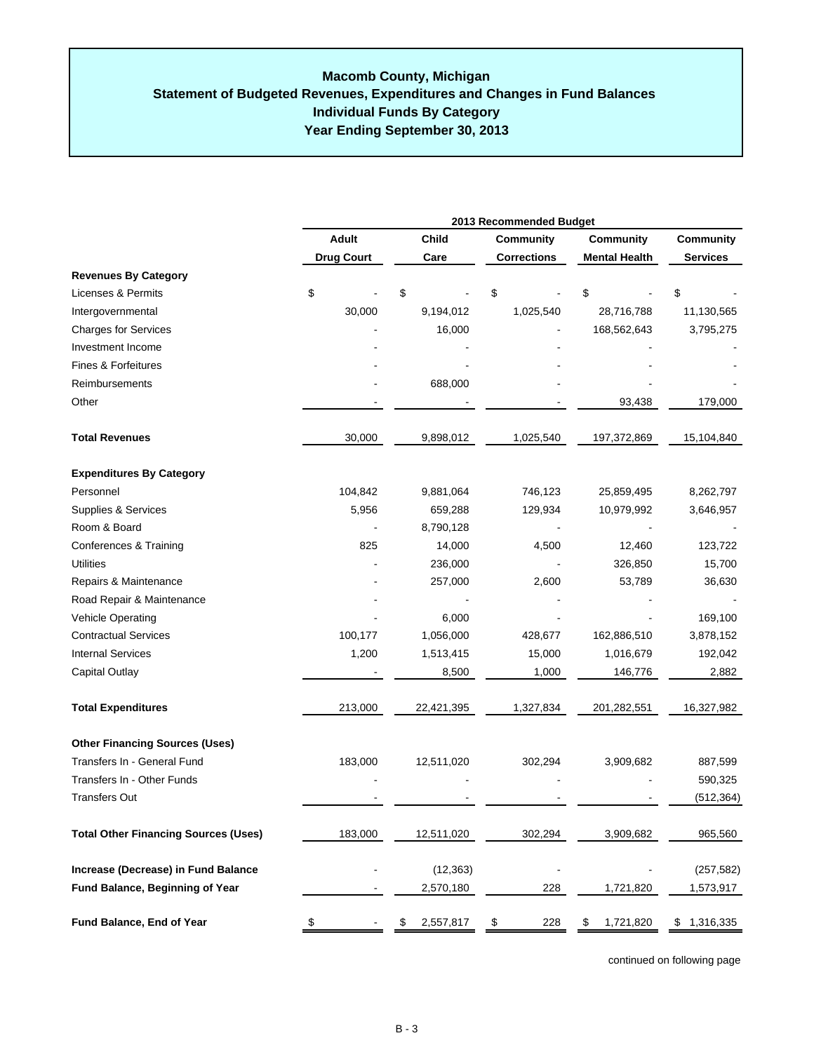|                                             | 2013 Recommended Budget |                 |                    |                      |                  |  |
|---------------------------------------------|-------------------------|-----------------|--------------------|----------------------|------------------|--|
|                                             | <b>Adult</b>            | <b>Child</b>    | Community          | <b>Community</b>     | <b>Community</b> |  |
|                                             | <b>Drug Court</b>       | Care            | <b>Corrections</b> | <b>Mental Health</b> | <b>Services</b>  |  |
| <b>Revenues By Category</b>                 |                         |                 |                    |                      |                  |  |
| Licenses & Permits                          | \$                      | \$              | \$                 | \$                   | \$               |  |
| Intergovernmental                           | 30,000                  | 9,194,012       | 1,025,540          | 28,716,788           | 11,130,565       |  |
| <b>Charges for Services</b>                 |                         | 16,000          |                    | 168,562,643          | 3,795,275        |  |
| Investment Income                           |                         |                 |                    |                      |                  |  |
| Fines & Forfeitures                         |                         |                 |                    |                      |                  |  |
| Reimbursements                              |                         | 688,000         |                    |                      |                  |  |
| Other                                       |                         |                 |                    | 93,438               | 179,000          |  |
| <b>Total Revenues</b>                       | 30,000                  | 9,898,012       | 1,025,540          | 197,372,869          | 15,104,840       |  |
| <b>Expenditures By Category</b>             |                         |                 |                    |                      |                  |  |
| Personnel                                   | 104,842                 | 9,881,064       | 746,123            | 25,859,495           | 8,262,797        |  |
| Supplies & Services                         | 5,956                   | 659,288         | 129,934            | 10,979,992           | 3,646,957        |  |
| Room & Board                                |                         | 8,790,128       |                    |                      |                  |  |
| Conferences & Training                      | 825                     | 14,000          | 4,500              | 12,460               | 123,722          |  |
| Utilities                                   |                         |                 |                    | 326,850              | 15,700           |  |
| Repairs & Maintenance                       |                         | 257,000         | 2,600              | 53,789               | 36,630           |  |
| Road Repair & Maintenance                   |                         |                 |                    |                      |                  |  |
| Vehicle Operating                           |                         | 6,000           |                    |                      | 169,100          |  |
| <b>Contractual Services</b>                 | 100,177                 | 1,056,000       | 428,677            | 162,886,510          | 3,878,152        |  |
| <b>Internal Services</b>                    | 1,200                   | 1,513,415       | 15,000             | 1,016,679            | 192,042          |  |
| Capital Outlay                              |                         | 8,500           | 1,000              | 146,776              | 2,882            |  |
| <b>Total Expenditures</b>                   | 213,000                 | 22,421,395      | 1,327,834          | 201,282,551          | 16,327,982       |  |
| <b>Other Financing Sources (Uses)</b>       |                         |                 |                    |                      |                  |  |
| Transfers In - General Fund                 | 183,000                 | 12,511,020      | 302,294            | 3,909,682            | 887,599          |  |
| Transfers In - Other Funds                  |                         |                 |                    |                      | 590,325          |  |
| <b>Transfers Out</b>                        |                         |                 |                    |                      | (512, 364)       |  |
| <b>Total Other Financing Sources (Uses)</b> | 183,000                 | 12,511,020      | 302,294            | 3,909,682            | 965,560          |  |
| Increase (Decrease) in Fund Balance         |                         | (12, 363)       |                    |                      | (257, 582)       |  |
| Fund Balance, Beginning of Year             |                         | 2,570,180       | 228                | 1,721,820            | 1,573,917        |  |
| Fund Balance, End of Year                   | \$                      | \$<br>2,557,817 | \$<br>228          | \$<br>1,721,820      | \$1,316,335      |  |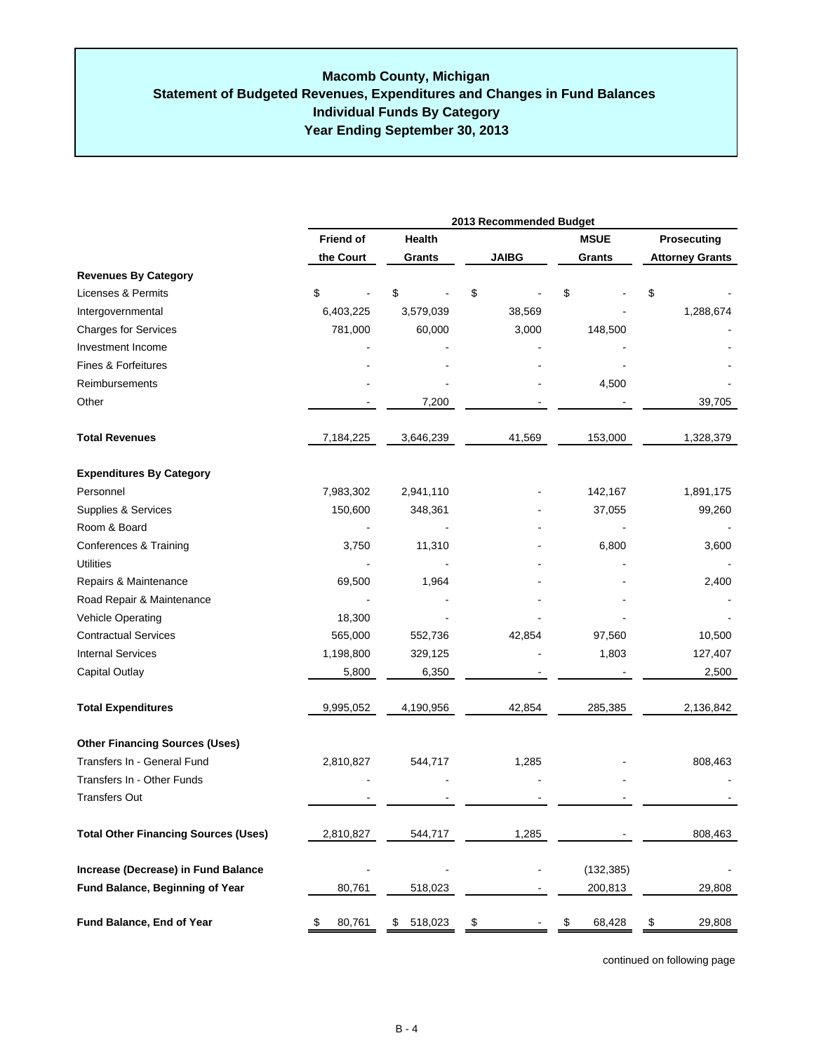## **Individual Funds By Category Year Ending September 30, 2013 Macomb County, Michigan Statement of Budgeted Revenues, Expenditures and Changes in Fund Balances**

|                                             | 2013 Recommended Budget |               |               |              |                        |  |  |  |
|---------------------------------------------|-------------------------|---------------|---------------|--------------|------------------------|--|--|--|
|                                             | <b>Friend of</b>        | Health        |               | <b>MSUE</b>  | Prosecuting            |  |  |  |
|                                             | the Court               | Grants        | <b>JAIBG</b>  | Grants       | <b>Attorney Grants</b> |  |  |  |
| <b>Revenues By Category</b>                 |                         |               |               |              |                        |  |  |  |
| <b>Licenses &amp; Permits</b>               | \$                      | \$            | \$            | \$           | \$                     |  |  |  |
| Intergovernmental                           | 6,403,225               | 3,579,039     | 38,569        |              | 1,288,674              |  |  |  |
| <b>Charges for Services</b>                 | 781,000                 | 60,000        | 3,000         | 148,500      |                        |  |  |  |
| Investment Income                           |                         |               |               |              |                        |  |  |  |
| Fines & Forfeitures                         |                         |               |               |              |                        |  |  |  |
| Reimbursements                              |                         |               |               | 4,500        |                        |  |  |  |
| Other                                       |                         | 7,200         |               |              | 39,705                 |  |  |  |
| <b>Total Revenues</b>                       | 7,184,225               | 3,646,239     | 41,569        | 153,000      | 1,328,379              |  |  |  |
| <b>Expenditures By Category</b>             |                         |               |               |              |                        |  |  |  |
| Personnel                                   | 7,983,302               | 2,941,110     |               | 142,167      | 1,891,175              |  |  |  |
| Supplies & Services                         | 150,600                 | 348,361       |               | 37,055       | 99,260                 |  |  |  |
| Room & Board                                |                         |               |               |              |                        |  |  |  |
| Conferences & Training                      | 3,750                   | 11,310        |               | 6,800        | 3,600                  |  |  |  |
| <b>Utilities</b>                            |                         |               |               |              |                        |  |  |  |
| Repairs & Maintenance                       | 69,500                  | 1,964         |               |              | 2,400                  |  |  |  |
| Road Repair & Maintenance                   |                         |               |               |              |                        |  |  |  |
| Vehicle Operating                           | 18,300                  |               |               |              |                        |  |  |  |
| <b>Contractual Services</b>                 | 565,000                 | 552,736       | 42,854        | 97,560       | 10,500                 |  |  |  |
| <b>Internal Services</b>                    | 1,198,800               | 329,125       |               | 1,803        | 127,407                |  |  |  |
| Capital Outlay                              | 5,800                   | 6,350         |               |              | 2,500                  |  |  |  |
| <b>Total Expenditures</b>                   | 9,995,052               | 4,190,956     | 42,854        | 285,385      | 2,136,842              |  |  |  |
| <b>Other Financing Sources (Uses)</b>       |                         |               |               |              |                        |  |  |  |
| Transfers In - General Fund                 | 2,810,827               | 544,717       | 1,285         |              | 808,463                |  |  |  |
| Transfers In - Other Funds                  |                         |               |               |              |                        |  |  |  |
| <b>Transfers Out</b>                        |                         |               |               |              |                        |  |  |  |
| <b>Total Other Financing Sources (Uses)</b> | 2,810,827               | 544,717       | 1,285         |              | 808,463                |  |  |  |
| Increase (Decrease) in Fund Balance         |                         |               |               | (132, 385)   |                        |  |  |  |
| Fund Balance, Beginning of Year             | 80,761                  | 518,023       |               | 200,813      | 29,808                 |  |  |  |
| Fund Balance, End of Year                   | 80,761<br>\$            | \$<br>518,023 | $\frac{1}{2}$ | 68,428<br>\$ | \$<br>29,808           |  |  |  |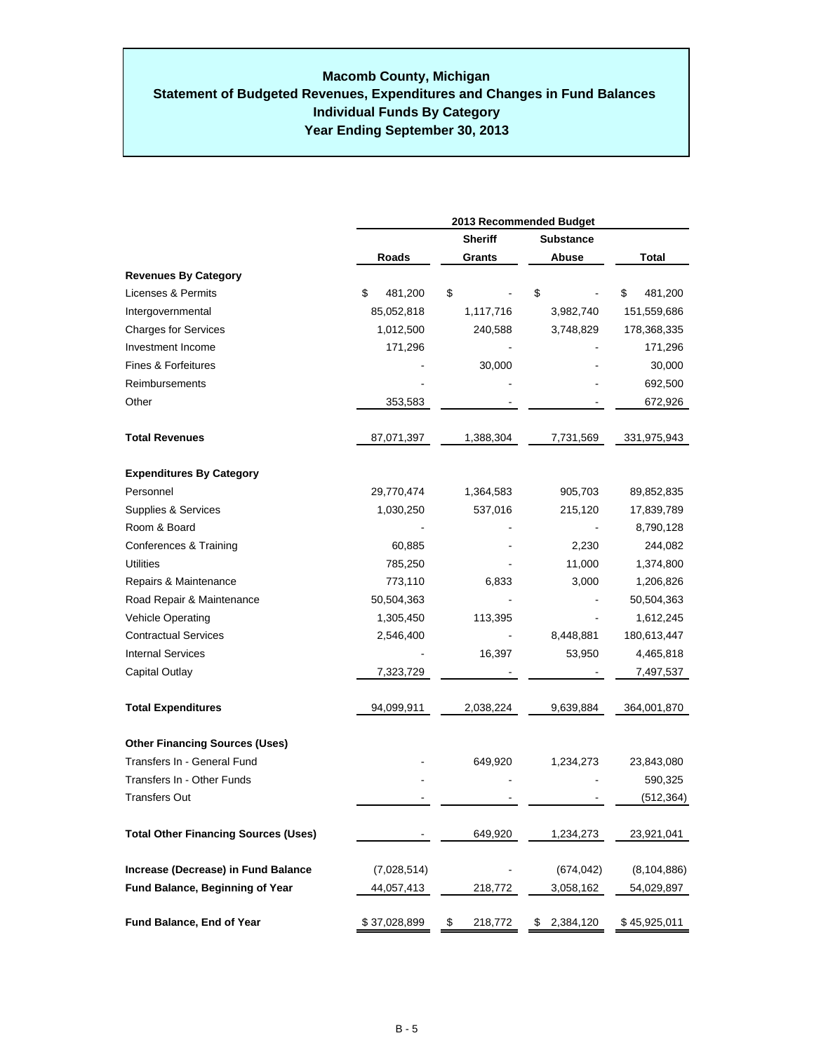## **Year Ending September 30, 2013 Macomb County, Michigan Statement of Budgeted Revenues, Expenditures and Changes in Fund Balances Individual Funds By Category**

|                                             | 2013 Recommended Budget |                |                  |               |  |  |  |  |
|---------------------------------------------|-------------------------|----------------|------------------|---------------|--|--|--|--|
|                                             |                         | <b>Sheriff</b> | <b>Substance</b> |               |  |  |  |  |
|                                             | Roads                   | Grants         | Abuse            | Total         |  |  |  |  |
| <b>Revenues By Category</b>                 |                         |                |                  |               |  |  |  |  |
| Licenses & Permits                          | \$<br>481,200           | \$             | \$               | \$<br>481,200 |  |  |  |  |
| Intergovernmental                           | 85,052,818              | 1,117,716      | 3,982,740        | 151,559,686   |  |  |  |  |
| <b>Charges for Services</b>                 | 1,012,500               | 240,588        | 3,748,829        | 178,368,335   |  |  |  |  |
| Investment Income                           | 171,296                 |                |                  | 171,296       |  |  |  |  |
| Fines & Forfeitures                         |                         | 30,000         |                  | 30,000        |  |  |  |  |
| Reimbursements                              |                         |                |                  | 692,500       |  |  |  |  |
| Other                                       | 353,583                 |                |                  | 672,926       |  |  |  |  |
| <b>Total Revenues</b>                       | 87,071,397              | 1,388,304      | 7,731,569        | 331,975,943   |  |  |  |  |
| <b>Expenditures By Category</b>             |                         |                |                  |               |  |  |  |  |
| Personnel                                   | 29,770,474              | 1,364,583      | 905,703          | 89,852,835    |  |  |  |  |
| Supplies & Services                         | 1,030,250               | 537,016        | 215,120          | 17,839,789    |  |  |  |  |
| Room & Board                                |                         |                |                  | 8,790,128     |  |  |  |  |
| Conferences & Training                      | 60,885                  |                | 2,230            | 244,082       |  |  |  |  |
| Utilities                                   | 785,250                 |                | 11,000           | 1,374,800     |  |  |  |  |
| Repairs & Maintenance                       | 773,110                 | 6,833          | 3,000            | 1,206,826     |  |  |  |  |
| Road Repair & Maintenance                   | 50,504,363              |                |                  | 50,504,363    |  |  |  |  |
| <b>Vehicle Operating</b>                    | 1,305,450               | 113,395        |                  | 1,612,245     |  |  |  |  |
| <b>Contractual Services</b>                 | 2,546,400               |                | 8,448,881        | 180,613,447   |  |  |  |  |
| <b>Internal Services</b>                    |                         | 16,397         | 53,950           | 4,465,818     |  |  |  |  |
| Capital Outlay                              | 7,323,729               |                |                  | 7,497,537     |  |  |  |  |
| <b>Total Expenditures</b>                   | 94,099,911              | 2,038,224      | 9,639,884        | 364,001,870   |  |  |  |  |
| <b>Other Financing Sources (Uses)</b>       |                         |                |                  |               |  |  |  |  |
| Transfers In - General Fund                 |                         | 649,920        | 1,234,273        | 23,843,080    |  |  |  |  |
| Transfers In - Other Funds                  |                         |                |                  | 590,325       |  |  |  |  |
| <b>Transfers Out</b>                        |                         |                |                  | (512,364)     |  |  |  |  |
| <b>Total Other Financing Sources (Uses)</b> |                         | 649,920        | 1,234,273        | 23,921,041    |  |  |  |  |
| Increase (Decrease) in Fund Balance         | (7,028,514)             |                | (674,042)        | (8, 104, 886) |  |  |  |  |
| <b>Fund Balance, Beginning of Year</b>      | 44,057,413              | 218,772        | 3,058,162        | 54,029,897    |  |  |  |  |
| Fund Balance, End of Year                   | \$37,028,899            | \$<br>218,772  | \$<br>2,384,120  | \$45,925,011  |  |  |  |  |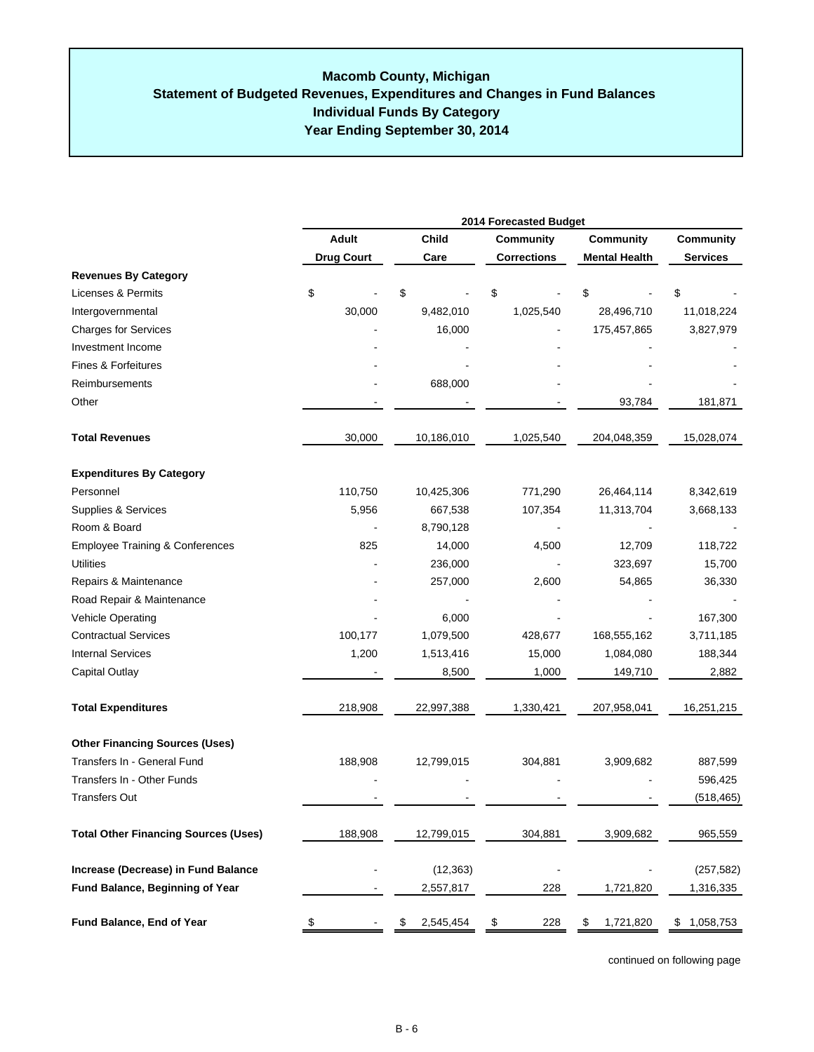## **Individual Funds By Category Year Ending September 30, 2014 Macomb County, Michigan Statement of Budgeted Revenues, Expenditures and Changes in Fund Balances**

|                                             | 2014 Forecasted Budget |                 |                          |                      |                 |  |
|---------------------------------------------|------------------------|-----------------|--------------------------|----------------------|-----------------|--|
|                                             | <b>Adult</b>           | Child           | <b>Community</b>         | Community            | Community       |  |
|                                             | <b>Drug Court</b>      | Care            | <b>Corrections</b>       | <b>Mental Health</b> | <b>Services</b> |  |
| <b>Revenues By Category</b>                 |                        |                 |                          |                      |                 |  |
| Licenses & Permits                          | \$                     | \$              | \$                       | \$                   | \$              |  |
| Intergovernmental                           | 30,000                 | 9,482,010       | 1,025,540                | 28,496,710           | 11,018,224      |  |
| <b>Charges for Services</b>                 |                        | 16,000          |                          | 175,457,865          | 3,827,979       |  |
| Investment Income                           |                        |                 |                          |                      |                 |  |
| Fines & Forfeitures                         |                        |                 |                          |                      |                 |  |
| Reimbursements                              |                        | 688,000         |                          |                      |                 |  |
| Other                                       |                        |                 |                          | 93,784               | 181,871         |  |
| <b>Total Revenues</b>                       | 30,000                 | 10,186,010      | 1,025,540                | 204,048,359          | 15,028,074      |  |
| <b>Expenditures By Category</b>             |                        |                 |                          |                      |                 |  |
| Personnel                                   | 110,750                | 10,425,306      | 771,290                  | 26,464,114           | 8,342,619       |  |
| Supplies & Services                         | 5,956                  | 667,538         | 107,354                  | 11,313,704           | 3,668,133       |  |
| Room & Board                                |                        | 8,790,128       |                          |                      |                 |  |
| <b>Employee Training &amp; Conferences</b>  | 825                    | 14,000          | 4,500                    | 12,709               | 118,722         |  |
| <b>Utilities</b>                            |                        | 236,000         |                          | 323,697              | 15,700          |  |
| Repairs & Maintenance                       |                        | 257,000         | 2,600                    | 54,865               | 36,330          |  |
| Road Repair & Maintenance                   |                        |                 |                          |                      |                 |  |
| Vehicle Operating                           |                        | 6,000           |                          |                      | 167,300         |  |
| <b>Contractual Services</b>                 | 100,177                | 1,079,500       | 428,677                  | 168,555,162          | 3,711,185       |  |
| <b>Internal Services</b>                    | 1,200                  | 1,513,416       | 15,000                   | 1,084,080            | 188,344         |  |
| <b>Capital Outlay</b>                       |                        | 8,500           | 1,000                    | 149,710              | 2,882           |  |
| <b>Total Expenditures</b>                   | 218,908                | 22,997,388      | 1,330,421                | 207,958,041          | 16,251,215      |  |
| <b>Other Financing Sources (Uses)</b>       |                        |                 |                          |                      |                 |  |
| Transfers In - General Fund                 | 188,908                | 12,799,015      | 304,881                  | 3,909,682            | 887,599         |  |
| Transfers In - Other Funds                  |                        |                 |                          |                      | 596,425         |  |
| <b>Transfers Out</b>                        |                        |                 |                          |                      | (518, 465)      |  |
| <b>Total Other Financing Sources (Uses)</b> | 188,908                | 12,799,015      | 304,881                  | 3,909,682            | 965,559         |  |
| Increase (Decrease) in Fund Balance         |                        | (12, 363)       | $\overline{\phantom{a}}$ |                      | (257, 582)      |  |
| Fund Balance, Beginning of Year             |                        | 2,557,817       | 228                      | 1,721,820            | 1,316,335       |  |
| Fund Balance, End of Year                   | \$                     | \$<br>2,545,454 | \$<br>228                | \$<br>1,721,820      | \$1,058,753     |  |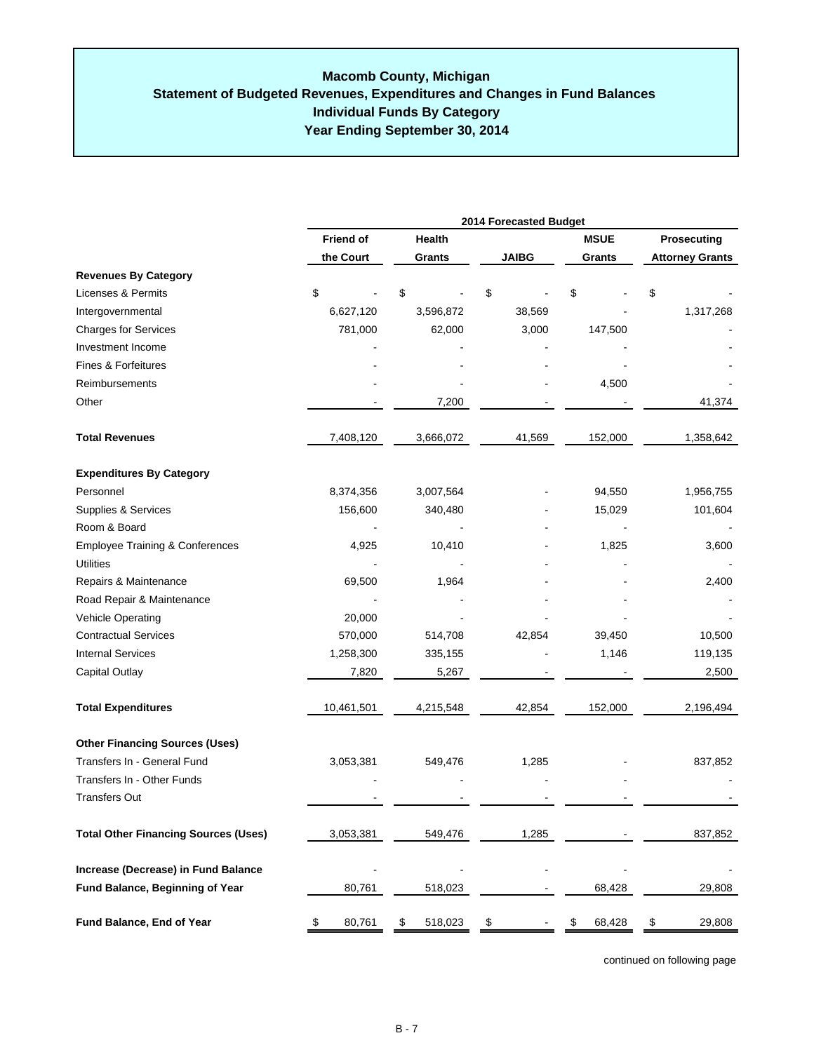|                                             | 2014 Forecasted Budget |               |              |              |                        |  |  |
|---------------------------------------------|------------------------|---------------|--------------|--------------|------------------------|--|--|
|                                             | <b>Friend of</b>       | Health        |              | <b>MSUE</b>  | Prosecuting            |  |  |
|                                             | the Court              | Grants        | <b>JAIBG</b> | Grants       | <b>Attorney Grants</b> |  |  |
| <b>Revenues By Category</b>                 |                        |               |              |              |                        |  |  |
| <b>Licenses &amp; Permits</b>               | \$                     | \$            | \$           | \$           | \$                     |  |  |
| Intergovernmental                           | 6,627,120              | 3,596,872     | 38,569       |              | 1,317,268              |  |  |
| <b>Charges for Services</b>                 | 781,000                | 62,000        | 3,000        | 147,500      |                        |  |  |
| Investment Income                           |                        |               |              |              |                        |  |  |
| Fines & Forfeitures                         |                        |               |              |              |                        |  |  |
| Reimbursements                              |                        |               |              | 4,500        |                        |  |  |
| Other                                       |                        | 7,200         |              |              | 41,374                 |  |  |
| <b>Total Revenues</b>                       | 7,408,120              | 3,666,072     | 41,569       | 152,000      | 1,358,642              |  |  |
| <b>Expenditures By Category</b>             |                        |               |              |              |                        |  |  |
| Personnel                                   | 8,374,356              | 3,007,564     |              | 94,550       | 1,956,755              |  |  |
| Supplies & Services                         | 156,600                | 340,480       |              | 15,029       | 101,604                |  |  |
| Room & Board                                |                        |               |              |              |                        |  |  |
| <b>Employee Training &amp; Conferences</b>  | 4,925                  | 10,410        |              | 1,825        | 3,600                  |  |  |
| <b>Utilities</b>                            |                        |               |              |              |                        |  |  |
| Repairs & Maintenance                       | 69,500                 | 1,964         |              |              | 2,400                  |  |  |
| Road Repair & Maintenance                   |                        |               |              |              |                        |  |  |
| Vehicle Operating                           | 20,000                 |               |              |              |                        |  |  |
| <b>Contractual Services</b>                 | 570,000                | 514,708       | 42,854       | 39,450       | 10,500                 |  |  |
| <b>Internal Services</b>                    | 1,258,300              | 335,155       |              | 1,146        | 119,135                |  |  |
| Capital Outlay                              | 7,820                  | 5,267         |              |              | 2,500                  |  |  |
| <b>Total Expenditures</b>                   | 10,461,501             | 4,215,548     | 42,854       | 152,000      | 2,196,494              |  |  |
| <b>Other Financing Sources (Uses)</b>       |                        |               |              |              |                        |  |  |
| Transfers In - General Fund                 | 3,053,381              | 549,476       | 1,285        |              | 837,852                |  |  |
| Transfers In - Other Funds                  |                        |               |              |              |                        |  |  |
| <b>Transfers Out</b>                        |                        |               |              |              |                        |  |  |
| <b>Total Other Financing Sources (Uses)</b> | 3,053,381              | 549,476       | 1,285        |              | 837,852                |  |  |
| Increase (Decrease) in Fund Balance         |                        |               |              |              |                        |  |  |
| Fund Balance, Beginning of Year             | 80,761                 | 518,023       |              | 68,428       | 29,808                 |  |  |
| Fund Balance, End of Year                   | \$<br>80,761           | \$<br>518,023 | \$           | \$<br>68,428 | \$<br>29,808           |  |  |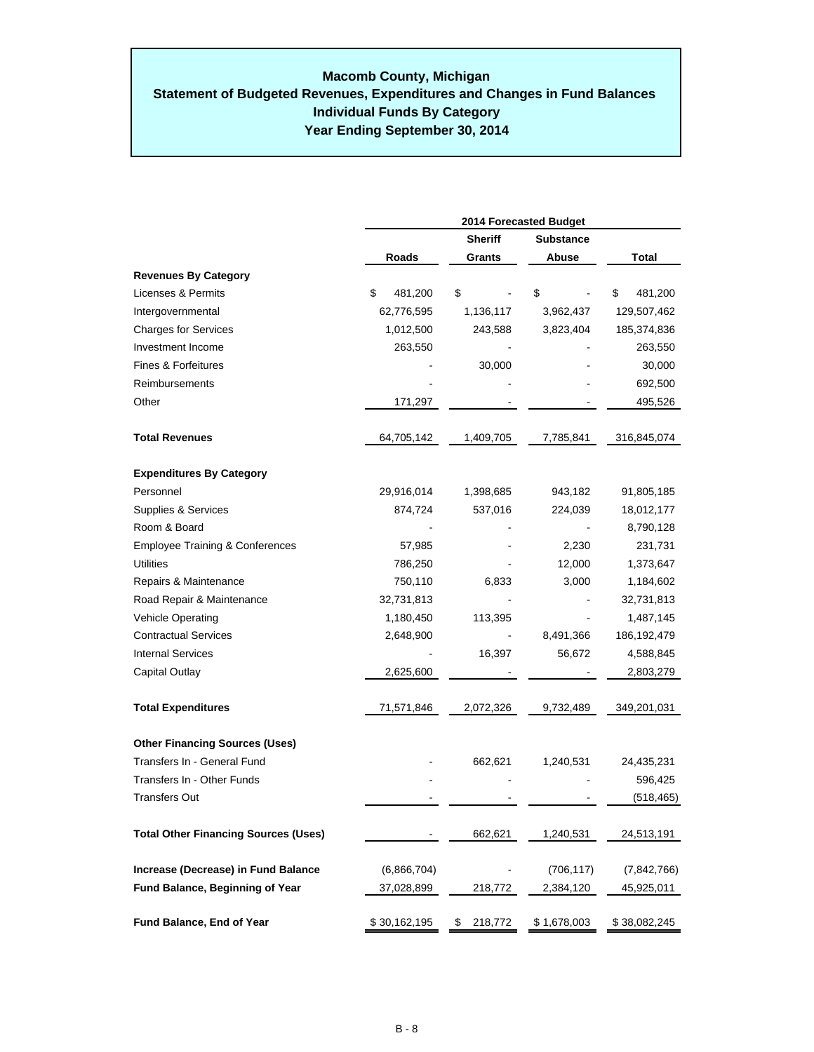## **Year Ending September 30, 2014 Macomb County, Michigan Statement of Budgeted Revenues, Expenditures and Changes in Fund Balances Individual Funds By Category**

|                                             | 2014 Forecasted Budget |                |                  |               |  |  |  |
|---------------------------------------------|------------------------|----------------|------------------|---------------|--|--|--|
|                                             |                        | <b>Sheriff</b> | <b>Substance</b> |               |  |  |  |
|                                             | Roads                  | Grants         | Abuse            | Total         |  |  |  |
| <b>Revenues By Category</b>                 |                        |                |                  |               |  |  |  |
| <b>Licenses &amp; Permits</b>               | \$<br>481,200          | \$             | \$               | \$<br>481,200 |  |  |  |
| Intergovernmental                           | 62,776,595             | 1,136,117      | 3,962,437        | 129,507,462   |  |  |  |
| <b>Charges for Services</b>                 | 1,012,500              | 243,588        | 3,823,404        | 185,374,836   |  |  |  |
| Investment Income                           | 263,550                |                |                  | 263,550       |  |  |  |
| Fines & Forfeitures                         |                        | 30,000         |                  | 30,000        |  |  |  |
| Reimbursements                              |                        |                |                  | 692,500       |  |  |  |
| Other                                       | 171,297                |                |                  | 495,526       |  |  |  |
| <b>Total Revenues</b>                       | 64,705,142             | 1,409,705      | 7,785,841        | 316,845,074   |  |  |  |
| <b>Expenditures By Category</b>             |                        |                |                  |               |  |  |  |
| Personnel                                   | 29,916,014             | 1,398,685      | 943,182          | 91,805,185    |  |  |  |
| Supplies & Services                         | 874,724                | 537,016        | 224,039          | 18,012,177    |  |  |  |
| Room & Board                                |                        |                |                  | 8,790,128     |  |  |  |
| <b>Employee Training &amp; Conferences</b>  | 57,985                 |                | 2,230            | 231,731       |  |  |  |
| <b>Utilities</b>                            | 786,250                |                | 12,000           | 1,373,647     |  |  |  |
| Repairs & Maintenance                       | 750,110                | 6,833          | 3,000            | 1,184,602     |  |  |  |
| Road Repair & Maintenance                   | 32,731,813             |                |                  | 32,731,813    |  |  |  |
| <b>Vehicle Operating</b>                    | 1,180,450              | 113,395        |                  | 1,487,145     |  |  |  |
| <b>Contractual Services</b>                 | 2,648,900              |                | 8,491,366        | 186, 192, 479 |  |  |  |
| <b>Internal Services</b>                    |                        | 16,397         | 56,672           | 4,588,845     |  |  |  |
| Capital Outlay                              | 2,625,600              |                |                  | 2,803,279     |  |  |  |
| <b>Total Expenditures</b>                   | 71,571,846             | 2,072,326      | 9,732,489        | 349,201,031   |  |  |  |
| <b>Other Financing Sources (Uses)</b>       |                        |                |                  |               |  |  |  |
| Transfers In - General Fund                 |                        | 662,621        | 1,240,531        | 24,435,231    |  |  |  |
| Transfers In - Other Funds                  |                        |                |                  | 596,425       |  |  |  |
| <b>Transfers Out</b>                        |                        |                |                  | (518, 465)    |  |  |  |
| <b>Total Other Financing Sources (Uses)</b> |                        | 662,621        | 1,240,531        | 24,513,191    |  |  |  |
| Increase (Decrease) in Fund Balance         | (6,866,704)            |                | (706, 117)       | (7, 842, 766) |  |  |  |
| Fund Balance, Beginning of Year             | 37,028,899             | 218,772        | 2,384,120        | 45,925,011    |  |  |  |
| Fund Balance, End of Year                   | \$30,162,195           | \$<br>218,772  | \$1,678,003      | \$38,082,245  |  |  |  |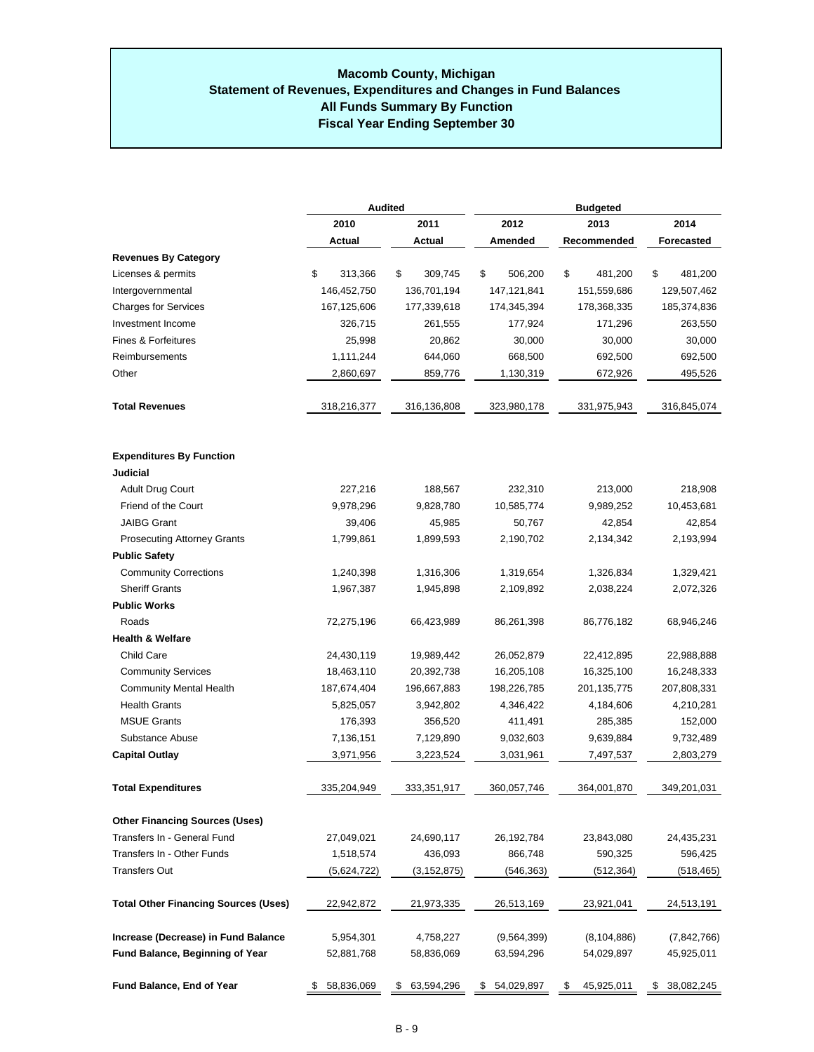#### **Macomb County, Michigan Statement of Revenues, Expenditures and Changes in Fund Balances All Funds Summary By Function Fiscal Year Ending September 30**

|                                             | Audited       |               | <b>Budgeted</b>   |                  |                   |  |  |
|---------------------------------------------|---------------|---------------|-------------------|------------------|-------------------|--|--|
|                                             | 2010          | 2011          | 2012              | 2013             | 2014              |  |  |
|                                             | Actual        | Actual        | Amended           | Recommended      | <b>Forecasted</b> |  |  |
| <b>Revenues By Category</b>                 |               |               |                   |                  |                   |  |  |
| Licenses & permits                          | \$<br>313,366 | 309,745<br>\$ | \$<br>506,200     | \$<br>481,200    | \$<br>481,200     |  |  |
| Intergovernmental                           | 146,452,750   | 136,701,194   | 147,121,841       | 151,559,686      | 129,507,462       |  |  |
| <b>Charges for Services</b>                 | 167,125,606   | 177,339,618   | 174,345,394       | 178,368,335      | 185,374,836       |  |  |
| Investment Income                           | 326,715       | 261,555       | 177,924<br>30,000 | 171,296          | 263,550           |  |  |
| Fines & Forfeitures                         | 25,998        | 20,862        |                   | 30,000           | 30,000            |  |  |
| Reimbursements                              | 1,111,244     | 644,060       | 668,500           | 692,500          | 692,500           |  |  |
| Other                                       | 2,860,697     | 859,776       | 1,130,319         | 672,926          | 495,526           |  |  |
| <b>Total Revenues</b>                       | 318,216,377   | 316,136,808   | 323,980,178       | 331,975,943      | 316,845,074       |  |  |
| <b>Expenditures By Function</b>             |               |               |                   |                  |                   |  |  |
| Judicial                                    |               |               |                   |                  |                   |  |  |
| <b>Adult Drug Court</b>                     | 227,216       | 188,567       | 232,310           | 213,000          | 218,908           |  |  |
| Friend of the Court                         | 9,978,296     | 9,828,780     | 10,585,774        | 9,989,252        | 10,453,681        |  |  |
| <b>JAIBG Grant</b>                          | 39,406        | 45,985        | 50,767            | 42,854           | 42,854            |  |  |
| <b>Prosecuting Attorney Grants</b>          | 1,799,861     | 1,899,593     | 2,190,702         | 2,134,342        | 2,193,994         |  |  |
| <b>Public Safety</b>                        |               |               |                   |                  |                   |  |  |
| <b>Community Corrections</b>                | 1,240,398     | 1,316,306     | 1,319,654         | 1,326,834        | 1,329,421         |  |  |
| <b>Sheriff Grants</b>                       | 1,967,387     | 1,945,898     | 2,109,892         | 2,038,224        | 2,072,326         |  |  |
| <b>Public Works</b>                         |               |               |                   |                  |                   |  |  |
| Roads                                       | 72,275,196    | 66,423,989    | 86,261,398        | 86,776,182       | 68,946,246        |  |  |
| <b>Health &amp; Welfare</b>                 |               |               |                   |                  |                   |  |  |
| <b>Child Care</b>                           | 24,430,119    | 19,989,442    | 26,052,879        | 22,412,895       | 22,988,888        |  |  |
| <b>Community Services</b>                   | 18,463,110    | 20,392,738    | 16,205,108        | 16,325,100       | 16,248,333        |  |  |
| <b>Community Mental Health</b>              | 187,674,404   | 196,667,883   | 198,226,785       | 201, 135, 775    | 207,808,331       |  |  |
| <b>Health Grants</b>                        | 5,825,057     | 3,942,802     | 4,346,422         | 4,184,606        | 4,210,281         |  |  |
| <b>MSUE Grants</b>                          | 176,393       | 356,520       | 411,491           | 285,385          | 152,000           |  |  |
| Substance Abuse                             | 7,136,151     | 7,129,890     | 9,032,603         | 9,639,884        | 9,732,489         |  |  |
| <b>Capital Outlay</b>                       | 3,971,956     | 3,223,524     | 3,031,961         | 7,497,537        | 2,803,279         |  |  |
| <b>Total Expenditures</b>                   | 335,204,949   | 333.351.917   | 360.057.746       | 364.001.870      | 349.201.031       |  |  |
| <b>Other Financing Sources (Uses)</b>       |               |               |                   |                  |                   |  |  |
| Transfers In - General Fund                 | 27,049,021    | 24,690,117    | 26,192,784        | 23,843,080       | 24,435,231        |  |  |
| Transfers In - Other Funds                  | 1,518,574     | 436,093       | 866,748           | 590,325          | 596,425           |  |  |
| Transfers Out                               | (5,624,722)   | (3, 152, 875) | (546,363)         | (512, 364)       | (518,465)         |  |  |
| <b>Total Other Financing Sources (Uses)</b> | 22,942,872    | 21,973,335    | 26,513,169        | 23,921,041       | 24,513,191        |  |  |
| Increase (Decrease) in Fund Balance         | 5,954,301     | 4,758,227     | (9,564,399)       | (8, 104, 886)    | (7,842,766)       |  |  |
| <b>Fund Balance, Beginning of Year</b>      | 52,881,768    | 58,836,069    | 63,594,296        | 54,029,897       | 45,925,011        |  |  |
| Fund Balance, End of Year                   | \$58,836,069  | \$ 63,594,296 | 54,029,897<br>\$  | 45,925,011<br>\$ | 38,082,245<br>\$  |  |  |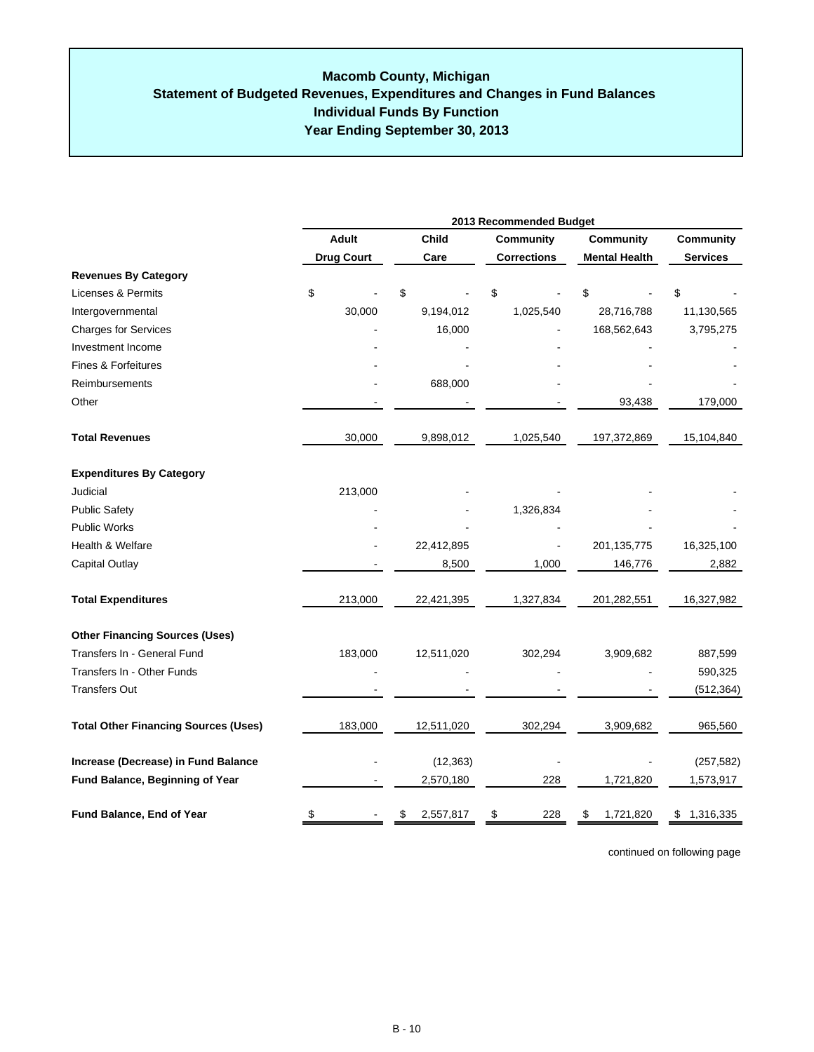|                                             | 2013 Recommended Budget |         |            |                    |                        |         |                 |
|---------------------------------------------|-------------------------|---------|------------|--------------------|------------------------|---------|-----------------|
|                                             | <b>Adult</b>            |         | Child      | <b>Community</b>   | <b>Community</b>       |         | Community       |
|                                             | <b>Drug Court</b>       |         | Care       | <b>Corrections</b> | <b>Mental Health</b>   |         | <b>Services</b> |
| <b>Revenues By Category</b>                 |                         |         |            |                    |                        |         |                 |
| Licenses & Permits                          | \$                      |         | \$         | \$                 | \$                     |         | \$              |
| Intergovernmental                           |                         | 30,000  | 9,194,012  | 1,025,540          | 28,716,788             |         | 11,130,565      |
| <b>Charges for Services</b>                 |                         |         | 16,000     |                    | 168,562,643            |         | 3,795,275       |
| Investment Income                           |                         |         |            |                    |                        |         |                 |
| <b>Fines &amp; Forfeitures</b>              |                         |         |            |                    |                        |         |                 |
| Reimbursements                              |                         |         | 688,000    |                    |                        |         |                 |
| Other                                       |                         |         |            |                    |                        | 93,438  | 179,000         |
| <b>Total Revenues</b>                       |                         | 30,000  | 9,898,012  | 1,025,540          | 197,372,869            |         | 15,104,840      |
| <b>Expenditures By Category</b>             |                         |         |            |                    |                        |         |                 |
| Judicial                                    |                         | 213,000 |            |                    |                        |         |                 |
| <b>Public Safety</b>                        |                         |         |            | 1,326,834          |                        |         |                 |
| <b>Public Works</b>                         |                         |         |            |                    |                        |         |                 |
| Health & Welfare                            |                         |         | 22,412,895 |                    | 201, 135, 775          |         | 16,325,100      |
| Capital Outlay                              |                         |         | 8,500      | 1,000              |                        | 146,776 | 2,882           |
| <b>Total Expenditures</b>                   |                         | 213,000 | 22,421,395 | 1,327,834          | 201,282,551            |         | 16,327,982      |
| <b>Other Financing Sources (Uses)</b>       |                         |         |            |                    |                        |         |                 |
| Transfers In - General Fund                 |                         | 183,000 | 12,511,020 | 302,294            | 3,909,682              |         | 887,599         |
| Transfers In - Other Funds                  |                         |         |            |                    |                        |         | 590,325         |
| <b>Transfers Out</b>                        |                         |         |            |                    |                        |         | (512, 364)      |
| <b>Total Other Financing Sources (Uses)</b> |                         | 183,000 | 12,511,020 | 302,294            | 3,909,682              |         | 965,560         |
| Increase (Decrease) in Fund Balance         |                         |         | (12, 363)  |                    |                        |         | (257, 582)      |
| Fund Balance, Beginning of Year             |                         |         | 2,570,180  |                    | 228<br>1,721,820       |         | 1,573,917       |
| Fund Balance, End of Year                   | \$                      |         | 2,557,817  | \$                 | 228<br>1,721,820<br>\$ |         | 1,316,335<br>\$ |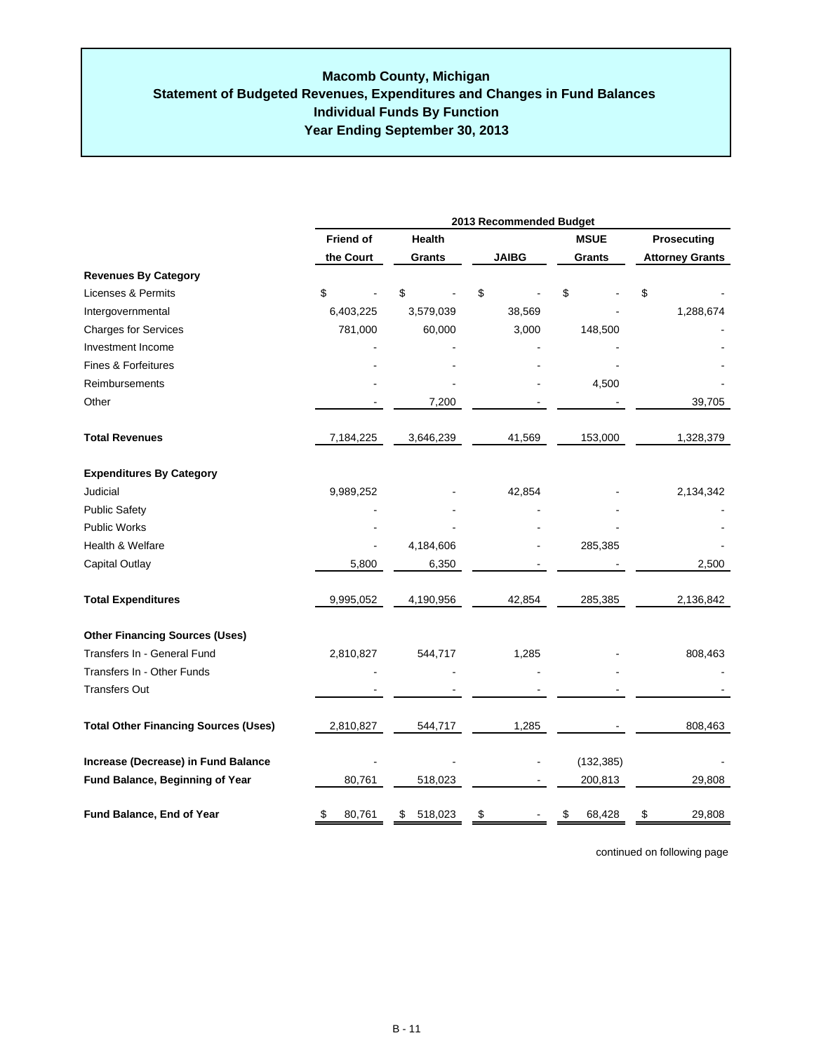## **Individual Funds By Function Year Ending September 30, 2013 Macomb County, Michigan Statement of Budgeted Revenues, Expenditures and Changes in Fund Balances**

|                                             | 2013 Recommended Budget |               |              |              |                        |  |
|---------------------------------------------|-------------------------|---------------|--------------|--------------|------------------------|--|
|                                             | <b>Friend of</b>        | Health        |              | <b>MSUE</b>  | Prosecuting            |  |
|                                             | the Court               | Grants        | <b>JAIBG</b> | Grants       | <b>Attorney Grants</b> |  |
| <b>Revenues By Category</b>                 |                         |               |              |              |                        |  |
| Licenses & Permits                          | \$                      | \$            | \$           | \$           | \$                     |  |
| Intergovernmental                           | 6,403,225               | 3,579,039     | 38,569       |              | 1,288,674              |  |
| <b>Charges for Services</b>                 | 781,000                 | 60,000        | 3,000        | 148,500      |                        |  |
| Investment Income                           |                         |               |              |              |                        |  |
| <b>Fines &amp; Forfeitures</b>              |                         |               |              |              |                        |  |
| <b>Reimbursements</b>                       |                         |               |              | 4,500        |                        |  |
| Other                                       |                         | 7,200         |              |              | 39,705                 |  |
| <b>Total Revenues</b>                       | 7,184,225               | 3,646,239     | 41,569       | 153,000      | 1,328,379              |  |
| <b>Expenditures By Category</b>             |                         |               |              |              |                        |  |
| Judicial                                    | 9,989,252               |               | 42,854       |              | 2,134,342              |  |
| <b>Public Safety</b>                        |                         |               |              |              |                        |  |
| Public Works                                |                         |               |              |              |                        |  |
| Health & Welfare                            |                         | 4,184,606     |              | 285,385      |                        |  |
| Capital Outlay                              | 5,800                   | 6,350         |              |              | 2,500                  |  |
| <b>Total Expenditures</b>                   | 9,995,052               | 4,190,956     | 42,854       | 285,385      | 2,136,842              |  |
| <b>Other Financing Sources (Uses)</b>       |                         |               |              |              |                        |  |
| Transfers In - General Fund                 | 2,810,827               | 544,717       | 1,285        |              | 808,463                |  |
| Transfers In - Other Funds                  |                         |               |              |              |                        |  |
| <b>Transfers Out</b>                        |                         |               |              |              |                        |  |
| <b>Total Other Financing Sources (Uses)</b> | 2,810,827               | 544,717       | 1,285        |              | 808,463                |  |
| Increase (Decrease) in Fund Balance         |                         |               |              | (132, 385)   |                        |  |
| Fund Balance, Beginning of Year             | 80,761                  | 518,023       |              | 200,813      | 29,808                 |  |
| Fund Balance, End of Year                   | 80,761<br>\$            | 518,023<br>\$ | \$           | 68,428<br>\$ | 29,808<br>\$           |  |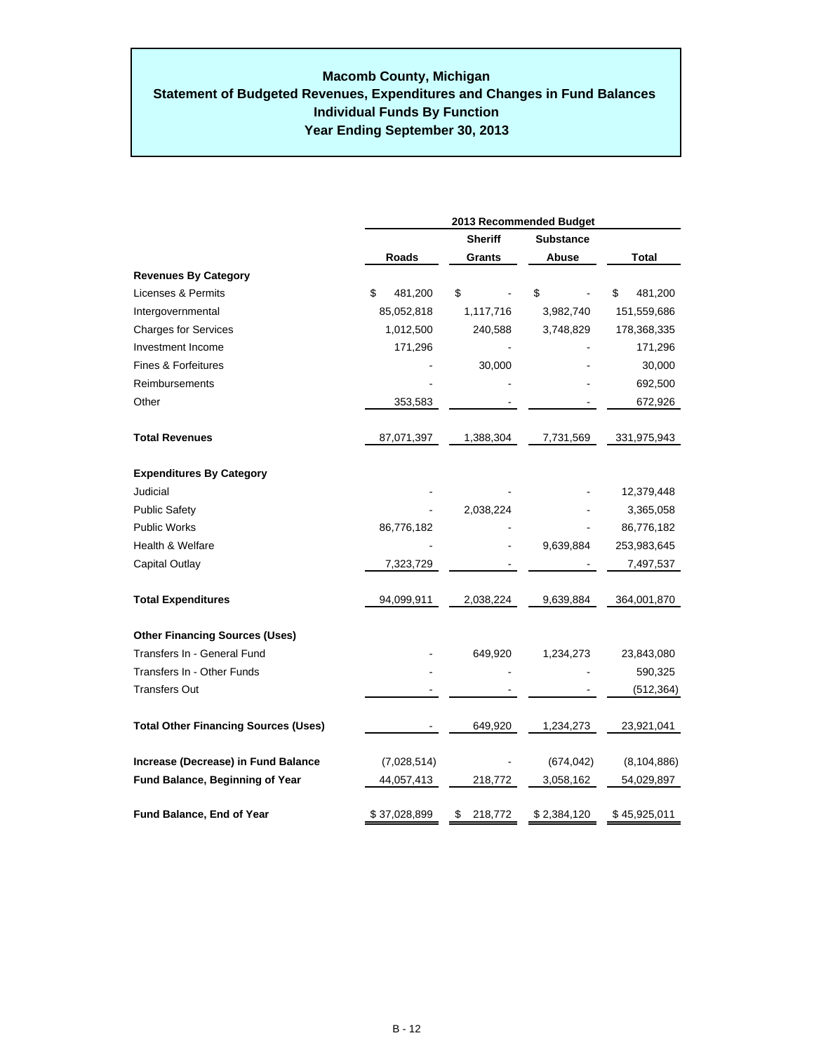|                                             | 2013 Recommended Budget |                |                  |               |  |  |  |
|---------------------------------------------|-------------------------|----------------|------------------|---------------|--|--|--|
|                                             |                         | <b>Sheriff</b> | <b>Substance</b> |               |  |  |  |
|                                             | Roads                   | Grants         | Abuse            | Total         |  |  |  |
| <b>Revenues By Category</b>                 |                         |                |                  |               |  |  |  |
| Licenses & Permits                          | \$<br>481,200           | \$             | \$               | \$<br>481,200 |  |  |  |
| Intergovernmental                           | 85,052,818              | 1,117,716      | 3,982,740        | 151,559,686   |  |  |  |
| <b>Charges for Services</b>                 | 1,012,500               | 240,588        | 3,748,829        | 178,368,335   |  |  |  |
| Investment Income                           | 171,296                 |                |                  | 171,296       |  |  |  |
| Fines & Forfeitures                         |                         | 30,000         |                  | 30,000        |  |  |  |
| Reimbursements                              |                         |                |                  | 692,500       |  |  |  |
| Other                                       | 353,583                 |                |                  | 672,926       |  |  |  |
| <b>Total Revenues</b>                       | 87,071,397              | 1,388,304      | 7,731,569        | 331,975,943   |  |  |  |
| <b>Expenditures By Category</b>             |                         |                |                  |               |  |  |  |
| Judicial                                    |                         |                |                  | 12,379,448    |  |  |  |
| <b>Public Safety</b>                        |                         | 2,038,224      |                  | 3,365,058     |  |  |  |
| <b>Public Works</b>                         | 86,776,182              |                |                  | 86,776,182    |  |  |  |
| Health & Welfare                            |                         |                | 9,639,884        | 253,983,645   |  |  |  |
| Capital Outlay                              | 7,323,729               |                |                  | 7,497,537     |  |  |  |
| <b>Total Expenditures</b>                   | 94,099,911              | 2,038,224      | 9,639,884        | 364,001,870   |  |  |  |
| <b>Other Financing Sources (Uses)</b>       |                         |                |                  |               |  |  |  |
| Transfers In - General Fund                 |                         | 649,920        | 1,234,273        | 23,843,080    |  |  |  |
| Transfers In - Other Funds                  |                         |                |                  | 590,325       |  |  |  |
| <b>Transfers Out</b>                        |                         |                |                  | (512, 364)    |  |  |  |
| <b>Total Other Financing Sources (Uses)</b> |                         | 649,920        | 1,234,273        | 23,921,041    |  |  |  |
| Increase (Decrease) in Fund Balance         | (7,028,514)             |                | (674, 042)       | (8, 104, 886) |  |  |  |
| Fund Balance, Beginning of Year             | 44,057,413              | 218,772        | 3,058,162        | 54,029,897    |  |  |  |
| Fund Balance, End of Year                   | \$37,028,899            | \$<br>218,772  | \$2,384,120      | \$45,925,011  |  |  |  |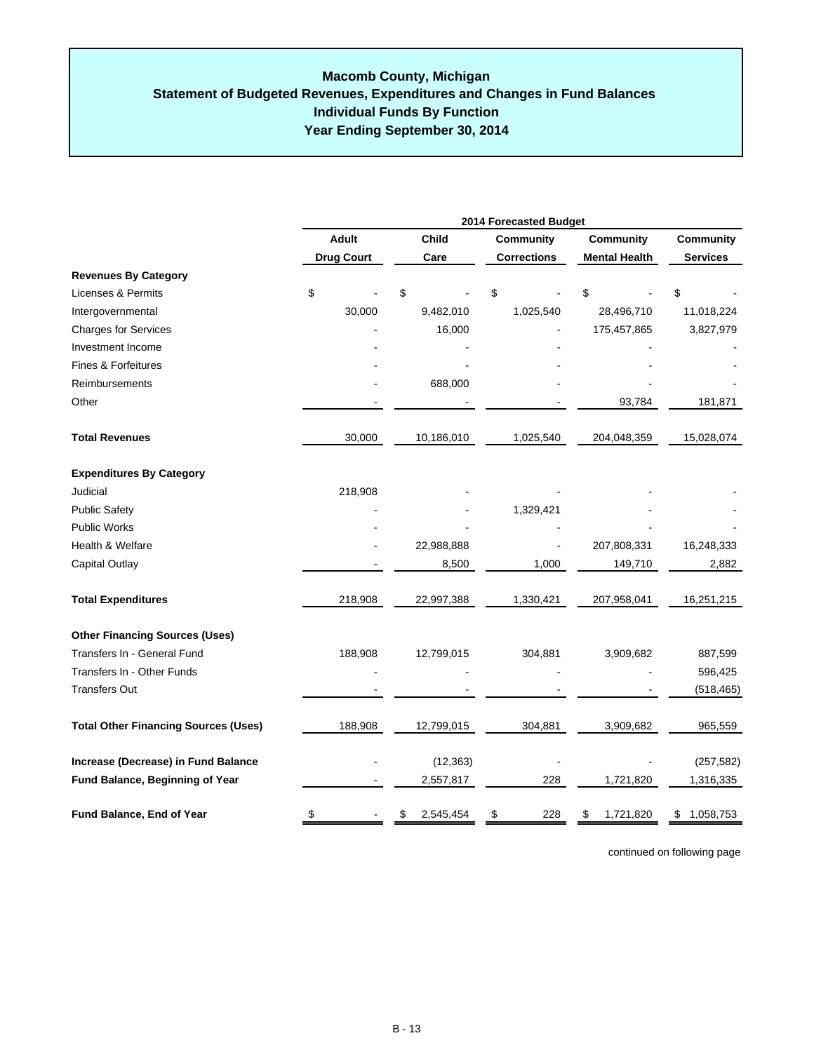|                                             | 2014 Forecasted Budget |                   |    |            |    |                    |                                          |             |                  |
|---------------------------------------------|------------------------|-------------------|----|------------|----|--------------------|------------------------------------------|-------------|------------------|
|                                             |                        | <b>Adult</b>      |    | Child      |    | <b>Community</b>   | <b>Community</b><br><b>Mental Health</b> |             | <b>Community</b> |
| <b>Revenues By Category</b>                 |                        | <b>Drug Court</b> |    | Care       |    | <b>Corrections</b> |                                          |             | <b>Services</b>  |
| Licenses & Permits                          |                        |                   | \$ |            | \$ |                    | \$                                       |             | \$               |
| Intergovernmental                           | \$                     | 30,000            |    | 9,482,010  |    | 1,025,540          |                                          | 28,496,710  | 11,018,224       |
| <b>Charges for Services</b>                 |                        |                   |    | 16,000     |    |                    |                                          | 175,457,865 | 3,827,979        |
| Investment Income                           |                        |                   |    |            |    |                    |                                          |             |                  |
| Fines & Forfeitures                         |                        |                   |    |            |    |                    |                                          |             |                  |
|                                             |                        |                   |    |            |    |                    |                                          |             |                  |
| Reimbursements                              |                        |                   |    | 688,000    |    |                    |                                          |             |                  |
| Other                                       |                        |                   |    |            |    |                    |                                          | 93,784      | 181,871          |
| <b>Total Revenues</b>                       |                        | 30,000            |    | 10,186,010 |    | 1,025,540          |                                          | 204,048,359 | 15,028,074       |
| <b>Expenditures By Category</b>             |                        |                   |    |            |    |                    |                                          |             |                  |
| Judicial                                    |                        | 218,908           |    |            |    |                    |                                          |             |                  |
| <b>Public Safety</b>                        |                        |                   |    |            |    | 1,329,421          |                                          |             |                  |
| <b>Public Works</b>                         |                        |                   |    |            |    |                    |                                          |             |                  |
| Health & Welfare                            |                        |                   |    | 22,988,888 |    |                    |                                          | 207,808,331 | 16,248,333       |
| Capital Outlay                              |                        |                   |    | 8,500      |    | 1,000              |                                          | 149,710     | 2,882            |
| <b>Total Expenditures</b>                   |                        | 218,908           |    | 22,997,388 |    | 1,330,421          |                                          | 207,958,041 | 16,251,215       |
| <b>Other Financing Sources (Uses)</b>       |                        |                   |    |            |    |                    |                                          |             |                  |
| Transfers In - General Fund                 |                        | 188,908           |    | 12,799,015 |    | 304,881            |                                          | 3,909,682   | 887,599          |
| Transfers In - Other Funds                  |                        |                   |    |            |    |                    |                                          |             | 596,425          |
| <b>Transfers Out</b>                        |                        |                   |    |            |    |                    |                                          |             | (518, 465)       |
| <b>Total Other Financing Sources (Uses)</b> |                        | 188,908           |    | 12,799,015 |    | 304,881            |                                          | 3,909,682   | 965,559          |
| Increase (Decrease) in Fund Balance         |                        |                   |    | (12, 363)  |    |                    |                                          |             | (257, 582)       |
| Fund Balance, Beginning of Year             |                        |                   |    | 2,557,817  |    | 228                |                                          | 1,721,820   | 1,316,335        |
| Fund Balance, End of Year                   | \$                     |                   |    | 2,545,454  | \$ | 228                | S.                                       | 1,721,820   | \$1,058,753      |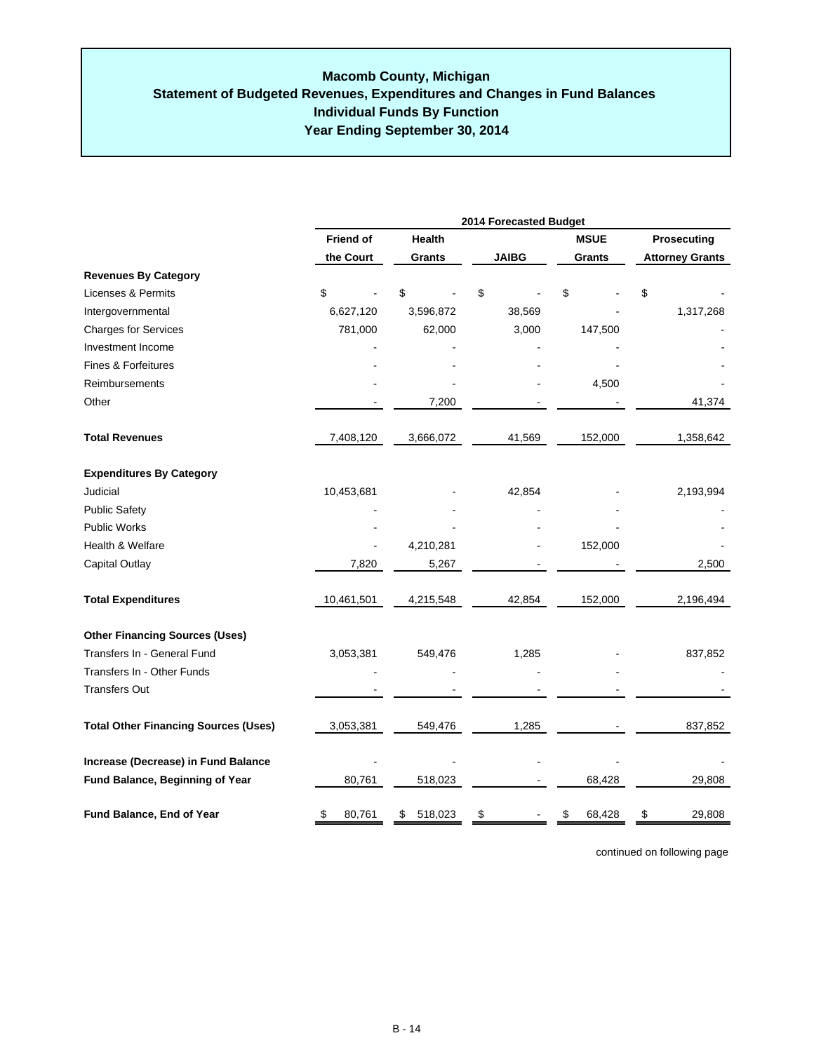|                                             | 2014 Forecasted Budget |               |              |              |                        |  |  |
|---------------------------------------------|------------------------|---------------|--------------|--------------|------------------------|--|--|
|                                             | <b>Friend of</b>       | Health        |              | <b>MSUE</b>  | Prosecuting            |  |  |
|                                             | the Court              | Grants        | <b>JAIBG</b> | Grants       | <b>Attorney Grants</b> |  |  |
| <b>Revenues By Category</b>                 |                        |               |              |              |                        |  |  |
| Licenses & Permits                          | \$                     | \$            | \$           | \$           | \$                     |  |  |
| Intergovernmental                           | 6,627,120              | 3,596,872     | 38,569       |              | 1,317,268              |  |  |
| <b>Charges for Services</b>                 | 781,000                | 62,000        | 3,000        | 147,500      |                        |  |  |
| Investment Income                           |                        |               |              |              |                        |  |  |
| <b>Fines &amp; Forfeitures</b>              |                        |               |              |              |                        |  |  |
| Reimbursements                              |                        |               |              | 4,500        |                        |  |  |
| Other                                       |                        | 7,200         |              |              | 41,374                 |  |  |
| <b>Total Revenues</b>                       | 7,408,120              | 3,666,072     | 41,569       | 152,000      | 1,358,642              |  |  |
| <b>Expenditures By Category</b>             |                        |               |              |              |                        |  |  |
| Judicial                                    | 10,453,681             |               | 42,854       |              | 2,193,994              |  |  |
| <b>Public Safety</b>                        |                        |               |              |              |                        |  |  |
| Public Works                                |                        |               |              |              |                        |  |  |
| Health & Welfare                            |                        | 4,210,281     |              | 152,000      |                        |  |  |
| Capital Outlay                              | 7,820                  | 5,267         |              |              | 2,500                  |  |  |
| <b>Total Expenditures</b>                   | 10,461,501             | 4,215,548     | 42,854       | 152,000      | 2,196,494              |  |  |
| <b>Other Financing Sources (Uses)</b>       |                        |               |              |              |                        |  |  |
| Transfers In - General Fund                 | 3,053,381              | 549,476       | 1,285        |              | 837,852                |  |  |
| Transfers In - Other Funds                  |                        |               |              |              |                        |  |  |
| <b>Transfers Out</b>                        |                        |               |              |              |                        |  |  |
| <b>Total Other Financing Sources (Uses)</b> | 3,053,381              | 549,476       | 1,285        |              | 837,852                |  |  |
| Increase (Decrease) in Fund Balance         |                        |               |              |              |                        |  |  |
| Fund Balance, Beginning of Year             | 80,761                 | 518,023       |              | 68,428       | 29,808                 |  |  |
| Fund Balance, End of Year                   | 80,761<br>\$           | 518,023<br>\$ | \$           | 68,428<br>\$ | 29,808<br>\$           |  |  |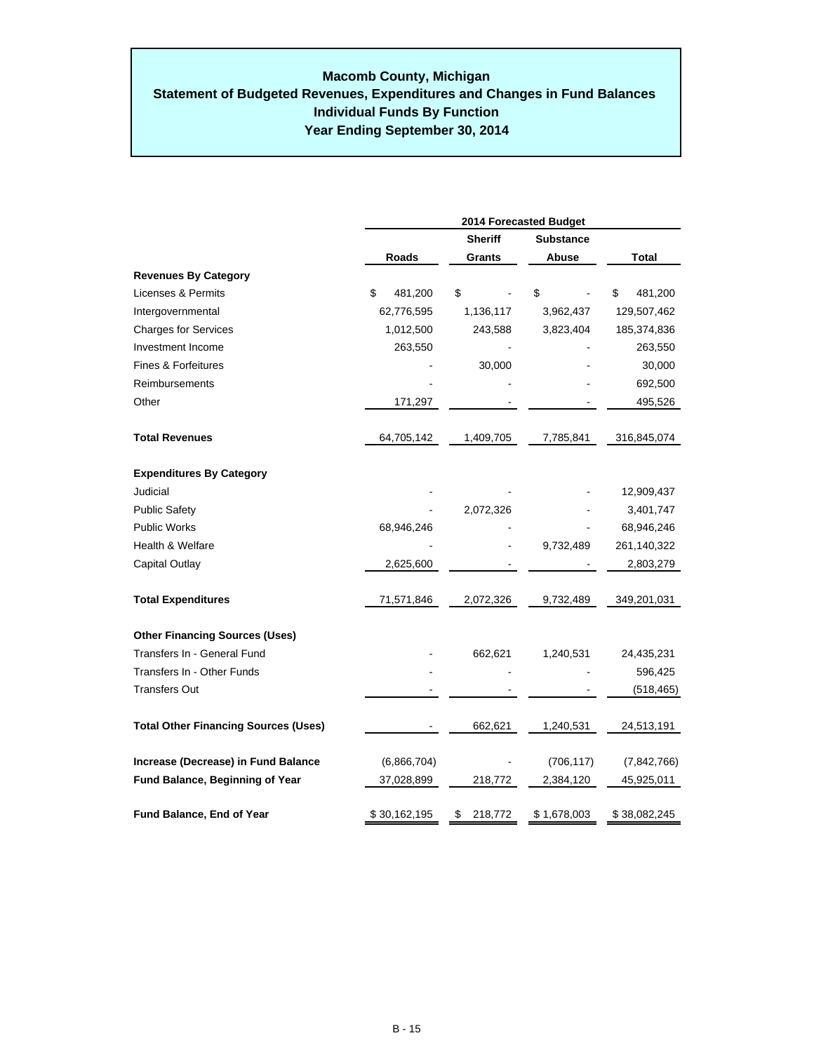### **Year Ending September 30, 2014 Macomb County, Michigan Statement of Budgeted Revenues, Expenditures and Changes in Fund Balances Individual Funds By Function**

|                                             | 2014 Forecasted Budget |                |                  |               |  |  |  |  |
|---------------------------------------------|------------------------|----------------|------------------|---------------|--|--|--|--|
|                                             |                        | <b>Sheriff</b> | <b>Substance</b> |               |  |  |  |  |
|                                             | Roads                  | Grants         | Abuse            | Total         |  |  |  |  |
| <b>Revenues By Category</b>                 |                        |                |                  |               |  |  |  |  |
| Licenses & Permits                          | \$<br>481,200          | \$             | \$               | \$<br>481,200 |  |  |  |  |
| Intergovernmental                           | 62,776,595             | 1,136,117      | 3,962,437        | 129,507,462   |  |  |  |  |
| <b>Charges for Services</b>                 | 1,012,500              | 243,588        | 3,823,404        | 185,374,836   |  |  |  |  |
| Investment Income                           | 263,550                |                |                  | 263,550       |  |  |  |  |
| Fines & Forfeitures                         |                        | 30,000         |                  | 30,000        |  |  |  |  |
| Reimbursements                              |                        |                |                  | 692,500       |  |  |  |  |
| Other                                       | 171,297                |                |                  | 495,526       |  |  |  |  |
| <b>Total Revenues</b>                       | 64,705,142             | 1,409,705      | 7,785,841        | 316,845,074   |  |  |  |  |
| <b>Expenditures By Category</b>             |                        |                |                  |               |  |  |  |  |
| Judicial                                    |                        |                |                  | 12,909,437    |  |  |  |  |
| <b>Public Safety</b>                        |                        | 2,072,326      |                  | 3,401,747     |  |  |  |  |
| <b>Public Works</b>                         | 68,946,246             |                |                  | 68,946,246    |  |  |  |  |
| <b>Health &amp; Welfare</b>                 |                        |                | 9,732,489        | 261,140,322   |  |  |  |  |
| Capital Outlay                              | 2,625,600              |                |                  | 2,803,279     |  |  |  |  |
| <b>Total Expenditures</b>                   | 71,571,846             | 2,072,326      | 9,732,489        | 349,201,031   |  |  |  |  |
| <b>Other Financing Sources (Uses)</b>       |                        |                |                  |               |  |  |  |  |
| Transfers In - General Fund                 |                        | 662,621        | 1,240,531        | 24,435,231    |  |  |  |  |
| Transfers In - Other Funds                  |                        |                |                  | 596,425       |  |  |  |  |
| <b>Transfers Out</b>                        |                        |                |                  | (518, 465)    |  |  |  |  |
| <b>Total Other Financing Sources (Uses)</b> |                        | 662,621        | 1,240,531        | 24,513,191    |  |  |  |  |
| Increase (Decrease) in Fund Balance         | (6,866,704)            |                | (706, 117)       | (7,842,766)   |  |  |  |  |
| <b>Fund Balance, Beginning of Year</b>      | 37,028,899             | 218,772        | 2,384,120        | 45,925,011    |  |  |  |  |
| Fund Balance, End of Year                   | \$30,162,195           | 218,772<br>\$  | \$1,678,003      | \$38,082,245  |  |  |  |  |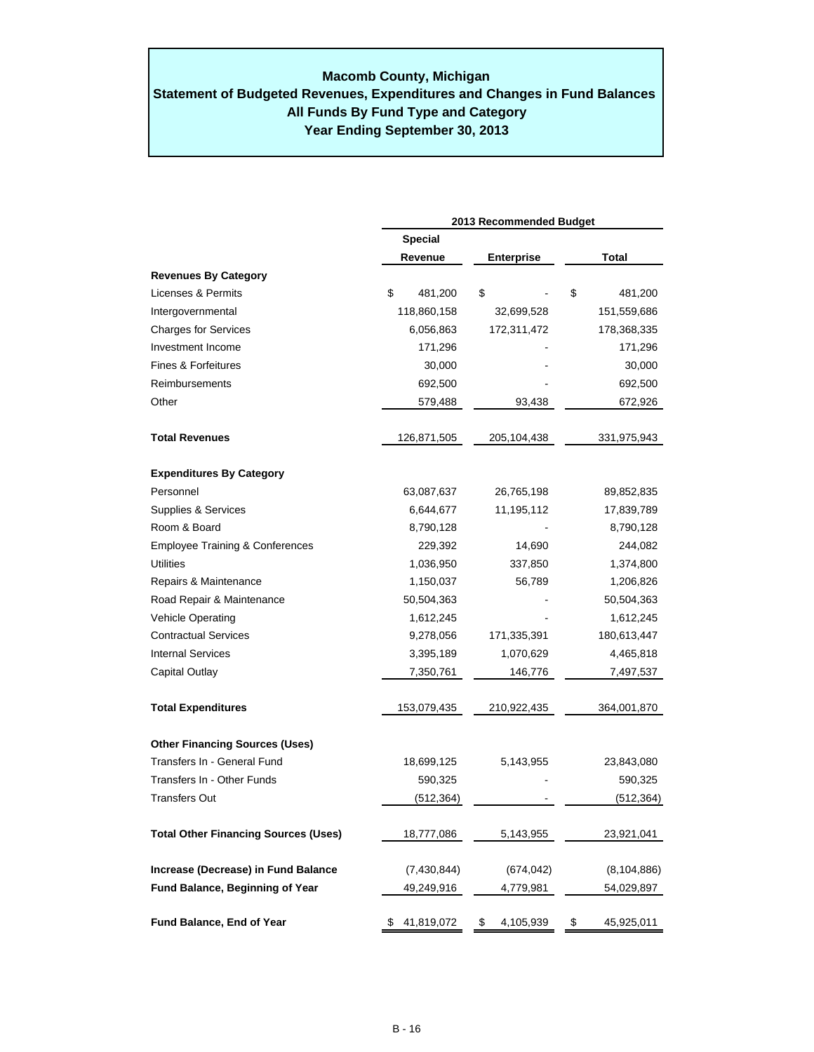# **Macomb County, Michigan**

# **Year Ending September 30, 2013 Statement of Budgeted Revenues, Expenditures and Changes in Fund Balances All Funds By Fund Type and Category**

|                                             | 2013 Recommended Budget |                   |                  |  |  |  |
|---------------------------------------------|-------------------------|-------------------|------------------|--|--|--|
|                                             | <b>Special</b>          |                   |                  |  |  |  |
|                                             | Revenue                 | <b>Enterprise</b> | Total            |  |  |  |
| <b>Revenues By Category</b>                 |                         |                   |                  |  |  |  |
| Licenses & Permits                          | \$<br>481,200           | \$                | \$<br>481,200    |  |  |  |
| Intergovernmental                           | 118,860,158             | 32,699,528        | 151,559,686      |  |  |  |
| <b>Charges for Services</b>                 | 6,056,863               | 172,311,472       | 178,368,335      |  |  |  |
| Investment Income                           | 171,296                 |                   | 171,296          |  |  |  |
| <b>Fines &amp; Forfeitures</b>              | 30,000                  |                   | 30,000           |  |  |  |
| Reimbursements                              | 692,500                 |                   | 692,500          |  |  |  |
| Other                                       | 579,488                 | 93,438            | 672,926          |  |  |  |
| <b>Total Revenues</b>                       | 126,871,505             | 205,104,438       | 331,975,943      |  |  |  |
| <b>Expenditures By Category</b>             |                         |                   |                  |  |  |  |
| Personnel                                   | 63,087,637              | 26,765,198        | 89,852,835       |  |  |  |
| Supplies & Services                         | 6,644,677               | 11,195,112        | 17,839,789       |  |  |  |
| Room & Board                                | 8,790,128               |                   | 8,790,128        |  |  |  |
| <b>Employee Training &amp; Conferences</b>  | 229,392                 | 14,690            | 244,082          |  |  |  |
| Utilities                                   | 1,036,950               | 337,850           | 1,374,800        |  |  |  |
| Repairs & Maintenance                       | 1,150,037               | 56,789            | 1,206,826        |  |  |  |
| Road Repair & Maintenance                   | 50,504,363              |                   | 50,504,363       |  |  |  |
| <b>Vehicle Operating</b>                    | 1,612,245               |                   | 1,612,245        |  |  |  |
| <b>Contractual Services</b>                 | 9,278,056               | 171,335,391       | 180,613,447      |  |  |  |
| <b>Internal Services</b>                    | 3,395,189               | 1,070,629         | 4,465,818        |  |  |  |
| Capital Outlay                              | 7,350,761               | 146,776           | 7,497,537        |  |  |  |
| <b>Total Expenditures</b>                   | 153,079,435             | 210,922,435       | 364,001,870      |  |  |  |
| <b>Other Financing Sources (Uses)</b>       |                         |                   |                  |  |  |  |
| Transfers In - General Fund                 | 18,699,125              | 5,143,955         | 23,843,080       |  |  |  |
| Transfers In - Other Funds                  | 590,325                 |                   | 590,325          |  |  |  |
| Transfers Out                               | (512, 364)              |                   | (512, 364)       |  |  |  |
| <b>Total Other Financing Sources (Uses)</b> | 18,777,086              | 5,143,955         | 23,921,041       |  |  |  |
| Increase (Decrease) in Fund Balance         | (7,430,844)             | (674, 042)        | (8, 104, 886)    |  |  |  |
| Fund Balance, Beginning of Year             | 49,249,916              | 4,779,981         | 54,029,897       |  |  |  |
| <b>Fund Balance, End of Year</b>            | 41,819,072              | 4,105,939<br>\$   | 45,925,011<br>\$ |  |  |  |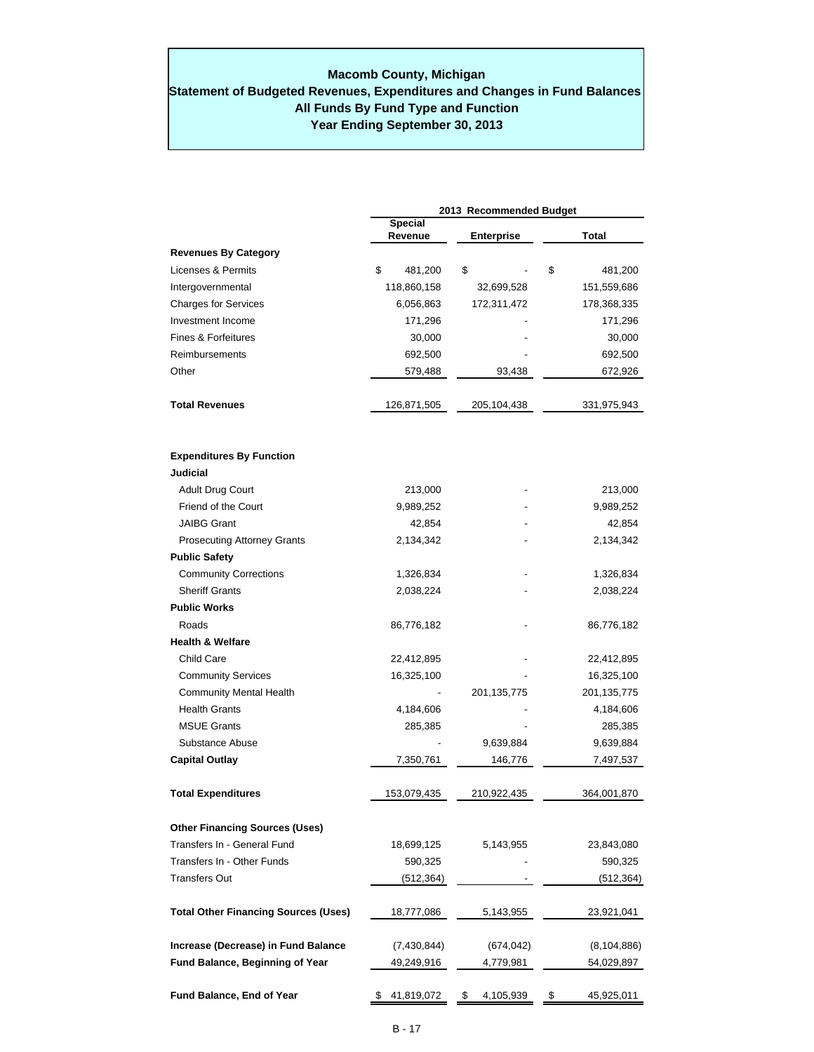### **Year Ending September 30, 2013 Macomb County, Michigan Statement of Budgeted Revenues, Expenditures and Changes in Fund Balances All Funds By Fund Type and Function**

|                                             | 2013 Recommended Budget   |                   |                  |  |  |  |  |
|---------------------------------------------|---------------------------|-------------------|------------------|--|--|--|--|
|                                             | <b>Special</b><br>Revenue | <b>Enterprise</b> | Total            |  |  |  |  |
| <b>Revenues By Category</b>                 |                           |                   |                  |  |  |  |  |
| Licenses & Permits                          | \$<br>481,200             | \$                | \$<br>481,200    |  |  |  |  |
| Intergovernmental                           | 118,860,158               | 32,699,528        | 151,559,686      |  |  |  |  |
| <b>Charges for Services</b>                 | 6,056,863                 | 172,311,472       | 178,368,335      |  |  |  |  |
| Investment Income                           | 171,296                   |                   | 171,296          |  |  |  |  |
| Fines & Forfeitures                         | 30,000                    |                   | 30,000           |  |  |  |  |
| Reimbursements                              | 692,500                   |                   | 692,500          |  |  |  |  |
| Other                                       | 579,488                   | 93,438            | 672,926          |  |  |  |  |
| <b>Total Revenues</b>                       | 126,871,505               | 205,104,438       | 331,975,943      |  |  |  |  |
| <b>Expenditures By Function</b>             |                           |                   |                  |  |  |  |  |
| Judicial                                    |                           |                   |                  |  |  |  |  |
| <b>Adult Drug Court</b>                     | 213,000                   |                   | 213,000          |  |  |  |  |
| Friend of the Court                         | 9,989,252                 |                   | 9,989,252        |  |  |  |  |
| <b>JAIBG Grant</b>                          | 42,854                    |                   | 42,854           |  |  |  |  |
| <b>Prosecuting Attorney Grants</b>          | 2,134,342                 |                   | 2,134,342        |  |  |  |  |
| <b>Public Safety</b>                        |                           |                   |                  |  |  |  |  |
| <b>Community Corrections</b>                | 1,326,834                 |                   | 1,326,834        |  |  |  |  |
| <b>Sheriff Grants</b>                       | 2,038,224                 |                   | 2,038,224        |  |  |  |  |
| <b>Public Works</b>                         |                           |                   |                  |  |  |  |  |
| Roads                                       | 86,776,182                |                   | 86,776,182       |  |  |  |  |
| <b>Health &amp; Welfare</b>                 |                           |                   |                  |  |  |  |  |
| Child Care                                  | 22,412,895                |                   | 22,412,895       |  |  |  |  |
| <b>Community Services</b>                   | 16,325,100                |                   | 16,325,100       |  |  |  |  |
| <b>Community Mental Health</b>              |                           | 201, 135, 775     | 201, 135, 775    |  |  |  |  |
| <b>Health Grants</b>                        | 4,184,606                 |                   | 4,184,606        |  |  |  |  |
| <b>MSUE Grants</b>                          | 285,385                   |                   | 285,385          |  |  |  |  |
| Substance Abuse                             |                           | 9,639,884         | 9,639,884        |  |  |  |  |
| <b>Capital Outlay</b>                       | 7,350,761                 | 146,776           | 7,497,537        |  |  |  |  |
| <b>Total Expenditures</b>                   | 153,079,435               | 210,922,435       | 364,001,870      |  |  |  |  |
| <b>Other Financing Sources (Uses)</b>       |                           |                   |                  |  |  |  |  |
| Transfers In - General Fund                 | 18,699,125                | 5,143,955         | 23,843,080       |  |  |  |  |
| Transfers In - Other Funds                  | 590,325                   |                   | 590,325          |  |  |  |  |
| Transfers Out                               | (512,364)                 |                   | (512,364)        |  |  |  |  |
| <b>Total Other Financing Sources (Uses)</b> | 18,777,086                | 5,143,955         | 23,921,041       |  |  |  |  |
| Increase (Decrease) in Fund Balance         | (7,430,844)               | (674, 042)        | (8, 104, 886)    |  |  |  |  |
| Fund Balance, Beginning of Year             | 49,249,916                | 4,779,981         | 54,029,897       |  |  |  |  |
| Fund Balance, End of Year                   | 41,819,072                | 4,105,939<br>\$   | 45,925,011<br>\$ |  |  |  |  |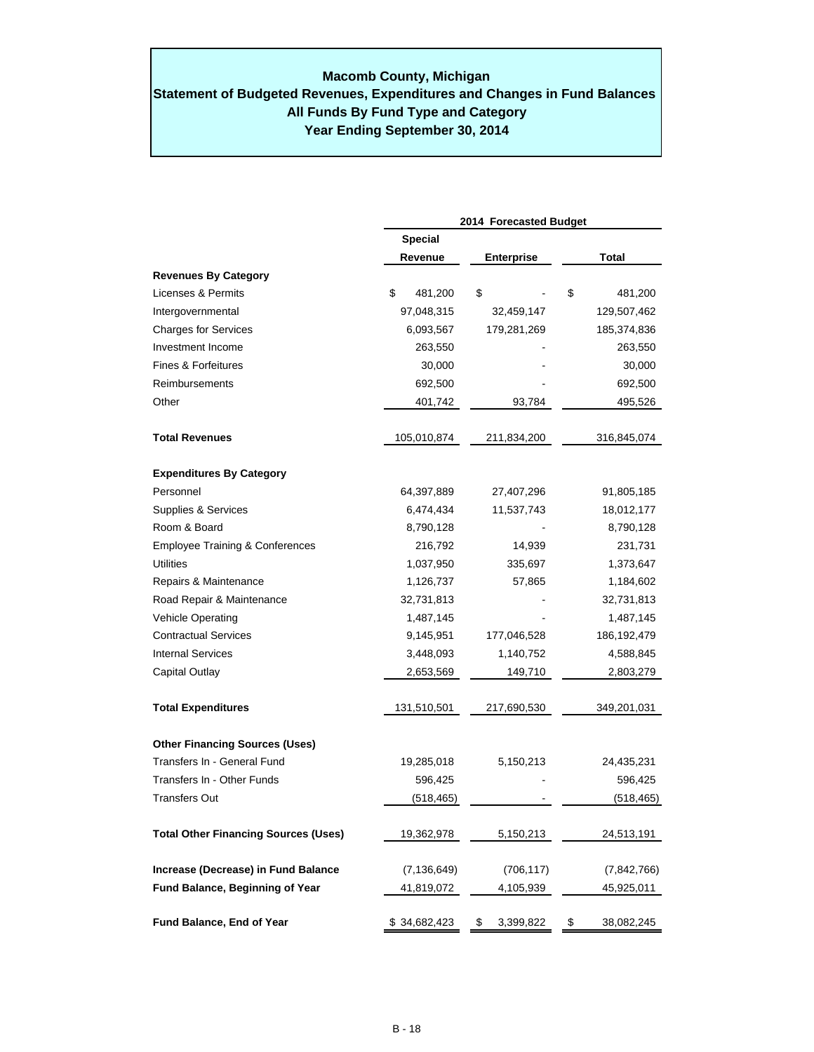# **Macomb County, Michigan**

# **Year Ending September 30, 2014 Statement of Budgeted Revenues, Expenditures and Changes in Fund Balances All Funds By Fund Type and Category**

|                                             |                | 2014 Forecasted Budget |                  |
|---------------------------------------------|----------------|------------------------|------------------|
|                                             | <b>Special</b> |                        |                  |
|                                             | Revenue        | <b>Enterprise</b>      | Total            |
| <b>Revenues By Category</b>                 |                |                        |                  |
| Licenses & Permits                          | \$<br>481,200  | \$                     | \$<br>481,200    |
| Intergovernmental                           | 97,048,315     | 32,459,147             | 129,507,462      |
| <b>Charges for Services</b>                 | 6,093,567      | 179,281,269            | 185,374,836      |
| Investment Income                           | 263,550        |                        | 263,550          |
| Fines & Forfeitures                         | 30,000         |                        | 30,000           |
| Reimbursements                              | 692,500        |                        | 692,500          |
| Other                                       | 401,742        | 93,784                 | 495,526          |
| <b>Total Revenues</b>                       | 105,010,874    | 211,834,200            | 316,845,074      |
| <b>Expenditures By Category</b>             |                |                        |                  |
| Personnel                                   | 64,397,889     | 27,407,296             | 91,805,185       |
| Supplies & Services                         | 6,474,434      | 11,537,743             | 18,012,177       |
| Room & Board                                | 8,790,128      |                        | 8,790,128        |
| <b>Employee Training &amp; Conferences</b>  | 216,792        | 14,939                 | 231,731          |
| Utilities                                   | 1,037,950      | 335,697                | 1,373,647        |
| Repairs & Maintenance                       | 1,126,737      | 57,865                 | 1,184,602        |
| Road Repair & Maintenance                   | 32,731,813     |                        | 32,731,813       |
| Vehicle Operating                           | 1,487,145      |                        | 1,487,145        |
| <b>Contractual Services</b>                 | 9,145,951      | 177,046,528            | 186, 192, 479    |
| <b>Internal Services</b>                    | 3,448,093      | 1,140,752              | 4,588,845        |
| Capital Outlay                              | 2,653,569      | 149,710                | 2,803,279        |
| <b>Total Expenditures</b>                   | 131,510,501    | 217,690,530            | 349,201,031      |
| <b>Other Financing Sources (Uses)</b>       |                |                        |                  |
| Transfers In - General Fund                 | 19,285,018     | 5,150,213              | 24,435,231       |
| Transfers In - Other Funds                  | 596,425        |                        | 596,425          |
| <b>Transfers Out</b>                        | (518, 465)     |                        | (518, 465)       |
| <b>Total Other Financing Sources (Uses)</b> | 19,362,978     | 5,150,213              | 24,513,191       |
| Increase (Decrease) in Fund Balance         | (7, 136, 649)  | (706, 117)             | (7, 842, 766)    |
| Fund Balance, Beginning of Year             | 41,819,072     | 4,105,939              | 45,925,011       |
| Fund Balance, End of Year                   | \$34,682,423   | 3,399,822<br>\$        | \$<br>38,082,245 |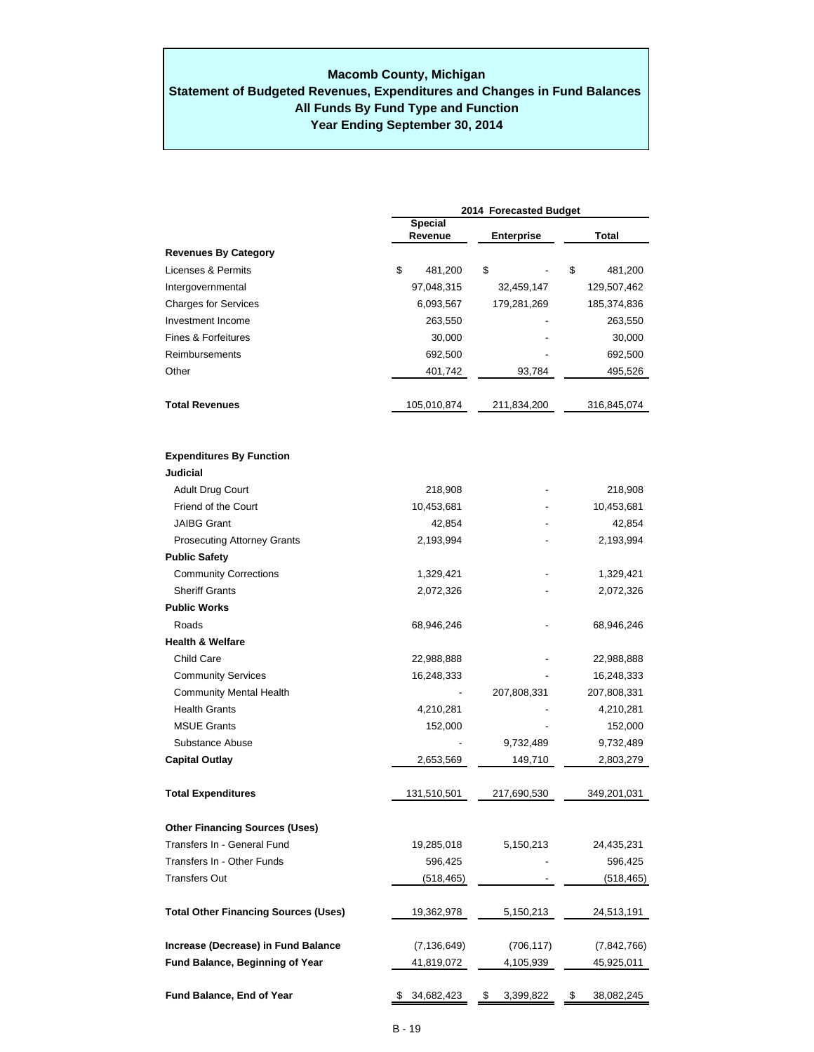### **Year Ending September 30, 2014 Macomb County, Michigan Statement of Budgeted Revenues, Expenditures and Changes in Fund Balances All Funds By Fund Type and Function**

|                                             | 2014 Forecasted Budget |                           |    |                   |       |             |  |
|---------------------------------------------|------------------------|---------------------------|----|-------------------|-------|-------------|--|
|                                             |                        | <b>Special</b><br>Revenue |    | <b>Enterprise</b> | Total |             |  |
| <b>Revenues By Category</b>                 |                        |                           |    |                   |       |             |  |
| Licenses & Permits                          | \$                     | 481,200                   | \$ |                   | \$    | 481,200     |  |
| Intergovernmental                           |                        | 97,048,315                |    | 32,459,147        |       | 129,507,462 |  |
| <b>Charges for Services</b>                 |                        | 6,093,567                 |    | 179,281,269       |       | 185,374,836 |  |
| Investment Income                           |                        | 263,550                   |    |                   |       | 263,550     |  |
| Fines & Forfeitures                         |                        | 30,000                    |    |                   |       | 30,000      |  |
| Reimbursements                              |                        | 692,500                   |    |                   |       | 692,500     |  |
| Other                                       |                        | 401,742                   |    | 93,784            |       | 495,526     |  |
| <b>Total Revenues</b>                       |                        | 105,010,874               |    | 211,834,200       |       | 316,845,074 |  |
| <b>Expenditures By Function</b>             |                        |                           |    |                   |       |             |  |
| <b>Judicial</b>                             |                        |                           |    |                   |       |             |  |
| Adult Drug Court                            |                        | 218,908                   |    |                   |       | 218,908     |  |
| Friend of the Court                         |                        | 10,453,681                |    |                   |       | 10,453,681  |  |
| <b>JAIBG Grant</b>                          |                        | 42,854                    |    |                   |       | 42,854      |  |
| <b>Prosecuting Attorney Grants</b>          |                        | 2,193,994                 |    |                   |       | 2,193,994   |  |
| <b>Public Safety</b>                        |                        |                           |    |                   |       |             |  |
| <b>Community Corrections</b>                |                        | 1,329,421                 |    |                   |       | 1,329,421   |  |
| <b>Sheriff Grants</b>                       |                        | 2,072,326                 |    |                   |       | 2,072,326   |  |
| <b>Public Works</b>                         |                        |                           |    |                   |       |             |  |
| Roads                                       |                        | 68,946,246                |    |                   |       | 68,946,246  |  |
| <b>Health &amp; Welfare</b>                 |                        |                           |    |                   |       |             |  |
| <b>Child Care</b>                           |                        | 22,988,888                |    |                   |       | 22,988,888  |  |
| <b>Community Services</b>                   |                        | 16,248,333                |    |                   |       | 16,248,333  |  |
| <b>Community Mental Health</b>              |                        |                           |    | 207,808,331       |       | 207,808,331 |  |
| <b>Health Grants</b>                        |                        | 4,210,281                 |    |                   |       | 4,210,281   |  |
| <b>MSUE Grants</b>                          |                        | 152,000                   |    |                   |       | 152,000     |  |
| Substance Abuse                             |                        |                           |    | 9,732,489         |       | 9,732,489   |  |
| <b>Capital Outlay</b>                       |                        | 2,653,569                 |    | 149,710           |       | 2,803,279   |  |
| <b>Total Expenditures</b>                   |                        | 131,510,501               |    | 217.690.530       |       | 349,201,031 |  |
| <b>Other Financing Sources (Uses)</b>       |                        |                           |    |                   |       |             |  |
| Transfers In - General Fund                 |                        | 19,285,018                |    | 5,150,213         |       | 24,435,231  |  |
| Transfers In - Other Funds                  |                        | 596,425                   |    |                   |       | 596,425     |  |
| Transfers Out                               |                        | (518, 465)                |    |                   |       | (518,465)   |  |
| <b>Total Other Financing Sources (Uses)</b> |                        | 19,362,978                |    | 5,150,213         |       | 24,513,191  |  |
| Increase (Decrease) in Fund Balance         |                        | (7, 136, 649)             |    | (706, 117)        |       | (7,842,766) |  |
| Fund Balance, Beginning of Year             |                        | 41,819,072                |    | 4,105,939         |       | 45,925,011  |  |
| Fund Balance, End of Year                   | \$                     | 34,682,423                | \$ | 3,399,822         | \$    | 38,082,245  |  |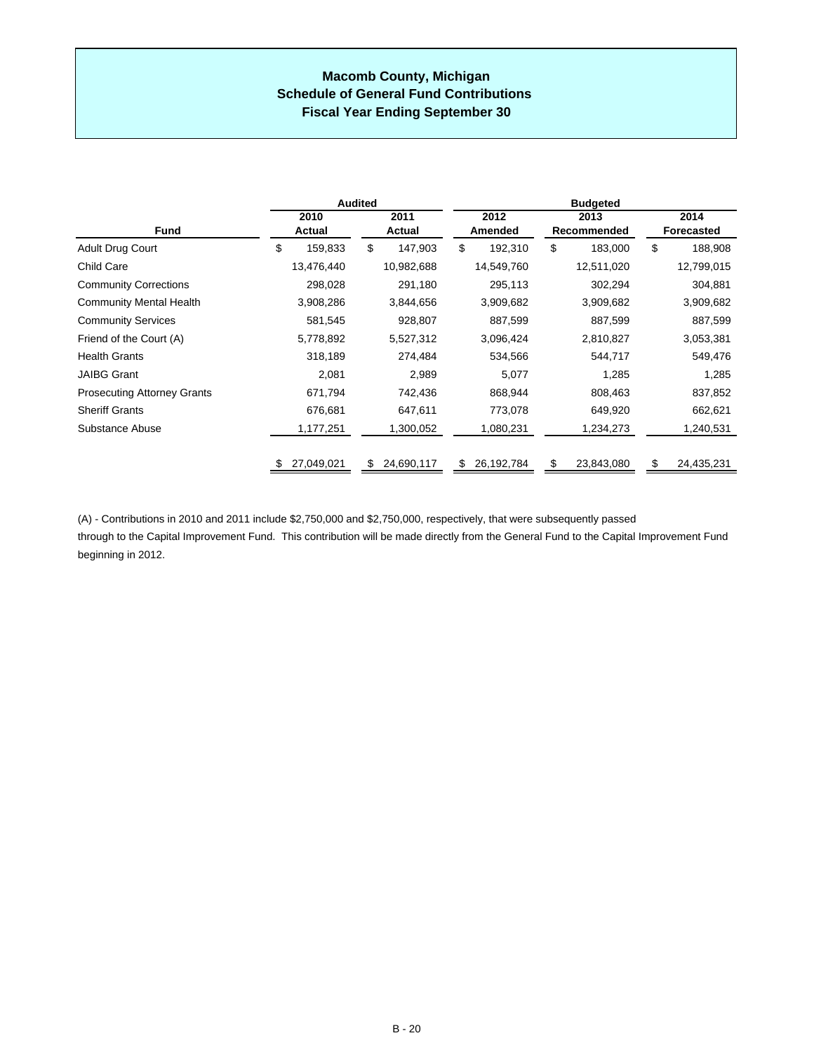### **Macomb County, Michigan Schedule of General Fund Contributions Fiscal Year Ending September 30**

|                                    |                | <b>Audited</b>   | <b>Budgeted</b> |                     |                           |  |  |  |
|------------------------------------|----------------|------------------|-----------------|---------------------|---------------------------|--|--|--|
| <b>Fund</b>                        | 2010<br>Actual | 2011<br>Actual   | 2012<br>Amended | 2013<br>Recommended | 2014<br><b>Forecasted</b> |  |  |  |
| Adult Drug Court                   | \$<br>159,833  | \$<br>147,903    | \$<br>192,310   | \$<br>183,000       | \$<br>188,908             |  |  |  |
| Child Care                         | 13,476,440     | 10,982,688       | 14,549,760      | 12,511,020          | 12,799,015                |  |  |  |
| <b>Community Corrections</b>       | 298,028        | 291,180          | 295,113         | 302,294             | 304,881                   |  |  |  |
| <b>Community Mental Health</b>     | 3,908,286      | 3,844,656        | 3,909,682       | 3,909,682           | 3,909,682                 |  |  |  |
| <b>Community Services</b>          | 581,545        | 928,807          | 887,599         | 887,599             | 887,599                   |  |  |  |
| Friend of the Court (A)            | 5,778,892      | 5,527,312        | 3,096,424       | 2,810,827           | 3,053,381                 |  |  |  |
| <b>Health Grants</b>               | 318,189        | 274,484          | 534,566         | 544,717             | 549,476                   |  |  |  |
| <b>JAIBG Grant</b>                 | 2,081          | 2,989            | 5,077           | 1,285               | 1,285                     |  |  |  |
| <b>Prosecuting Attorney Grants</b> | 671,794        | 742,436          | 868,944         | 808,463             | 837,852                   |  |  |  |
| <b>Sheriff Grants</b>              | 676,681        | 647,611          | 773,078         | 649,920             | 662,621                   |  |  |  |
| Substance Abuse                    | 1,177,251      | 1,300,052        | 1,080,231       | 1,234,273           | 1,240,531                 |  |  |  |
|                                    | 27,049,021     | 24,690,117<br>S. | 26,192,784      | £.<br>23,843,080    | 24,435,231                |  |  |  |

(A) - Contributions in 2010 and 2011 include \$2,750,000 and \$2,750,000, respectively, that were subsequently passed through to the Capital Improvement Fund. This contribution will be made directly from the General Fund to the Capital Improvement Fund beginning in 2012.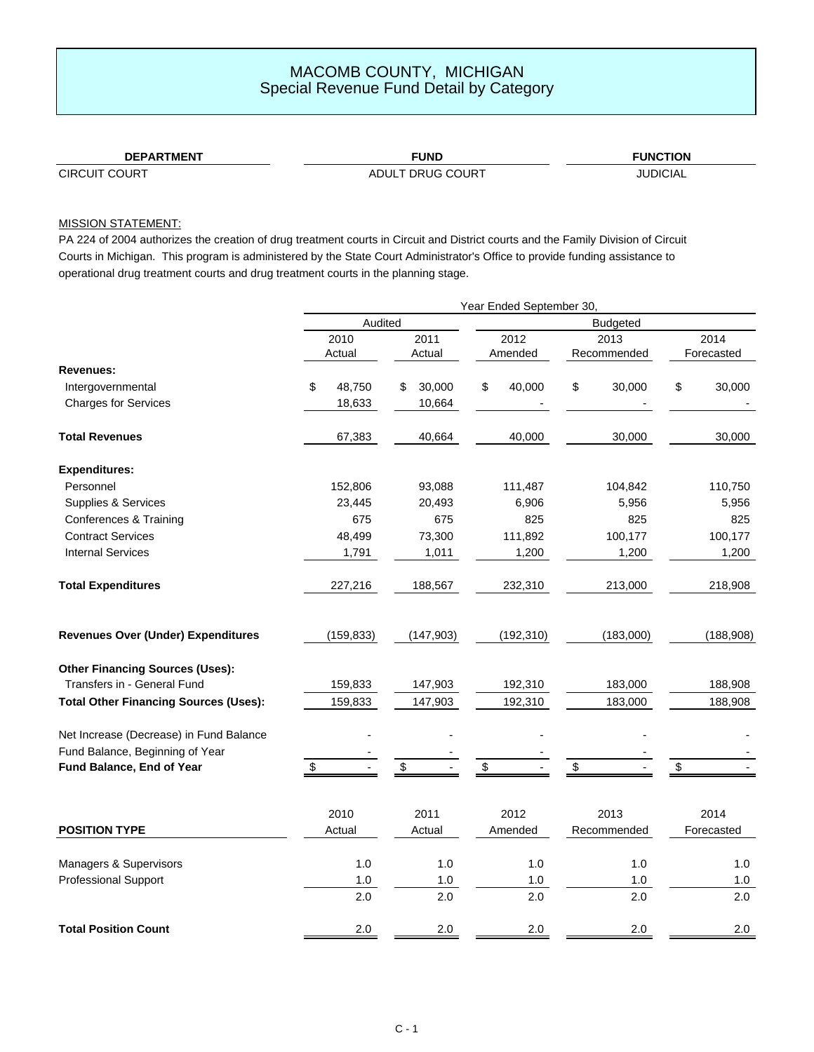### **DEPARTMENT FUND**

### **FUNCTION**

CIRCUIT COURT COURT ADULT DRUG COURT

JUDICIAL

### MISSION STATEMENT:

PA 224 of 2004 authorizes the creation of drug treatment courts in Circuit and District courts and the Family Division of Circuit Courts in Michigan. This program is administered by the State Court Administrator's Office to provide funding assistance to operational drug treatment courts and drug treatment courts in the planning stage.

|                                              | Year Ended September 30, |            |    |            |                 |            |    |             |    |            |  |
|----------------------------------------------|--------------------------|------------|----|------------|-----------------|------------|----|-------------|----|------------|--|
|                                              | Audited                  |            |    |            | <b>Budgeted</b> |            |    |             |    |            |  |
|                                              |                          | 2010       |    | 2011       |                 | 2012       |    | 2013        |    | 2014       |  |
|                                              |                          | Actual     |    | Actual     |                 | Amended    |    | Recommended |    | Forecasted |  |
| <b>Revenues:</b>                             |                          |            |    |            |                 |            |    |             |    |            |  |
| Intergovernmental                            | \$                       | 48,750     | \$ | 30,000     | \$              | 40,000     | \$ | 30,000      | \$ | 30,000     |  |
| <b>Charges for Services</b>                  |                          | 18,633     |    | 10,664     |                 |            |    |             |    |            |  |
| <b>Total Revenues</b>                        |                          | 67,383     |    | 40,664     |                 | 40,000     |    | 30,000      |    | 30,000     |  |
| <b>Expenditures:</b>                         |                          |            |    |            |                 |            |    |             |    |            |  |
| Personnel                                    |                          | 152,806    |    | 93,088     |                 | 111,487    |    | 104,842     |    | 110,750    |  |
| Supplies & Services                          |                          | 23,445     |    | 20,493     |                 | 6,906      |    | 5,956       |    | 5,956      |  |
| Conferences & Training                       |                          | 675        |    | 675        |                 | 825        |    | 825         |    | 825        |  |
| <b>Contract Services</b>                     |                          | 48,499     |    | 73,300     |                 | 111,892    |    | 100,177     |    | 100,177    |  |
| <b>Internal Services</b>                     |                          | 1,791      |    | 1,011      |                 | 1,200      |    | 1,200       |    | 1,200      |  |
| <b>Total Expenditures</b>                    |                          | 227,216    |    | 188,567    |                 | 232,310    |    | 213,000     |    | 218,908    |  |
| <b>Revenues Over (Under) Expenditures</b>    |                          | (159, 833) |    | (147, 903) |                 | (192, 310) |    | (183,000)   |    | (188, 908) |  |
| <b>Other Financing Sources (Uses):</b>       |                          |            |    |            |                 |            |    |             |    |            |  |
| Transfers in - General Fund                  |                          | 159,833    |    | 147,903    |                 | 192,310    |    | 183,000     |    | 188,908    |  |
| <b>Total Other Financing Sources (Uses):</b> |                          | 159,833    |    | 147,903    |                 | 192,310    |    | 183,000     |    | 188,908    |  |
| Net Increase (Decrease) in Fund Balance      |                          |            |    |            |                 |            |    |             |    |            |  |
| Fund Balance, Beginning of Year              |                          |            |    |            |                 |            |    |             |    |            |  |
| Fund Balance, End of Year                    | \$                       |            | \$ |            | \$              |            | \$ |             | \$ |            |  |
|                                              |                          | 2010       |    | 2011       |                 | 2012       |    | 2013        |    | 2014       |  |
| <b>POSITION TYPE</b>                         |                          | Actual     |    | Actual     |                 | Amended    |    | Recommended |    | Forecasted |  |
| Managers & Supervisors                       |                          | 1.0        |    | 1.0        |                 | 1.0        |    | 1.0         |    | 1.0        |  |
| <b>Professional Support</b>                  |                          | $1.0$      |    | $1.0$      |                 | $1.0$      |    | $1.0$       |    | $1.0$      |  |
|                                              |                          | 2.0        |    | 2.0        |                 | 2.0        |    | 2.0         |    | 2.0        |  |
| <b>Total Position Count</b>                  |                          | 2.0        |    | 2.0        |                 | 2.0        |    | 2.0         |    | 2.0        |  |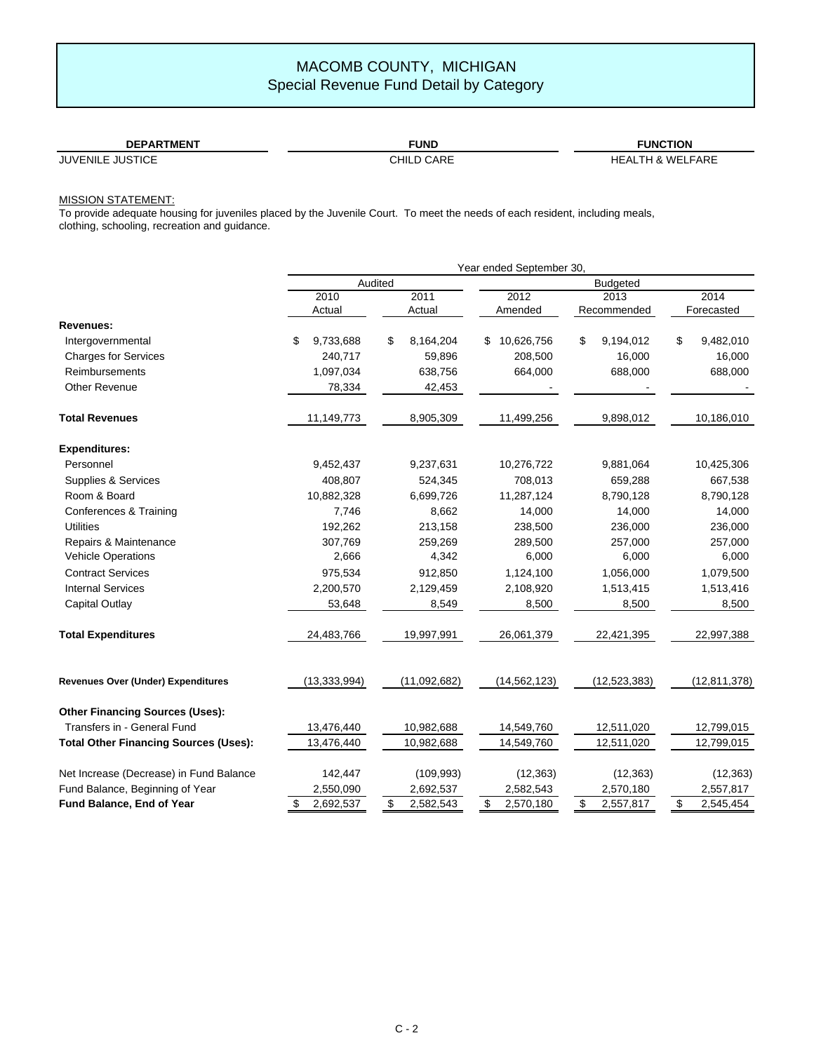| <b>DEPARTMENT</b>          | TUND.         | <b>FUNCTION</b>                       |
|----------------------------|---------------|---------------------------------------|
| <b>JUSTICE</b><br>JUVENILE | CARE<br>CHILD | _FARE<br><b>IHA WEIF</b><br>ЧE.<br>ΔI |

### MISSION STATEMENT:

To provide adequate housing for juveniles placed by the Juvenile Court. To meet the needs of each resident, including meals, clothing, schooling, recreation and guidance.

| Year ended September 30,                     |                 |                 |                 |                 |                 |  |  |  |  |
|----------------------------------------------|-----------------|-----------------|-----------------|-----------------|-----------------|--|--|--|--|
|                                              |                 | Audited         | <b>Budgeted</b> |                 |                 |  |  |  |  |
|                                              | 2010            | 2011            | 2012            | 2013            | 2014            |  |  |  |  |
|                                              | Actual          | Actual          | Amended         | Recommended     | Forecasted      |  |  |  |  |
| Revenues:                                    |                 |                 |                 |                 |                 |  |  |  |  |
| Intergovernmental                            | \$<br>9,733,688 | \$<br>8,164,204 | \$10,626,756    | \$<br>9,194,012 | \$<br>9,482,010 |  |  |  |  |
| <b>Charges for Services</b>                  | 240,717         | 59,896          | 208,500         | 16,000          | 16,000          |  |  |  |  |
| <b>Reimbursements</b>                        | 1,097,034       | 638,756         | 664,000         | 688,000         | 688,000         |  |  |  |  |
| Other Revenue                                | 78,334          | 42,453          |                 |                 |                 |  |  |  |  |
| <b>Total Revenues</b>                        | 11,149,773      | 8,905,309       | 11,499,256      | 9,898,012       | 10,186,010      |  |  |  |  |
| <b>Expenditures:</b>                         |                 |                 |                 |                 |                 |  |  |  |  |
| Personnel                                    | 9,452,437       | 9,237,631       | 10,276,722      | 9,881,064       | 10,425,306      |  |  |  |  |
| Supplies & Services                          | 408,807         | 524,345         | 708,013         | 659,288         | 667,538         |  |  |  |  |
| Room & Board                                 | 10,882,328      | 6,699,726       | 11,287,124      | 8,790,128       | 8,790,128       |  |  |  |  |
| Conferences & Training                       | 7,746           | 8,662           | 14,000          | 14,000          | 14,000          |  |  |  |  |
| <b>Utilities</b>                             | 192,262         | 213,158         | 238,500         | 236,000         | 236,000         |  |  |  |  |
| Repairs & Maintenance                        | 307,769         | 259,269         | 289,500         | 257,000         | 257,000         |  |  |  |  |
| <b>Vehicle Operations</b>                    | 2,666           | 4,342           | 6,000           | 6,000           | 6,000           |  |  |  |  |
| <b>Contract Services</b>                     | 975,534         | 912,850         | 1,124,100       | 1,056,000       | 1,079,500       |  |  |  |  |
| <b>Internal Services</b>                     | 2,200,570       | 2,129,459       | 2,108,920       | 1,513,415       | 1,513,416       |  |  |  |  |
| Capital Outlay                               | 53,648          | 8,549           | 8,500           | 8,500           | 8,500           |  |  |  |  |
| <b>Total Expenditures</b>                    | 24,483,766      | 19,997,991      | 26,061,379      | 22,421,395      | 22,997,388      |  |  |  |  |
| <b>Revenues Over (Under) Expenditures</b>    | (13, 333, 994)  | (11,092,682)    | (14, 562, 123)  | (12, 523, 383)  | (12, 811, 378)  |  |  |  |  |
| <b>Other Financing Sources (Uses):</b>       |                 |                 |                 |                 |                 |  |  |  |  |
| Transfers in - General Fund                  | 13,476,440      | 10,982,688      | 14,549,760      | 12,511,020      | 12,799,015      |  |  |  |  |
| <b>Total Other Financing Sources (Uses):</b> | 13,476,440      | 10,982,688      | 14,549,760      | 12,511,020      | 12,799,015      |  |  |  |  |
| Net Increase (Decrease) in Fund Balance      | 142,447         | (109, 993)      | (12, 363)       | (12, 363)       | (12, 363)       |  |  |  |  |
| Fund Balance, Beginning of Year              | 2,550,090       | 2,692,537       | 2,582,543       | 2,570,180       | 2,557,817       |  |  |  |  |
| Fund Balance, End of Year                    | \$<br>2,692,537 | \$<br>2,582,543 | \$<br>2,570,180 | \$<br>2,557,817 | \$<br>2,545,454 |  |  |  |  |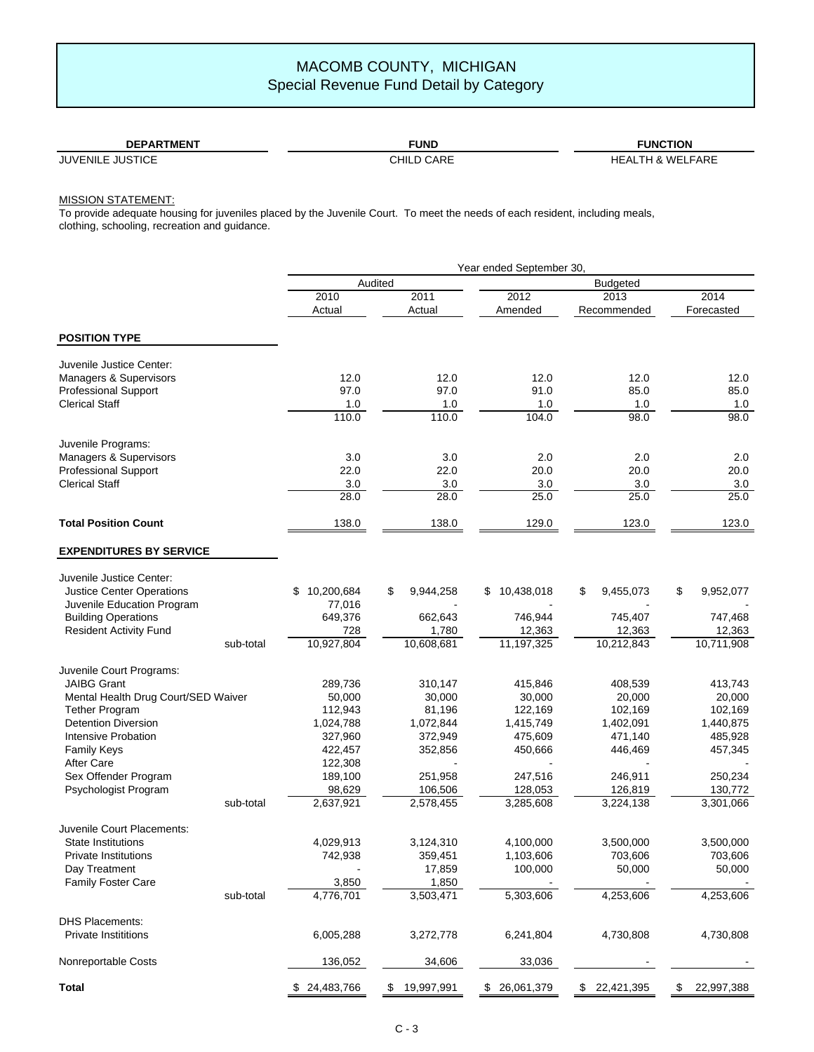| <b>DEPARTMENT</b>                    | <b>UND</b>           | 'INC.<br><b>FION</b>               |
|--------------------------------------|----------------------|------------------------------------|
| JUVENILE<br>.II IS<br>TICE<br>______ | ۱D D<br>CHIL<br>⊐רא∠ | FARE<br><b>ME</b><br>$\cdots$<br>- |

### MISSION STATEMENT:

To provide adequate housing for juveniles placed by the Juvenile Court. To meet the needs of each resident, including meals, clothing, schooling, recreation and guidance.

|                                     |           | Year ended September 30, |         |            |                  |                 |             |    |            |
|-------------------------------------|-----------|--------------------------|---------|------------|------------------|-----------------|-------------|----|------------|
|                                     |           |                          | Audited |            |                  | <b>Budgeted</b> |             |    |            |
|                                     |           | 2010                     |         | 2011       | 2012             |                 | 2013        |    | 2014       |
|                                     |           | Actual                   |         | Actual     | Amended          |                 | Recommended |    | Forecasted |
| <b>POSITION TYPE</b>                |           |                          |         |            |                  |                 |             |    |            |
|                                     |           |                          |         |            |                  |                 |             |    |            |
| Juvenile Justice Center:            |           |                          |         |            |                  |                 |             |    |            |
| Managers & Supervisors              |           | 12.0                     |         | 12.0       | 12.0             |                 | 12.0        |    | 12.0       |
| <b>Professional Support</b>         |           | 97.0                     |         | 97.0       | 91.0             |                 | 85.0        |    | 85.0       |
| <b>Clerical Staff</b>               |           | 1.0                      |         | 1.0        | 1.0              |                 | 1.0         |    | 1.0        |
|                                     |           | 110.0                    |         | 110.0      | 104.0            |                 | 98.0        |    | 98.0       |
| Juvenile Programs:                  |           |                          |         |            |                  |                 |             |    |            |
| Managers & Supervisors              |           | 3.0                      |         | 3.0        | 2.0              |                 | 2.0         |    | 2.0        |
| Professional Support                |           | 22.0                     |         | 22.0       | 20.0             |                 | 20.0        |    | 20.0       |
| <b>Clerical Staff</b>               |           | 3.0                      |         | 3.0        | 3.0              |                 | 3.0         |    | 3.0        |
|                                     |           | 28.0                     |         | 28.0       | 25.0             |                 | 25.0        |    | 25.0       |
| <b>Total Position Count</b>         |           | 138.0                    |         | 138.0      | 129.0            |                 | 123.0       |    | 123.0      |
| <b>EXPENDITURES BY SERVICE</b>      |           |                          |         |            |                  |                 |             |    |            |
| Juvenile Justice Center:            |           |                          |         |            |                  |                 |             |    |            |
| Justice Center Operations           |           | 10,200,684<br>\$         | \$      | 9,944,258  | 10,438,018<br>\$ | \$              | 9,455,073   | \$ | 9,952,077  |
| Juvenile Education Program          |           | 77,016                   |         |            |                  |                 |             |    |            |
| <b>Building Operations</b>          |           | 649,376                  |         | 662,643    | 746,944          |                 | 745,407     |    | 747,468    |
| <b>Resident Activity Fund</b>       |           | 728                      |         | 1,780      | 12,363           |                 | 12,363      |    | 12,363     |
|                                     | sub-total | 10,927,804               |         | 10,608,681 | 11,197,325       |                 | 10,212,843  |    | 10,711,908 |
| Juvenile Court Programs:            |           |                          |         |            |                  |                 |             |    |            |
| <b>JAIBG Grant</b>                  |           | 289,736                  |         | 310,147    | 415,846          |                 | 408,539     |    | 413,743    |
| Mental Health Drug Court/SED Waiver |           | 50,000                   |         | 30,000     | 30,000           |                 | 20,000      |    | 20,000     |
| <b>Tether Program</b>               |           | 112,943                  |         | 81,196     | 122,169          |                 | 102,169     |    | 102,169    |
| <b>Detention Diversion</b>          |           | 1,024,788                |         | 1,072,844  | 1,415,749        |                 | 1,402,091   |    | 1,440,875  |
| Intensive Probation                 |           | 327,960                  |         | 372,949    | 475,609          |                 | 471,140     |    | 485,928    |
| Family Keys                         |           | 422,457                  |         | 352,856    | 450,666          |                 | 446,469     |    | 457,345    |
| <b>After Care</b>                   |           | 122,308                  |         |            |                  |                 |             |    |            |
| Sex Offender Program                |           | 189,100                  |         | 251,958    | 247,516          |                 | 246,911     |    | 250,234    |
| Psychologist Program                |           | 98,629                   |         | 106,506    | 128,053          |                 | 126,819     |    | 130,772    |
|                                     | sub-total | 2,637,921                |         | 2,578,455  | 3,285,608        |                 | 3,224,138   |    | 3,301,066  |
| Juvenile Court Placements:          |           |                          |         |            |                  |                 |             |    |            |
| <b>State Institutions</b>           |           | 4,029,913                |         | 3,124,310  | 4,100,000        |                 | 3,500,000   |    | 3,500,000  |
| Private Institutions                |           | 742,938                  |         | 359,451    | 1,103,606        |                 | 703,606     |    | 703,606    |
| Day Treatment                       |           |                          |         | 17,859     | 100,000          |                 | 50,000      |    | 50,000     |
| Family Foster Care                  |           | 3,850                    |         | 1,850      |                  |                 |             |    |            |
|                                     | sub-total | 4,776,701                |         | 3,503,471  | 5,303,606        |                 | 4,253,606   |    | 4,253,606  |
| <b>DHS Placements:</b>              |           |                          |         |            |                  |                 |             |    |            |
| <b>Private Instititions</b>         |           | 6,005,288                |         | 3,272,778  | 6,241,804        |                 | 4,730,808   |    | 4,730,808  |
| Nonreportable Costs                 |           | 136,052                  |         | 34,606     | 33,036           |                 |             |    |            |
| <b>Total</b>                        |           | 24,483,766               |         | 19,997,991 | 26,061,379<br>\$ | \$              | 22,421,395  | \$ | 22,997,388 |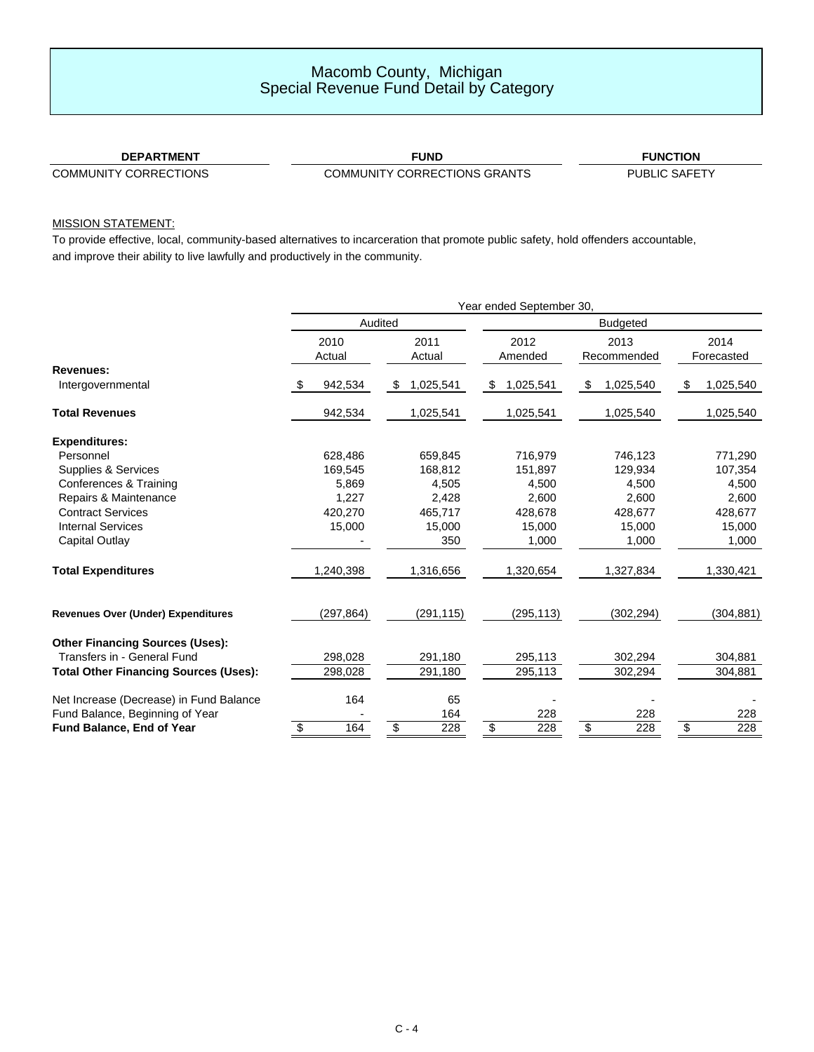### Macomb County, Michigan Special Revenue Fund Detail by Category

### **DEPARTMENT**

**FUND FUNCTION**

COMMUNITY CORRECTIONS COMMUNITY CORRECTIONS GRANTS

PUBLIC SAFETY

### MISSION STATEMENT:

To provide effective, local, community-based alternatives to incarceration that promote public safety, hold offenders accountable, and improve their ability to live lawfully and productively in the community.

|                                              | Year ended September 30, |                |                |           |                 |                 |    |                     |    |                    |  |
|----------------------------------------------|--------------------------|----------------|----------------|-----------|-----------------|-----------------|----|---------------------|----|--------------------|--|
|                                              |                          |                | Audited        |           | <b>Budgeted</b> |                 |    |                     |    |                    |  |
|                                              |                          | 2010<br>Actual | 2011<br>Actual |           |                 | 2012<br>Amended |    | 2013<br>Recommended |    | 2014<br>Forecasted |  |
| <b>Revenues:</b>                             |                          |                |                |           |                 |                 |    |                     |    |                    |  |
| Intergovernmental                            |                          | 942,534        | \$             | 1,025,541 | \$              | 1,025,541       | \$ | 1,025,540           | \$ | 1,025,540          |  |
| <b>Total Revenues</b>                        |                          | 942,534        |                | 1,025,541 |                 | 1,025,541       |    | 1,025,540           |    | 1,025,540          |  |
| <b>Expenditures:</b>                         |                          |                |                |           |                 |                 |    |                     |    |                    |  |
| Personnel                                    |                          | 628,486        |                | 659.845   |                 | 716,979         |    | 746,123             |    | 771,290            |  |
| <b>Supplies &amp; Services</b>               |                          | 169,545        |                | 168,812   |                 | 151,897         |    | 129,934             |    | 107,354            |  |
| Conferences & Training                       |                          | 5,869          |                | 4,505     |                 | 4,500           |    | 4.500               |    | 4,500              |  |
| Repairs & Maintenance                        |                          | 1,227          |                | 2,428     |                 | 2,600           |    | 2,600               |    | 2,600              |  |
| <b>Contract Services</b>                     |                          | 420,270        |                | 465,717   |                 | 428,678         |    | 428,677             |    | 428,677            |  |
| <b>Internal Services</b>                     |                          | 15,000         |                | 15,000    |                 | 15,000          |    | 15,000              |    | 15,000             |  |
| Capital Outlay                               |                          |                |                | 350       |                 | 1,000           |    | 1,000               |    | 1,000              |  |
| <b>Total Expenditures</b>                    |                          | 1,240,398      |                | 1,316,656 |                 | 1,320,654       |    | 1,327,834           |    | 1,330,421          |  |
| <b>Revenues Over (Under) Expenditures</b>    |                          | (297, 864)     |                | (291,115) |                 | (295, 113)      |    | (302, 294)          |    | (304, 881)         |  |
| <b>Other Financing Sources (Uses):</b>       |                          |                |                |           |                 |                 |    |                     |    |                    |  |
| Transfers in - General Fund                  |                          | 298,028        |                | 291,180   |                 | 295,113         |    | 302,294             |    | 304,881            |  |
| <b>Total Other Financing Sources (Uses):</b> |                          | 298,028        |                | 291,180   |                 | 295,113         |    | 302,294             |    | 304,881            |  |
| Net Increase (Decrease) in Fund Balance      |                          | 164            |                | 65        |                 |                 |    |                     |    |                    |  |
| Fund Balance, Beginning of Year              |                          |                |                | 164       |                 | 228             |    | 228                 |    | 228                |  |
| Fund Balance, End of Year                    | \$                       | 164            | \$             | 228       | \$              | 228             | \$ | 228                 | \$ | 228                |  |
|                                              |                          |                |                |           |                 |                 |    |                     |    |                    |  |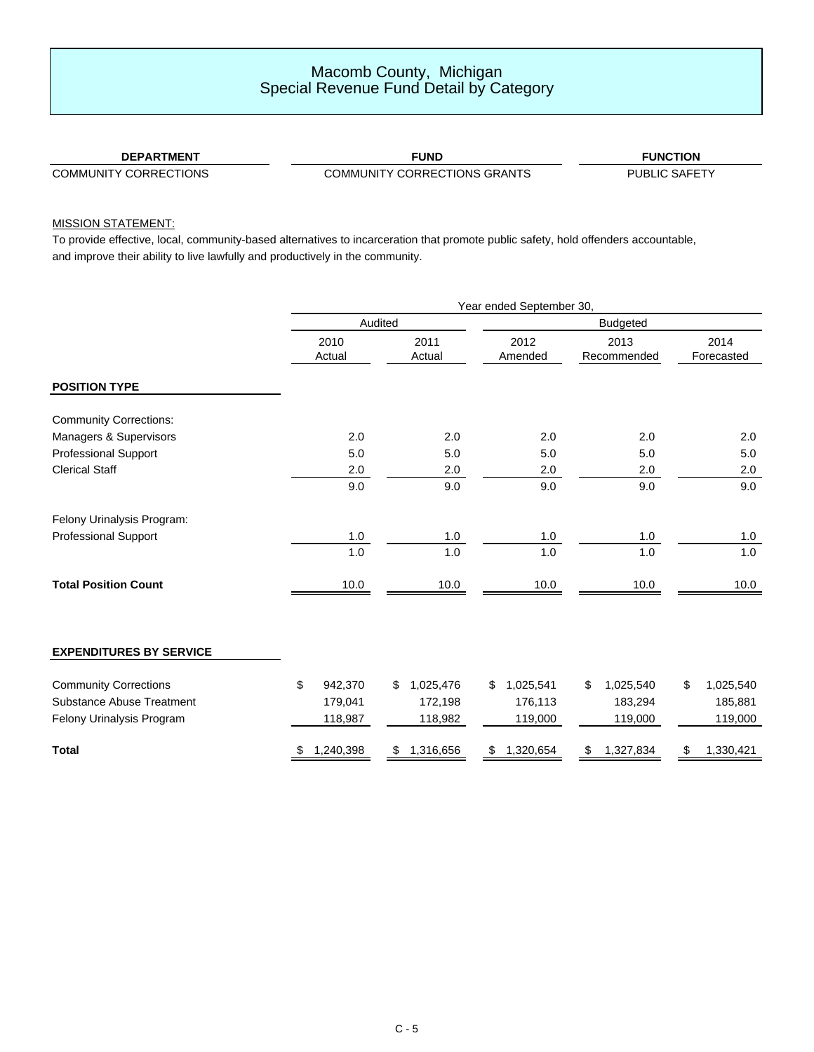### Macomb County, Michigan Special Revenue Fund Detail by Category

### **DEPARTMENT**

**FUND FUNCTION**

COMMUNITY CORRECTIONS COMMUNITY CORRECTIONS GRANTS

PUBLIC SAFETY

### MISSION STATEMENT:

To provide effective, local, community-based alternatives to incarceration that promote public safety, hold offenders accountable, and improve their ability to live lawfully and productively in the community.

|                                  | Year ended September 30, |                 |                 |                     |                    |  |
|----------------------------------|--------------------------|-----------------|-----------------|---------------------|--------------------|--|
|                                  |                          | Audited         | <b>Budgeted</b> |                     |                    |  |
|                                  | 2010<br>Actual           | 2011<br>Actual  | 2012<br>Amended | 2013<br>Recommended | 2014<br>Forecasted |  |
| <b>POSITION TYPE</b>             |                          |                 |                 |                     |                    |  |
| <b>Community Corrections:</b>    |                          |                 |                 |                     |                    |  |
| Managers & Supervisors           | 2.0                      | 2.0             | 2.0             | 2.0                 | 2.0                |  |
| <b>Professional Support</b>      | 5.0                      | 5.0             | 5.0             | 5.0                 | 5.0                |  |
| <b>Clerical Staff</b>            | 2.0                      | 2.0             | 2.0             | 2.0                 | 2.0                |  |
|                                  | 9.0                      | 9.0             | 9.0             | 9.0                 | 9.0                |  |
| Felony Urinalysis Program:       |                          |                 |                 |                     |                    |  |
| <b>Professional Support</b>      | 1.0                      | 1.0             | 1.0             | 1.0                 | 1.0                |  |
|                                  | 1.0                      | 1.0             | 1.0             | 1.0                 | 1.0                |  |
| <b>Total Position Count</b>      | 10.0                     | 10.0            | 10.0            | 10.0                | 10.0               |  |
| <b>EXPENDITURES BY SERVICE</b>   |                          |                 |                 |                     |                    |  |
| <b>Community Corrections</b>     | \$<br>942,370            | 1,025,476<br>\$ | 1,025,541<br>\$ | \$<br>1,025,540     | 1,025,540<br>\$    |  |
| <b>Substance Abuse Treatment</b> | 179,041                  | 172,198         | 176,113         | 183,294             | 185,881            |  |
| Felony Urinalysis Program        | 118,987                  | 118,982         | 119,000         | 119,000             | 119,000            |  |
| <b>Total</b>                     | 1,240,398                | 1,316,656<br>\$ | 1,320,654<br>\$ | 1,327,834<br>\$     | 1,330,421<br>\$    |  |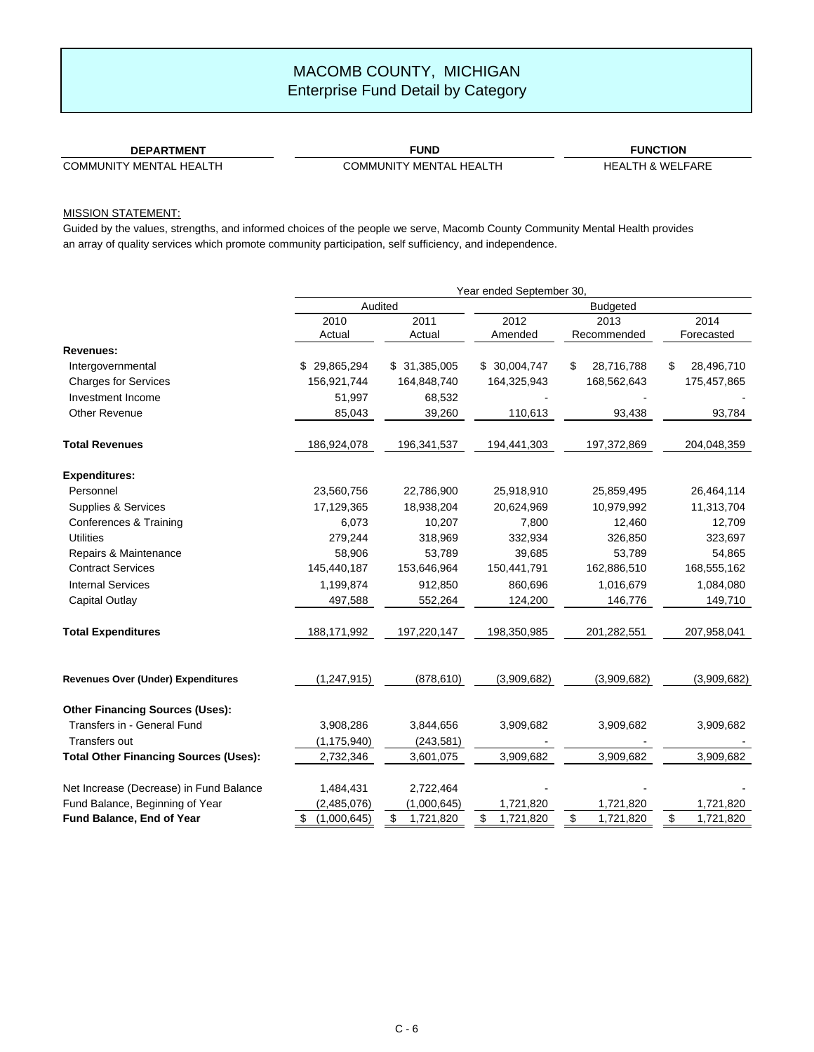### **DEPARTMENT**

COMMUNITY MENTAL HEALTH

**FUND** COMMUNITY MENTAL HEALTH

**FUNCTION** HEALTH & WELFARE

### MISSION STATEMENT:

|                                              | Year ended September 30, |                 |                 |                  |                  |  |
|----------------------------------------------|--------------------------|-----------------|-----------------|------------------|------------------|--|
|                                              | Audited                  |                 |                 |                  |                  |  |
|                                              | 2010                     | 2011            | 2012            | 2013             | 2014             |  |
|                                              | Actual                   | Actual          | Amended         | Recommended      | Forecasted       |  |
| Revenues:                                    |                          |                 |                 |                  |                  |  |
| Intergovernmental                            | \$29,865,294             | \$ 31,385,005   | \$ 30,004,747   | 28,716,788<br>\$ | 28,496,710<br>\$ |  |
| <b>Charges for Services</b>                  | 156,921,744              | 164,848,740     | 164,325,943     | 168,562,643      | 175,457,865      |  |
| Investment Income                            | 51,997                   | 68,532          |                 |                  |                  |  |
| <b>Other Revenue</b>                         | 85,043                   | 39,260          | 110,613         | 93,438           | 93,784           |  |
| <b>Total Revenues</b>                        | 186,924,078              | 196, 341, 537   | 194,441,303     | 197,372,869      | 204,048,359      |  |
| <b>Expenditures:</b>                         |                          |                 |                 |                  |                  |  |
| Personnel                                    | 23,560,756               | 22,786,900      | 25,918,910      | 25,859,495       | 26,464,114       |  |
| Supplies & Services                          | 17,129,365               | 18,938,204      | 20,624,969      | 10,979,992       | 11,313,704       |  |
| Conferences & Training                       | 6,073                    | 10,207          | 7,800           | 12,460           | 12,709           |  |
| <b>Utilities</b>                             | 279,244                  | 318,969         | 332,934         | 326,850          | 323,697          |  |
| Repairs & Maintenance                        | 58,906                   | 53,789          | 39,685          | 53,789           | 54,865           |  |
| <b>Contract Services</b>                     | 145,440,187              | 153,646,964     | 150,441,791     | 162,886,510      | 168,555,162      |  |
| <b>Internal Services</b>                     | 1,199,874                | 912,850         | 860,696         | 1,016,679        | 1,084,080        |  |
| <b>Capital Outlay</b>                        | 497,588                  | 552,264         | 124,200         | 146,776          | 149,710          |  |
| <b>Total Expenditures</b>                    | 188, 171, 992            | 197,220,147     | 198,350,985     | 201,282,551      | 207,958,041      |  |
| Revenues Over (Under) Expenditures           | (1, 247, 915)            | (878, 610)      | (3,909,682)     | (3,909,682)      | (3,909,682)      |  |
| <b>Other Financing Sources (Uses):</b>       |                          |                 |                 |                  |                  |  |
| Transfers in - General Fund                  | 3,908,286                | 3,844,656       | 3,909,682       | 3,909,682        | 3,909,682        |  |
| Transfers out                                | (1, 175, 940)            | (243, 581)      |                 |                  |                  |  |
| <b>Total Other Financing Sources (Uses):</b> | 2,732,346                | 3,601,075       | 3,909,682       | 3,909,682        | 3,909,682        |  |
| Net Increase (Decrease) in Fund Balance      | 1,484,431                | 2,722,464       |                 |                  |                  |  |
| Fund Balance, Beginning of Year              | (2,485,076)              | (1,000,645)     | 1,721,820       | 1,721,820        | 1,721,820        |  |
| Fund Balance, End of Year                    | \$<br>(1,000,645)        | \$<br>1,721,820 | \$<br>1,721,820 | \$<br>1,721,820  | \$<br>1,721,820  |  |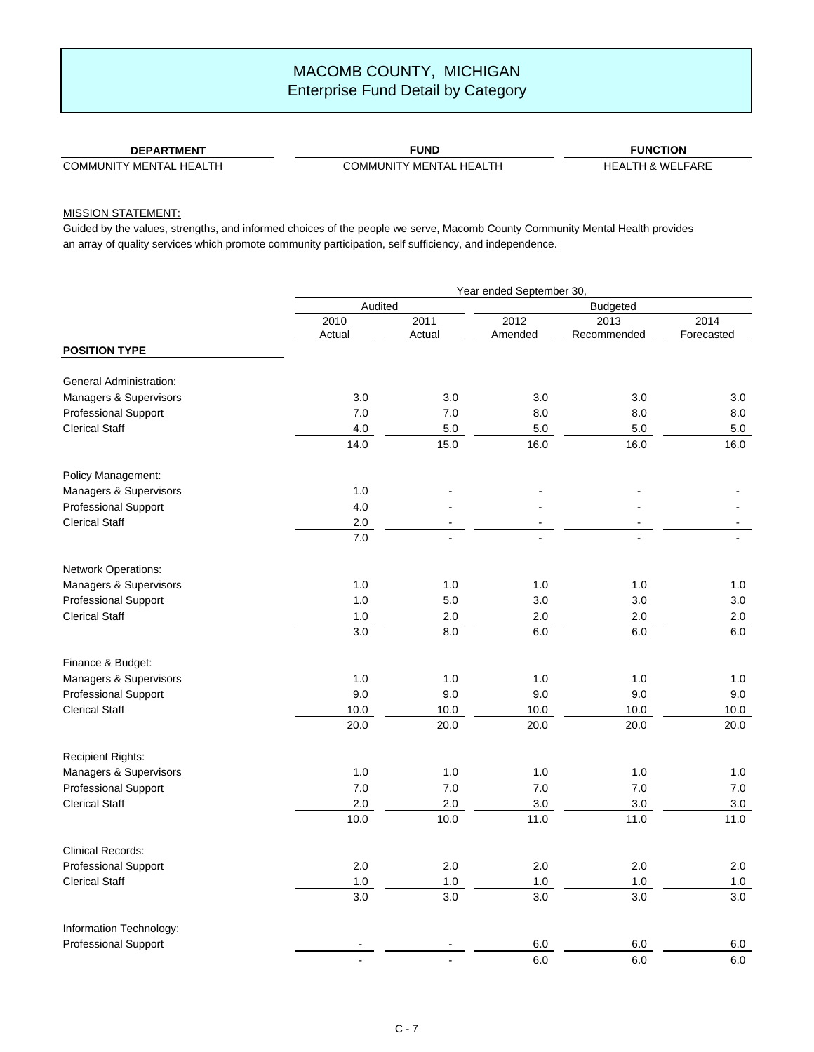### **DEPARTMENT**

COMMUNITY MENTAL HEALTH

**FUND** COMMUNITY MENTAL HEALTH

**FUNCTION** HEALTH & WELFARE

### MISSION STATEMENT:

|                                |         | Year ended September 30, |         |                 |            |  |  |
|--------------------------------|---------|--------------------------|---------|-----------------|------------|--|--|
|                                |         | Audited                  |         | <b>Budgeted</b> |            |  |  |
|                                | 2010    | 2011                     | 2012    | 2013            | 2014       |  |  |
|                                | Actual  | Actual                   | Amended | Recommended     | Forecasted |  |  |
| <b>POSITION TYPE</b>           |         |                          |         |                 |            |  |  |
| <b>General Administration:</b> |         |                          |         |                 |            |  |  |
| Managers & Supervisors         | 3.0     | 3.0                      | 3.0     | 3.0             | 3.0        |  |  |
| Professional Support           | 7.0     | 7.0                      | 8.0     | 8.0             | 8.0        |  |  |
| <b>Clerical Staff</b>          | 4.0     | $5.0\,$                  | $5.0$   | $5.0\,$         | 5.0        |  |  |
|                                | 14.0    | 15.0                     | 16.0    | 16.0            | 16.0       |  |  |
| Policy Management:             |         |                          |         |                 |            |  |  |
| Managers & Supervisors         | 1.0     |                          |         |                 |            |  |  |
| Professional Support           | 4.0     |                          |         |                 |            |  |  |
| <b>Clerical Staff</b>          | $2.0\,$ |                          |         |                 |            |  |  |
|                                | 7.0     |                          |         |                 |            |  |  |
| Network Operations:            |         |                          |         |                 |            |  |  |
| Managers & Supervisors         | 1.0     | 1.0                      | 1.0     | 1.0             | 1.0        |  |  |
| Professional Support           | 1.0     | $5.0$                    | 3.0     | 3.0             | 3.0        |  |  |
| <b>Clerical Staff</b>          | $1.0\,$ | $2.0\,$                  | 2.0     | 2.0             | 2.0        |  |  |
|                                | 3.0     | 8.0                      | $6.0\,$ | 6.0             | 6.0        |  |  |
| Finance & Budget:              |         |                          |         |                 |            |  |  |
| Managers & Supervisors         | 1.0     | 1.0                      | 1.0     | 1.0             | 1.0        |  |  |
| Professional Support           | 9.0     | 9.0                      | 9.0     | 9.0             | 9.0        |  |  |
| <b>Clerical Staff</b>          | 10.0    | 10.0                     | 10.0    | 10.0            | 10.0       |  |  |
|                                | 20.0    | 20.0                     | 20.0    | 20.0            | 20.0       |  |  |
| <b>Recipient Rights:</b>       |         |                          |         |                 |            |  |  |
| Managers & Supervisors         | 1.0     | 1.0                      | 1.0     | 1.0             | 1.0        |  |  |
| Professional Support           | 7.0     | 7.0                      | 7.0     | 7.0             | 7.0        |  |  |
| <b>Clerical Staff</b>          | 2.0     | $2.0\,$                  | $3.0\,$ | $3.0\,$         | $3.0\,$    |  |  |
|                                | 10.0    | 10.0                     | 11.0    | 11.0            | 11.0       |  |  |
| <b>Clinical Records:</b>       |         |                          |         |                 |            |  |  |
| <b>Professional Support</b>    | 2.0     | 2.0                      | 2.0     | 2.0             | 2.0        |  |  |
| <b>Clerical Staff</b>          | 1.0     | 1.0                      | 1.0     | 1.0             | 1.0        |  |  |
|                                | 3.0     | 3.0                      | 3.0     | 3.0             | 3.0        |  |  |
| Information Technology:        |         |                          |         |                 |            |  |  |
| <b>Professional Support</b>    |         |                          | $6.0\,$ | $6.0\,$         | 6.0        |  |  |
|                                |         |                          | 6.0     | 6.0             | 6.0        |  |  |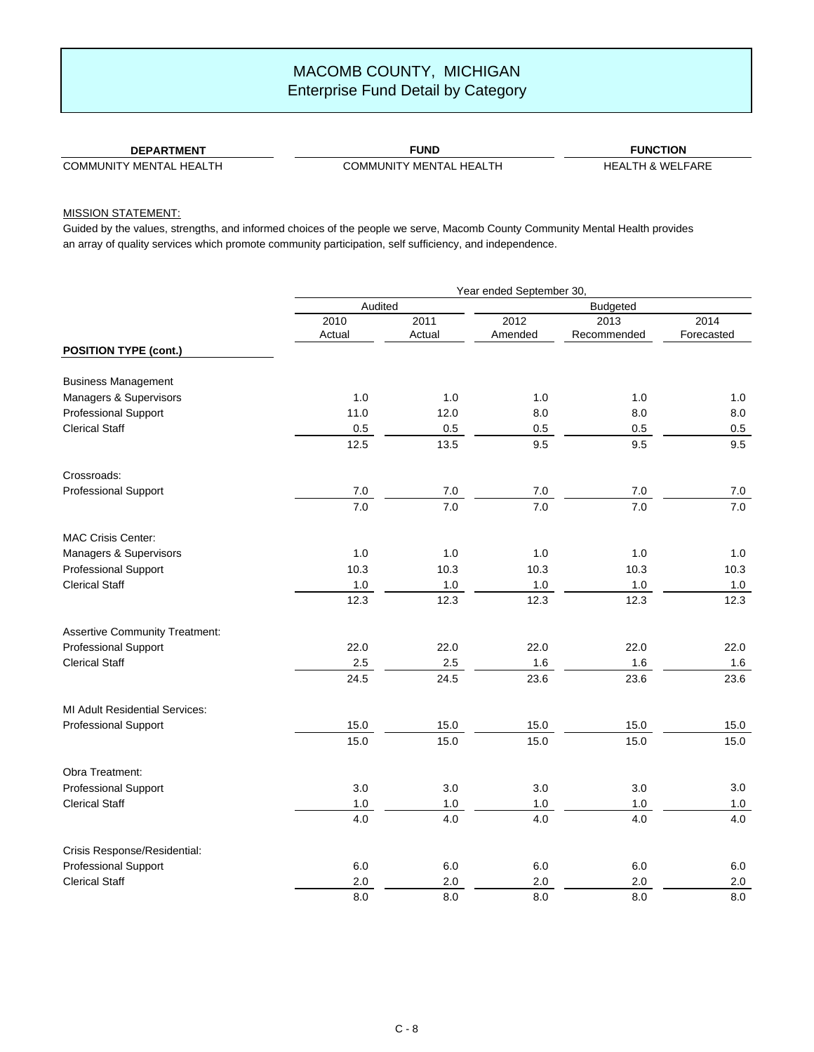#### **DEPARTMENT**

COMMUNITY MENTAL HEALTH

**FUND** COMMUNITY MENTAL HEALTH

**FUNCTION** HEALTH & WELFARE

### MISSION STATEMENT:

|                                       | Year ended September 30, |         |                 |                  |            |  |  |
|---------------------------------------|--------------------------|---------|-----------------|------------------|------------|--|--|
|                                       | Audited                  |         | <b>Budgeted</b> |                  |            |  |  |
|                                       | 2010                     | 2011    | 2012            | 2013             | 2014       |  |  |
|                                       | Actual                   | Actual  | Amended         | Recommended      | Forecasted |  |  |
| <b>POSITION TYPE (cont.)</b>          |                          |         |                 |                  |            |  |  |
| <b>Business Management</b>            |                          |         |                 |                  |            |  |  |
| Managers & Supervisors                | 1.0                      | 1.0     | 1.0             | 1.0              | 1.0        |  |  |
| Professional Support                  | 11.0                     | 12.0    | 8.0             | 8.0              | 8.0        |  |  |
| <b>Clerical Staff</b>                 | 0.5                      | 0.5     | 0.5             | 0.5              | $0.5\,$    |  |  |
|                                       | 12.5                     | 13.5    | 9.5             | 9.5              | 9.5        |  |  |
| Crossroads:                           |                          |         |                 |                  |            |  |  |
| Professional Support                  | $7.0\,$                  | 7.0     | $7.0\,$         | 7.0              | 7.0        |  |  |
|                                       | 7.0                      | 7.0     | 7.0             | $\overline{7.0}$ | 7.0        |  |  |
| <b>MAC Crisis Center:</b>             |                          |         |                 |                  |            |  |  |
| Managers & Supervisors                | 1.0                      | 1.0     | $1.0$           | 1.0              | 1.0        |  |  |
| Professional Support                  | 10.3                     | 10.3    | 10.3            | 10.3             | 10.3       |  |  |
| <b>Clerical Staff</b>                 | $1.0\,$                  | $1.0\,$ | $1.0\,$         | $1.0\,$          | $1.0\,$    |  |  |
|                                       | 12.3                     | 12.3    | 12.3            | 12.3             | 12.3       |  |  |
| <b>Assertive Community Treatment:</b> |                          |         |                 |                  |            |  |  |
| <b>Professional Support</b>           | 22.0                     | 22.0    | 22.0            | 22.0             | 22.0       |  |  |
| <b>Clerical Staff</b>                 | 2.5                      | 2.5     | $1.6$           | 1.6              | 1.6        |  |  |
|                                       | 24.5                     | 24.5    | 23.6            | 23.6             | 23.6       |  |  |
| <b>MI Adult Residential Services:</b> |                          |         |                 |                  |            |  |  |
| Professional Support                  | 15.0                     | 15.0    | 15.0            | 15.0             | 15.0       |  |  |
|                                       | 15.0                     | 15.0    | 15.0            | 15.0             | 15.0       |  |  |
| Obra Treatment:                       |                          |         |                 |                  |            |  |  |
| Professional Support                  | 3.0                      | 3.0     | 3.0             | 3.0              | 3.0        |  |  |
| <b>Clerical Staff</b>                 | $1.0$                    | $1.0$   | $1.0\,$         | $1.0\,$          | 1.0        |  |  |
|                                       | 4.0                      | 4.0     | 4.0             | 4.0              | 4.0        |  |  |
| Crisis Response/Residential:          |                          |         |                 |                  |            |  |  |
| Professional Support                  | 6.0                      | 6.0     | 6.0             | $6.0\,$          | 6.0        |  |  |
| <b>Clerical Staff</b>                 | 2.0                      | 2.0     | 2.0             | 2.0              | 2.0        |  |  |
|                                       | 8.0                      | 8.0     | 8.0             | 8.0              | 8.0        |  |  |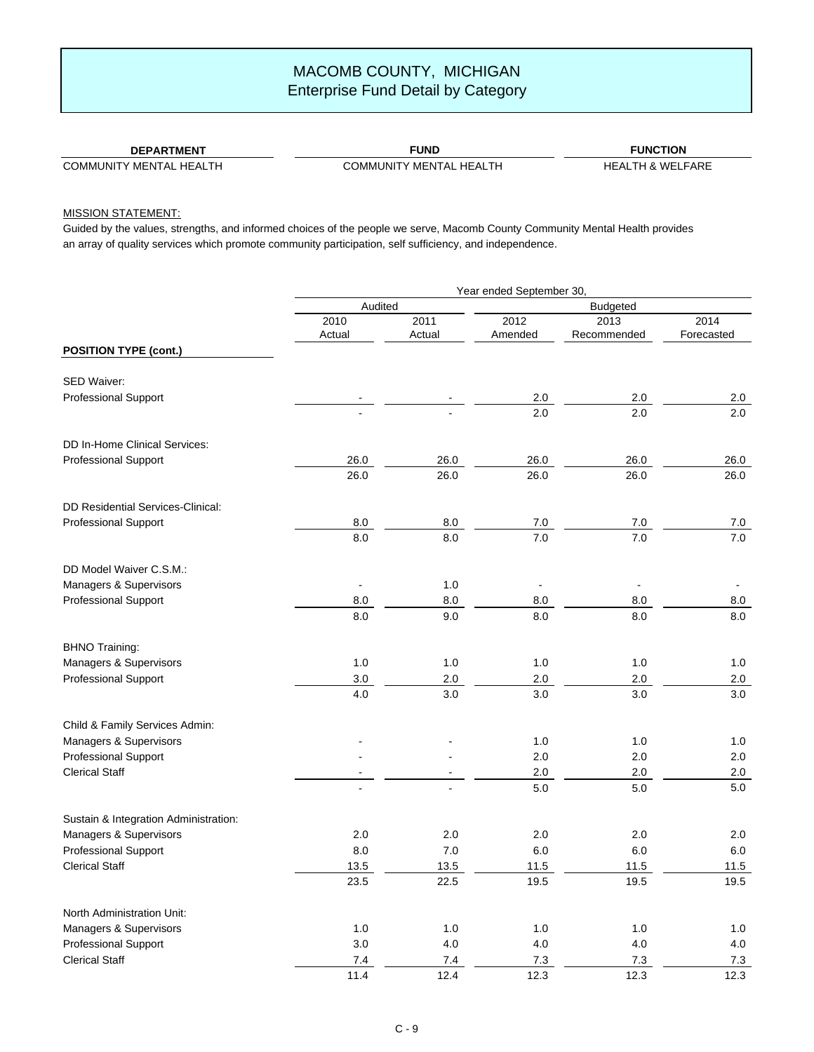#### **DEPARTMENT**

COMMUNITY MENTAL HEALTH

**FUND** COMMUNITY MENTAL HEALTH

**FUNCTION** HEALTH & WELFARE

### MISSION STATEMENT:

|                                       | Year ended September 30, |         |                |             |            |  |
|---------------------------------------|--------------------------|---------|----------------|-------------|------------|--|
|                                       | Audited                  |         |                |             |            |  |
|                                       | 2010                     | 2011    | 2012           | 2013        | 2014       |  |
|                                       | Actual                   | Actual  | Amended        | Recommended | Forecasted |  |
| <b>POSITION TYPE (cont.)</b>          |                          |         |                |             |            |  |
| SED Waiver:                           |                          |         |                |             |            |  |
| Professional Support                  |                          |         | 2.0            | 2.0         | 2.0        |  |
|                                       |                          |         | 2.0            | 2.0         | 2.0        |  |
|                                       |                          |         |                |             |            |  |
| DD In-Home Clinical Services:         |                          |         |                |             |            |  |
| <b>Professional Support</b>           | 26.0                     | 26.0    | 26.0           | 26.0        | 26.0       |  |
|                                       | 26.0                     | 26.0    | 26.0           | 26.0        | 26.0       |  |
| DD Residential Services-Clinical:     |                          |         |                |             |            |  |
| Professional Support                  | 8.0                      | 8.0     | 7.0            | 7.0         | 7.0        |  |
|                                       | 8.0                      | 8.0     | 7.0            | 7.0         | 7.0        |  |
| DD Model Waiver C.S.M.:               |                          |         |                |             |            |  |
| Managers & Supervisors                | $\blacksquare$           | 1.0     | $\blacksquare$ |             |            |  |
| Professional Support                  | 8.0                      | $8.0\,$ | 8.0            | 8.0         | 8.0        |  |
|                                       | 8.0                      | 9.0     | 8.0            | 8.0         | 8.0        |  |
| <b>BHNO Training:</b>                 |                          |         |                |             |            |  |
| Managers & Supervisors                | 1.0                      | 1.0     | 1.0            | 1.0         | 1.0        |  |
| <b>Professional Support</b>           | 3.0                      | $2.0\,$ | $2.0\,$        | 2.0         | $2.0\,$    |  |
|                                       | 4.0                      | 3.0     | 3.0            | 3.0         | 3.0        |  |
| Child & Family Services Admin:        |                          |         |                |             |            |  |
| Managers & Supervisors                |                          |         | 1.0            | 1.0         | 1.0        |  |
| <b>Professional Support</b>           |                          |         | $2.0\,$        | 2.0         | 2.0        |  |
| <b>Clerical Staff</b>                 |                          |         | $2.0\,$        | 2.0         | 2.0        |  |
|                                       |                          |         | 5.0            | $5.0\,$     | 5.0        |  |
| Sustain & Integration Administration: |                          |         |                |             |            |  |
| Managers & Supervisors                | 2.0                      | 2.0     | 2.0            | 2.0         | 2.0        |  |
| <b>Professional Support</b>           | 8.0                      | 7.0     | 6.0            | 6.0         | 6.0        |  |
| <b>Clerical Staff</b>                 | 13.5                     | 13.5    | 11.5           | 11.5        | 11.5       |  |
|                                       | 23.5                     | 22.5    | 19.5           | 19.5        | 19.5       |  |
| North Administration Unit:            |                          |         |                |             |            |  |
| Managers & Supervisors                | $1.0\,$                  | $1.0$   | $1.0\,$        | $1.0\,$     | $1.0$      |  |
| Professional Support                  | $3.0\,$                  | $4.0$   | $4.0$          | $4.0\,$     | $4.0\,$    |  |
| <b>Clerical Staff</b>                 | $7.4$                    | 7.4     | 7.3            | 7.3         | 7.3        |  |
|                                       | 11.4                     | 12.4    | 12.3           | 12.3        | 12.3       |  |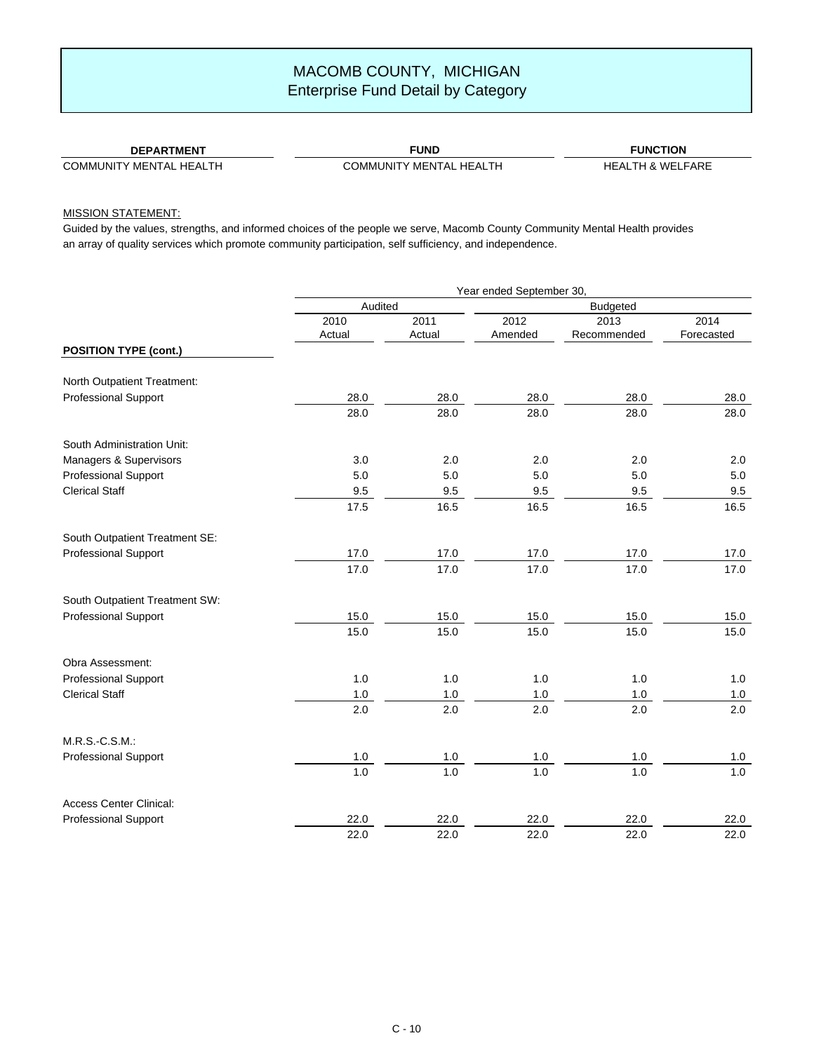### **DEPARTMENT**

COMMUNITY MENTAL HEALTH

**FUND** COMMUNITY MENTAL HEALTH

**FUNCTION** HEALTH & WELFARE

### MISSION STATEMENT:

|                                | Year ended September 30, |        |         |             |            |  |
|--------------------------------|--------------------------|--------|---------|-------------|------------|--|
|                                | Audited                  |        |         |             |            |  |
|                                | 2010                     | 2011   | 2012    | 2013        | 2014       |  |
|                                | Actual                   | Actual | Amended | Recommended | Forecasted |  |
| <b>POSITION TYPE (cont.)</b>   |                          |        |         |             |            |  |
| North Outpatient Treatment:    |                          |        |         |             |            |  |
| Professional Support           | 28.0                     | 28.0   | 28.0    | 28.0        | 28.0       |  |
|                                | 28.0                     | 28.0   | 28.0    | 28.0        | 28.0       |  |
| South Administration Unit:     |                          |        |         |             |            |  |
| Managers & Supervisors         | 3.0                      | 2.0    | 2.0     | 2.0         | 2.0        |  |
| Professional Support           | 5.0                      | 5.0    | 5.0     | 5.0         | 5.0        |  |
| <b>Clerical Staff</b>          | 9.5                      | 9.5    | 9.5     | 9.5         | 9.5        |  |
|                                | 17.5                     | 16.5   | 16.5    | 16.5        | 16.5       |  |
| South Outpatient Treatment SE: |                          |        |         |             |            |  |
| <b>Professional Support</b>    | 17.0                     | 17.0   | 17.0    | 17.0        | 17.0       |  |
|                                | 17.0                     | 17.0   | 17.0    | 17.0        | 17.0       |  |
| South Outpatient Treatment SW: |                          |        |         |             |            |  |
| <b>Professional Support</b>    | 15.0                     | 15.0   | 15.0    | 15.0        | 15.0       |  |
|                                | 15.0                     | 15.0   | 15.0    | 15.0        | 15.0       |  |
| Obra Assessment:               |                          |        |         |             |            |  |
| <b>Professional Support</b>    | 1.0                      | 1.0    | 1.0     | 1.0         | 1.0        |  |
| <b>Clerical Staff</b>          | $1.0$                    | $1.0$  | $1.0\,$ | $1.0\,$     | $1.0\,$    |  |
|                                | 2.0                      | 2.0    | 2.0     | 2.0         | 2.0        |  |
| M.R.S.-C.S.M.:                 |                          |        |         |             |            |  |
| <b>Professional Support</b>    | $1.0$                    | $1.0$  | $1.0\,$ | $1.0\,$     | 1.0        |  |
|                                | 1.0                      | 1.0    | 1.0     | 1.0         | $1.0$      |  |
| <b>Access Center Clinical:</b> |                          |        |         |             |            |  |
| Professional Support           | 22.0                     | 22.0   | 22.0    | 22.0        | 22.0       |  |
|                                | 22.0                     | 22.0   | 22.0    | 22.0        | 22.0       |  |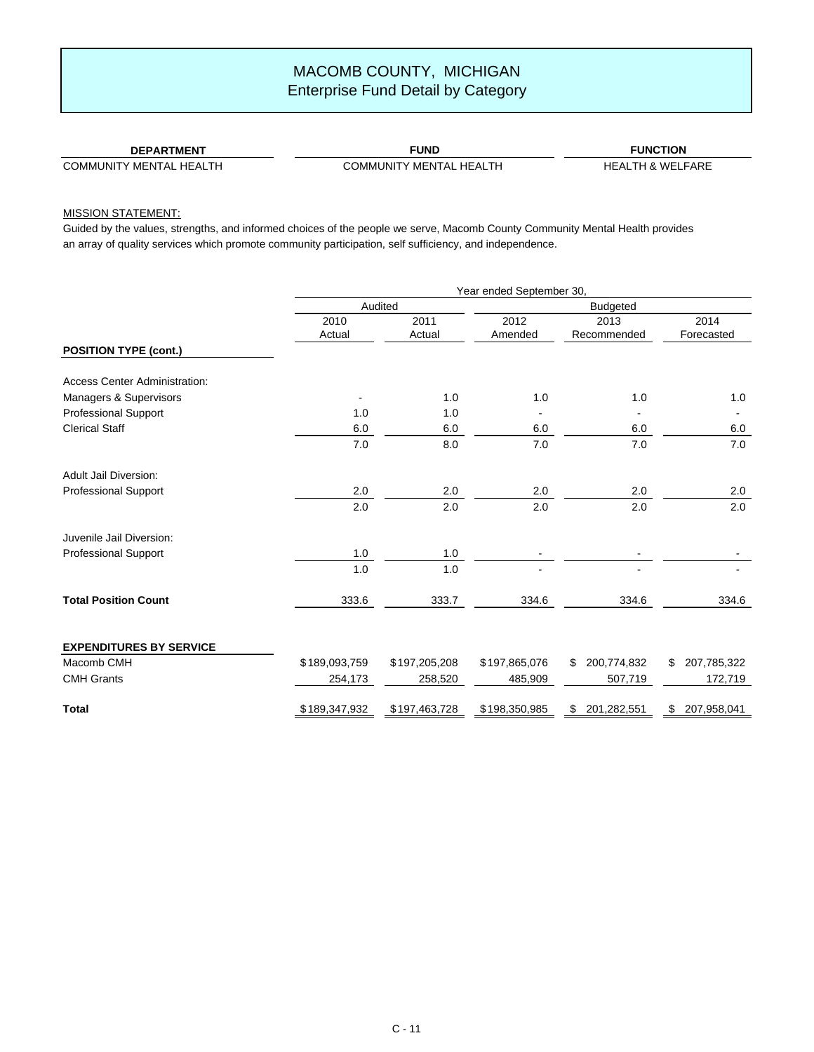### **DEPARTMENT**

COMMUNITY MENTAL HEALTH

**FUND** COMMUNITY MENTAL HEALTH

**FUNCTION** HEALTH & WELFARE

### MISSION STATEMENT:

|                                      | Year ended September 30, |                |                 |                     |                    |
|--------------------------------------|--------------------------|----------------|-----------------|---------------------|--------------------|
|                                      | Audited                  |                | <b>Budgeted</b> |                     |                    |
|                                      | 2010<br>Actual           | 2011<br>Actual | 2012<br>Amended | 2013<br>Recommended | 2014<br>Forecasted |
| <b>POSITION TYPE (cont.)</b>         |                          |                |                 |                     |                    |
| <b>Access Center Administration:</b> |                          |                |                 |                     |                    |
| Managers & Supervisors               |                          | 1.0            | 1.0             | 1.0                 | 1.0                |
| <b>Professional Support</b>          | 1.0                      | 1.0            |                 |                     |                    |
| <b>Clerical Staff</b>                | 6.0                      | 6.0            | 6.0             | 6.0                 | 6.0                |
|                                      | 7.0                      | 8.0            | 7.0             | 7.0                 | 7.0                |
| Adult Jail Diversion:                |                          |                |                 |                     |                    |
| <b>Professional Support</b>          | 2.0                      | 2.0            | 2.0             | 2.0                 | 2.0                |
|                                      | 2.0                      | 2.0            | 2.0             | 2.0                 | 2.0                |
| Juvenile Jail Diversion:             |                          |                |                 |                     |                    |
| <b>Professional Support</b>          | 1.0                      | 1.0            |                 |                     |                    |
|                                      | 1.0                      | 1.0            |                 |                     |                    |
| <b>Total Position Count</b>          | 333.6                    | 333.7          | 334.6           | 334.6               | 334.6              |
| <b>EXPENDITURES BY SERVICE</b>       |                          |                |                 |                     |                    |
| Macomb CMH                           | \$189,093,759            | \$197,205,208  | \$197,865,076   | \$<br>200,774,832   | 207,785,322<br>\$. |
| <b>CMH Grants</b>                    | 254,173                  | 258,520        | 485,909         | 507,719             | 172,719            |
| <b>Total</b>                         | \$189,347,932            | \$197,463,728  | \$198,350,985   | 201,282,551<br>\$   | 207,958,041<br>\$  |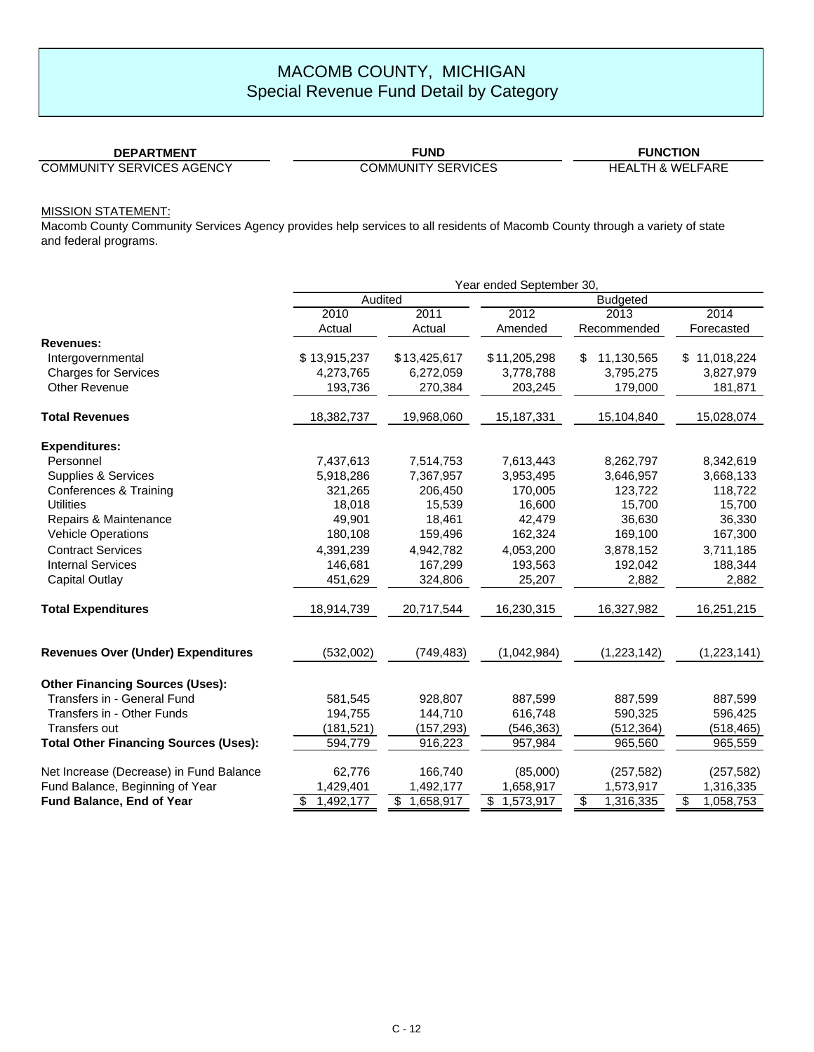### **DEPARTMENT**

**FUND**

# **FUNCTION**

COMMUNITY SERVICES AGENCY

COMMUNITY SERVICES HEALTH & WELFARE

### MISSION STATEMENT:

| Year ended September 30, |                                                       |                                                                                   |                                                                      |                                                                                                         |  |
|--------------------------|-------------------------------------------------------|-----------------------------------------------------------------------------------|----------------------------------------------------------------------|---------------------------------------------------------------------------------------------------------|--|
|                          |                                                       |                                                                                   |                                                                      |                                                                                                         |  |
| 2010                     | 2011                                                  | 2012                                                                              | 2013                                                                 | 2014                                                                                                    |  |
| Actual                   | Actual                                                | Amended                                                                           | Recommended                                                          | Forecasted                                                                                              |  |
|                          |                                                       |                                                                                   |                                                                      |                                                                                                         |  |
| \$13,915,237             |                                                       | \$11,205,298                                                                      | \$                                                                   | \$11,018,224                                                                                            |  |
| 4,273,765                | 6,272,059                                             | 3,778,788                                                                         | 3,795,275                                                            | 3,827,979                                                                                               |  |
| 193,736                  | 270,384                                               | 203,245                                                                           | 179,000                                                              | 181,871                                                                                                 |  |
| 18,382,737               | 19,968,060                                            | 15,187,331                                                                        | 15,104,840                                                           | 15,028,074                                                                                              |  |
|                          |                                                       |                                                                                   |                                                                      |                                                                                                         |  |
| 7,437,613                | 7,514,753                                             | 7,613,443                                                                         | 8,262,797                                                            | 8,342,619                                                                                               |  |
| 5,918,286                | 7,367,957                                             | 3,953,495                                                                         | 3,646,957                                                            | 3,668,133                                                                                               |  |
| 321,265                  | 206,450                                               | 170,005                                                                           | 123,722                                                              | 118,722                                                                                                 |  |
| 18,018                   | 15,539                                                | 16,600                                                                            | 15,700                                                               | 15,700                                                                                                  |  |
| 49.901                   | 18,461                                                | 42,479                                                                            | 36.630                                                               | 36,330                                                                                                  |  |
|                          |                                                       |                                                                                   |                                                                      | 167,300                                                                                                 |  |
| 4,391,239                | 4,942,782                                             | 4,053,200                                                                         | 3,878,152                                                            | 3,711,185                                                                                               |  |
| 146,681                  | 167,299                                               | 193,563                                                                           | 192,042                                                              | 188,344                                                                                                 |  |
| 451,629                  | 324,806                                               | 25,207                                                                            | 2,882                                                                | 2,882                                                                                                   |  |
| 18,914,739               | 20,717,544                                            | 16,230,315                                                                        | 16,327,982                                                           | 16,251,215                                                                                              |  |
| (532,002)                | (749, 483)                                            | (1,042,984)                                                                       | (1,223,142)                                                          | (1,223,141)                                                                                             |  |
|                          |                                                       |                                                                                   |                                                                      |                                                                                                         |  |
|                          |                                                       |                                                                                   |                                                                      | 887,599                                                                                                 |  |
|                          |                                                       |                                                                                   |                                                                      | 596,425                                                                                                 |  |
|                          |                                                       |                                                                                   |                                                                      | (518, 465)                                                                                              |  |
| 594,779                  | 916,223                                               | 957,984                                                                           | 965,560                                                              | 965,559                                                                                                 |  |
|                          |                                                       |                                                                                   |                                                                      | (257, 582)                                                                                              |  |
| 1,429,401                | 1,492,177                                             |                                                                                   |                                                                      | 1,316,335                                                                                               |  |
| 1,492,177<br>\$          | \$1,658,917                                           | \$1,573,917                                                                       | \$<br>1,316,335                                                      | \$<br>1,058,753                                                                                         |  |
|                          | 180,108<br>581,545<br>194,755<br>(181, 521)<br>62,776 | Audited<br>\$13,425,617<br>159,496<br>928,807<br>144,710<br>(157, 293)<br>166,740 | 162,324<br>887,599<br>616,748<br>(546, 363)<br>(85,000)<br>1,658,917 | <b>Budgeted</b><br>11,130,565<br>169,100<br>887,599<br>590,325<br>(512, 364)<br>(257, 582)<br>1,573,917 |  |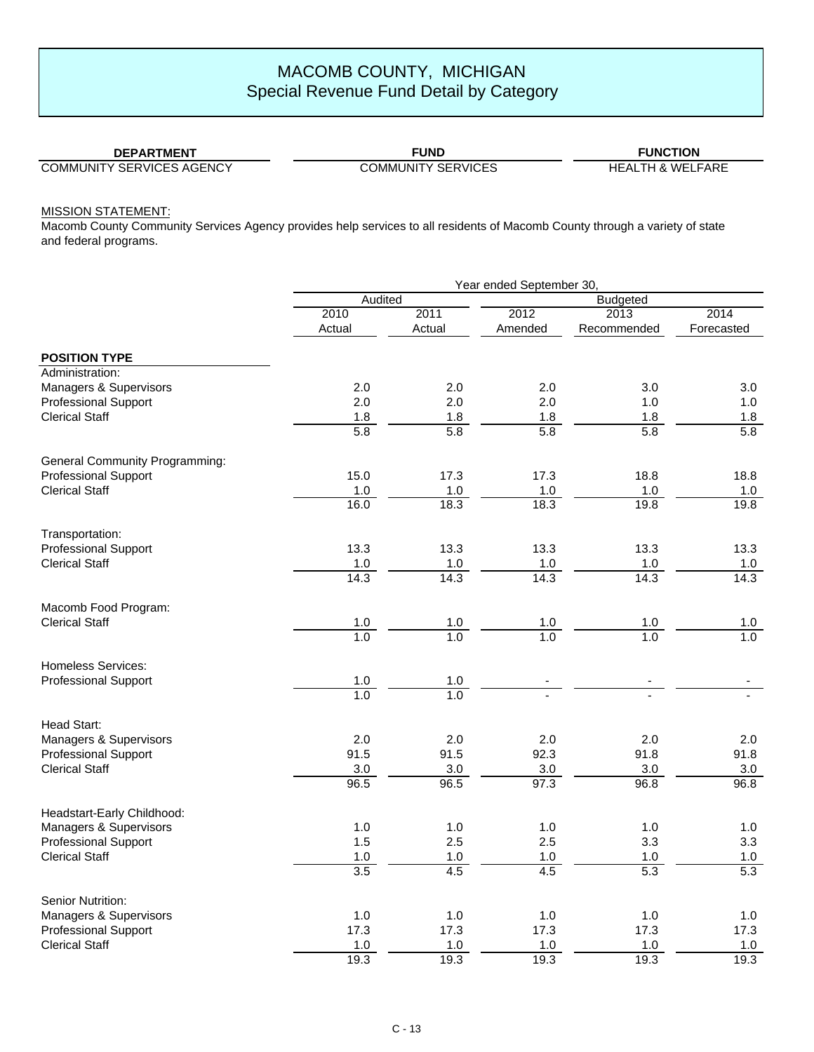### **DEPARTMENT**

**FUND**

# **FUNCTION**

COMMUNITY SERVICES AGENCY

COMMUNITY SERVICES HEALTH & WELFARE

### MISSION STATEMENT:

|                                       | Year ended September 30, |                   |                   |                 |                   |
|---------------------------------------|--------------------------|-------------------|-------------------|-----------------|-------------------|
|                                       | Audited                  |                   |                   | <b>Budgeted</b> |                   |
|                                       | 2010                     | 2011              | 2012              | 2013            | 2014              |
|                                       | Actual                   | Actual            | Amended           | Recommended     | Forecasted        |
| <b>POSITION TYPE</b>                  |                          |                   |                   |                 |                   |
| Administration:                       |                          |                   |                   |                 |                   |
| Managers & Supervisors                | 2.0                      | 2.0               | 2.0               | 3.0             | 3.0               |
| <b>Professional Support</b>           | 2.0                      | 2.0               | 2.0               | 1.0             | 1.0               |
| <b>Clerical Staff</b>                 | 1.8                      | 1.8               | 1.8               | 1.8             | 1.8               |
|                                       | 5.8                      | 5.8               | 5.8               | 5.8             | 5.8               |
| <b>General Community Programming:</b> |                          |                   |                   |                 |                   |
| <b>Professional Support</b>           | 15.0                     | 17.3              | 17.3              | 18.8            | 18.8              |
| <b>Clerical Staff</b>                 | $1.0$                    | $1.0$             | $1.0$             | $1.0$           | $1.0$             |
|                                       | 16.0                     | 18.3              | 18.3              | 19.8            | 19.8              |
| Transportation:                       |                          |                   |                   |                 |                   |
| <b>Professional Support</b>           | 13.3                     | 13.3              | 13.3              | 13.3            | 13.3              |
| <b>Clerical Staff</b>                 | $1.0$                    | $1.0\,$           | $1.0$             | $1.0\,$         | $1.0$             |
|                                       | 14.3                     | 14.3              | 14.3              | 14.3            | 14.3              |
| Macomb Food Program:                  |                          |                   |                   |                 |                   |
| <b>Clerical Staff</b>                 | $\frac{1.0}{1.0}$        | $\frac{1.0}{1.0}$ | $\frac{1.0}{1.0}$ | 1.0             | $\frac{1.0}{1.0}$ |
|                                       |                          |                   |                   | 1.0             |                   |
| <b>Homeless Services:</b>             |                          |                   |                   |                 |                   |
| <b>Professional Support</b>           | $1.0$                    | 1.0               |                   |                 |                   |
|                                       | 1.0                      | 1.0               |                   |                 |                   |
| Head Start:                           |                          |                   |                   |                 |                   |
| Managers & Supervisors                | 2.0                      | 2.0               | 2.0               | 2.0             | 2.0               |
| <b>Professional Support</b>           | 91.5                     | 91.5              | 92.3              | 91.8            | 91.8              |
| <b>Clerical Staff</b>                 | 3.0                      | 3.0               | 3.0               | 3.0             | 3.0               |
|                                       | 96.5                     | 96.5              | 97.3              | 96.8            | 96.8              |
| Headstart-Early Childhood:            |                          |                   |                   |                 |                   |
| Managers & Supervisors                | 1.0                      | 1.0               | 1.0               | 1.0             | 1.0               |
| <b>Professional Support</b>           | 1.5                      | 2.5               | 2.5               | 3.3             | 3.3               |
| <b>Clerical Staff</b>                 | $1.0$                    | 1.0               | $1.0\,$           | $1.0$           | $1.0$             |
|                                       | 3.5                      | 4.5               | 4.5               | 5.3             | 5.3               |
| Senior Nutrition:                     |                          |                   |                   |                 |                   |
| Managers & Supervisors                | 1.0                      | 1.0               | 1.0               | 1.0             | 1.0               |
| <b>Professional Support</b>           | 17.3                     | 17.3              | 17.3              | 17.3            | 17.3              |
| <b>Clerical Staff</b>                 | 1.0                      | 1.0               | 1.0               | 1.0             | 1.0               |
|                                       | 19.3                     | 19.3              | 19.3              | 19.3            | 19.3              |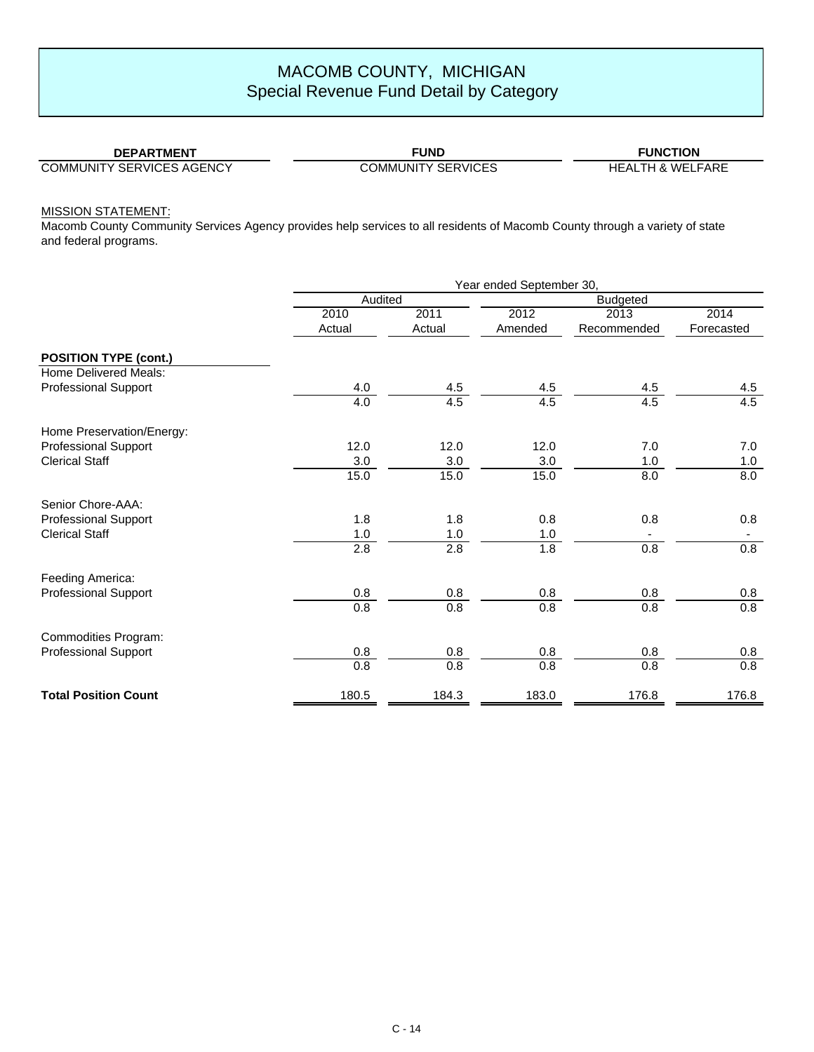**FUND**

# **FUNCTION**

COMMUNITY SERVICES AGENCY

COMMUNITY SERVICES HEALTH & WELFARE

MISSION STATEMENT:

|                              | Year ended September 30, |                |                 |                     |                    |
|------------------------------|--------------------------|----------------|-----------------|---------------------|--------------------|
|                              | Audited                  |                |                 |                     |                    |
|                              | 2010<br>Actual           | 2011<br>Actual | 2012<br>Amended | 2013<br>Recommended | 2014<br>Forecasted |
| <b>POSITION TYPE (cont.)</b> |                          |                |                 |                     |                    |
| <b>Home Delivered Meals:</b> |                          |                |                 |                     |                    |
| <b>Professional Support</b>  | 4.0                      | 4.5            | 4.5             | 4.5                 | 4.5                |
|                              | 4.0                      | 4.5            | 4.5             | 4.5                 | 4.5                |
| Home Preservation/Energy:    |                          |                |                 |                     |                    |
| <b>Professional Support</b>  | 12.0                     | 12.0           | 12.0            | 7.0                 | 7.0                |
| <b>Clerical Staff</b>        | 3.0                      | 3.0            | 3.0             | 1.0                 | 1.0                |
|                              | 15.0                     | 15.0           | 15.0            | 8.0                 | 8.0                |
| Senior Chore-AAA:            |                          |                |                 |                     |                    |
| <b>Professional Support</b>  | 1.8                      | 1.8            | 0.8             | 0.8                 | 0.8                |
| <b>Clerical Staff</b>        | 1.0                      | $1.0$          | 1.0             |                     |                    |
|                              | 2.8                      | 2.8            | 1.8             | 0.8                 | 0.8                |
| Feeding America:             |                          |                |                 |                     |                    |
| <b>Professional Support</b>  | 0.8                      | 0.8            | 0.8             | 0.8                 | 0.8                |
|                              | 0.8                      | 0.8            | 0.8             | 0.8                 | 0.8                |
| Commodities Program:         |                          |                |                 |                     |                    |
| <b>Professional Support</b>  | 0.8                      | 0.8            | 0.8             | 0.8                 | 0.8                |
|                              | 0.8                      | 0.8            | 0.8             | 0.8                 | 0.8                |
| <b>Total Position Count</b>  | 180.5                    | 184.3          | 183.0           | 176.8               | 176.8              |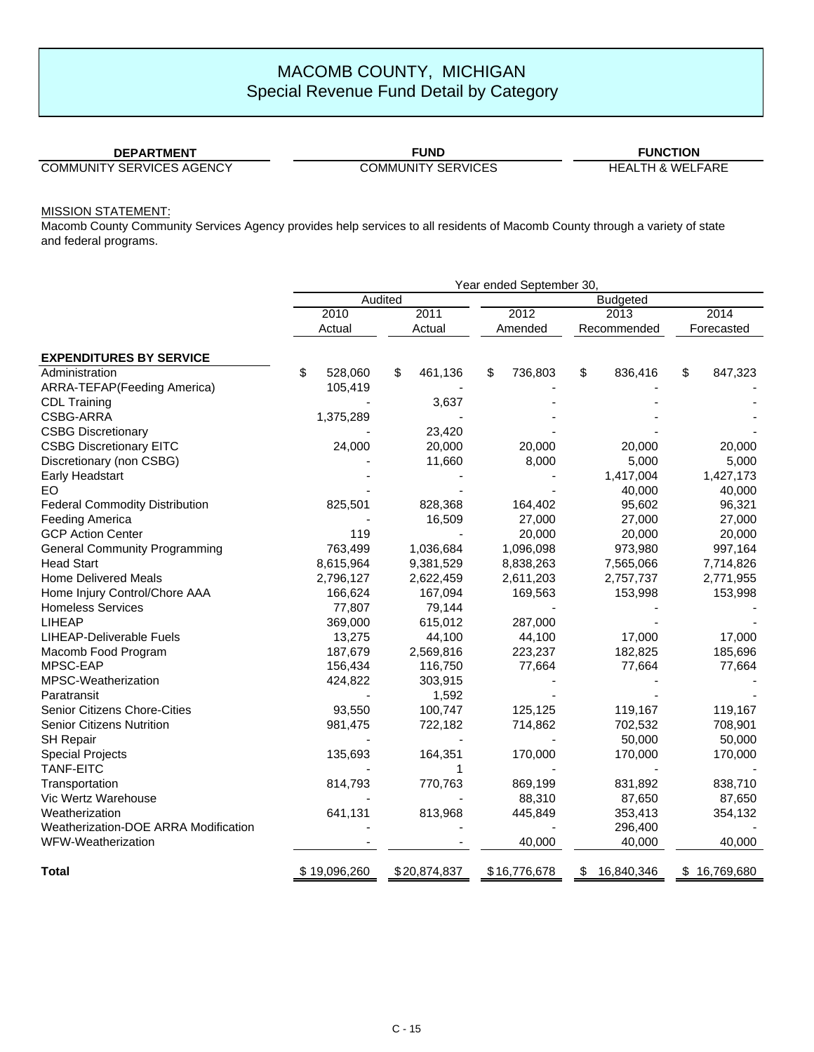### **DEPARTMENT**

**FUND**

# **FUNCTION**

COMMUNITY SERVICES AGENCY

COMMUNITY SERVICES HEALTH & WELFARE

### MISSION STATEMENT:

|                                       | Year ended September 30, |               |               |                  |               |  |
|---------------------------------------|--------------------------|---------------|---------------|------------------|---------------|--|
|                                       |                          | Audited       |               | <b>Budgeted</b>  |               |  |
|                                       | 2010                     | 2011          | 2012          | 2013             | 2014          |  |
|                                       | Actual                   | Actual        | Amended       | Recommended      | Forecasted    |  |
| <b>EXPENDITURES BY SERVICE</b>        |                          |               |               |                  |               |  |
| Administration                        | \$<br>528,060            | \$<br>461,136 | 736,803<br>\$ | \$<br>836,416    | \$<br>847,323 |  |
| <b>ARRA-TEFAP</b> (Feeding America)   | 105,419                  |               |               |                  |               |  |
| <b>CDL Training</b>                   |                          | 3,637         |               |                  |               |  |
| CSBG-ARRA                             | 1,375,289                |               |               |                  |               |  |
| <b>CSBG Discretionary</b>             |                          | 23,420        |               |                  |               |  |
| <b>CSBG Discretionary EITC</b>        | 24,000                   | 20,000        | 20,000        | 20,000           | 20,000        |  |
| Discretionary (non CSBG)              |                          | 11,660        | 8,000         | 5,000            | 5,000         |  |
| Early Headstart                       |                          |               |               | 1,417,004        | 1,427,173     |  |
| EO                                    |                          |               |               | 40,000           | 40,000        |  |
| <b>Federal Commodity Distribution</b> | 825,501                  | 828,368       | 164,402       | 95,602           | 96,321        |  |
| Feeding America                       |                          | 16,509        | 27,000        | 27,000           | 27,000        |  |
| <b>GCP Action Center</b>              | 119                      |               | 20,000        | 20,000           | 20,000        |  |
| <b>General Community Programming</b>  | 763,499                  | 1,036,684     | 1,096,098     | 973,980          | 997,164       |  |
| <b>Head Start</b>                     | 8,615,964                | 9,381,529     | 8,838,263     | 7,565,066        | 7,714,826     |  |
| <b>Home Delivered Meals</b>           | 2,796,127                | 2,622,459     | 2,611,203     | 2,757,737        | 2,771,955     |  |
| Home Injury Control/Chore AAA         | 166,624                  | 167,094       | 169,563       | 153,998          | 153,998       |  |
| <b>Homeless Services</b>              | 77,807                   | 79,144        |               |                  |               |  |
| <b>LIHEAP</b>                         | 369,000                  | 615,012       | 287,000       |                  |               |  |
| <b>LIHEAP-Deliverable Fuels</b>       | 13,275                   | 44,100        | 44,100        | 17,000           | 17,000        |  |
| Macomb Food Program                   | 187,679                  | 2,569,816     | 223,237       | 182,825          | 185,696       |  |
| MPSC-EAP                              | 156,434                  | 116,750       | 77,664        | 77,664           | 77,664        |  |
| MPSC-Weatherization                   | 424,822                  | 303,915       |               |                  |               |  |
| Paratransit                           |                          | 1,592         |               |                  |               |  |
| Senior Citizens Chore-Cities          | 93,550                   | 100,747       | 125,125       | 119,167          | 119,167       |  |
| <b>Senior Citizens Nutrition</b>      | 981,475                  | 722,182       | 714,862       | 702,532          | 708,901       |  |
| <b>SH Repair</b>                      |                          |               |               | 50,000           | 50,000        |  |
| <b>Special Projects</b>               | 135,693                  | 164,351       | 170,000       | 170,000          | 170,000       |  |
| <b>TANF-EITC</b>                      |                          |               |               |                  |               |  |
| Transportation                        | 814,793                  | 770,763       | 869,199       | 831,892          | 838,710       |  |
| Vic Wertz Warehouse                   |                          |               | 88,310        | 87,650           | 87,650        |  |
| Weatherization                        | 641,131                  | 813,968       | 445,849       | 353,413          | 354,132       |  |
| Weatherization-DOE ARRA Modification  |                          |               |               | 296,400          |               |  |
| WFW-Weatherization                    |                          |               | 40,000        | 40,000           | 40,000        |  |
| Total                                 | \$19,096,260             | \$20,874,837  | \$16,776,678  | 16,840,346<br>S. | \$16,769,680  |  |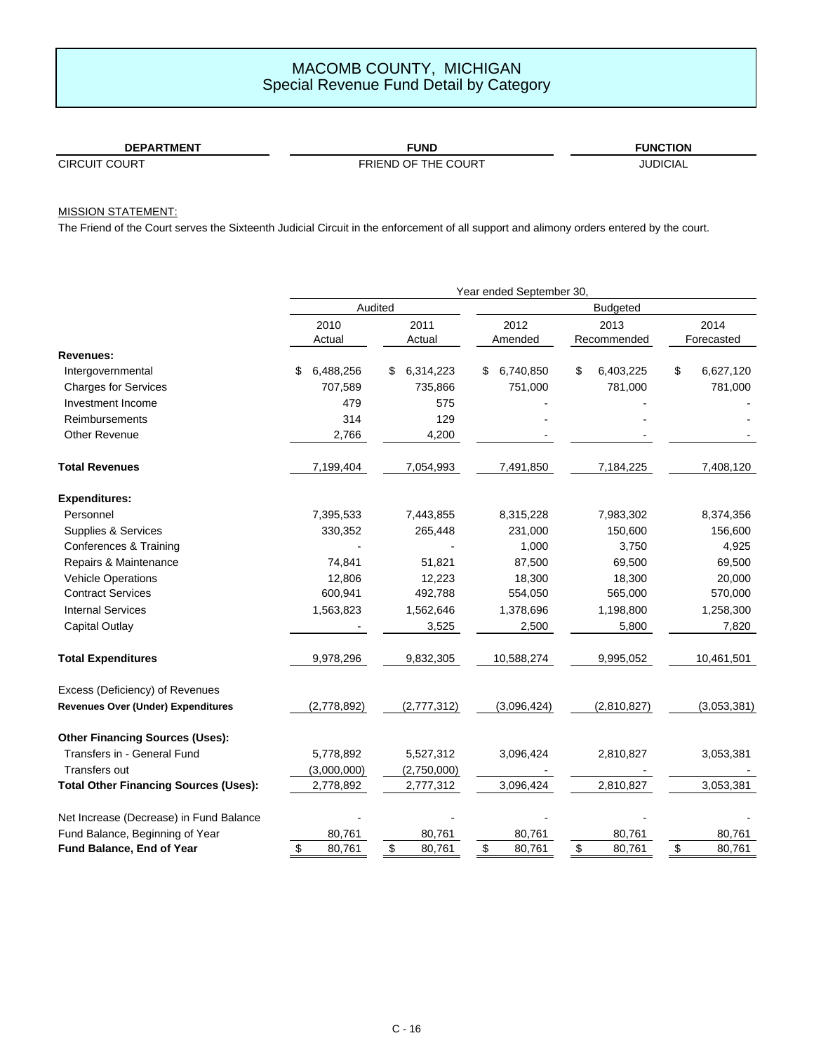| <b>DEPARTMENT</b>         | <b>FUNL</b>                    | <b>FUNCTION</b> |
|---------------------------|--------------------------------|-----------------|
| <b>CIRCUIT</b><br>. COURT | FRIEND<br>THE COURT<br>* OF ں. | <b>JUDICIAL</b> |

# MISSION STATEMENT:

The Friend of the Court serves the Sixteenth Judicial Circuit in the enforcement of all support and alimony orders entered by the court.

|                                              | Year ended September 30, |                |                 |                 |                 |  |  |  |  |  |
|----------------------------------------------|--------------------------|----------------|-----------------|-----------------|-----------------|--|--|--|--|--|
|                                              |                          | Audited        | <b>Budgeted</b> |                 |                 |  |  |  |  |  |
|                                              | 2010                     | 2011           | 2012            | 2013            | 2014            |  |  |  |  |  |
|                                              | Actual                   | Actual         | Amended         | Recommended     | Forecasted      |  |  |  |  |  |
| Revenues:                                    |                          |                |                 |                 |                 |  |  |  |  |  |
| Intergovernmental                            | 6,488,256<br>\$          | 6,314,223<br>S | 6,740,850<br>S  | \$<br>6,403,225 | \$<br>6,627,120 |  |  |  |  |  |
| <b>Charges for Services</b>                  | 707,589                  | 735,866        | 751,000         | 781,000         | 781,000         |  |  |  |  |  |
| Investment Income                            | 479                      | 575            |                 |                 |                 |  |  |  |  |  |
| Reimbursements                               | 314                      | 129            |                 |                 |                 |  |  |  |  |  |
| <b>Other Revenue</b>                         | 2,766                    | 4,200          |                 |                 |                 |  |  |  |  |  |
| <b>Total Revenues</b>                        | 7,199,404                | 7,054,993      | 7,491,850       | 7,184,225       | 7,408,120       |  |  |  |  |  |
| <b>Expenditures:</b>                         |                          |                |                 |                 |                 |  |  |  |  |  |
| Personnel                                    | 7,395,533                | 7,443,855      | 8,315,228       | 7,983,302       | 8,374,356       |  |  |  |  |  |
| Supplies & Services                          | 330,352                  | 265,448        | 231,000         | 150,600         | 156,600         |  |  |  |  |  |
| Conferences & Training                       |                          |                | 1,000           | 3,750           | 4,925           |  |  |  |  |  |
| Repairs & Maintenance                        | 74,841                   | 51,821         | 87,500          | 69,500          | 69,500          |  |  |  |  |  |
| <b>Vehicle Operations</b>                    | 12,806                   | 12,223         | 18,300          | 18,300          | 20,000          |  |  |  |  |  |
| <b>Contract Services</b>                     | 600,941                  | 492,788        | 554,050         | 565,000         | 570,000         |  |  |  |  |  |
| <b>Internal Services</b>                     | 1,563,823                | 1,562,646      | 1,378,696       | 1,198,800       | 1,258,300       |  |  |  |  |  |
| Capital Outlay                               |                          | 3,525          | 2,500           | 5,800           | 7,820           |  |  |  |  |  |
| <b>Total Expenditures</b>                    | 9,978,296                | 9,832,305      | 10,588,274      | 9,995,052       | 10,461,501      |  |  |  |  |  |
| Excess (Deficiency) of Revenues              |                          |                |                 |                 |                 |  |  |  |  |  |
| <b>Revenues Over (Under) Expenditures</b>    | (2,778,892)              | (2,777,312)    | (3,096,424)     | (2,810,827)     | (3,053,381)     |  |  |  |  |  |
| <b>Other Financing Sources (Uses):</b>       |                          |                |                 |                 |                 |  |  |  |  |  |
| Transfers in - General Fund                  | 5,778,892                | 5,527,312      | 3,096,424       | 2,810,827       | 3,053,381       |  |  |  |  |  |
| <b>Transfers out</b>                         | (3,000,000)              | (2,750,000)    |                 |                 |                 |  |  |  |  |  |
| <b>Total Other Financing Sources (Uses):</b> | 2,778,892                | 2,777,312      | 3,096,424       | 2,810,827       | 3,053,381       |  |  |  |  |  |
| Net Increase (Decrease) in Fund Balance      |                          |                |                 |                 |                 |  |  |  |  |  |
| Fund Balance, Beginning of Year              | 80,761                   | 80,761         | 80,761          | 80,761          | 80,761          |  |  |  |  |  |
| Fund Balance, End of Year                    | \$<br>80,761             | \$<br>80,761   | \$<br>80,761    | \$<br>80,761    | \$<br>80,761    |  |  |  |  |  |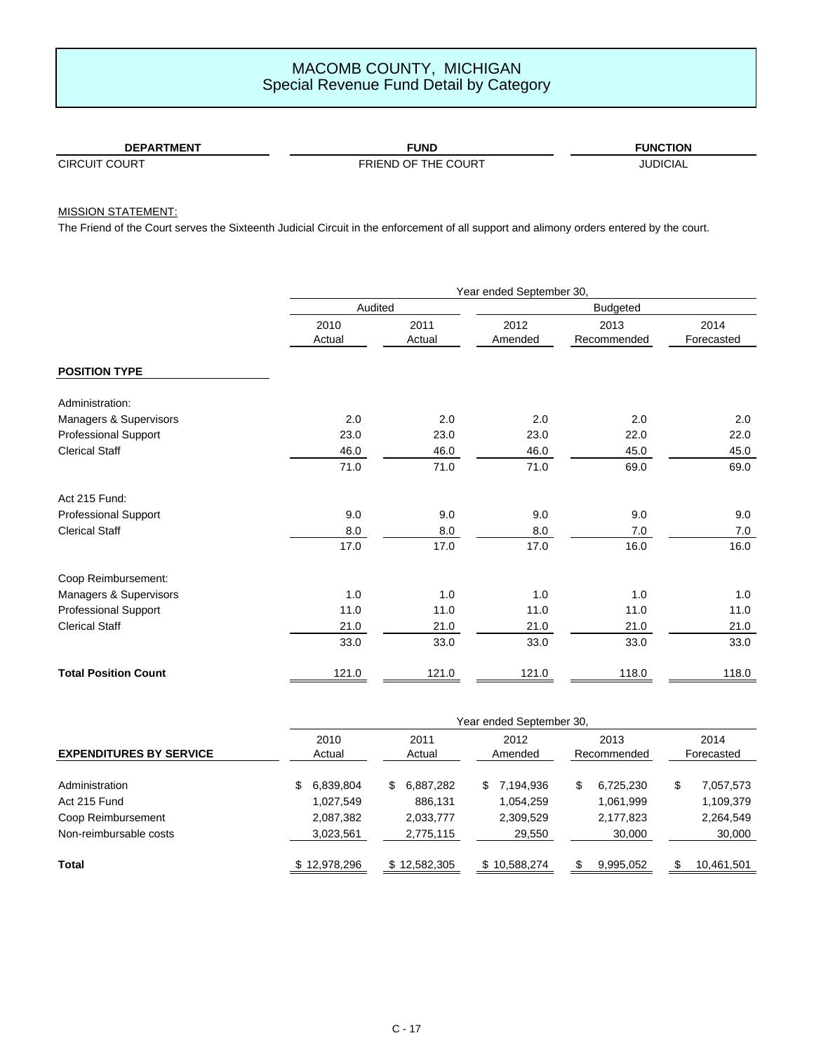| FUND<br><b>DEPARTMENT</b> |                     | <b>FUNCTION</b> |
|---------------------------|---------------------|-----------------|
| <b>CIRCUIT COURT</b>      | FRIEND OF THE COURT | <b>IUDICIAL</b> |

### MISSION STATEMENT:

The Friend of the Court serves the Sixteenth Judicial Circuit in the enforcement of all support and alimony orders entered by the court.

|                             |                | Year ended September 30, |                 |                     |                    |  |  |  |  |  |
|-----------------------------|----------------|--------------------------|-----------------|---------------------|--------------------|--|--|--|--|--|
|                             | Audited        |                          |                 |                     |                    |  |  |  |  |  |
|                             | 2010<br>Actual | 2011<br>Actual           | 2012<br>Amended | 2013<br>Recommended | 2014<br>Forecasted |  |  |  |  |  |
| <b>POSITION TYPE</b>        |                |                          |                 |                     |                    |  |  |  |  |  |
| Administration:             |                |                          |                 |                     |                    |  |  |  |  |  |
| Managers & Supervisors      | 2.0            | 2.0                      | 2.0             | 2.0                 | 2.0                |  |  |  |  |  |
| <b>Professional Support</b> | 23.0           | 23.0                     | 23.0            | 22.0                | 22.0               |  |  |  |  |  |
| <b>Clerical Staff</b>       | 46.0           | 46.0                     | 46.0            | 45.0                | 45.0               |  |  |  |  |  |
|                             | 71.0           | 71.0                     | 71.0            | 69.0                | 69.0               |  |  |  |  |  |
| Act 215 Fund:               |                |                          |                 |                     |                    |  |  |  |  |  |
| <b>Professional Support</b> | 9.0            | 9.0                      | 9.0             | 9.0                 | 9.0                |  |  |  |  |  |
| <b>Clerical Staff</b>       | 8.0            | 8.0                      | 8.0             | 7.0                 | 7.0                |  |  |  |  |  |
|                             | 17.0           | 17.0                     | 17.0            | 16.0                | 16.0               |  |  |  |  |  |
| Coop Reimbursement:         |                |                          |                 |                     |                    |  |  |  |  |  |
| Managers & Supervisors      | 1.0            | 1.0                      | 1.0             | 1.0                 | 1.0                |  |  |  |  |  |
| Professional Support        | 11.0           | 11.0                     | 11.0            | 11.0                | 11.0               |  |  |  |  |  |
| <b>Clerical Staff</b>       | 21.0           | 21.0                     | 21.0            | 21.0                | 21.0               |  |  |  |  |  |
|                             | 33.0           | 33.0                     | 33.0            | 33.0                | 33.0               |  |  |  |  |  |
| <b>Total Position Count</b> | 121.0          | 121.0                    | 121.0           | 118.0               | 118.0              |  |  |  |  |  |

|                                |    | Year ended September 30, |    |                |    |                 |   |                     |    |                    |  |
|--------------------------------|----|--------------------------|----|----------------|----|-----------------|---|---------------------|----|--------------------|--|
| <b>EXPENDITURES BY SERVICE</b> |    | 2010<br>Actual           |    | 2011<br>Actual |    | 2012<br>Amended |   | 2013<br>Recommended |    | 2014<br>Forecasted |  |
| Administration                 | \$ | 6,839,804                | \$ | 6,887,282      | S. | 7,194,936       | S | 6,725,230           | \$ | 7,057,573          |  |
| Act 215 Fund                   |    | 1,027,549                |    | 886.131        |    | 1.054.259       |   | 1,061,999           |    | 1,109,379          |  |
| Coop Reimbursement             |    | 2,087,382                |    | 2,033,777      |    | 2,309,529       |   | 2,177,823           |    | 2,264,549          |  |
| Non-reimbursable costs         |    | 3,023,561                |    | 2,775,115      |    | 29,550          |   | 30,000              |    | 30,000             |  |
| <b>Total</b>                   |    | \$12,978,296             |    | \$12,582,305   |    | \$10,588,274    |   | 9,995,052           | \$ | 10,461,501         |  |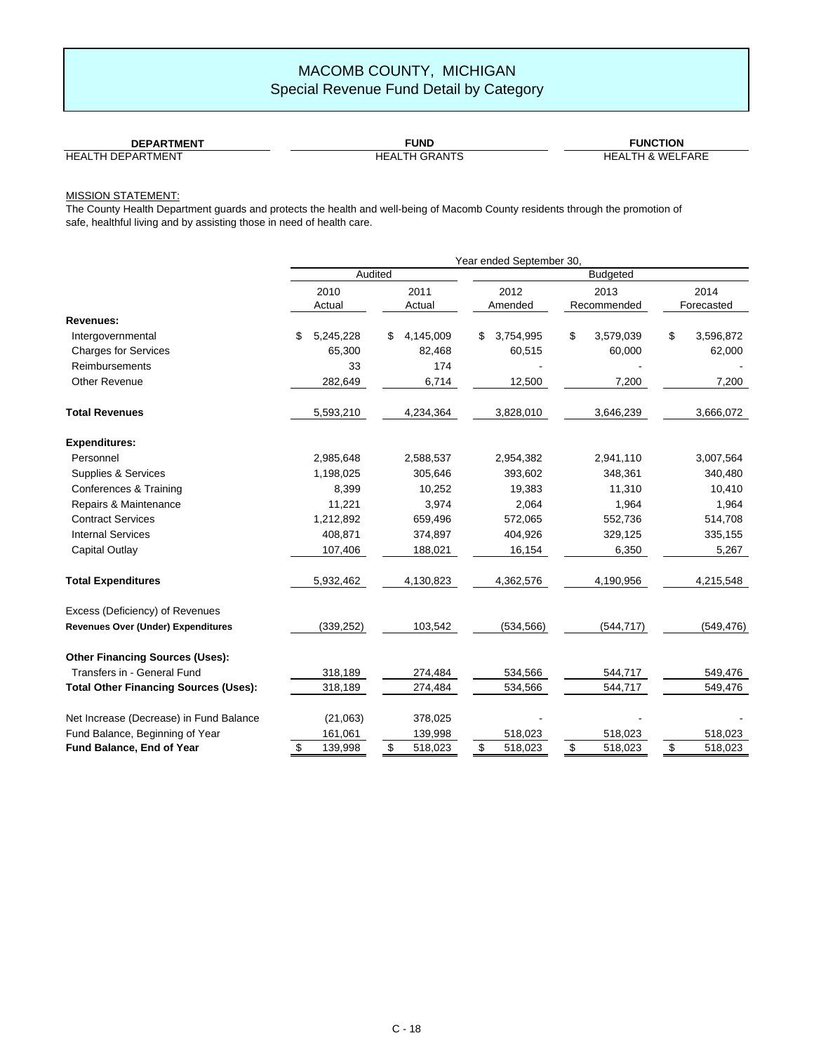| <b>DEPARTMENT</b>           | UND.      | UNC<br>ΓΙΟΝ                       |
|-----------------------------|-----------|-----------------------------------|
| HEAL<br>DEPAR<br>'MENI<br>- | HEA<br>ΆN | FARE<br><b>ME</b><br>HEAL<br>н х. |

### MISSION STATEMENT:

The County Health Department guards and protects the health and well-being of Macomb County residents through the promotion of safe, healthful living and by assisting those in need of health care.

|                                              | Year ended September 30, |                 |                 |                 |                 |  |  |  |  |
|----------------------------------------------|--------------------------|-----------------|-----------------|-----------------|-----------------|--|--|--|--|
|                                              |                          | Audited         |                 |                 |                 |  |  |  |  |
|                                              | 2010                     | 2011            | 2012            | 2013            | 2014            |  |  |  |  |
|                                              | Actual                   | Actual          | Amended         | Recommended     | Forecasted      |  |  |  |  |
| Revenues:                                    |                          |                 |                 |                 |                 |  |  |  |  |
| Intergovernmental                            | \$<br>5,245,228          | 4,145,009<br>\$ | \$<br>3,754,995 | \$<br>3,579,039 | \$<br>3,596,872 |  |  |  |  |
| <b>Charges for Services</b>                  | 65,300                   | 82.468          | 60,515          | 60,000          | 62,000          |  |  |  |  |
| <b>Reimbursements</b>                        | 33                       | 174             |                 |                 |                 |  |  |  |  |
| <b>Other Revenue</b>                         | 282,649                  | 6,714           | 12,500          | 7,200           | 7,200           |  |  |  |  |
| <b>Total Revenues</b>                        | 5,593,210                | 4,234,364       | 3,828,010       | 3,646,239       | 3,666,072       |  |  |  |  |
| <b>Expenditures:</b>                         |                          |                 |                 |                 |                 |  |  |  |  |
| Personnel                                    | 2,985,648                | 2,588,537       | 2,954,382       | 2,941,110       | 3,007,564       |  |  |  |  |
| Supplies & Services                          | 1,198,025                | 305,646         | 393,602         | 348,361         | 340,480         |  |  |  |  |
| Conferences & Training                       | 8,399                    | 10,252          | 19,383          | 11,310          | 10,410          |  |  |  |  |
| Repairs & Maintenance                        | 11,221                   | 3,974           | 2,064           | 1,964           | 1,964           |  |  |  |  |
| <b>Contract Services</b>                     | 1,212,892                | 659,496         | 572,065         | 552,736         | 514,708         |  |  |  |  |
| <b>Internal Services</b>                     | 408,871                  | 374,897         | 404,926         | 329,125         | 335,155         |  |  |  |  |
| Capital Outlay                               | 107,406                  | 188,021         | 16,154          | 6,350           | 5,267           |  |  |  |  |
| <b>Total Expenditures</b>                    | 5,932,462                | 4,130,823       | 4,362,576       | 4,190,956       | 4,215,548       |  |  |  |  |
| Excess (Deficiency) of Revenues              |                          |                 |                 |                 |                 |  |  |  |  |
| <b>Revenues Over (Under) Expenditures</b>    | (339, 252)               | 103,542         | (534, 566)      | (544, 717)      | (549, 476)      |  |  |  |  |
| <b>Other Financing Sources (Uses):</b>       |                          |                 |                 |                 |                 |  |  |  |  |
| Transfers in - General Fund                  | 318,189                  | 274,484         | 534,566         | 544,717         | 549,476         |  |  |  |  |
| <b>Total Other Financing Sources (Uses):</b> | 318,189                  | 274,484         | 534,566         | 544,717         | 549,476         |  |  |  |  |
| Net Increase (Decrease) in Fund Balance      | (21,063)                 | 378,025         |                 |                 |                 |  |  |  |  |
| Fund Balance, Beginning of Year              | 161,061                  | 139,998         | 518,023         | 518,023         | 518,023         |  |  |  |  |
| Fund Balance, End of Year                    | $\frac{1}{2}$<br>139,998 | \$<br>518,023   | \$<br>518,023   | \$<br>518,023   | \$<br>518,023   |  |  |  |  |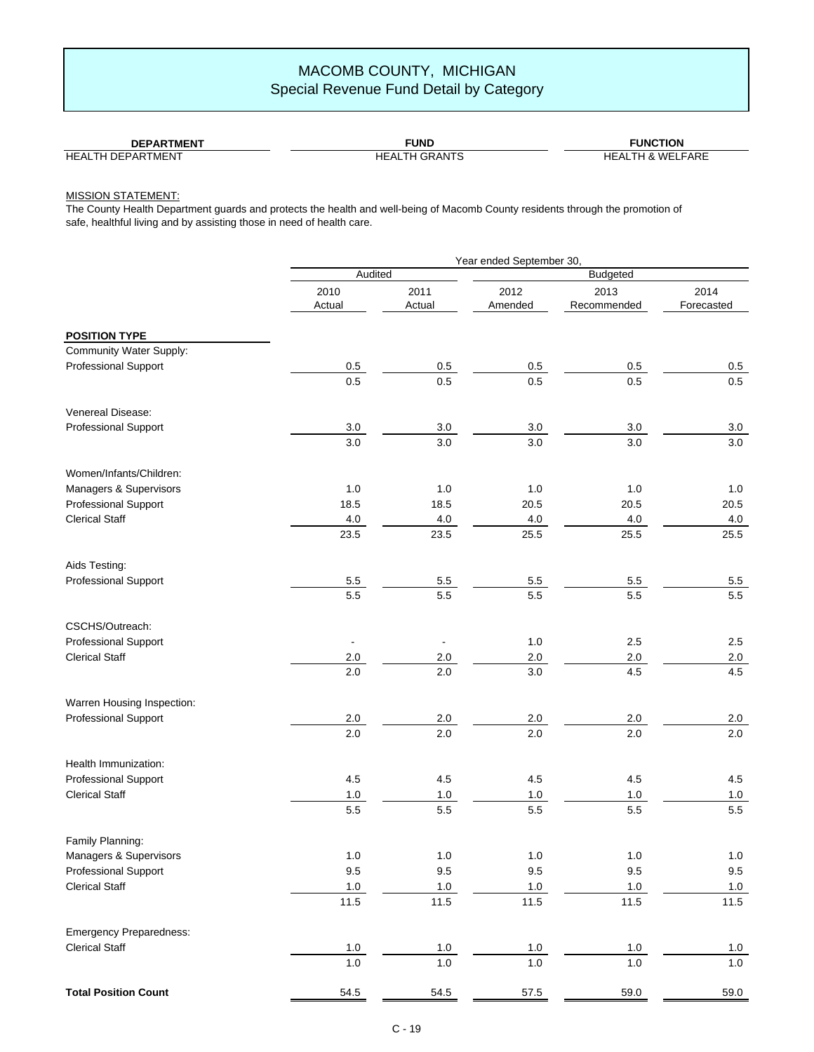| <b>DEPARTMENT</b>        | <b>FUNL</b>          | <b>FUNCTION</b>       |
|--------------------------|----------------------|-----------------------|
| <b>HEALTH DEPARTMENT</b> | <b>HEALTH GRANTS</b> | I & WELFARE<br>HEALTH |

### MISSION STATEMENT:

The County Health Department guards and protects the health and well-being of Macomb County residents through the promotion of safe, healthful living and by assisting those in need of health care.

|                                | Year ended September 30, |                |                 |                     |                    |  |  |  |  |
|--------------------------------|--------------------------|----------------|-----------------|---------------------|--------------------|--|--|--|--|
|                                | Audited                  |                | <b>Budgeted</b> |                     |                    |  |  |  |  |
|                                | 2010<br>Actual           | 2011<br>Actual | 2012<br>Amended | 2013<br>Recommended | 2014<br>Forecasted |  |  |  |  |
| <b>POSITION TYPE</b>           |                          |                |                 |                     |                    |  |  |  |  |
| Community Water Supply:        |                          |                |                 |                     |                    |  |  |  |  |
| Professional Support           | 0.5                      | 0.5            | 0.5             | 0.5                 | 0.5                |  |  |  |  |
|                                | 0.5                      | 0.5            | 0.5             | 0.5                 | 0.5                |  |  |  |  |
| Venereal Disease:              |                          |                |                 |                     |                    |  |  |  |  |
| <b>Professional Support</b>    | 3.0                      | 3.0            | 3.0             | 3.0                 | 3.0                |  |  |  |  |
|                                | 3.0                      | 3.0            | 3.0             | 3.0                 | 3.0                |  |  |  |  |
| Women/Infants/Children:        |                          |                |                 |                     |                    |  |  |  |  |
| Managers & Supervisors         | 1.0                      | 1.0            | 1.0             | 1.0                 | 1.0                |  |  |  |  |
| <b>Professional Support</b>    | 18.5                     | 18.5           | 20.5            | 20.5                | 20.5               |  |  |  |  |
| <b>Clerical Staff</b>          | 4.0                      | 4.0            | 4.0             | 4.0                 | 4.0                |  |  |  |  |
|                                | 23.5                     | 23.5           | 25.5            | 25.5                | 25.5               |  |  |  |  |
| Aids Testing:                  |                          |                |                 |                     |                    |  |  |  |  |
| Professional Support           | 5.5                      | $5.5\,$        | $5.5\,$         | $5.5\,$             | $5.5\,$            |  |  |  |  |
|                                | 5.5                      | $5.5\,$        | 5.5             | 5.5                 | 5.5                |  |  |  |  |
| CSCHS/Outreach:                |                          |                |                 |                     |                    |  |  |  |  |
| <b>Professional Support</b>    |                          |                | 1.0             | 2.5                 | 2.5                |  |  |  |  |
| <b>Clerical Staff</b>          | 2.0                      | 2.0            | 2.0             | 2.0                 | 2.0                |  |  |  |  |
|                                | 2.0                      | 2.0            | 3.0             | 4.5                 | 4.5                |  |  |  |  |
| Warren Housing Inspection:     |                          |                |                 |                     |                    |  |  |  |  |
| <b>Professional Support</b>    | 2.0                      | 2.0            | 2.0             | 2.0                 | 2.0                |  |  |  |  |
|                                | 2.0                      | 2.0            | 2.0             | 2.0                 | 2.0                |  |  |  |  |
| Health Immunization:           |                          |                |                 |                     |                    |  |  |  |  |
| <b>Professional Support</b>    | 4.5                      | 4.5            | 4.5             | 4.5                 | 4.5                |  |  |  |  |
| <b>Clerical Staff</b>          | $1.0\,$                  | 1.0            | $1.0$           | 1.0                 | 1.0                |  |  |  |  |
|                                | 5.5                      | $5.5\,$        | 5.5             | 5.5                 | 5.5                |  |  |  |  |
| Family Planning:               |                          |                |                 |                     |                    |  |  |  |  |
| Managers & Supervisors         | $1.0\,$                  | $1.0$          | $1.0$           | $1.0$               | $1.0\,$            |  |  |  |  |
| Professional Support           | 9.5                      | 9.5            | 9.5             | 9.5                 | 9.5                |  |  |  |  |
| <b>Clerical Staff</b>          | $1.0\,$                  | 1.0            | $1.0\,$         | $1.0\,$             | 1.0                |  |  |  |  |
|                                | 11.5                     | 11.5           | 11.5            | 11.5                | 11.5               |  |  |  |  |
| <b>Emergency Preparedness:</b> |                          |                |                 |                     |                    |  |  |  |  |
| <b>Clerical Staff</b>          | 1.0                      | 1.0            | $1.0$           | $1.0\,$             | $1.0$              |  |  |  |  |
|                                | $1.0\,$                  | $1.0\,$        | $1.0\,$         | $1.0\,$             | $1.0\,$            |  |  |  |  |
| <b>Total Position Count</b>    | 54.5                     | 54.5           | 57.5            | 59.0                | 59.0               |  |  |  |  |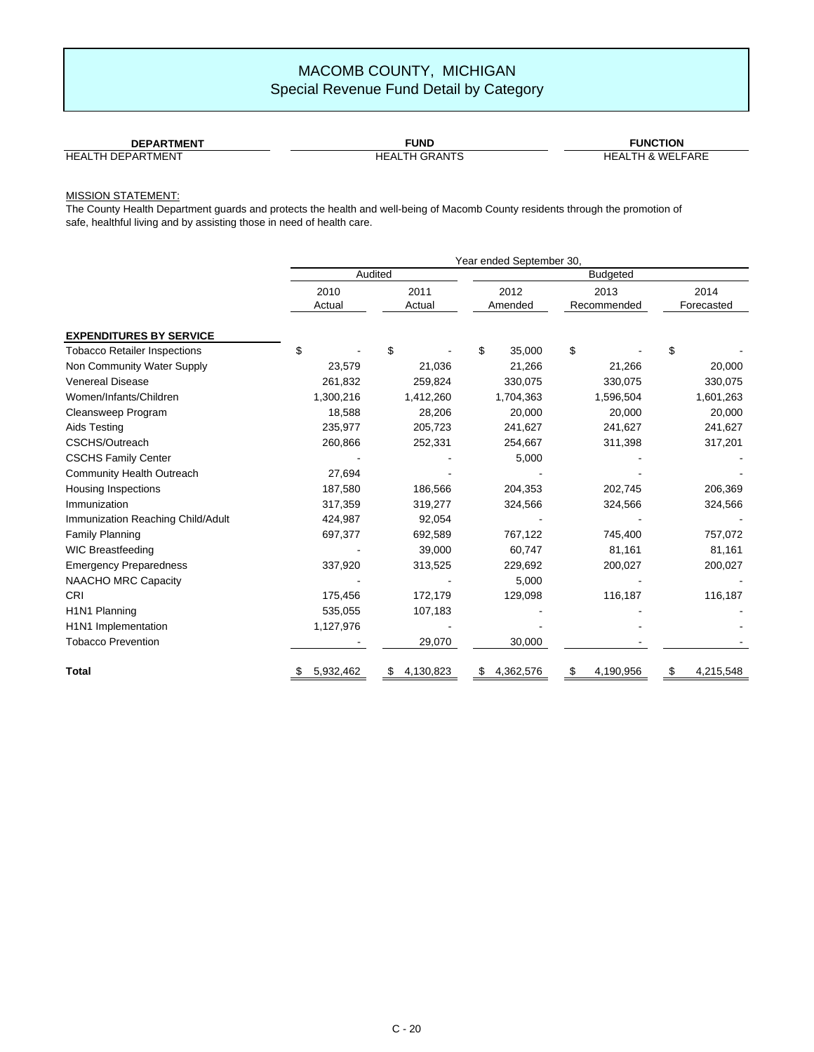| <b>DEPARTMENT</b>        | <b>FUND</b>          | <b>FUNCTION</b>                  |  |  |  |  |
|--------------------------|----------------------|----------------------------------|--|--|--|--|
| <b>HEALTH DEPARTMENT</b> | LTH GRANTS<br>HEAL1, | LFARE<br><b>HEALTH &amp; WEL</b> |  |  |  |  |

#### MISSION STATEMENT:

The County Health Department guards and protects the health and well-being of Macomb County residents through the promotion of safe, healthful living and by assisting those in need of health care.

|                                     | Year ended September 30, |                 |                 |                     |                    |  |  |  |  |  |
|-------------------------------------|--------------------------|-----------------|-----------------|---------------------|--------------------|--|--|--|--|--|
|                                     |                          | Audited         | <b>Budgeted</b> |                     |                    |  |  |  |  |  |
|                                     | 2010<br>Actual           | 2011<br>Actual  | 2012<br>Amended | 2013<br>Recommended | 2014<br>Forecasted |  |  |  |  |  |
| <b>EXPENDITURES BY SERVICE</b>      |                          |                 |                 |                     |                    |  |  |  |  |  |
| <b>Tobacco Retailer Inspections</b> | \$                       | \$              | \$<br>35,000    | \$                  | \$                 |  |  |  |  |  |
| Non Community Water Supply          | 23,579                   | 21,036          | 21,266          | 21,266              | 20,000             |  |  |  |  |  |
| <b>Venereal Disease</b>             | 261,832                  | 259,824         | 330,075         | 330,075             | 330,075            |  |  |  |  |  |
| Women/Infants/Children              | 1,300,216                | 1,412,260       | 1,704,363       | 1,596,504           | 1,601,263          |  |  |  |  |  |
| Cleansweep Program                  | 18,588                   | 28,206          | 20,000          | 20,000              | 20,000             |  |  |  |  |  |
| Aids Testing                        | 235,977                  | 205,723         | 241,627         | 241,627             | 241,627            |  |  |  |  |  |
| CSCHS/Outreach                      | 260,866                  | 252,331         | 254,667         | 311,398             | 317,201            |  |  |  |  |  |
| <b>CSCHS Family Center</b>          |                          |                 | 5,000           |                     |                    |  |  |  |  |  |
| <b>Community Health Outreach</b>    | 27,694                   |                 |                 |                     |                    |  |  |  |  |  |
| <b>Housing Inspections</b>          | 187,580                  | 186,566         | 204,353         | 202,745             | 206,369            |  |  |  |  |  |
| Immunization                        | 317,359                  | 319,277         | 324,566         | 324,566             | 324,566            |  |  |  |  |  |
| Immunization Reaching Child/Adult   | 424,987                  | 92,054          |                 |                     |                    |  |  |  |  |  |
| <b>Family Planning</b>              | 697,377                  | 692,589         | 767,122         | 745,400             | 757,072            |  |  |  |  |  |
| <b>WIC Breastfeeding</b>            |                          | 39,000          | 60,747          | 81,161              | 81,161             |  |  |  |  |  |
| <b>Emergency Preparedness</b>       | 337,920                  | 313,525         | 229,692         | 200,027             | 200,027            |  |  |  |  |  |
| <b>NAACHO MRC Capacity</b>          |                          |                 | 5,000           |                     |                    |  |  |  |  |  |
| CRI                                 | 175,456                  | 172,179         | 129,098         | 116,187             | 116,187            |  |  |  |  |  |
| H1N1 Planning                       | 535,055                  | 107,183         |                 |                     |                    |  |  |  |  |  |
| H1N1 Implementation                 | 1,127,976                |                 |                 |                     |                    |  |  |  |  |  |
| <b>Tobacco Prevention</b>           |                          | 29,070          | 30,000          |                     |                    |  |  |  |  |  |
| <b>Total</b>                        | 5,932,462                | 4,130,823<br>\$ | 4,362,576<br>\$ | 4,190,956<br>\$     | \$<br>4,215,548    |  |  |  |  |  |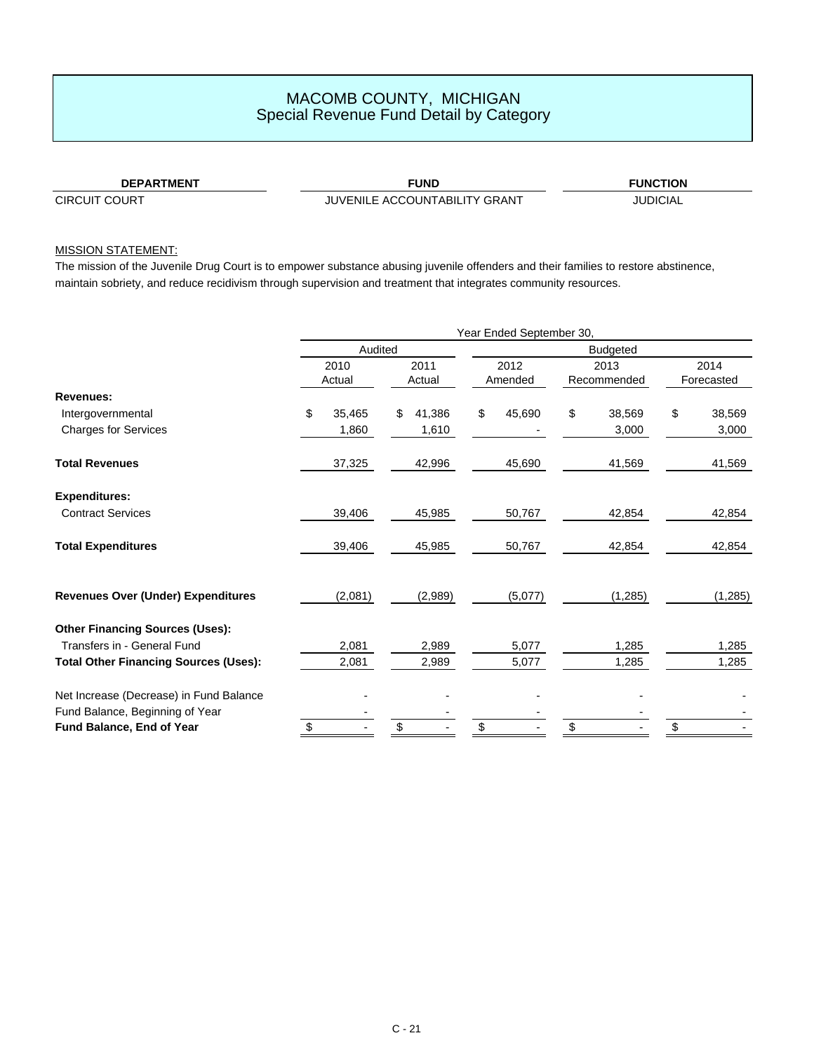**DEPARTMENT FUND**

CIRCUIT COURT JUVENILE ACCOUNTABILITY GRANT

**FUNCTION**

JUDICIAL

### MISSION STATEMENT:

The mission of the Juvenile Drug Court is to empower substance abusing juvenile offenders and their families to restore abstinence, maintain sobriety, and reduce recidivism through supervision and treatment that integrates community resources.

|                                              | Year Ended September 30, |         |    |         |                 |         |    |             |    |            |  |
|----------------------------------------------|--------------------------|---------|----|---------|-----------------|---------|----|-------------|----|------------|--|
|                                              | Audited                  |         |    |         | <b>Budgeted</b> |         |    |             |    |            |  |
|                                              |                          | 2010    |    | 2011    |                 | 2012    |    | 2013        |    | 2014       |  |
|                                              |                          | Actual  |    | Actual  |                 | Amended |    | Recommended |    | Forecasted |  |
| <b>Revenues:</b>                             |                          |         |    |         |                 |         |    |             |    |            |  |
| Intergovernmental                            | \$                       | 35,465  | \$ | 41,386  | \$              | 45,690  | \$ | 38,569      | \$ | 38,569     |  |
| <b>Charges for Services</b>                  |                          | 1,860   |    | 1,610   |                 |         |    | 3,000       |    | 3,000      |  |
| <b>Total Revenues</b>                        |                          | 37,325  |    | 42,996  |                 | 45,690  |    | 41,569      |    | 41,569     |  |
| <b>Expenditures:</b>                         |                          |         |    |         |                 |         |    |             |    |            |  |
| <b>Contract Services</b>                     |                          | 39,406  |    | 45,985  |                 | 50,767  |    | 42,854      |    | 42,854     |  |
| <b>Total Expenditures</b>                    |                          | 39,406  |    | 45,985  |                 | 50,767  |    | 42,854      |    | 42,854     |  |
| <b>Revenues Over (Under) Expenditures</b>    |                          | (2,081) |    | (2,989) |                 | (5,077) |    | (1,285)     |    | (1, 285)   |  |
| <b>Other Financing Sources (Uses):</b>       |                          |         |    |         |                 |         |    |             |    |            |  |
| Transfers in - General Fund                  |                          | 2,081   |    | 2,989   |                 | 5,077   |    | 1,285       |    | 1,285      |  |
| <b>Total Other Financing Sources (Uses):</b> |                          | 2,081   |    | 2,989   |                 | 5,077   |    | 1,285       |    | 1,285      |  |
| Net Increase (Decrease) in Fund Balance      |                          |         |    |         |                 |         |    |             |    |            |  |
| Fund Balance, Beginning of Year              |                          |         |    |         |                 |         |    |             |    |            |  |
| Fund Balance, End of Year                    | \$                       |         | \$ |         | \$              |         | \$ |             | \$ |            |  |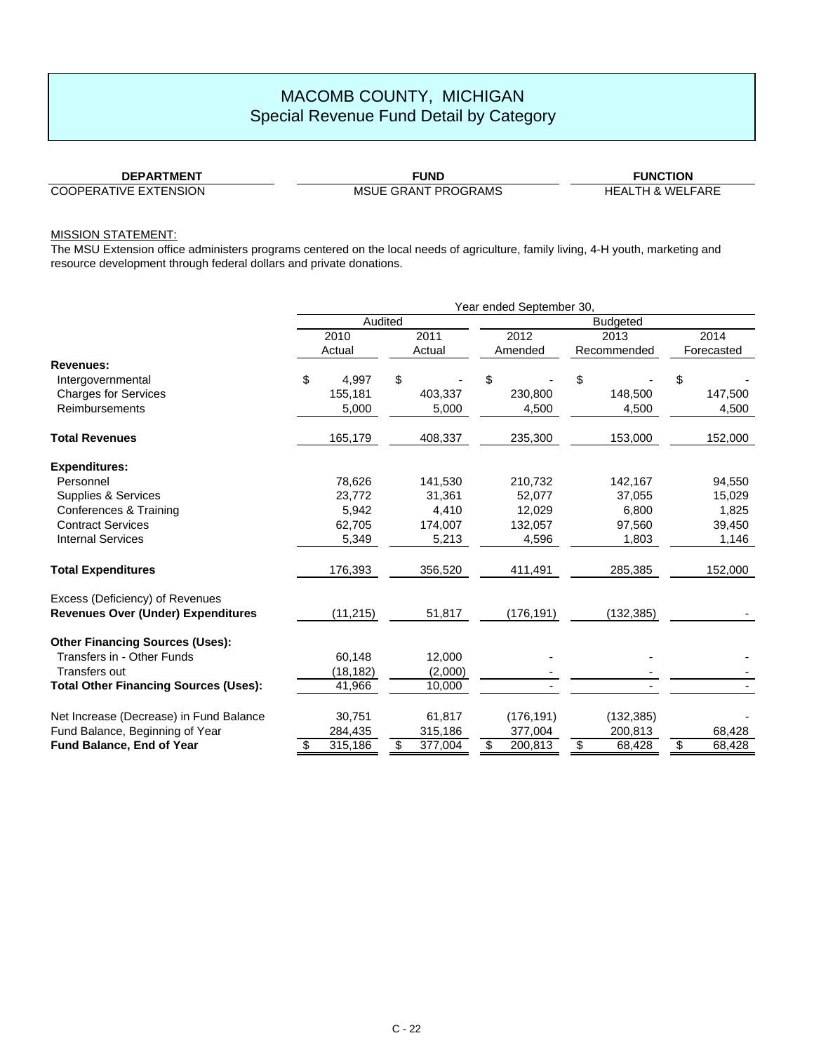**DEPARTMENT** COOPERATIVE EXTENSION

MSUE GRANT PROGRAMS HEALTH & WELFARE

**FUND FUNCTION**

### MISSION STATEMENT:

The MSU Extension office administers programs centered on the local needs of agriculture, family living, 4-H youth, marketing and resource development through federal dollars and private donations.

|                                              | Year ended September 30, |           |    |         |    |                 |    |             |    |            |
|----------------------------------------------|--------------------------|-----------|----|---------|----|-----------------|----|-------------|----|------------|
|                                              |                          | Audited   |    |         |    | <b>Budgeted</b> |    |             |    |            |
|                                              |                          | 2010      |    | 2011    |    | 2012            |    | 2013        |    | 2014       |
|                                              |                          | Actual    |    | Actual  |    | Amended         |    | Recommended |    | Forecasted |
| <b>Revenues:</b>                             |                          |           |    |         |    |                 |    |             |    |            |
| Intergovernmental                            | \$                       | 4,997     | \$ |         | \$ |                 | \$ |             | \$ |            |
| <b>Charges for Services</b>                  |                          | 155,181   |    | 403,337 |    | 230,800         |    | 148,500     |    | 147,500    |
| Reimbursements                               |                          | 5,000     |    | 5,000   |    | 4,500           |    | 4,500       |    | 4,500      |
| <b>Total Revenues</b>                        |                          | 165,179   |    | 408,337 |    | 235,300         |    | 153,000     |    | 152,000    |
| <b>Expenditures:</b>                         |                          |           |    |         |    |                 |    |             |    |            |
| Personnel                                    |                          | 78,626    |    | 141,530 |    | 210,732         |    | 142,167     |    | 94,550     |
| Supplies & Services                          |                          | 23,772    |    | 31,361  |    | 52,077          |    | 37,055      |    | 15,029     |
| <b>Conferences &amp; Training</b>            |                          | 5,942     |    | 4,410   |    | 12,029          |    | 6,800       |    | 1,825      |
| <b>Contract Services</b>                     |                          | 62,705    |    | 174,007 |    | 132,057         |    | 97,560      |    | 39,450     |
| <b>Internal Services</b>                     |                          | 5,349     |    | 5,213   |    | 4,596           |    | 1,803       |    | 1,146      |
| <b>Total Expenditures</b>                    |                          | 176,393   |    | 356,520 |    | 411,491         |    | 285,385     |    | 152,000    |
| Excess (Deficiency) of Revenues              |                          |           |    |         |    |                 |    |             |    |            |
| <b>Revenues Over (Under) Expenditures</b>    |                          | (11, 215) |    | 51,817  |    | (176,191)       |    | (132, 385)  |    |            |
| <b>Other Financing Sources (Uses):</b>       |                          |           |    |         |    |                 |    |             |    |            |
| Transfers in - Other Funds                   |                          | 60.148    |    | 12.000  |    |                 |    |             |    |            |
| <b>Transfers out</b>                         |                          | (18, 182) |    | (2,000) |    |                 |    |             |    |            |
| <b>Total Other Financing Sources (Uses):</b> |                          | 41,966    |    | 10,000  |    |                 |    |             |    |            |
| Net Increase (Decrease) in Fund Balance      |                          | 30,751    |    | 61,817  |    | (176, 191)      |    | (132, 385)  |    |            |
| Fund Balance, Beginning of Year              |                          | 284,435   |    | 315,186 |    | 377,004         |    | 200,813     |    | 68,428     |
| <b>Fund Balance, End of Year</b>             | \$                       | 315,186   | \$ | 377,004 | \$ | 200,813         | \$ | 68,428      | \$ | 68,428     |
|                                              |                          |           |    |         |    |                 |    |             |    |            |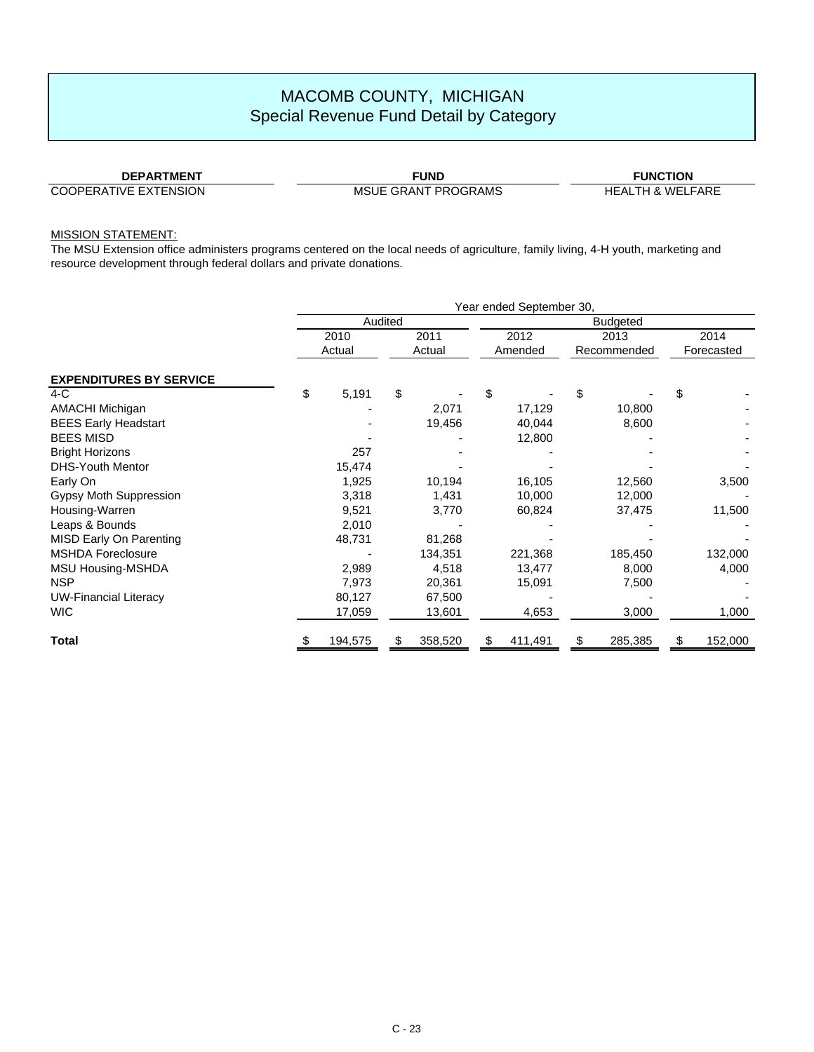**DEPARTMENT** COOPERATIVE EXTENSION

MSUE GRANT PROGRAMS HEALTH & WELFARE

**FUND FUNCTION**

### MISSION STATEMENT:

The MSU Extension office administers programs centered on the local needs of agriculture, family living, 4-H youth, marketing and resource development through federal dollars and private donations.

|                                | Year ended September 30, |         |         |         |     |         |                 |  |                          |
|--------------------------------|--------------------------|---------|---------|---------|-----|---------|-----------------|--|--------------------------|
|                                |                          |         | Audited |         |     |         | <b>Budgeted</b> |  | 2014<br>Forecasted<br>\$ |
|                                |                          | 2010    |         | 2011    |     | 2012    | 2013            |  |                          |
|                                |                          | Actual  |         | Actual  |     | Amended | Recommended     |  |                          |
| <b>EXPENDITURES BY SERVICE</b> |                          |         |         |         |     |         |                 |  |                          |
| $4-C$                          | \$                       | 5,191   | \$      |         | \$  |         | \$              |  |                          |
| <b>AMACHI Michigan</b>         |                          |         |         | 2,071   |     | 17,129  | 10,800          |  |                          |
| <b>BEES Early Headstart</b>    |                          |         |         | 19,456  |     | 40,044  | 8,600           |  |                          |
| <b>BEES MISD</b>               |                          |         |         |         |     | 12,800  |                 |  |                          |
| <b>Bright Horizons</b>         |                          | 257     |         |         |     |         |                 |  |                          |
| <b>DHS-Youth Mentor</b>        |                          | 15,474  |         |         |     |         |                 |  |                          |
| Early On                       |                          | 1,925   |         | 10,194  |     | 16,105  | 12,560          |  | 3,500                    |
| Gypsy Moth Suppression         |                          | 3,318   |         | 1,431   |     | 10,000  | 12,000          |  |                          |
| Housing-Warren                 |                          | 9,521   |         | 3,770   |     | 60,824  | 37,475          |  | 11,500                   |
| Leaps & Bounds                 |                          | 2,010   |         |         |     |         |                 |  |                          |
| MISD Early On Parenting        |                          | 48,731  |         | 81,268  |     |         |                 |  |                          |
| <b>MSHDA Foreclosure</b>       |                          |         |         | 134,351 |     | 221,368 | 185,450         |  | 132,000                  |
| MSU Housing-MSHDA              |                          | 2,989   |         | 4,518   |     | 13,477  | 8,000           |  | 4,000                    |
| <b>NSP</b>                     |                          | 7,973   |         | 20,361  |     | 15,091  | 7,500           |  |                          |
| <b>UW-Financial Literacy</b>   |                          | 80,127  |         | 67,500  |     |         |                 |  |                          |
| <b>WIC</b>                     |                          | 17,059  |         | 13,601  |     | 4,653   | 3,000           |  | 1,000                    |
| Total                          |                          | 194,575 | \$      | 358,520 | \$. | 411,491 | \$<br>285,385   |  | 152,000                  |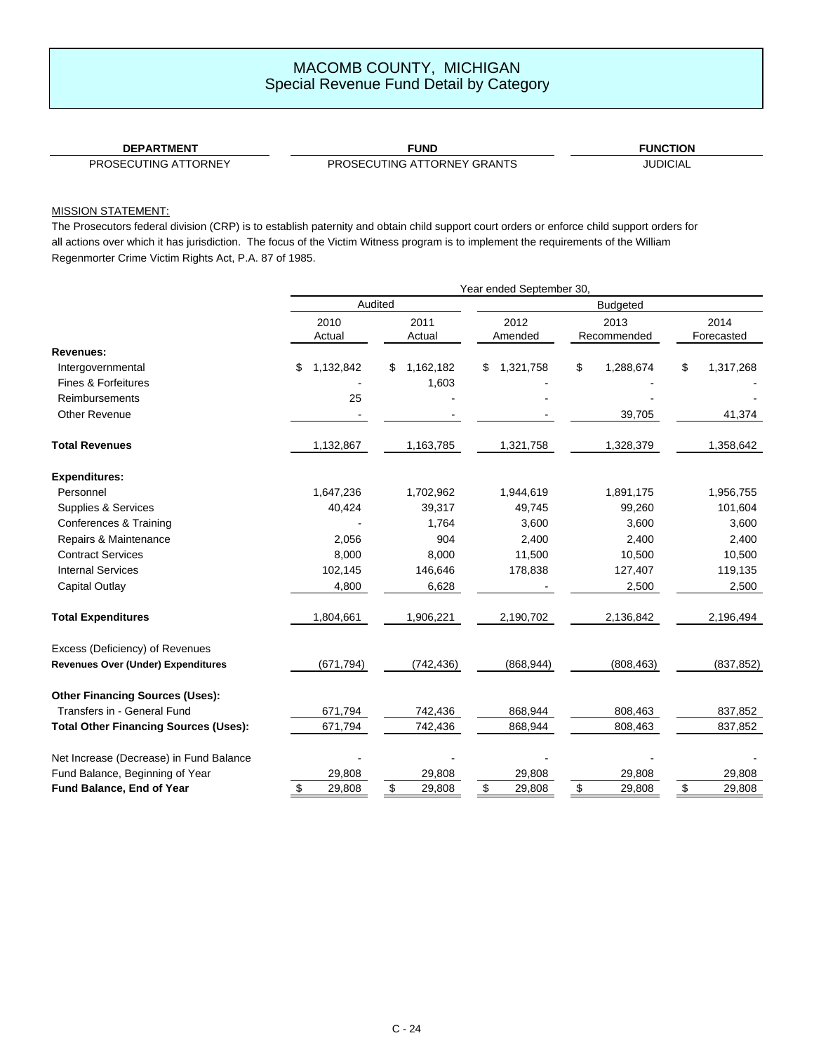| -------<br>DEDA"<br>ΗN            | <b>FUNL</b>   | ΌN<br>l INI |
|-----------------------------------|---------------|-------------|
| DDOOFOUTING<br>ATTOMIT<br>$\cdot$ | DDOOFOLITING. |             |

PROSECUTING ATTORNEY

PROSECUTING ATTORNEY GRANTS **FROSECUTING ATTORNEY GRANTS** 

### MISSION STATEMENT:

The Prosecutors federal division (CRP) is to establish paternity and obtain child support court orders or enforce child support orders for all actions over which it has jurisdiction. The focus of the Victim Witness program is to implement the requirements of the William Regenmorter Crime Victim Rights Act, P.A. 87 of 1985.

|                                              |                 |                | Year ended September 30, |                 |                 |  |  |
|----------------------------------------------|-----------------|----------------|--------------------------|-----------------|-----------------|--|--|
|                                              |                 | Audited        | <b>Budgeted</b>          |                 |                 |  |  |
|                                              | 2010            | 2011           | 2012                     | 2013            | 2014            |  |  |
|                                              | Actual          | Actual         | Amended                  | Recommended     | Forecasted      |  |  |
| Revenues:                                    |                 |                |                          |                 |                 |  |  |
| Intergovernmental                            | 1,132,842<br>\$ | 1,162,182<br>S | 1,321,758<br>\$          | \$<br>1,288,674 | \$<br>1,317,268 |  |  |
| Fines & Forfeitures                          |                 | 1,603          |                          |                 |                 |  |  |
| Reimbursements                               | 25              |                |                          |                 |                 |  |  |
| <b>Other Revenue</b>                         |                 |                |                          | 39,705          | 41,374          |  |  |
| <b>Total Revenues</b>                        | 1,132,867       | 1,163,785      | 1,321,758                | 1,328,379       | 1,358,642       |  |  |
| <b>Expenditures:</b>                         |                 |                |                          |                 |                 |  |  |
| Personnel                                    | 1,647,236       | 1,702,962      | 1,944,619                | 1,891,175       | 1,956,755       |  |  |
| Supplies & Services                          | 40,424          | 39,317         | 49,745                   | 99,260          | 101,604         |  |  |
| Conferences & Training                       |                 | 1,764          | 3,600                    | 3,600           | 3,600           |  |  |
| Repairs & Maintenance                        | 2,056           | 904            | 2,400                    | 2,400           | 2,400           |  |  |
| <b>Contract Services</b>                     | 8,000           | 8,000          | 11,500                   | 10,500          | 10,500          |  |  |
| <b>Internal Services</b>                     | 102,145         | 146,646        | 178,838                  | 127,407         | 119,135         |  |  |
| Capital Outlay                               | 4,800           | 6,628          |                          | 2,500           | 2,500           |  |  |
| <b>Total Expenditures</b>                    | 1,804,661       | 1,906,221      | 2,190,702                | 2,136,842       | 2,196,494       |  |  |
| Excess (Deficiency) of Revenues              |                 |                |                          |                 |                 |  |  |
| <b>Revenues Over (Under) Expenditures</b>    | (671, 794)      | (742, 436)     | (868, 944)               | (808, 463)      | (837, 852)      |  |  |
| <b>Other Financing Sources (Uses):</b>       |                 |                |                          |                 |                 |  |  |
| Transfers in - General Fund                  | 671,794         | 742,436        | 868,944                  | 808,463         | 837,852         |  |  |
| <b>Total Other Financing Sources (Uses):</b> | 671,794         | 742,436        | 868,944                  | 808,463         | 837,852         |  |  |
| Net Increase (Decrease) in Fund Balance      |                 |                |                          |                 |                 |  |  |
| Fund Balance, Beginning of Year              | 29,808          | 29,808         | 29,808                   | 29,808          | 29,808          |  |  |
| Fund Balance, End of Year                    | \$<br>29,808    | \$<br>29,808   | \$<br>29,808             | \$<br>29,808    | \$<br>29,808    |  |  |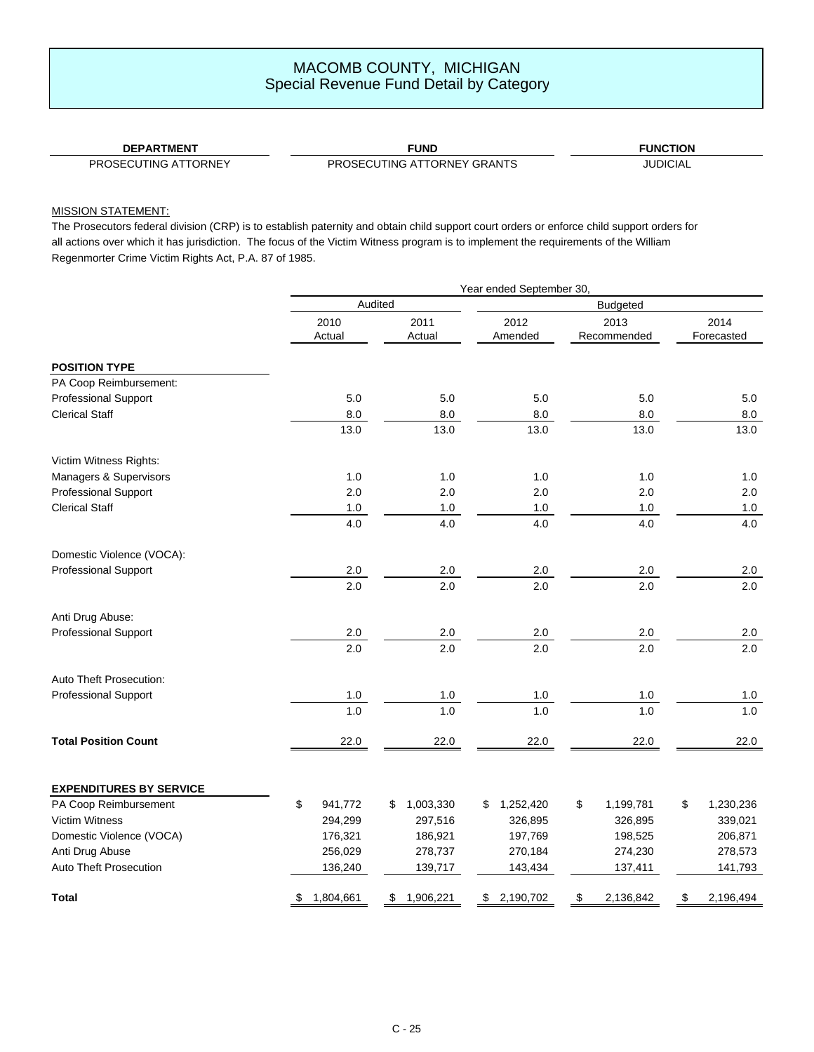| <b>DEPARTMENT</b>                       | <b>FUND</b>                           | ΊΟΝ<br>UNC. |
|-----------------------------------------|---------------------------------------|-------------|
| ∴LITING ATTORNEY.<br>PROSE <sup>r</sup> | TTORNEY GRANTS<br>TING AT<br>PROSECLI | UDIC<br>NЕ  |

### MISSION STATEMENT:

The Prosecutors federal division (CRP) is to establish paternity and obtain child support court orders or enforce child support orders for all actions over which it has jurisdiction. The focus of the Victim Witness program is to implement the requirements of the William Regenmorter Crime Victim Rights Act, P.A. 87 of 1985.

|                                |                 |                 | Year ended September 30, |                     |                    |
|--------------------------------|-----------------|-----------------|--------------------------|---------------------|--------------------|
|                                |                 | Audited         |                          | <b>Budgeted</b>     |                    |
|                                | 2010<br>Actual  | 2011<br>Actual  | 2012<br>Amended          | 2013<br>Recommended | 2014<br>Forecasted |
| <b>POSITION TYPE</b>           |                 |                 |                          |                     |                    |
| PA Coop Reimbursement:         |                 |                 |                          |                     |                    |
| <b>Professional Support</b>    | 5.0             | 5.0             | 5.0                      | 5.0                 | 5.0                |
| <b>Clerical Staff</b>          | $8.0\,$         | $_{\rm 8.0}$    | $8.0\,$                  | $8.0\,$             | 8.0                |
|                                | 13.0            | 13.0            | 13.0                     | 13.0                | 13.0               |
| Victim Witness Rights:         |                 |                 |                          |                     |                    |
| Managers & Supervisors         | 1.0             | 1.0             | 1.0                      | 1.0                 | 1.0                |
| <b>Professional Support</b>    | 2.0             | 2.0             | 2.0                      | 2.0                 | 2.0                |
| <b>Clerical Staff</b>          | $1.0\,$         | $1.0\,$         | $1.0\,$                  | $1.0\,$             | 1.0                |
|                                | 4.0             | 4.0             | 4.0                      | 4.0                 | 4.0                |
| Domestic Violence (VOCA):      |                 |                 |                          |                     |                    |
| <b>Professional Support</b>    | $2.0\,$         | 2.0             | $2.0\,$                  | 2.0                 | 2.0                |
|                                | 2.0             | 2.0             | 2.0                      | 2.0                 | 2.0                |
| Anti Drug Abuse:               |                 |                 |                          |                     |                    |
| <b>Professional Support</b>    | 2.0             | $2.0\,$         | $2.0\,$                  | 2.0                 | 2.0                |
|                                | 2.0             | 2.0             | 2.0                      | 2.0                 | 2.0                |
| <b>Auto Theft Prosecution:</b> |                 |                 |                          |                     |                    |
| <b>Professional Support</b>    | $1.0\,$         | $1.0\,$         | $1.0\,$                  | $1.0\,$             | 1.0                |
|                                | 1.0             | 1.0             | 1.0                      | 1.0                 | 1.0                |
| <b>Total Position Count</b>    | 22.0            | 22.0            | 22.0                     | 22.0                | 22.0               |
| <b>EXPENDITURES BY SERVICE</b> |                 |                 |                          |                     |                    |
| PA Coop Reimbursement          | \$<br>941,772   | 1,003,330<br>\$ | 1,252,420<br>\$          | \$<br>1,199,781     | \$<br>1,230,236    |
| Victim Witness                 | 294,299         | 297,516         | 326,895                  | 326,895             | 339,021            |
| Domestic Violence (VOCA)       | 176,321         | 186,921         | 197,769                  | 198,525             | 206,871            |
| Anti Drug Abuse                | 256,029         | 278,737         | 270,184                  | 274,230             | 278,573            |
| <b>Auto Theft Prosecution</b>  | 136,240         | 139,717         | 143,434                  | 137,411             | 141,793            |
| <b>Total</b>                   | 1,804,661<br>\$ | 1,906,221<br>\$ | 2,190,702<br>\$          | 2,136,842<br>\$     | \$<br>2,196,494    |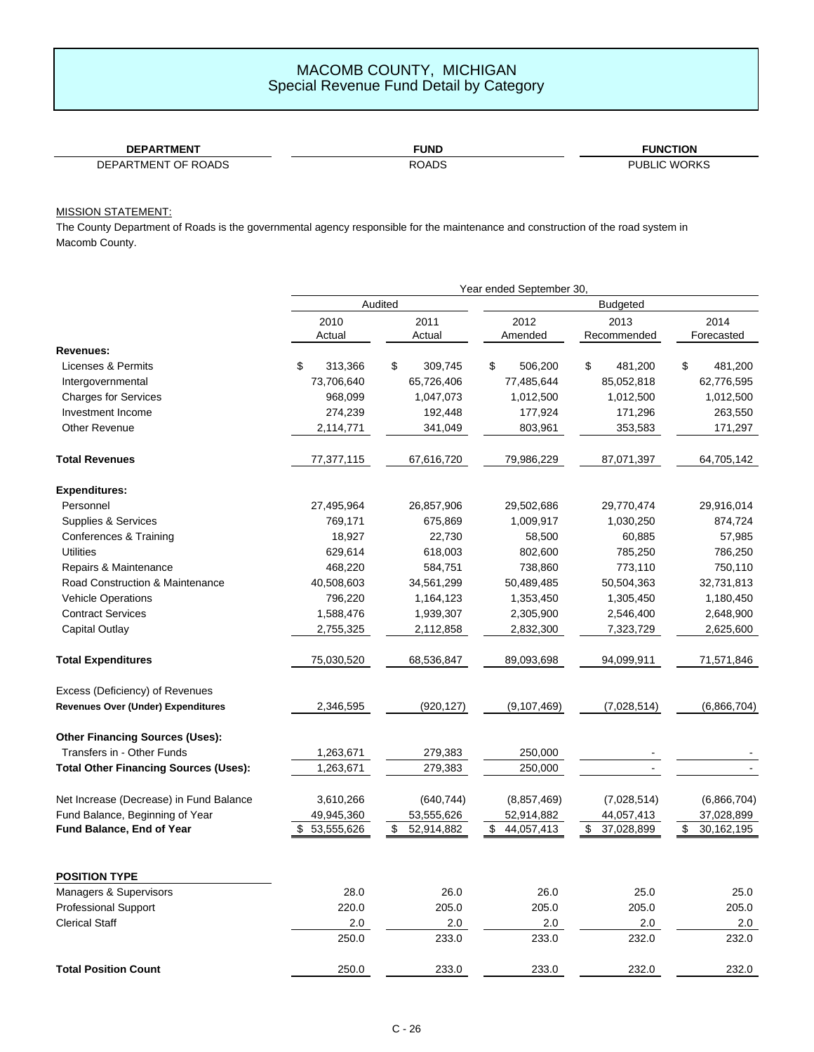| <b>DEPARTMENT</b>   | <b>FUND</b>  | <b>FUNCTION</b>     |
|---------------------|--------------|---------------------|
| DEPARTMENT OF ROADS | <b>ROADS</b> | <b>PUBLIC WORKS</b> |

### MISSION STATEMENT:

÷

The County Department of Roads is the governmental agency responsible for the maintenance and construction of the road system in Macomb County.

|                                              |                  |                  | Year ended September 30, |                  |                  |
|----------------------------------------------|------------------|------------------|--------------------------|------------------|------------------|
|                                              | <b>Budgeted</b>  |                  |                          |                  |                  |
|                                              | 2010             | 2011             | 2012                     | 2013             | 2014             |
|                                              | Actual           | Actual           | Amended                  | Recommended      | Forecasted       |
| Revenues:                                    |                  |                  |                          |                  |                  |
| Licenses & Permits                           | \$<br>313,366    | \$<br>309,745    | \$<br>506,200            | \$<br>481,200    | \$<br>481,200    |
| Intergovernmental                            | 73,706,640       | 65,726,406       | 77,485,644               | 85,052,818       | 62,776,595       |
| <b>Charges for Services</b>                  | 968,099          | 1,047,073        | 1,012,500                | 1,012,500        | 1,012,500        |
| Investment Income                            | 274,239          | 192,448          | 177,924                  | 171,296          | 263,550          |
| <b>Other Revenue</b>                         | 2,114,771        | 341,049          | 803,961                  | 353,583          | 171,297          |
| <b>Total Revenues</b>                        | 77,377,115       | 67,616,720       | 79,986,229               | 87,071,397       | 64,705,142       |
| <b>Expenditures:</b>                         |                  |                  |                          |                  |                  |
| Personnel                                    | 27,495,964       | 26,857,906       | 29,502,686               | 29,770,474       | 29,916,014       |
| Supplies & Services                          | 769,171          | 675,869          | 1,009,917                | 1,030,250        | 874,724          |
| Conferences & Training                       | 18,927           | 22,730           | 58,500                   | 60,885           | 57,985           |
| <b>Utilities</b>                             | 629,614          | 618,003          | 802,600                  | 785,250          | 786,250          |
| Repairs & Maintenance                        | 468,220          | 584,751          | 738,860                  | 773,110          | 750,110          |
| Road Construction & Maintenance              | 40,508,603       | 34,561,299       | 50,489,485               | 50,504,363       | 32,731,813       |
| <b>Vehicle Operations</b>                    | 796,220          | 1,164,123        | 1,353,450                | 1,305,450        | 1,180,450        |
| <b>Contract Services</b>                     | 1,588,476        | 1,939,307        | 2,305,900                | 2,546,400        | 2,648,900        |
| Capital Outlay                               | 2,755,325        | 2,112,858        | 2,832,300                | 7,323,729        | 2,625,600        |
| <b>Total Expenditures</b>                    | 75,030,520       | 68,536,847       | 89,093,698               | 94,099,911       | 71,571,846       |
| Excess (Deficiency) of Revenues              |                  |                  |                          |                  |                  |
| Revenues Over (Under) Expenditures           | 2,346,595        | (920, 127)       | (9,107,469)              | (7,028,514)      | (6,866,704)      |
| <b>Other Financing Sources (Uses):</b>       |                  |                  |                          |                  |                  |
| Transfers in - Other Funds                   | 1,263,671        | 279,383          | 250,000                  |                  |                  |
| <b>Total Other Financing Sources (Uses):</b> | 1,263,671        | 279,383          | 250,000                  |                  |                  |
| Net Increase (Decrease) in Fund Balance      | 3,610,266        | (640, 744)       | (8,857,469)              | (7,028,514)      | (6,866,704)      |
| Fund Balance, Beginning of Year              | 49,945,360       | 53,555,626       | 52,914,882               | 44,057,413       | 37,028,899       |
| Fund Balance, End of Year                    | \$<br>53,555,626 | \$<br>52,914,882 | \$<br>44,057,413         | \$<br>37,028,899 | \$<br>30,162,195 |
| <b>POSITION TYPE</b>                         |                  |                  |                          |                  |                  |
| Managers & Supervisors                       | 28.0             | 26.0             | 26.0                     | 25.0             | 25.0             |
| <b>Professional Support</b>                  | 220.0            | 205.0            | 205.0                    | 205.0            | 205.0            |
| <b>Clerical Staff</b>                        | 2.0              | 2.0              | 2.0                      | 2.0              | 2.0              |
|                                              | 250.0            | 233.0            | 233.0                    | 232.0            | 232.0            |
| <b>Total Position Count</b>                  | 250.0            | 233.0            | 233.0                    | 232.0            | 232.0            |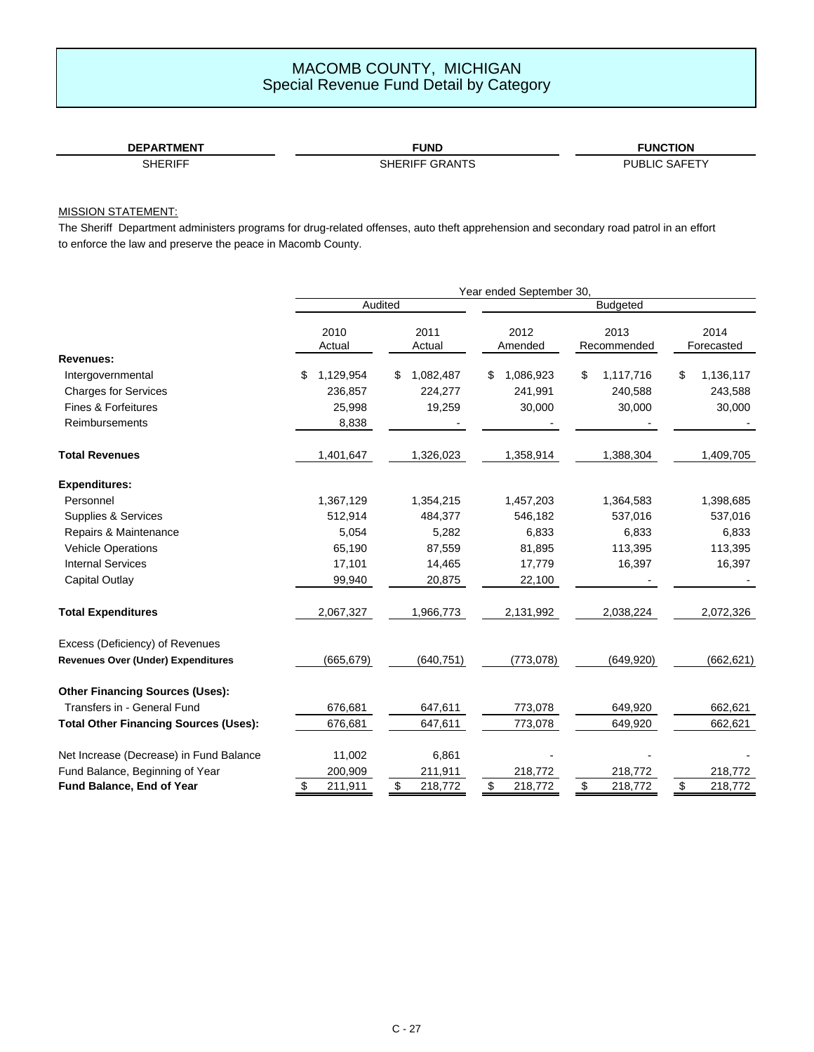| <b>DEPARTMENT</b> | <b>FUND</b>       | <b>FUNCTION</b> |
|-------------------|-------------------|-----------------|
|                   | GRANTS<br>SHFRIFF | SAFFT<br>PURI   |

### MISSION STATEMENT:

The Sheriff Department administers programs for drug-related offenses, auto theft apprehension and secondary road patrol in an effort to enforce the law and preserve the peace in Macomb County.

|                                              |                 |                 | Year ended September 30, |                     |                    |
|----------------------------------------------|-----------------|-----------------|--------------------------|---------------------|--------------------|
|                                              | Audited         |                 |                          | <b>Budgeted</b>     |                    |
|                                              | 2010<br>Actual  | 2011<br>Actual  | 2012<br>Amended          | 2013<br>Recommended | 2014<br>Forecasted |
| <b>Revenues:</b>                             |                 |                 |                          |                     |                    |
| Intergovernmental                            | 1,129,954<br>\$ | 1,082,487<br>\$ | 1,086,923<br>\$          | \$<br>1,117,716     | 1,136,117<br>\$    |
| <b>Charges for Services</b>                  | 236,857         | 224,277         | 241,991                  | 240,588             | 243,588            |
| <b>Fines &amp; Forfeitures</b>               | 25,998          | 19,259          | 30,000                   | 30,000              | 30,000             |
| <b>Reimbursements</b>                        | 8,838           |                 |                          |                     |                    |
| <b>Total Revenues</b>                        | 1,401,647       | 1,326,023       | 1,358,914                | 1,388,304           | 1,409,705          |
| <b>Expenditures:</b>                         |                 |                 |                          |                     |                    |
| Personnel                                    | 1,367,129       | 1,354,215       | 1,457,203                | 1,364,583           | 1,398,685          |
| Supplies & Services                          | 512,914         | 484,377         | 546,182                  | 537,016             | 537,016            |
| Repairs & Maintenance                        | 5,054           | 5,282           | 6,833                    | 6,833               | 6,833              |
| <b>Vehicle Operations</b>                    | 65,190          | 87,559          | 81,895                   | 113,395             | 113,395            |
| <b>Internal Services</b>                     | 17,101          | 14,465          | 17,779                   | 16,397              | 16,397             |
| <b>Capital Outlay</b>                        | 99,940          | 20,875          | 22,100                   |                     |                    |
| <b>Total Expenditures</b>                    | 2,067,327       | 1,966,773       | 2,131,992                | 2,038,224           | 2,072,326          |
| Excess (Deficiency) of Revenues              |                 |                 |                          |                     |                    |
| <b>Revenues Over (Under) Expenditures</b>    | (665, 679)      | (640, 751)      | (773, 078)               | (649, 920)          | (662, 621)         |
| <b>Other Financing Sources (Uses):</b>       |                 |                 |                          |                     |                    |
| Transfers in - General Fund                  | 676,681         | 647,611         | 773,078                  | 649,920             | 662,621            |
| <b>Total Other Financing Sources (Uses):</b> | 676,681         | 647,611         | 773,078                  | 649,920             | 662,621            |
| Net Increase (Decrease) in Fund Balance      | 11,002          | 6,861           |                          |                     |                    |
| Fund Balance, Beginning of Year              | 200,909         | 211,911         | 218,772                  | 218,772             | 218,772            |
| Fund Balance, End of Year                    | \$<br>211,911   | \$<br>218,772   | \$<br>218,772            | \$<br>218,772       | \$<br>218,772      |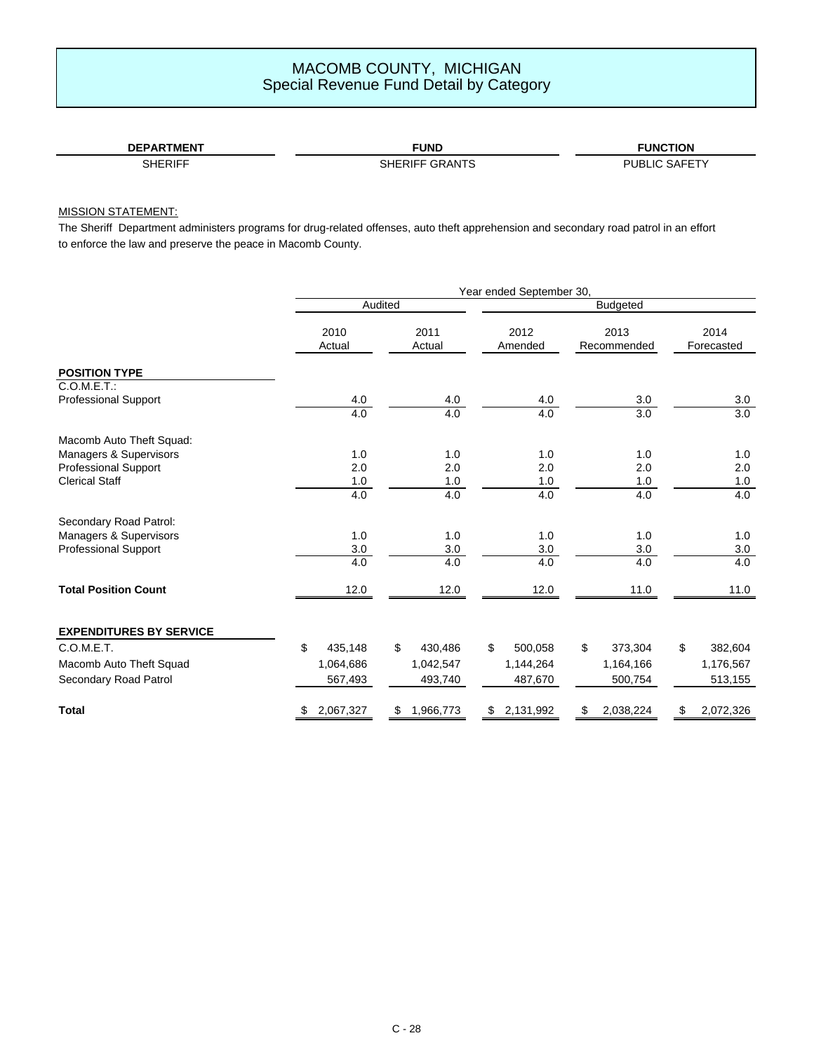| <b>DEPARTMENT</b> | <b>FUND</b>       | <b>FUNCTION</b>      |
|-------------------|-------------------|----------------------|
| SHERIFF           | GRANTS<br>SHERIFF | <b>SAFET</b><br>PURI |

### MISSION STATEMENT:

The Sheriff Department administers programs for drug-related offenses, auto theft apprehension and secondary road patrol in an effort to enforce the law and preserve the peace in Macomb County.

|                                |                |                 | Year ended September 30, |                     |                    |
|--------------------------------|----------------|-----------------|--------------------------|---------------------|--------------------|
|                                |                | Audited         |                          | <b>Budgeted</b>     |                    |
|                                | 2010<br>Actual | 2011<br>Actual  | 2012<br>Amended          | 2013<br>Recommended | 2014<br>Forecasted |
| <b>POSITION TYPE</b>           |                |                 |                          |                     |                    |
| C.O.M.E.T.:                    |                |                 |                          |                     |                    |
| <b>Professional Support</b>    | 4.0            | 4.0             | 4.0                      | 3.0                 | 3.0                |
|                                | 4.0            | 4.0             | 4.0                      | 3.0                 | $\overline{3.0}$   |
| Macomb Auto Theft Squad:       |                |                 |                          |                     |                    |
| Managers & Supervisors         | 1.0            | 1.0             | 1.0                      | 1.0                 | 1.0                |
| <b>Professional Support</b>    | 2.0            | 2.0             | 2.0                      | 2.0                 | 2.0                |
| <b>Clerical Staff</b>          | $1.0\,$        | $1.0$           | $1.0$                    | 1.0                 | 1.0                |
|                                | 4.0            | 4.0             | 4.0                      | 4.0                 | 4.0                |
| Secondary Road Patrol:         |                |                 |                          |                     |                    |
| Managers & Supervisors         | 1.0            | 1.0             | 1.0                      | 1.0                 | 1.0                |
| <b>Professional Support</b>    | 3.0            | $3.0\,$         | 3.0                      | 3.0                 | $3.0\,$            |
|                                | 4.0            | 4.0             | 4.0                      | 4.0                 | 4.0                |
| <b>Total Position Count</b>    | 12.0           | 12.0            | 12.0                     | 11.0                | 11.0               |
| <b>EXPENDITURES BY SERVICE</b> |                |                 |                          |                     |                    |
| C.O.M.E.T.                     | \$<br>435,148  | \$<br>430,486   | \$<br>500,058            | \$<br>373,304       | \$<br>382,604      |
| Macomb Auto Theft Squad        | 1,064,686      | 1,042,547       | 1,144,264                | 1,164,166           | 1,176,567          |
| Secondary Road Patrol          | 567,493        | 493,740         | 487,670                  | 500,754             | 513,155            |
| <b>Total</b>                   | 2,067,327      | \$<br>1,966,773 | \$<br>2,131,992          | \$<br>2,038,224     | 2,072,326<br>\$    |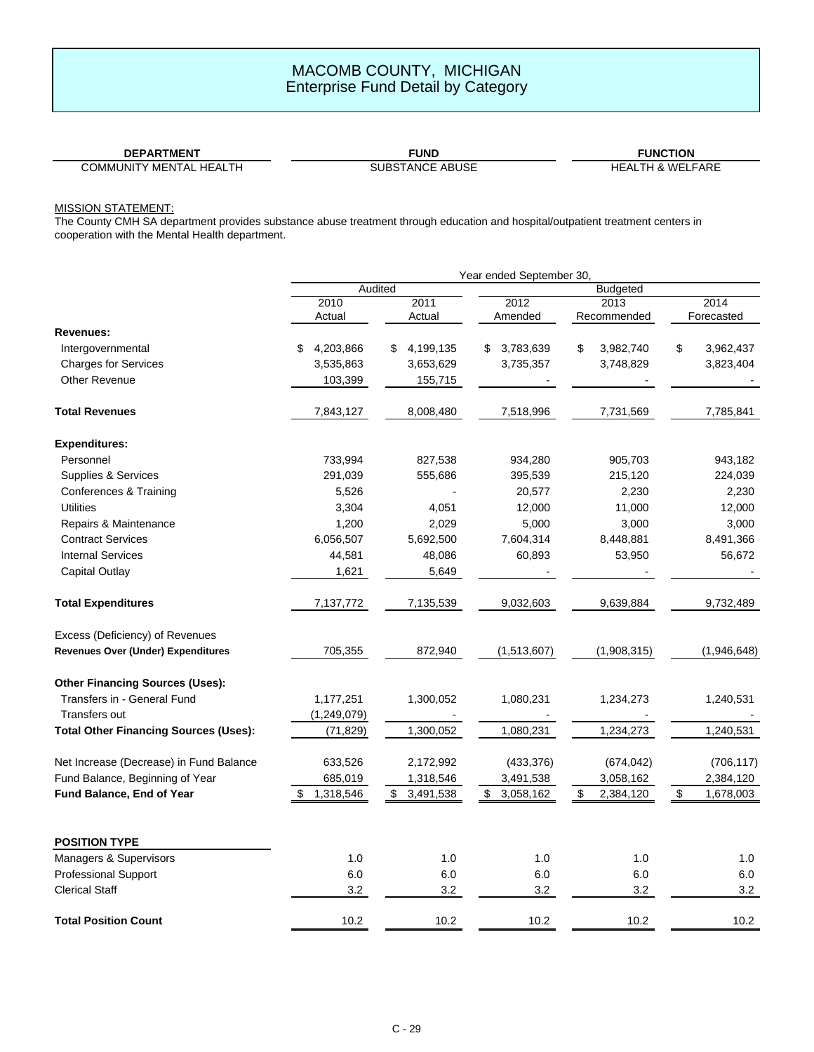**FUNCTION** HEALTH & WELFARE

COMMUNITY MENTAL HEALTH

**DEPARTMENT FUND**

### MISSION STATEMENT:

The County CMH SA department provides substance abuse treatment through education and hospital/outpatient treatment centers in cooperation with the Mental Health department.

|                                              |                 | Year ended September 30, |                            |                 |                                      |
|----------------------------------------------|-----------------|--------------------------|----------------------------|-----------------|--------------------------------------|
|                                              | Audited         |                          |                            | <b>Budgeted</b> |                                      |
|                                              | 2010            | 2011                     | 2012                       | 2013            | 2014                                 |
|                                              | Actual          | Actual                   | Amended                    | Recommended     | Forecasted                           |
| <b>Revenues:</b>                             |                 |                          |                            |                 |                                      |
| Intergovernmental                            | 4,203,866<br>\$ | 4,199,135<br>S.          | \$3,783,639                | \$<br>3,982,740 | \$<br>3,962,437                      |
| <b>Charges for Services</b>                  | 3,535,863       | 3,653,629                | 3,735,357                  | 3,748,829       | 3,823,404                            |
| <b>Other Revenue</b>                         | 103,399         | 155,715                  |                            |                 |                                      |
| <b>Total Revenues</b>                        | 7,843,127       | 8,008,480                | 7,518,996                  | 7,731,569       | 7,785,841                            |
| <b>Expenditures:</b>                         |                 |                          |                            |                 |                                      |
| Personnel                                    | 733,994         | 827,538                  | 934,280                    | 905,703         | 943,182                              |
| Supplies & Services                          | 291,039         | 555,686                  | 395,539                    | 215,120         | 224,039                              |
| Conferences & Training                       | 5,526           |                          | 20,577                     | 2,230           | 2,230                                |
| <b>Utilities</b>                             | 3,304           | 4,051                    | 12,000                     | 11,000          | 12,000                               |
| Repairs & Maintenance                        | 1,200           | 2,029                    | 5,000                      | 3,000           | 3,000                                |
| <b>Contract Services</b>                     | 6,056,507       | 5,692,500                | 7,604,314                  | 8,448,881       | 8,491,366                            |
| <b>Internal Services</b>                     | 44,581          | 48,086                   | 60,893                     | 53,950          | 56,672                               |
| <b>Capital Outlay</b>                        | 1,621           | 5,649                    |                            |                 |                                      |
| <b>Total Expenditures</b>                    | 7,137,772       | 7,135,539                | 9,032,603                  | 9,639,884       | 9,732,489                            |
| Excess (Deficiency) of Revenues              |                 |                          |                            |                 |                                      |
| Revenues Over (Under) Expenditures           | 705,355         | 872,940                  | (1,513,607)                | (1,908,315)     | (1,946,648)                          |
| <b>Other Financing Sources (Uses):</b>       |                 |                          |                            |                 |                                      |
| Transfers in - General Fund                  | 1,177,251       | 1,300,052                | 1,080,231                  | 1,234,273       | 1,240,531                            |
| <b>Transfers out</b>                         | (1, 249, 079)   |                          |                            |                 |                                      |
| <b>Total Other Financing Sources (Uses):</b> | (71, 829)       | 1,300,052                | 1,080,231                  | 1,234,273       | 1,240,531                            |
| Net Increase (Decrease) in Fund Balance      | 633,526         | 2,172,992                | (433, 376)                 | (674, 042)      | (706, 117)                           |
| Fund Balance, Beginning of Year              | 685,019         | 1,318,546                | 3,491,538                  | 3,058,162       | 2,384,120                            |
| Fund Balance, End of Year                    | \$<br>1,318,546 | \$<br>3,491,538          | $\frac{1}{2}$<br>3,058,162 | \$<br>2,384,120 | $\sqrt[6]{\frac{1}{2}}$<br>1,678,003 |
| <b>POSITION TYPE</b>                         |                 |                          |                            |                 |                                      |
| Managers & Supervisors                       | 1.0             | $1.0$                    | 1.0                        | 1.0             | 1.0                                  |
| <b>Professional Support</b>                  | 6.0             | 6.0                      | 6.0                        | 6.0             | 6.0                                  |
| <b>Clerical Staff</b>                        | 3.2             | 3.2                      | 3.2                        | 3.2             | 3.2                                  |
| <b>Total Position Count</b>                  | 10.2            | 10.2                     | 10.2                       | 10.2            | 10.2                                 |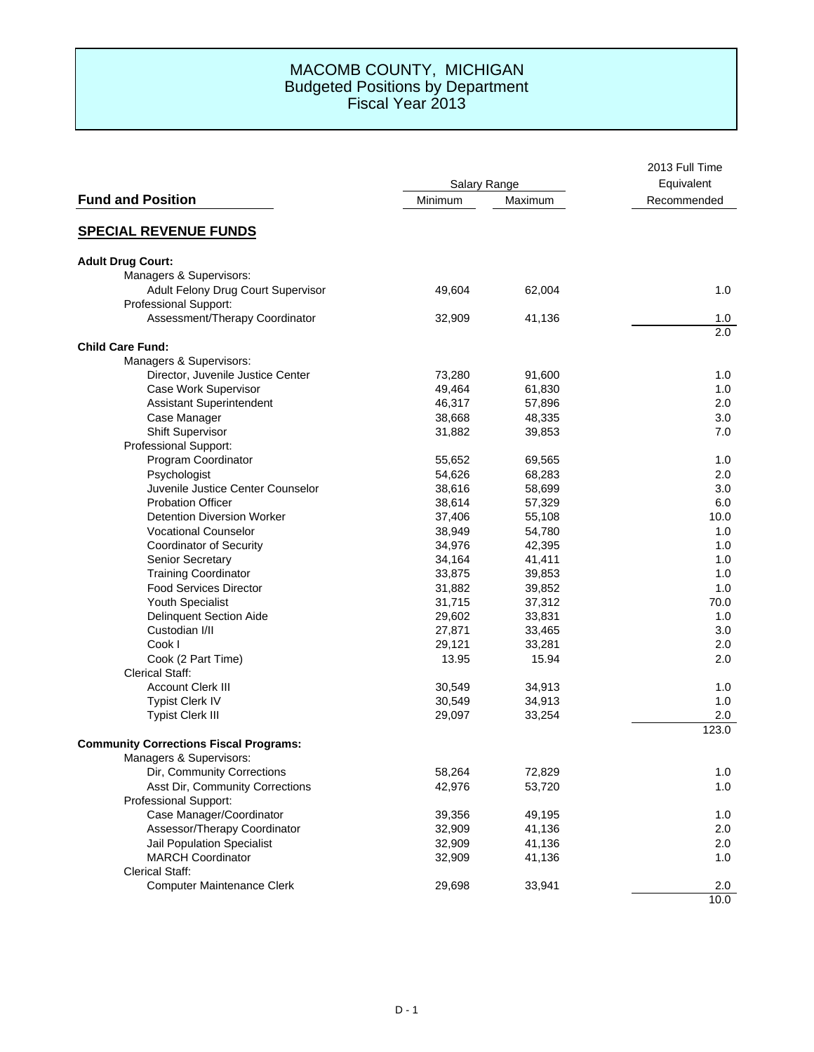### MACOMB COUNTY, MICHIGAN Budgeted Positions by Department Fiscal Year 2013

|                                               | Salary Range |         | 2013 Full Time |
|-----------------------------------------------|--------------|---------|----------------|
|                                               |              |         | Equivalent     |
| <b>Fund and Position</b>                      | Minimum      | Maximum | Recommended    |
| <b>SPECIAL REVENUE FUNDS</b>                  |              |         |                |
| <b>Adult Drug Court:</b>                      |              |         |                |
| Managers & Supervisors:                       |              |         |                |
| Adult Felony Drug Court Supervisor            | 49,604       | 62,004  | 1.0            |
| Professional Support:                         |              |         |                |
| Assessment/Therapy Coordinator                | 32,909       | 41,136  | 1.0            |
| <b>Child Care Fund:</b>                       |              |         | 2.0            |
| Managers & Supervisors:                       |              |         |                |
| Director, Juvenile Justice Center             | 73,280       | 91,600  | 1.0            |
| Case Work Supervisor                          | 49,464       | 61,830  | 1.0            |
| <b>Assistant Superintendent</b>               | 46,317       | 57,896  | 2.0            |
| Case Manager                                  | 38,668       | 48,335  | 3.0            |
| <b>Shift Supervisor</b>                       | 31,882       | 39,853  | 7.0            |
| <b>Professional Support:</b>                  |              |         |                |
| Program Coordinator                           | 55,652       | 69,565  | 1.0            |
| Psychologist                                  | 54,626       | 68,283  | 2.0            |
| Juvenile Justice Center Counselor             | 38,616       | 58,699  | 3.0            |
| <b>Probation Officer</b>                      | 38,614       | 57,329  | 6.0            |
| <b>Detention Diversion Worker</b>             | 37,406       | 55,108  | 10.0           |
| <b>Vocational Counselor</b>                   | 38,949       | 54,780  | 1.0            |
| <b>Coordinator of Security</b>                | 34,976       | 42,395  | 1.0            |
| <b>Senior Secretary</b>                       | 34,164       | 41,411  | 1.0            |
| <b>Training Coordinator</b>                   | 33,875       | 39,853  | 1.0            |
| <b>Food Services Director</b>                 | 31,882       | 39,852  | 1.0            |
| Youth Specialist                              | 31,715       | 37,312  | 70.0           |
| <b>Delinquent Section Aide</b>                | 29,602       | 33,831  | 1.0            |
| Custodian I/II                                | 27,871       | 33,465  | 3.0            |
| Cook I                                        | 29,121       | 33,281  | 2.0            |
| Cook (2 Part Time)                            | 13.95        | 15.94   | 2.0            |
| <b>Clerical Staff:</b>                        |              |         |                |
| <b>Account Clerk III</b>                      | 30,549       | 34,913  | 1.0            |
| <b>Typist Clerk IV</b>                        | 30,549       | 34,913  | 1.0            |
| <b>Typist Clerk III</b>                       | 29,097       | 33,254  | 2.0            |
| <b>Community Corrections Fiscal Programs:</b> |              |         | 123.0          |
| Managers & Supervisors:                       |              |         |                |
| Dir, Community Corrections                    | 58,264       | 72,829  | 1.0            |
| Asst Dir, Community Corrections               | 42,976       | 53,720  | 1.0            |
| Professional Support:                         |              |         |                |
| Case Manager/Coordinator                      | 39,356       | 49,195  | 1.0            |
| Assessor/Therapy Coordinator                  | 32,909       | 41,136  | 2.0            |
| Jail Population Specialist                    | 32,909       | 41,136  | 2.0            |
| <b>MARCH Coordinator</b>                      | 32,909       | 41,136  | 1.0            |
| <b>Clerical Staff:</b>                        |              |         |                |
| <b>Computer Maintenance Clerk</b>             | 29,698       | 33,941  | 2.0            |
|                                               |              |         | 10.0           |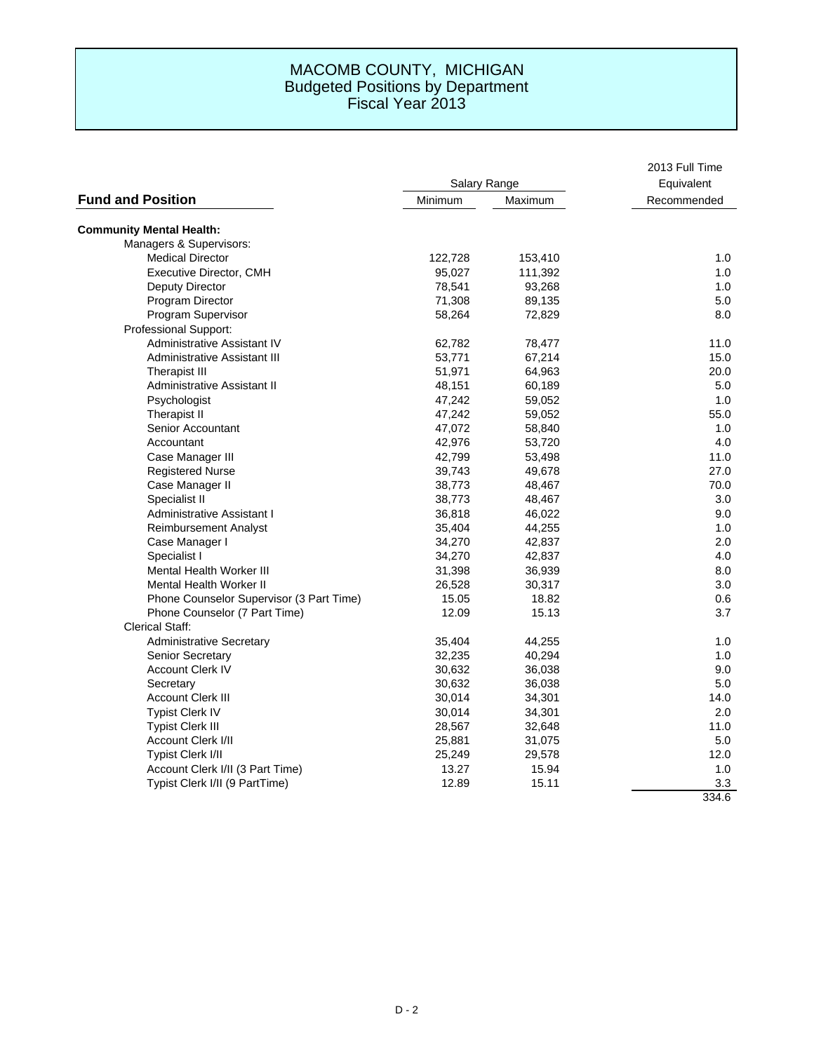|                                          |              |         | 2013 Full Time |
|------------------------------------------|--------------|---------|----------------|
| <b>Fund and Position</b>                 | Salary Range |         | Equivalent     |
|                                          | Minimum      | Maximum | Recommended    |
| <b>Community Mental Health:</b>          |              |         |                |
| Managers & Supervisors:                  |              |         |                |
| <b>Medical Director</b>                  | 122,728      | 153,410 | 1.0            |
| Executive Director, CMH                  | 95,027       | 111,392 | 1.0            |
| Deputy Director                          | 78,541       | 93,268  | 1.0            |
| Program Director                         | 71,308       | 89,135  | 5.0            |
| Program Supervisor                       | 58,264       | 72,829  | 8.0            |
| Professional Support:                    |              |         |                |
| Administrative Assistant IV              | 62,782       | 78,477  | 11.0           |
| Administrative Assistant III             | 53,771       | 67,214  | 15.0           |
| <b>Therapist III</b>                     | 51,971       | 64,963  | 20.0           |
| Administrative Assistant II              | 48,151       | 60,189  | 5.0            |
| Psychologist                             | 47,242       | 59,052  | 1.0            |
| Therapist II                             | 47,242       | 59,052  | 55.0           |
| Senior Accountant                        | 47,072       | 58,840  | 1.0            |
| Accountant                               | 42,976       | 53,720  | 4.0            |
| Case Manager III                         | 42,799       | 53,498  | 11.0           |
| <b>Registered Nurse</b>                  | 39,743       | 49,678  | 27.0           |
| Case Manager II                          | 38,773       | 48,467  | 70.0           |
| Specialist II                            | 38,773       | 48,467  | 3.0            |
| Administrative Assistant I               | 36,818       | 46,022  | 9.0            |
| <b>Reimbursement Analyst</b>             | 35,404       | 44,255  | 1.0            |
| Case Manager I                           | 34,270       | 42,837  | 2.0            |
| Specialist I                             | 34,270       | 42,837  | 4.0            |
| <b>Mental Health Worker III</b>          | 31,398       | 36,939  | 8.0            |
| <b>Mental Health Worker II</b>           | 26,528       | 30,317  | 3.0            |
| Phone Counselor Supervisor (3 Part Time) | 15.05        | 18.82   | 0.6            |
| Phone Counselor (7 Part Time)            | 12.09        | 15.13   | 3.7            |
| <b>Clerical Staff:</b>                   |              |         |                |
| <b>Administrative Secretary</b>          | 35,404       | 44,255  | 1.0            |
| Senior Secretary                         | 32,235       | 40,294  | 1.0            |
| <b>Account Clerk IV</b>                  | 30,632       | 36,038  | 9.0            |
| Secretary                                | 30,632       | 36,038  | 5.0            |
| <b>Account Clerk III</b>                 | 30,014       | 34,301  | 14.0           |
| <b>Typist Clerk IV</b>                   | 30,014       | 34,301  | 2.0            |
| <b>Typist Clerk III</b>                  | 28,567       | 32,648  | 11.0           |
| Account Clerk I/II                       | 25,881       | 31,075  | 5.0            |
| Typist Clerk I/II                        | 25,249       | 29,578  | 12.0           |
| Account Clerk I/II (3 Part Time)         | 13.27        | 15.94   | 1.0            |
| Typist Clerk I/II (9 PartTime)           | 12.89        | 15.11   | 3.3            |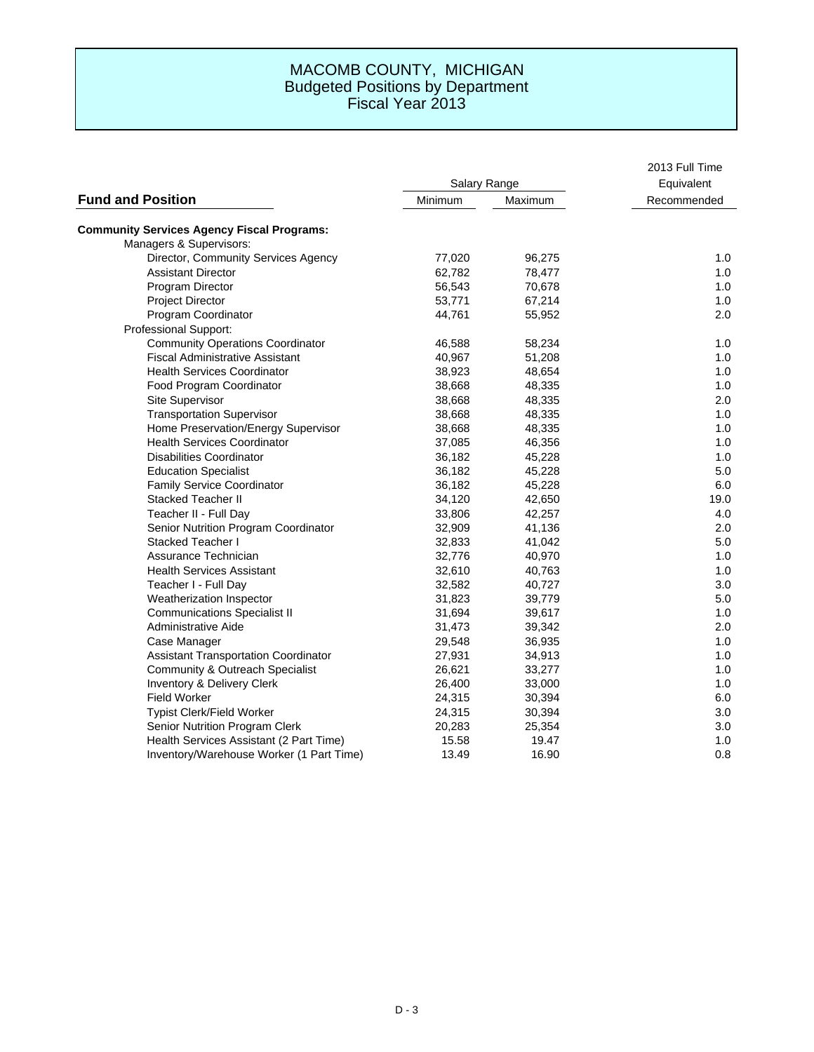|                                                   |              |         | 2013 Full Time |
|---------------------------------------------------|--------------|---------|----------------|
| <b>Fund and Position</b>                          | Salary Range |         | Equivalent     |
|                                                   | Minimum      | Maximum | Recommended    |
| <b>Community Services Agency Fiscal Programs:</b> |              |         |                |
| Managers & Supervisors:                           |              |         |                |
| Director, Community Services Agency               | 77,020       | 96,275  | 1.0            |
| <b>Assistant Director</b>                         | 62,782       | 78,477  | 1.0            |
| Program Director                                  | 56,543       | 70,678  | 1.0            |
| <b>Project Director</b>                           | 53,771       | 67,214  | 1.0            |
| Program Coordinator                               | 44,761       | 55,952  | 2.0            |
| Professional Support:                             |              |         |                |
| <b>Community Operations Coordinator</b>           | 46,588       | 58,234  | 1.0            |
| <b>Fiscal Administrative Assistant</b>            | 40,967       | 51,208  | 1.0            |
| <b>Health Services Coordinator</b>                | 38,923       | 48,654  | 1.0            |
| Food Program Coordinator                          | 38,668       | 48,335  | 1.0            |
| Site Supervisor                                   | 38,668       | 48,335  | 2.0            |
| <b>Transportation Supervisor</b>                  | 38,668       | 48,335  | 1.0            |
| Home Preservation/Energy Supervisor               | 38,668       | 48,335  | 1.0            |
| <b>Health Services Coordinator</b>                | 37,085       | 46,356  | 1.0            |
| <b>Disabilities Coordinator</b>                   | 36,182       | 45,228  | 1.0            |
| <b>Education Specialist</b>                       | 36,182       | 45,228  | 5.0            |
| <b>Family Service Coordinator</b>                 | 36,182       | 45,228  | 6.0            |
| <b>Stacked Teacher II</b>                         | 34,120       | 42,650  | 19.0           |
| Teacher II - Full Day                             | 33,806       | 42,257  | 4.0            |
| Senior Nutrition Program Coordinator              | 32,909       | 41,136  | 2.0            |
| Stacked Teacher I                                 | 32,833       | 41,042  | 5.0            |
| Assurance Technician                              | 32,776       | 40,970  | 1.0            |
| <b>Health Services Assistant</b>                  | 32,610       | 40,763  | 1.0            |
| Teacher I - Full Day                              | 32,582       | 40,727  | 3.0            |
| Weatherization Inspector                          | 31,823       | 39,779  | 5.0            |
| <b>Communications Specialist II</b>               | 31,694       | 39,617  | 1.0            |
| Administrative Aide                               | 31,473       | 39,342  | 2.0            |
| Case Manager                                      | 29,548       | 36,935  | 1.0            |
| <b>Assistant Transportation Coordinator</b>       | 27,931       | 34,913  | 1.0            |
| Community & Outreach Specialist                   | 26,621       | 33,277  | 1.0            |
| Inventory & Delivery Clerk                        | 26,400       | 33,000  | 1.0            |
| <b>Field Worker</b>                               | 24,315       | 30,394  | 6.0            |
| Typist Clerk/Field Worker                         | 24,315       | 30,394  | 3.0            |
| Senior Nutrition Program Clerk                    | 20,283       | 25,354  | 3.0            |
| Health Services Assistant (2 Part Time)           | 15.58        | 19.47   | 1.0            |
| Inventory/Warehouse Worker (1 Part Time)          | 13.49        | 16.90   | 0.8            |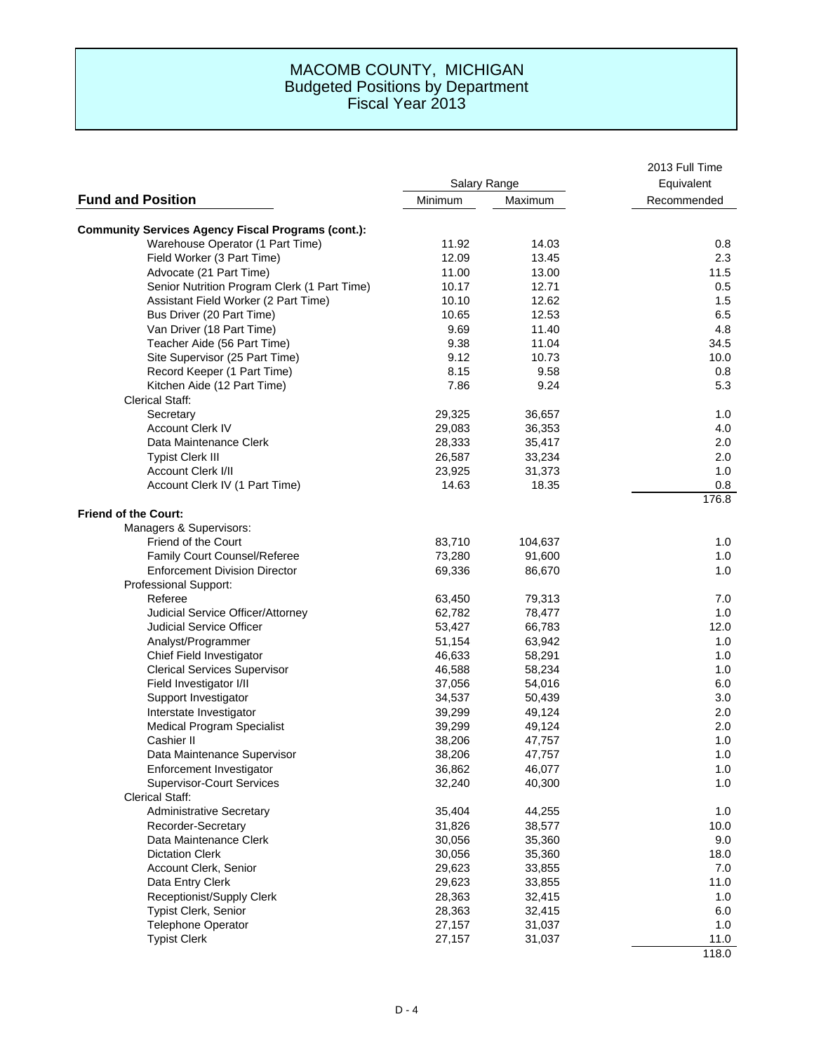|                                                           | Salary Range |         | 2013 Full Time |
|-----------------------------------------------------------|--------------|---------|----------------|
|                                                           |              |         | Equivalent     |
| <b>Fund and Position</b>                                  | Minimum      | Maximum | Recommended    |
| <b>Community Services Agency Fiscal Programs (cont.):</b> |              |         |                |
| Warehouse Operator (1 Part Time)                          | 11.92        | 14.03   | 0.8            |
| Field Worker (3 Part Time)                                | 12.09        | 13.45   | 2.3            |
| Advocate (21 Part Time)                                   | 11.00        | 13.00   | 11.5           |
| Senior Nutrition Program Clerk (1 Part Time)              | 10.17        | 12.71   | 0.5            |
| Assistant Field Worker (2 Part Time)                      | 10.10        | 12.62   | 1.5            |
| Bus Driver (20 Part Time)                                 | 10.65        | 12.53   | 6.5            |
| Van Driver (18 Part Time)                                 | 9.69         | 11.40   | 4.8            |
| Teacher Aide (56 Part Time)                               | 9.38         | 11.04   | 34.5           |
| Site Supervisor (25 Part Time)                            | 9.12         | 10.73   | 10.0           |
| Record Keeper (1 Part Time)                               | 8.15         | 9.58    | 0.8            |
| Kitchen Aide (12 Part Time)                               | 7.86         | 9.24    | 5.3            |
| <b>Clerical Staff:</b>                                    |              |         |                |
| Secretary                                                 | 29,325       | 36,657  | 1.0            |
| <b>Account Clerk IV</b>                                   | 29,083       | 36,353  | 4.0            |
| Data Maintenance Clerk                                    | 28,333       | 35,417  | 2.0            |
| <b>Typist Clerk III</b>                                   | 26,587       | 33,234  | 2.0            |
| Account Clerk I/II                                        | 23,925       | 31,373  | 1.0            |
| Account Clerk IV (1 Part Time)                            | 14.63        | 18.35   | 0.8            |
|                                                           |              |         | 176.8          |
| <b>Friend of the Court:</b>                               |              |         |                |
| Managers & Supervisors:                                   |              |         |                |
| <b>Friend of the Court</b>                                | 83,710       | 104,637 | 1.0            |
| Family Court Counsel/Referee                              | 73,280       | 91,600  | 1.0            |
| <b>Enforcement Division Director</b>                      | 69,336       | 86,670  | 1.0            |
| Professional Support:                                     |              |         |                |
| Referee                                                   | 63,450       | 79,313  | 7.0            |
| Judicial Service Officer/Attorney                         | 62,782       | 78,477  | 1.0            |
| <b>Judicial Service Officer</b>                           | 53,427       | 66,783  | 12.0           |
| Analyst/Programmer                                        | 51,154       | 63,942  | 1.0            |
| Chief Field Investigator                                  | 46,633       | 58,291  | 1.0            |
| <b>Clerical Services Supervisor</b>                       | 46,588       | 58,234  | 1.0            |
| Field Investigator I/II                                   | 37,056       | 54,016  | 6.0            |
| Support Investigator                                      | 34,537       | 50,439  | 3.0            |
| Interstate Investigator                                   | 39,299       | 49,124  | 2.0            |
| Medical Program Specialist                                | 39,299       | 49,124  | 2.0            |
| Cashier II                                                | 38,206       | 47,757  | 1.0            |
| Data Maintenance Supervisor                               | 38,206       | 47,757  | 1.0            |
| Enforcement Investigator                                  | 36,862       | 46,077  | 1.0            |
| <b>Supervisor-Court Services</b>                          | 32,240       | 40,300  | 1.0            |
| <b>Clerical Staff:</b>                                    |              |         |                |
| <b>Administrative Secretary</b>                           | 35,404       | 44,255  | 1.0            |
| Recorder-Secretary                                        | 31,826       | 38,577  | 10.0           |
| Data Maintenance Clerk                                    | 30,056       | 35,360  | 9.0            |
| <b>Dictation Clerk</b>                                    | 30,056       | 35,360  | 18.0           |
| Account Clerk, Senior                                     | 29,623       | 33,855  | 7.0            |
| Data Entry Clerk                                          | 29,623       | 33,855  | 11.0           |
| Receptionist/Supply Clerk                                 | 28,363       | 32,415  | 1.0            |
| <b>Typist Clerk, Senior</b>                               | 28,363       | 32,415  | 6.0            |
| <b>Telephone Operator</b>                                 | 27,157       | 31,037  | 1.0            |
| <b>Typist Clerk</b>                                       | 27,157       | 31,037  | 11.0           |
|                                                           |              |         | 118.0          |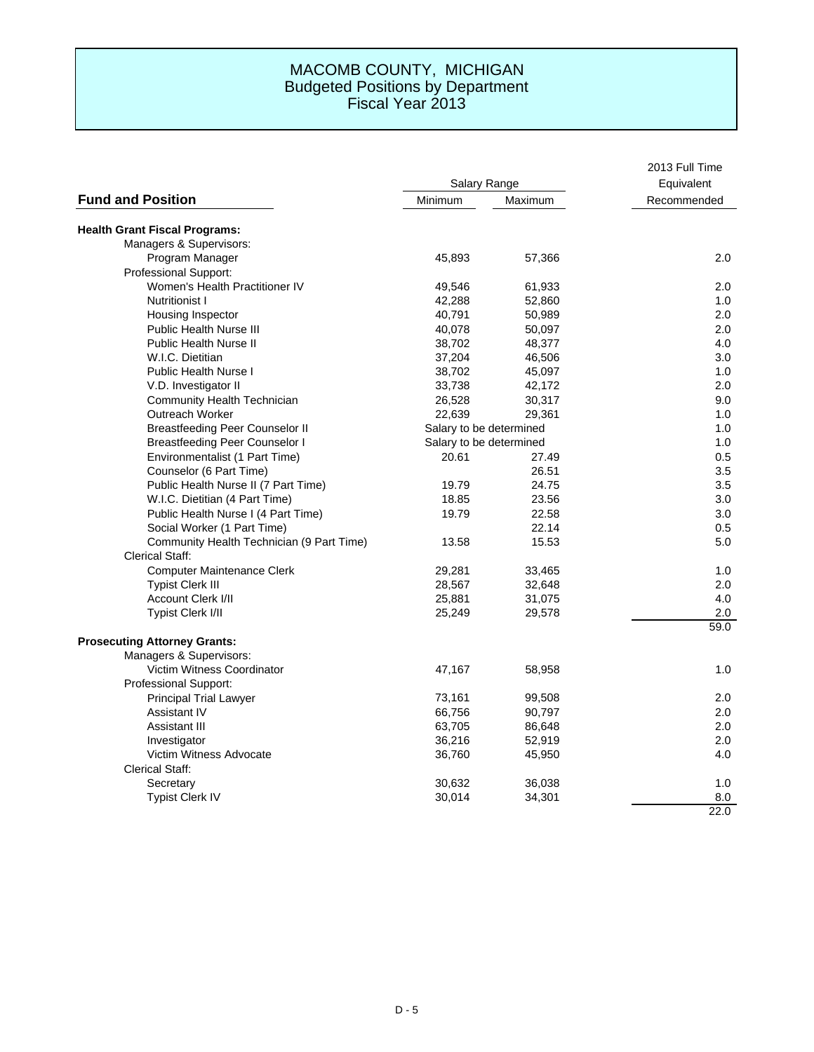|                                           |                         |         | 2013 Full Time |
|-------------------------------------------|-------------------------|---------|----------------|
|                                           | Salary Range            |         | Equivalent     |
| <b>Fund and Position</b>                  | Minimum                 | Maximum | Recommended    |
| <b>Health Grant Fiscal Programs:</b>      |                         |         |                |
| Managers & Supervisors:                   |                         |         |                |
| Program Manager                           | 45,893                  | 57,366  | 2.0            |
| Professional Support:                     |                         |         |                |
| Women's Health Practitioner IV            | 49,546                  | 61,933  | 2.0            |
| <b>Nutritionist I</b>                     | 42,288                  | 52,860  | 1.0            |
| Housing Inspector                         | 40,791                  | 50,989  | 2.0            |
| <b>Public Health Nurse III</b>            | 40,078                  | 50,097  | 2.0            |
| <b>Public Health Nurse II</b>             | 38,702                  | 48,377  | 4.0            |
| W.I.C. Dietitian                          | 37,204                  | 46,506  | 3.0            |
| <b>Public Health Nurse I</b>              | 38,702                  | 45,097  | 1.0            |
| V.D. Investigator II                      | 33,738                  | 42,172  | 2.0            |
| <b>Community Health Technician</b>        | 26,528                  | 30,317  | 9.0            |
| Outreach Worker                           | 22,639                  | 29,361  | 1.0            |
| <b>Breastfeeding Peer Counselor II</b>    | Salary to be determined |         | 1.0            |
| <b>Breastfeeding Peer Counselor I</b>     | Salary to be determined |         | 1.0            |
| Environmentalist (1 Part Time)            | 20.61                   | 27.49   | 0.5            |
| Counselor (6 Part Time)                   |                         | 26.51   | 3.5            |
| Public Health Nurse II (7 Part Time)      | 19.79                   | 24.75   | 3.5            |
| W.I.C. Dietitian (4 Part Time)            | 18.85                   | 23.56   | 3.0            |
| Public Health Nurse I (4 Part Time)       | 19.79                   | 22.58   | 3.0            |
| Social Worker (1 Part Time)               |                         | 22.14   | 0.5            |
| Community Health Technician (9 Part Time) | 13.58                   | 15.53   | 5.0            |
| <b>Clerical Staff:</b>                    |                         |         |                |
| <b>Computer Maintenance Clerk</b>         | 29,281                  | 33,465  | 1.0            |
| <b>Typist Clerk III</b>                   | 28,567                  | 32,648  | 2.0            |
| Account Clerk I/II                        | 25,881                  | 31,075  | 4.0            |
| Typist Clerk I/II                         | 25,249                  | 29,578  | 2.0            |
|                                           |                         |         | 59.0           |
| <b>Prosecuting Attorney Grants:</b>       |                         |         |                |
| Managers & Supervisors:                   |                         |         |                |
| Victim Witness Coordinator                | 47,167                  | 58,958  | 1.0            |
| Professional Support:                     |                         |         |                |
| <b>Principal Trial Lawyer</b>             | 73,161                  | 99,508  | 2.0            |
| <b>Assistant IV</b>                       | 66,756                  | 90,797  | 2.0            |
| Assistant III                             | 63,705                  | 86,648  | 2.0            |
| Investigator                              | 36,216                  | 52,919  | 2.0            |
| Victim Witness Advocate                   | 36,760                  | 45,950  | 4.0            |
| <b>Clerical Staff:</b>                    |                         |         |                |
| Secretary                                 | 30,632                  | 36,038  | 1.0            |
| <b>Typist Clerk IV</b>                    | 30,014                  | 34,301  | 8.0            |
|                                           |                         |         | 22.0           |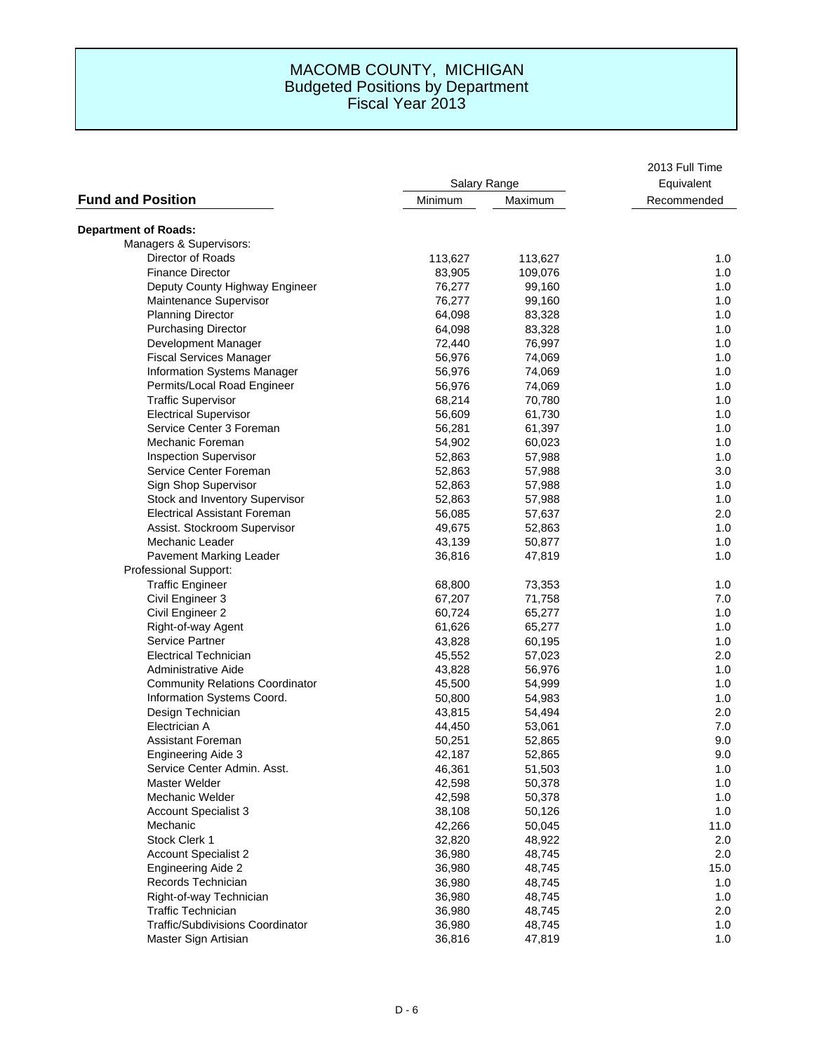|                                         | Salary Range |         | 2013 Full Time<br>Equivalent |
|-----------------------------------------|--------------|---------|------------------------------|
|                                         |              |         |                              |
| <b>Fund and Position</b>                | Minimum      | Maximum | Recommended                  |
| <b>Department of Roads:</b>             |              |         |                              |
| Managers & Supervisors:                 |              |         |                              |
| Director of Roads                       | 113,627      | 113,627 | 1.0                          |
| <b>Finance Director</b>                 | 83,905       | 109,076 | 1.0                          |
| Deputy County Highway Engineer          | 76,277       | 99,160  | 1.0                          |
| Maintenance Supervisor                  | 76,277       | 99,160  | 1.0                          |
| <b>Planning Director</b>                | 64,098       | 83,328  | 1.0                          |
| <b>Purchasing Director</b>              | 64,098       | 83,328  | 1.0                          |
| Development Manager                     | 72,440       | 76,997  | 1.0                          |
| <b>Fiscal Services Manager</b>          | 56,976       | 74,069  | 1.0                          |
| Information Systems Manager             | 56,976       | 74,069  | 1.0                          |
| Permits/Local Road Engineer             | 56,976       | 74,069  | 1.0                          |
| <b>Traffic Supervisor</b>               | 68,214       | 70,780  | 1.0                          |
| <b>Electrical Supervisor</b>            | 56,609       | 61,730  | 1.0                          |
| Service Center 3 Foreman                | 56,281       | 61,397  | 1.0                          |
| Mechanic Foreman                        | 54,902       | 60,023  | 1.0                          |
| <b>Inspection Supervisor</b>            | 52,863       | 57,988  | 1.0                          |
| Service Center Foreman                  | 52,863       | 57,988  | 3.0                          |
| Sign Shop Supervisor                    | 52,863       | 57,988  | 1.0                          |
| Stock and Inventory Supervisor          | 52,863       | 57,988  | 1.0                          |
| <b>Electrical Assistant Foreman</b>     | 56,085       | 57,637  | 2.0                          |
| Assist. Stockroom Supervisor            | 49,675       | 52,863  | 1.0                          |
| Mechanic Leader                         | 43,139       | 50,877  | 1.0                          |
| <b>Pavement Marking Leader</b>          | 36,816       | 47,819  | 1.0                          |
| Professional Support:                   |              |         |                              |
| <b>Traffic Engineer</b>                 | 68,800       | 73,353  | 1.0                          |
| Civil Engineer 3                        | 67,207       | 71,758  | 7.0                          |
| Civil Engineer 2                        | 60,724       | 65,277  | 1.0                          |
| Right-of-way Agent                      | 61,626       | 65,277  | 1.0                          |
| Service Partner                         | 43,828       | 60,195  | 1.0                          |
| <b>Electrical Technician</b>            | 45,552       | 57,023  | 2.0                          |
| Administrative Aide                     | 43,828       | 56,976  | 1.0                          |
| <b>Community Relations Coordinator</b>  | 45,500       | 54,999  | 1.0                          |
| Information Systems Coord.              | 50,800       | 54,983  | 1.0                          |
| Design Technician                       | 43,815       | 54,494  | 2.0                          |
| Electrician A                           | 44,450       | 53,061  | 7.0                          |
| <b>Assistant Foreman</b>                | 50,251       | 52,865  | 9.0                          |
| <b>Engineering Aide 3</b>               | 42,187       | 52,865  | 9.0                          |
| Service Center Admin. Asst.             | 46,361       | 51,503  | 1.0                          |
| Master Welder                           | 42,598       | 50,378  | 1.0                          |
| Mechanic Welder                         | 42,598       | 50,378  | 1.0                          |
| <b>Account Specialist 3</b>             | 38,108       | 50,126  | 1.0                          |
| Mechanic                                | 42,266       | 50,045  | 11.0                         |
| Stock Clerk 1                           | 32,820       | 48,922  | 2.0                          |
| <b>Account Specialist 2</b>             | 36,980       | 48,745  | 2.0                          |
| <b>Engineering Aide 2</b>               | 36,980       | 48,745  | 15.0                         |
| Records Technician                      | 36,980       | 48,745  | 1.0                          |
| Right-of-way Technician                 | 36,980       | 48,745  | 1.0                          |
| <b>Traffic Technician</b>               | 36,980       | 48,745  | 2.0                          |
| <b>Traffic/Subdivisions Coordinator</b> | 36,980       | 48,745  | 1.0                          |
| Master Sign Artisian                    | 36,816       | 47,819  | 1.0                          |
|                                         |              |         |                              |